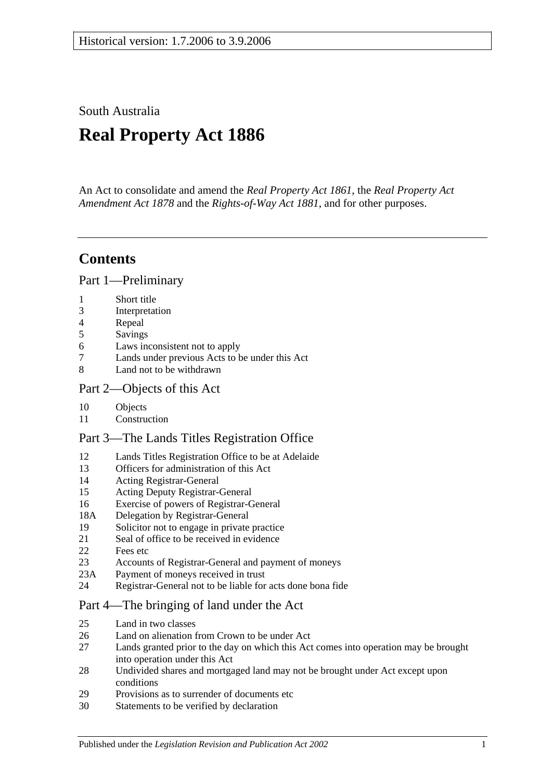South Australia

# **Real Property Act 1886**

An Act to consolidate and amend the *[Real Property Act](http://www.legislation.sa.gov.au/index.aspx?action=legref&type=act&legtitle=Real%20Property%20Act%201861) 1861*, the *[Real Property Act](http://www.legislation.sa.gov.au/index.aspx?action=legref&type=act&legtitle=Real%20Property%20Act%20Amendment%20Act%201878)  [Amendment Act](http://www.legislation.sa.gov.au/index.aspx?action=legref&type=act&legtitle=Real%20Property%20Act%20Amendment%20Act%201878) 1878* and the *[Rights-of-Way Act](http://www.legislation.sa.gov.au/index.aspx?action=legref&type=act&legtitle=Rights-of-Way%20Act%201881) 1881*, and for other purposes.

## **Contents**

[Part 1—Preliminary](#page-10-0)

- 1 [Short title](#page-10-1)
- 3 [Interpretation](#page-10-2)
- 4 [Repeal](#page-11-0)
- 5 [Savings](#page-12-0)
- 6 [Laws inconsistent not to apply](#page-12-1)
- 7 [Lands under previous Acts to be under this Act](#page-12-2)
- 8 [Land not to be withdrawn](#page-12-3)

## [Part 2—Objects of this Act](#page-14-0)

- 10 [Objects](#page-14-1)
- 11 [Construction](#page-14-2)

## [Part 3—The Lands Titles Registration Office](#page-16-0)

- 12 [Lands Titles Registration Office to be at Adelaide](#page-16-1)
- 13 [Officers for administration of this Act](#page-16-2)
- 14 [Acting Registrar-General](#page-16-3)
- 15 [Acting Deputy Registrar-General](#page-16-4)
- 16 [Exercise of powers of Registrar-General](#page-16-5)
- 18A [Delegation by Registrar-General](#page-17-0)
- 19 [Solicitor not to engage in private practice](#page-17-1)
- 21 [Seal of office to be received in evidence](#page-17-2)
- 22 [Fees etc](#page-17-3)
- 23 [Accounts of Registrar-General and payment of moneys](#page-17-4)
- 23A [Payment of moneys received in trust](#page-17-5)
- 24 [Registrar-General not to be liable for acts done bona fide](#page-18-0)

## [Part 4—The bringing of land under the Act](#page-20-0)

- 25 [Land in two classes](#page-20-1)
- 26 [Land on alienation from Crown to be under Act](#page-20-2)<br>27 Lands granted prior to the day on which this Act
- Lands granted prior to the day on which this Act comes into operation may be brought [into operation under this Act](#page-20-3)
- 28 [Undivided shares and mortgaged land may not be brought under Act except upon](#page-21-0)  [conditions](#page-21-0)
- 29 [Provisions as to surrender of documents etc](#page-21-1)
- 30 [Statements to be verified by declaration](#page-21-2)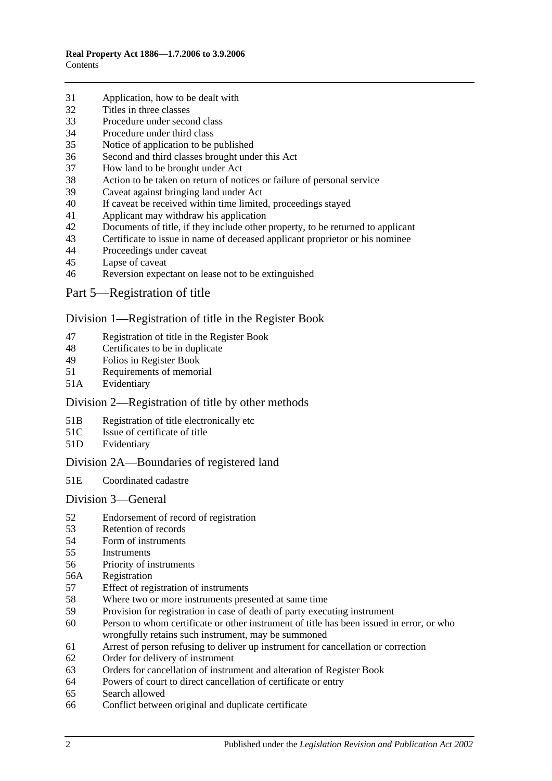- [Application, how to be dealt with](#page-21-3)
- [Titles in three classes](#page-22-0)
- [Procedure under second class](#page-22-1)
- [Procedure under third class](#page-23-0)
- [Notice of application to be published](#page-23-1)
- [Second and third classes brought under this](#page-23-2) Act
- [How land to be brought under Act](#page-23-3)
- [Action to be taken on return of notices or failure of personal service](#page-24-0)
- [Caveat against bringing land under Act](#page-24-1)
- [If caveat be received within time limited, proceedings stayed](#page-24-2)
- [Applicant may withdraw his application](#page-24-3)
- [Documents of title, if they include other property, to be returned to applicant](#page-24-4)<br>43 Certificate to issue in name of deceased applicant proprietor or his nominee
- [Certificate to issue in name of deceased applicant proprietor or his nominee](#page-25-0)
- [Proceedings under caveat](#page-25-1)
- [Lapse of caveat](#page-25-2)
- [Reversion expectant on lease not to be extinguished](#page-25-3)
- [Part 5—Registration of title](#page-26-0)

#### [Division 1—Registration of title in the Register Book](#page-26-1)

- [Registration of title in the Register Book](#page-26-2)
- [Certificates to be in duplicate](#page-26-3)
- [Folios in Register Book](#page-26-4)
- [Requirements of memorial](#page-26-5)
- 51A [Evidentiary](#page-26-6)

## Division [2—Registration of title by other methods](#page-26-7)

- 51B [Registration of title electronically etc](#page-26-8)
- 51C [Issue of certificate of title](#page-27-0)
- 51D [Evidentiary](#page-28-0)

## [Division 2A—Boundaries](#page-28-1) of registered land

51E [Coordinated cadastre](#page-28-2)

#### [Division 3—General](#page-28-3)

- [Endorsement of record of registration](#page-28-4)
- [Retention of records](#page-29-0)
- [Form of instruments](#page-29-1)<br>55 Instruments
- **[Instruments](#page-29-2)**
- [Priority of instruments](#page-29-3)
- 56A [Registration](#page-30-0)
- [Effect of registration of instruments](#page-30-1)
- [Where two or more instruments presented at same time](#page-30-2)
- [Provision for registration in case of death of party executing instrument](#page-30-3)
- [Person to whom certificate or other instrument of title has been issued in error, or who](#page-30-4)  [wrongfully retains such instrument, may be summoned](#page-30-4)
- [Arrest of person refusing to deliver up instrument for cancellation or correction](#page-31-0)
- [Order for delivery of instrument](#page-31-1)
- [Orders for cancellation of instrument and alteration of Register Book](#page-31-2)
- [Powers of court to direct cancellation of certificate or entry](#page-31-3)
- [Search allowed](#page-31-4)
- [Conflict between original and duplicate certificate](#page-31-5)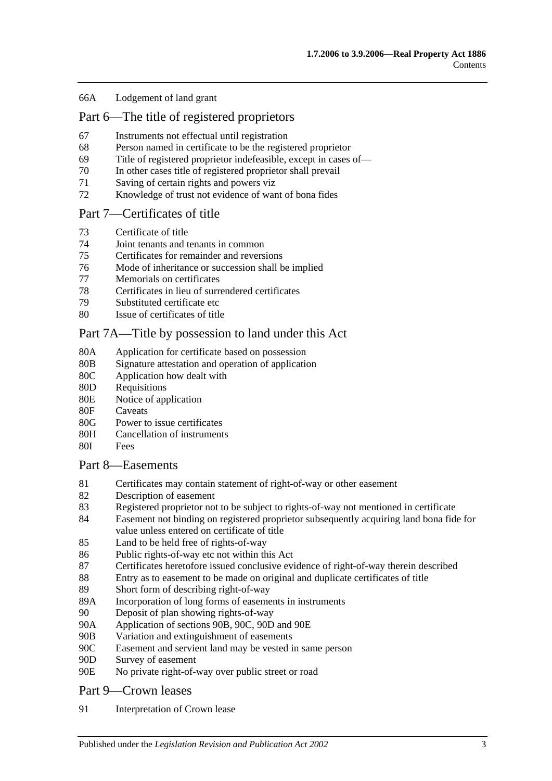#### 66A [Lodgement of land grant](#page-32-0)

## [Part 6—The title of registered proprietors](#page-34-0)

- 67 [Instruments not effectual until registration](#page-34-1)
- 68 [Person named in certificate to be the registered proprietor](#page-34-2)
- 69 [Title of registered proprietor indefeasible, except in cases of—](#page-34-3)
- 70 [In other cases title of registered proprietor shall prevail](#page-35-0)
- 71 [Saving of certain rights and powers viz](#page-36-0)
- 72 [Knowledge of trust not evidence of want of bona fides](#page-36-1)

#### [Part 7—Certificates of title](#page-38-0)

- 73 [Certificate of title](#page-38-1)
- 74 [Joint tenants and tenants in common](#page-38-2)
- 75 [Certificates for remainder and reversions](#page-38-3)
- 76 [Mode of inheritance or succession shall be implied](#page-38-4)
- 77 [Memorials on certificates](#page-38-5)<br>78 Certificates in lieu of surr
- [Certificates in lieu of surrendered certificates](#page-38-6)
- 79 [Substituted certificate etc](#page-39-0)
- 80 [Issue of certificates of title](#page-39-1)

## [Part 7A—Title by possession to land under this Act](#page-40-0)

- 80A [Application for certificate based on possession](#page-40-1)
- 80B [Signature attestation and operation of application](#page-40-2)
- 80C [Application how dealt with](#page-40-3)
- 80D [Requisitions](#page-40-4)
- 80E [Notice of application](#page-40-5)
- 80F [Caveats](#page-41-0)
- 80G [Power to issue certificates](#page-41-1)
- 80H [Cancellation of instruments](#page-42-0)
- 80I [Fees](#page-42-1)

#### [Part 8—Easements](#page-44-0)

- 81 [Certificates may contain statement of right-of-way or other easement](#page-44-1)
- 82 [Description of easement](#page-44-2)
- 83 [Registered proprietor not to be subject to rights-of-way not mentioned in certificate](#page-44-3)
- 84 [Easement not binding on registered proprietor subsequently acquiring land bona fide for](#page-44-4)  [value unless entered on certificate of title](#page-44-4)
- 85 Land to [be held free of rights-of-way](#page-44-5)
- 86 [Public rights-of-way etc not within this Act](#page-44-6)
- 87 [Certificates heretofore issued conclusive evidence of right-of-way therein described](#page-45-0)
- 88 [Entry as to easement to be made on original and duplicate certificates of title](#page-45-1)
- 89 [Short form of describing right-of-way](#page-45-2)
- 89A [Incorporation of long forms of easements in instruments](#page-45-3)
- 90 [Deposit of plan showing rights-of-way](#page-45-4)
- 90A [Application of sections](#page-45-5) 90B, [90C, 90D](#page-45-5) and [90E](#page-45-5)
- 90B [Variation and extinguishment of easements](#page-46-0)
- 90C [Easement and servient land may be vested in same person](#page-48-0)
- 90D [Survey of easement](#page-49-0)
- 90E [No private right-of-way over public street or road](#page-49-1)

#### [Part 9—Crown leases](#page-50-0)

91 [Interpretation of Crown lease](#page-50-1)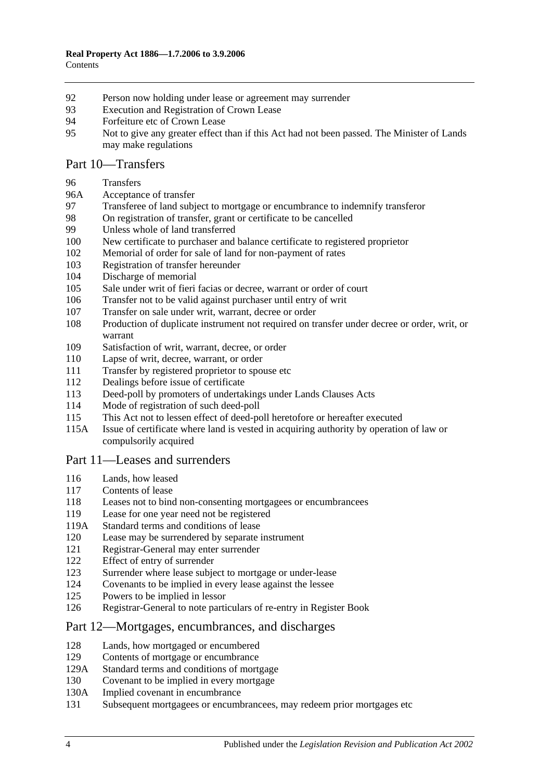- [Person now holding under lease or agreement may surrender](#page-50-2)
- [Execution and Registration of Crown Lease](#page-50-3)
- [Forfeiture etc of Crown Lease](#page-50-4)
- [Not to give any greater effect than if this Act had not been passed. The Minister of Lands](#page-50-5)  [may make regulations](#page-50-5)

### [Part 10—Transfers](#page-52-0)

#### [Transfers](#page-52-1)

- 96A [Acceptance of transfer](#page-52-2)
- [Transferee of land subject to mortgage or encumbrance to indemnify transferor](#page-52-3)
- [On registration of transfer, grant or certificate to be cancelled](#page-52-4)
- [Unless whole of land transferred](#page-53-0)
- [New certificate to purchaser and balance certificate to registered proprietor](#page-53-1)
- [Memorial of order for sale of land for non-payment of rates](#page-53-2)
- [Registration of transfer hereunder](#page-53-3)
- [Discharge of memorial](#page-53-4)
- [Sale under writ of fieri facias or decree, warrant or order of court](#page-54-0)
- [Transfer not to be valid against purchaser until entry of writ](#page-54-1)
- [Transfer on sale under writ, warrant, decree or order](#page-54-2)
- [Production of duplicate instrument not required on transfer under decree or order, writ, or](#page-54-3)  [warrant](#page-54-3)
- [Satisfaction of writ, warrant, decree, or order](#page-54-4)
- [Lapse of writ, decree, warrant, or order](#page-54-5)
- [Transfer by registered proprietor to spouse etc](#page-55-0)
- [Dealings before issue of certificate](#page-55-1)
- [Deed-poll by promoters of undertakings under Lands Clauses Acts](#page-55-2)
- [Mode of registration of such deed-poll](#page-55-3)
- [This Act not to lessen effect of deed-poll heretofore or hereafter executed](#page-56-0)
- 115A [Issue of certificate where land is vested in acquiring authority by operation of law or](#page-56-1)  [compulsorily acquired](#page-56-1)

#### [Part 11—Leases and surrenders](#page-58-0)

- [Lands, how leased](#page-58-1)
- [Contents of lease](#page-58-2)
- [Leases not to bind non-consenting mortgagees or encumbrancees](#page-58-3)
- [Lease for one year need not be registered](#page-58-4)
- 119A [Standard terms and conditions of lease](#page-58-5)
- [Lease may be surrendered by separate instrument](#page-59-0)
- [Registrar-General may enter surrender](#page-59-1)
- [Effect of entry of surrender](#page-59-2)
- [Surrender where lease subject to mortgage or under-lease](#page-59-3)
- [Covenants to be implied in every lease against the lessee](#page-59-4)
- [Powers to be implied in lessor](#page-59-5)
- [Registrar-General to note particulars of re-entry in Register Book](#page-60-0)

#### [Part 12—Mortgages, encumbrances, and discharges](#page-62-0)

- [Lands, how mortgaged or encumbered](#page-62-1)
- [Contents of mortgage or encumbrance](#page-62-2)
- 129A [Standard terms and conditions of mortgage](#page-62-3)
- [Covenant to be implied in every mortgage](#page-63-0)
- 130A [Implied covenant in encumbrance](#page-63-1)
- [Subsequent mortgagees or encumbrancees, may redeem prior mortgages etc](#page-63-2)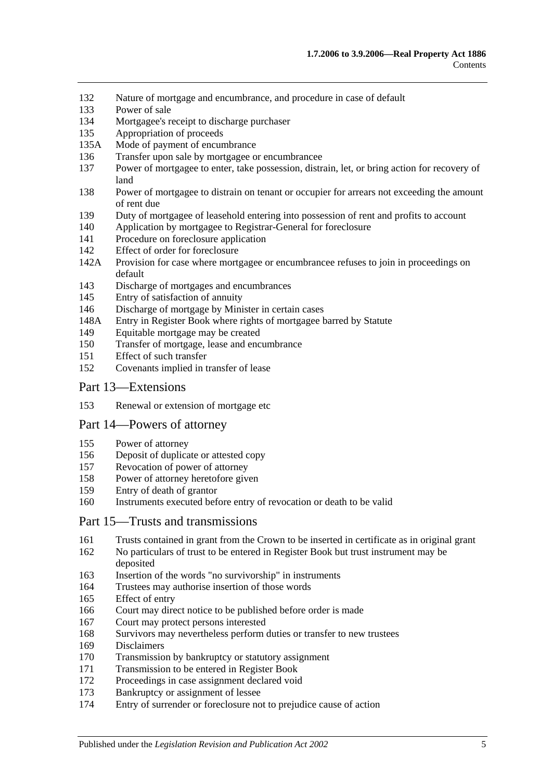- [Nature of mortgage and encumbrance, and procedure in case of default](#page-63-3)
- [Power of sale](#page-64-0)
- [Mortgagee's receipt to discharge purchaser](#page-64-1)
- [Appropriation of proceeds](#page-64-2)
- 135A [Mode of payment of encumbrance](#page-64-3)
- [Transfer upon sale by mortgagee or encumbrancee](#page-64-4)
- [Power of mortgagee to enter, take possession, distrain, let, or bring action for recovery of](#page-65-0)  [land](#page-65-0)
- [Power of mortgagee to distrain on tenant or occupier for arrears not exceeding the amount](#page-65-1)  [of rent due](#page-65-1)
- [Duty of mortgagee of leasehold entering into possession of rent and profits to account](#page-66-0)
- [Application by mortgagee to Registrar-General for foreclosure](#page-66-1)
- [Procedure on foreclosure application](#page-66-2)
- [Effect of order for foreclosure](#page-67-0)
- 142A [Provision for case where mortgagee or encumbrancee refuses to join in proceedings on](#page-67-1)  [default](#page-67-1)
- [Discharge of mortgages and encumbrances](#page-67-2)
- [Entry of satisfaction of annuity](#page-68-0)
- [Discharge of mortgage by Minister in certain cases](#page-68-1)
- 148A [Entry in Register Book where rights of mortgagee barred by Statute](#page-69-0)
- [Equitable mortgage may be created](#page-69-1)
- [Transfer of mortgage, lease and encumbrance](#page-69-2)
- [Effect of such transfer](#page-69-3)
- [Covenants implied in transfer of lease](#page-70-0)

#### [Part 13—Extensions](#page-72-0)

[Renewal or extension of mortgage etc](#page-72-1)

#### [Part 14—Powers of attorney](#page-74-0)

- [Power of attorney](#page-74-1)
- [Deposit of duplicate or attested copy](#page-74-2)
- [Revocation of power of attorney](#page-74-3)
- [Power of attorney heretofore given](#page-74-4)
- [Entry of death of grantor](#page-74-5)
- [Instruments executed before entry of revocation or death to be valid](#page-74-6)

#### [Part 15—Trusts and transmissions](#page-76-0)

- [Trusts contained in grant from the Crown to be inserted in certificate as in original grant](#page-76-1)
- [No particulars of trust to be entered in Register Book but trust instrument may be](#page-76-2)  [deposited](#page-76-2)
- [Insertion of the words "no survivorship" in instruments](#page-76-3)
- [Trustees may authorise insertion of those words](#page-76-4)
- [Effect of entry](#page-77-0)
- [Court may direct notice to be published before order is made](#page-77-1)
- [Court may protect persons interested](#page-77-2)
- [Survivors may nevertheless perform duties or transfer to new trustees](#page-77-3)
- [Disclaimers](#page-77-4)
- [Transmission by bankruptcy or statutory assignment](#page-78-0)
- [Transmission to be entered in Register Book](#page-79-0)
- [Proceedings in case assignment declared void](#page-79-1)
- [Bankruptcy or assignment of lessee](#page-79-2)
- [Entry of surrender or foreclosure not to prejudice cause of action](#page-81-0)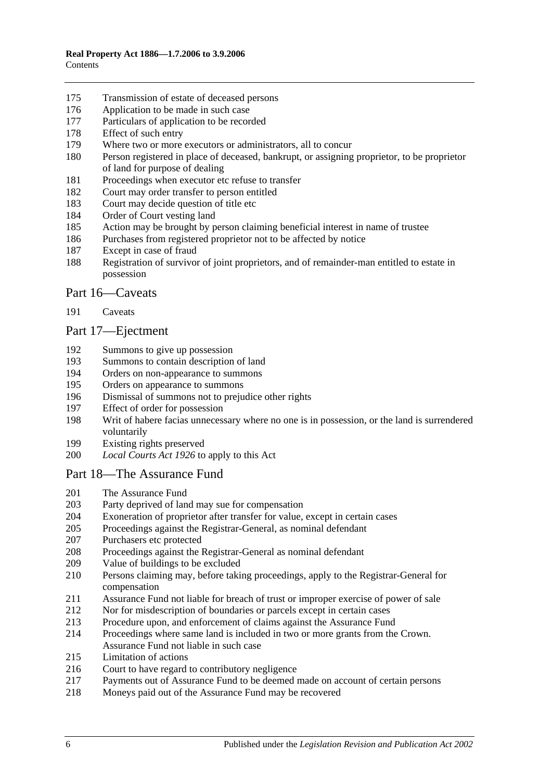- [Transmission of estate of deceased persons](#page-81-1)
- [Application to be made in such case](#page-81-2)
- [Particulars of application to be recorded](#page-81-3)
- [Effect of such entry](#page-81-4)
- [Where two or more executors or administrators, all to concur](#page-81-5)
- [Person registered in place of deceased, bankrupt, or assigning proprietor, to be proprietor](#page-81-6)  [of land for purpose of dealing](#page-81-6)
- [Proceedings when executor etc refuse to transfer](#page-82-0)
- [Court may order transfer to person entitled](#page-82-1)
- [Court may decide question of title etc](#page-82-2)
- [Order of Court vesting land](#page-82-3)
- [Action may be brought by person claiming beneficial interest in name of trustee](#page-82-4)
- [Purchases from registered proprietor not to be affected by](#page-82-5) notice
- [Except in case of fraud](#page-83-0)
- [Registration of survivor of joint proprietors, and of remainder-man entitled to estate in](#page-83-1)  [possession](#page-83-1)

#### [Part 16—Caveats](#page-84-0)

[Caveats](#page-84-1)

## [Part 17—Ejectment](#page-86-0)

- [Summons to give up possession](#page-86-1)<br>193 Summons to contain description
- [Summons to contain description of land](#page-86-2)
- [Orders on non-appearance to summons](#page-86-3)
- [Orders on appearance to summons](#page-86-4)
- [Dismissal of summons not to prejudice other rights](#page-86-5)
- [Effect of order for possession](#page-86-6)
- [Writ of habere facias unnecessary where no one is in possession, or the land is surrendered](#page-87-0)  [voluntarily](#page-87-0)
- [Existing rights preserved](#page-87-1)
- *Local Courts Act 1926* [to apply to this Act](#page-87-2)

## [Part 18—The Assurance Fund](#page-88-0)

- [The Assurance Fund](#page-88-1)
- [Party deprived of land may sue for compensation](#page-89-0)
- [Exoneration of proprietor after transfer for value, except in certain cases](#page-89-1)
- [Proceedings against the Registrar-General, as nominal defendant](#page-89-2)
- [Purchasers etc protected](#page-89-3)
- [Proceedings against the Registrar-General as nominal defendant](#page-90-0)
- [Value of buildings to be excluded](#page-90-1)
- [Persons claiming may, before taking proceedings, apply to the Registrar-General for](#page-90-2)  [compensation](#page-90-2)
- [Assurance Fund not liable for breach of trust or improper exercise of power of sale](#page-90-3)
- [Nor for misdescription of boundaries or parcels except](#page-91-0) in certain cases
- [Procedure upon, and enforcement of claims against the Assurance Fund](#page-91-1)
- [Proceedings where same land is included in two or more grants from the Crown.](#page-92-0)  [Assurance Fund not liable in such case](#page-92-0)
- [Limitation of actions](#page-92-1)
- [Court to have regard to contributory negligence](#page-93-0)
- [Payments out of Assurance Fund to be deemed made on account of certain persons](#page-93-1)
- [Moneys paid out of the Assurance Fund may be recovered](#page-93-2)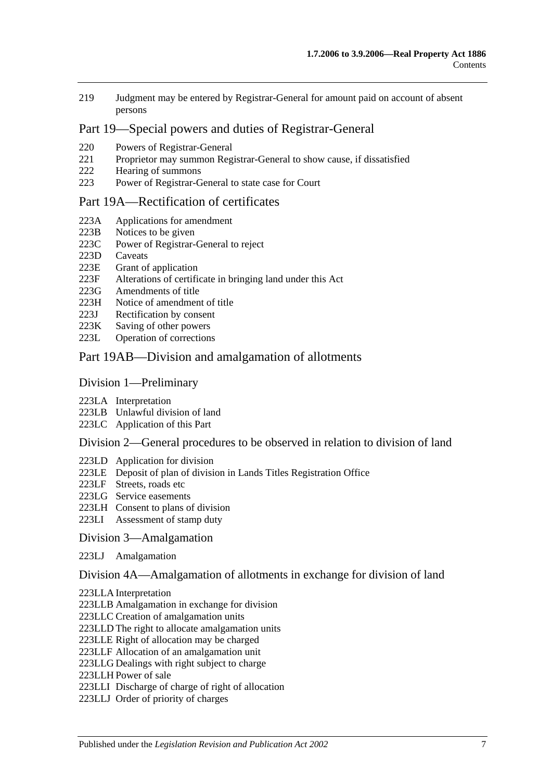219 [Judgment may be entered by Registrar-General for amount paid on account of absent](#page-93-3)  [persons](#page-93-3)

## [Part 19—Special powers and duties of Registrar-General](#page-94-0)

- 220 [Powers of Registrar-General](#page-94-1)
- 221 [Proprietor may summon Registrar-General to show cause, if dissatisfied](#page-97-0)<br>222 Hearing of summons
- [Hearing of summons](#page-97-1)
- 223 [Power of Registrar-General to state case for Court](#page-97-2)

#### [Part 19A—Rectification of certificates](#page-98-0)

- 223A [Applications for amendment](#page-98-1)
- 223B [Notices to be given](#page-98-2)
- 223C [Power of Registrar-General to reject](#page-98-3)
- 223D [Caveats](#page-98-4)
- 223E [Grant of application](#page-99-0)
- 223F [Alterations of certificate in bringing land under this Act](#page-99-1)
- 223G [Amendments of title](#page-99-2)<br>223H Notice of amendmen
- [Notice of amendment of title](#page-99-3)
- 223J [Rectification by consent](#page-100-0)
- 223K [Saving of other powers](#page-100-1)
- 223L [Operation of corrections](#page-100-2)

#### [Part 19AB—Division and amalgamation of allotments](#page-102-0)

#### [Division 1—Preliminary](#page-102-1)

- 223LA [Interpretation](#page-102-2)
- 223LB [Unlawful division of land](#page-104-0)
- 223LC [Application of this Part](#page-105-0)

#### [Division 2—General procedures to be observed in relation to division of land](#page-105-1)

- 223LD [Application for division](#page-105-2)
- 223LE [Deposit of plan of division in Lands Titles Registration Office](#page-107-0)
- 223LF [Streets, roads etc](#page-107-1)
- 223LG [Service easements](#page-108-0)
- 223LH [Consent to plans of division](#page-110-0)
- 223LI [Assessment of stamp duty](#page-110-1)

#### [Division 3—Amalgamation](#page-110-2)

223LJ [Amalgamation](#page-110-3)

#### [Division 4A—Amalgamation of allotments in exchange for division of land](#page-112-0)

- 223LLA [Interpretation](#page-112-1)
- 223LLB [Amalgamation in exchange for division](#page-112-2)
- 223LLC [Creation of amalgamation units](#page-113-0)
- 223LLD [The right to allocate amalgamation units](#page-113-1)
- 223LLE [Right of allocation may be charged](#page-114-0)
- 223LLF [Allocation of an amalgamation unit](#page-114-1)
- 223LLG [Dealings with right subject to charge](#page-114-2)
- 223LLH [Power of sale](#page-114-3)
- 223LLI [Discharge of charge of right of allocation](#page-115-0)
- 223LLJ [Order of priority of charges](#page-115-1)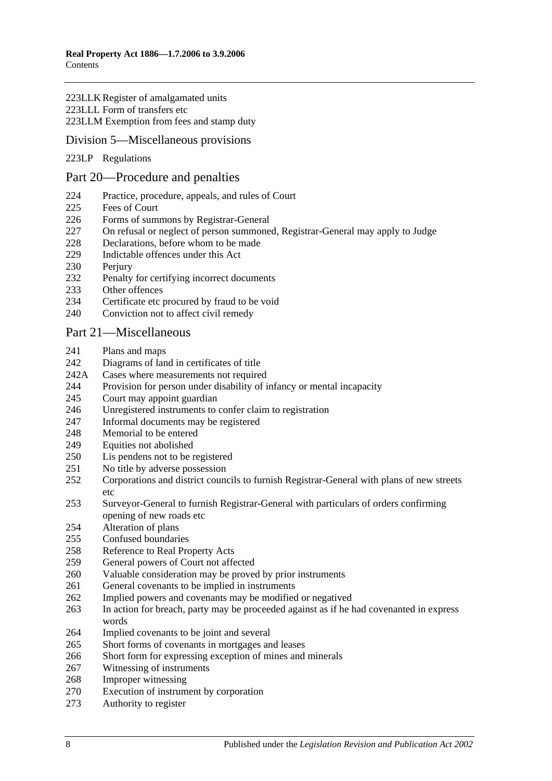#### 223LLK [Register of amalgamated units](#page-115-2) 223LLL [Form of transfers etc](#page-116-0) 223LLM [Exemption from fees and stamp duty](#page-116-1)

### [Division 5—Miscellaneous provisions](#page-116-2)

223LP [Regulations](#page-116-3)

#### [Part 20—Procedure and penalties](#page-118-0)

- [Practice, procedure, appeals, and rules of Court](#page-118-1)
- [Fees of Court](#page-118-2)
- [Forms of summons by Registrar-General](#page-118-3)
- [On refusal or neglect of person summoned, Registrar-General may apply to Judge](#page-118-4)
- [Declarations, before whom to be made](#page-118-5)
- [Indictable offences under this Act](#page-118-6)
- 230 Periury
- [Penalty for certifying incorrect documents](#page-119-1)
- [Other offences](#page-119-2)
- [Certificate etc procured by fraud to be void](#page-120-0)
- [Conviction not to affect civil remedy](#page-120-1)

#### [Part 21—Miscellaneous](#page-122-0)

- [Plans and maps](#page-122-1)
- [Diagrams of land in certificates of title](#page-122-2)
- 242A [Cases where measurements not required](#page-122-3)
- [Provision for person under disability of infancy or mental incapacity](#page-122-4)
- [Court may appoint guardian](#page-123-0)
- [Unregistered instruments to confer claim to registration](#page-123-1)
- [Informal documents may be registered](#page-123-2)
- [Memorial to be entered](#page-123-3)
- [Equities not abolished](#page-123-4)
- [Lis pendens not to be registered](#page-124-0)
- [No title by adverse possession](#page-124-1)
- [Corporations and district councils to furnish Registrar-General with plans of new streets](#page-124-2)  [etc](#page-124-2)
- [Surveyor-General to furnish Registrar-General with particulars of orders confirming](#page-124-3)  [opening of new roads etc](#page-124-3)
- [Alteration of plans](#page-124-4)
- [Confused boundaries](#page-125-0)
- [Reference to Real Property Acts](#page-125-1)<br>259 General nowers of Court not affe
- [General powers of Court not affected](#page-125-2)
- [Valuable consideration may be proved by prior instruments](#page-125-3)
- [General covenants to be implied in instruments](#page-126-0)
- [Implied powers and covenants may be modified or negatived](#page-126-1)
- [In action for breach, party may be proceeded against as if he had covenanted in express](#page-126-2)  [words](#page-126-2)
- [Implied covenants to be joint and several](#page-126-3)
- [Short forms of covenants in mortgages and leases](#page-126-4)
- [Short form for expressing exception of mines and minerals](#page-126-5)
- [Witnessing of instruments](#page-127-0)
- [Improper witnessing](#page-127-1)
- [Execution of instrument by corporation](#page-127-2)
- [Authority to register](#page-127-3)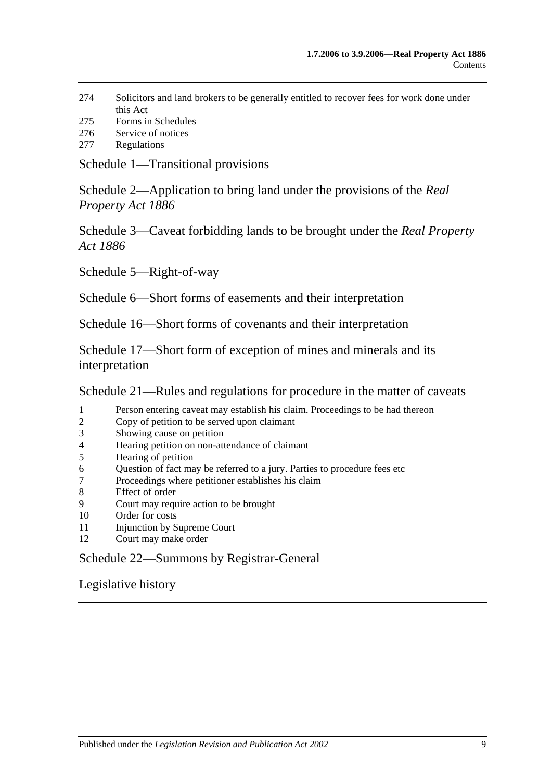- 274 [Solicitors and land brokers to be generally entitled to recover fees for work done under](#page-128-0)  [this Act](#page-128-0)
- 275 [Forms in Schedules](#page-128-1)
- 276 [Service of notices](#page-128-2)
- 277 [Regulations](#page-128-3)

[Schedule 1—Transitional provisions](#page-130-0)

[Schedule 2—Application to bring land under the provisions of](#page-133-0) the *Real [Property Act](#page-133-0) 1886*

[Schedule 3—Caveat forbidding lands to be brought under the](#page-134-0) *Real Property Act [1886](#page-134-0)*

[Schedule 5—Right-of-way](#page-134-1)

[Schedule 6—Short forms of easements and their interpretation](#page-134-2)

[Schedule 16—Short forms of covenants and their interpretation](#page-136-0)

[Schedule 17—Short form of exception of mines and minerals and its](#page-138-0)  [interpretation](#page-138-0)

[Schedule 21—Rules and regulations for procedure in the matter of caveats](#page-138-1)

- 1 [Person entering caveat may establish his claim. Proceedings to be had thereon](#page-138-2)
- 2 [Copy of petition to be served upon claimant](#page-138-3)
- 3 [Showing cause on petition](#page-138-4)
- 4 [Hearing petition on non-attendance of claimant](#page-139-0)
- 5 [Hearing of petition](#page-139-1)
- 6 Question of fact may be referred [to a jury. Parties to procedure fees etc](#page-139-2)
- 7 [Proceedings where petitioner establishes his claim](#page-139-3)
- 8 [Effect of order](#page-140-0)
- 9 [Court may require action to be brought](#page-140-1)
- 10 [Order for costs](#page-140-2)
- 11 [Injunction by Supreme Court](#page-140-3)
- 12 [Court may make order](#page-140-4)

[Schedule 22—Summons by Registrar-General](#page-140-5)

[Legislative history](#page-142-0)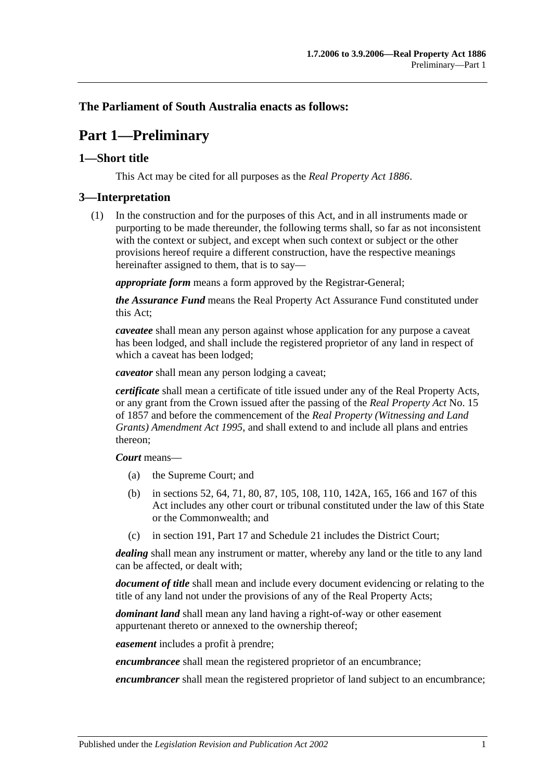## <span id="page-10-0"></span>**The Parliament of South Australia enacts as follows:**

## **Part 1—Preliminary**

## <span id="page-10-1"></span>**1—Short title**

This Act may be cited for all purposes as the *[Real Property Act](http://www.legislation.sa.gov.au/index.aspx?action=legref&type=act&legtitle=Real%20Property%20Act%201886) 1886*.

## <span id="page-10-2"></span>**3—Interpretation**

(1) In the construction and for the purposes of this Act, and in all instruments made or purporting to be made thereunder, the following terms shall, so far as not inconsistent with the context or subject, and except when such context or subject or the other provisions hereof require a different construction, have the respective meanings hereinafter assigned to them, that is to say—

*appropriate form* means a form approved by the Registrar-General;

*the Assurance Fund* means the Real Property Act Assurance Fund constituted under this Act;

*caveatee* shall mean any person against whose application for any purpose a caveat has been lodged, and shall include the registered proprietor of any land in respect of which a caveat has been lodged;

*caveator* shall mean any person lodging a caveat;

*certificate* shall mean a certificate of title issued under any of the Real Property Acts, or any grant from the Crown issued after the passing of the *[Real Property Act](http://www.legislation.sa.gov.au/index.aspx?action=legref&type=act&legtitle=Real%20Property%20Act)* No. 15 of 1857 and before the commencement of the *[Real Property \(Witnessing and Land](http://www.legislation.sa.gov.au/index.aspx?action=legref&type=act&legtitle=Real%20Property%20(Witnessing%20and%20Land%20Grants)%20Amendment%20Act%201995)  [Grants\) Amendment Act](http://www.legislation.sa.gov.au/index.aspx?action=legref&type=act&legtitle=Real%20Property%20(Witnessing%20and%20Land%20Grants)%20Amendment%20Act%201995) 1995*, and shall extend to and include all plans and entries thereon;

#### *Court* means—

- (a) the Supreme Court; and
- (b) in [sections](#page-28-4) 52, [64,](#page-31-3) [71,](#page-36-0) [80,](#page-39-1) [87,](#page-45-0) [105,](#page-54-0) [108,](#page-54-3) [110,](#page-54-5) [142A,](#page-67-1) [165,](#page-77-0) [166](#page-77-1) and [167](#page-77-2) of this Act includes any other court or tribunal constituted under the law of this State or the Commonwealth; and
- (c) in [section](#page-84-1) 191, [Part 17](#page-86-0) and [Schedule 21](#page-138-1) includes the District Court;

*dealing* shall mean any instrument or matter, whereby any land or the title to any land can be affected, or dealt with;

*document of title* shall mean and include every document evidencing or relating to the title of any land not under the provisions of any of the Real Property Acts;

*dominant land* shall mean any land having a right-of-way or other easement appurtenant thereto or annexed to the ownership thereof;

*easement* includes a profit à prendre;

*encumbrancee* shall mean the registered proprietor of an encumbrance;

*encumbrancer* shall mean the registered proprietor of land subject to an encumbrance;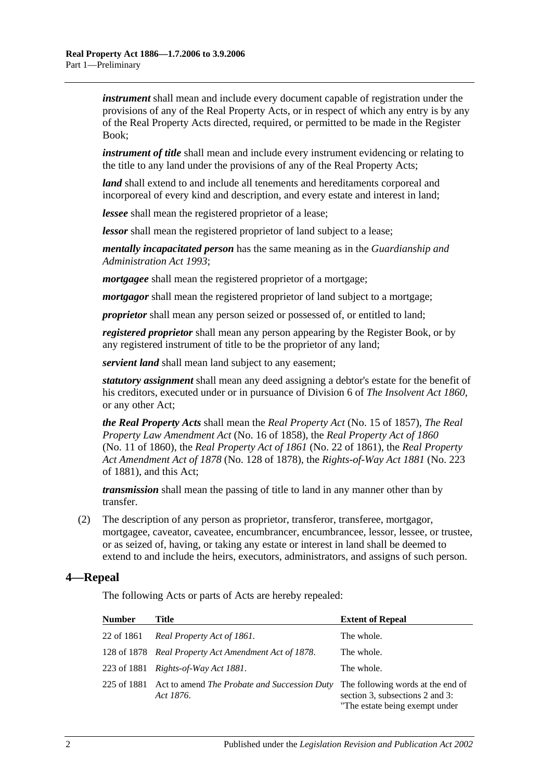*instrument* shall mean and include every document capable of registration under the provisions of any of the Real Property Acts, or in respect of which any entry is by any of the Real Property Acts directed, required, or permitted to be made in the Register Book;

*instrument of title* shall mean and include every instrument evidencing or relating to the title to any land under the provisions of any of the Real Property Acts;

*land* shall extend to and include all tenements and hereditaments corporeal and incorporeal of every kind and description, and every estate and interest in land;

*lessee* shall mean the registered proprietor of a lease;

*lessor* shall mean the registered proprietor of land subject to a lease;

*mentally incapacitated person* has the same meaning as in the *[Guardianship and](http://www.legislation.sa.gov.au/index.aspx?action=legref&type=act&legtitle=Guardianship%20and%20Administration%20Act%201993)  [Administration Act](http://www.legislation.sa.gov.au/index.aspx?action=legref&type=act&legtitle=Guardianship%20and%20Administration%20Act%201993) 1993*;

*mortgagee* shall mean the registered proprietor of a mortgage;

*mortgagor* shall mean the registered proprietor of land subject to a mortgage;

*proprietor* shall mean any person seized or possessed of, or entitled to land;

*registered proprietor* shall mean any person appearing by the Register Book, or by any registered instrument of title to be the proprietor of any land;

*servient land* shall mean land subject to any easement;

*statutory assignment* shall mean any deed assigning a debtor's estate for the benefit of his creditors, executed under or in pursuance of Division 6 of *[The Insolvent Act](http://www.legislation.sa.gov.au/index.aspx?action=legref&type=act&legtitle=The%20Insolvent%20Act%201860) 1860*, or any other Act;

*the Real Property Acts* shall mean the *[Real Property Act](http://www.legislation.sa.gov.au/index.aspx?action=legref&type=act&legtitle=Real%20Property%20Act)* (No. 15 of 1857), *[The Real](http://www.legislation.sa.gov.au/index.aspx?action=legref&type=act&legtitle=The%20Real%20Property%20Law%20Amendment%20Act)  [Property Law Amendment Act](http://www.legislation.sa.gov.au/index.aspx?action=legref&type=act&legtitle=The%20Real%20Property%20Law%20Amendment%20Act)* (No. 16 of 1858), the *[Real Property Act of](http://www.legislation.sa.gov.au/index.aspx?action=legref&type=act&legtitle=Real%20Property%20Act%20of%201860) 1860* (No. 11 of 1860), the *[Real Property Act of](http://www.legislation.sa.gov.au/index.aspx?action=legref&type=act&legtitle=Real%20Property%20Act%20of%201861) 1861* (No. 22 of 1861), the *[Real Property](http://www.legislation.sa.gov.au/index.aspx?action=legref&type=act&legtitle=Real%20Property%20Act%20Amendment%20Act%20of%201878)  [Act Amendment Act of](http://www.legislation.sa.gov.au/index.aspx?action=legref&type=act&legtitle=Real%20Property%20Act%20Amendment%20Act%20of%201878) 1878* (No. 128 of 1878), the *[Rights-of-Way Act](http://www.legislation.sa.gov.au/index.aspx?action=legref&type=act&legtitle=Rights-of-Way%20Act%201881) 1881* (No. 223 of 1881), and this Act;

*transmission* shall mean the passing of title to land in any manner other than by transfer.

(2) The description of any person as proprietor, transferor, transferee, mortgagor, mortgagee, caveator, caveatee, encumbrancer, encumbrancee, lessor, lessee, or trustee, or as seized of, having, or taking any estate or interest in land shall be deemed to extend to and include the heirs, executors, administrators, and assigns of such person.

## <span id="page-11-0"></span>**4—Repeal**

The following Acts or parts of Acts are hereby repealed:

| <b>Number</b> | Title                                                            | <b>Extent of Repeal</b>                                                                                |
|---------------|------------------------------------------------------------------|--------------------------------------------------------------------------------------------------------|
| 22 of 1861    | Real Property Act of 1861.                                       | The whole.                                                                                             |
|               | 128 of 1878 Real Property Act Amendment Act of 1878.             | The whole.                                                                                             |
| 223 of 1881   | Rights-of-Way Act 1881.                                          | The whole.                                                                                             |
| 225 of 1881   | Act to amend <i>The Probate and Succession Duty</i><br>Act 1876. | The following words at the end of<br>section 3, subsections 2 and 3:<br>"The estate being exempt under |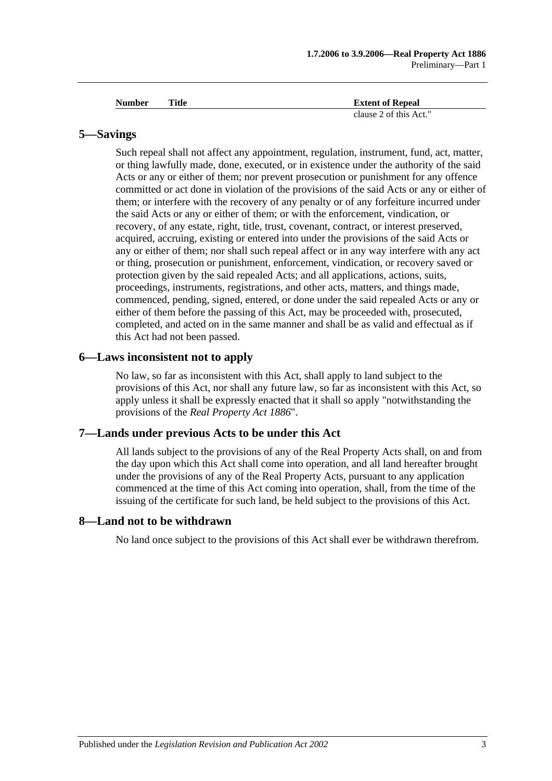| <b>Number</b> | Title | <b>Extent of Repeal</b> |
|---------------|-------|-------------------------|
|               |       | clause 2 of this Act."  |

#### <span id="page-12-0"></span>**5—Savings**

Such repeal shall not affect any appointment, regulation, instrument, fund, act, matter, or thing lawfully made, done, executed, or in existence under the authority of the said Acts or any or either of them; nor prevent prosecution or punishment for any offence committed or act done in violation of the provisions of the said Acts or any or either of them; or interfere with the recovery of any penalty or of any forfeiture incurred under the said Acts or any or either of them; or with the enforcement, vindication, or recovery, of any estate, right, title, trust, covenant, contract, or interest preserved, acquired, accruing, existing or entered into under the provisions of the said Acts or any or either of them; nor shall such repeal affect or in any way interfere with any act or thing, prosecution or punishment, enforcement, vindication, or recovery saved or protection given by the said repealed Acts; and all applications, actions, suits, proceedings, instruments, registrations, and other acts, matters, and things made, commenced, pending, signed, entered, or done under the said repealed Acts or any or either of them before the passing of this Act, may be proceeded with, prosecuted, completed, and acted on in the same manner and shall be as valid and effectual as if this Act had not been passed.

#### <span id="page-12-1"></span>**6—Laws inconsistent not to apply**

No law, so far as inconsistent with this Act, shall apply to land subject to the provisions of this Act, nor shall any future law, so far as inconsistent with this Act, so apply unless it shall be expressly enacted that it shall so apply "notwithstanding the provisions of the *[Real Property Act](http://www.legislation.sa.gov.au/index.aspx?action=legref&type=act&legtitle=Real%20Property%20Act%201886) 1886*".

#### <span id="page-12-2"></span>**7—Lands under previous Acts to be under this Act**

All lands subject to the provisions of any of the Real Property Acts shall, on and from the day upon which this Act shall come into operation, and all land hereafter brought under the provisions of any of the Real Property Acts, pursuant to any application commenced at the time of this Act coming into operation, shall, from the time of the issuing of the certificate for such land, be held subject to the provisions of this Act.

#### <span id="page-12-3"></span>**8—Land not to be withdrawn**

No land once subject to the provisions of this Act shall ever be withdrawn therefrom.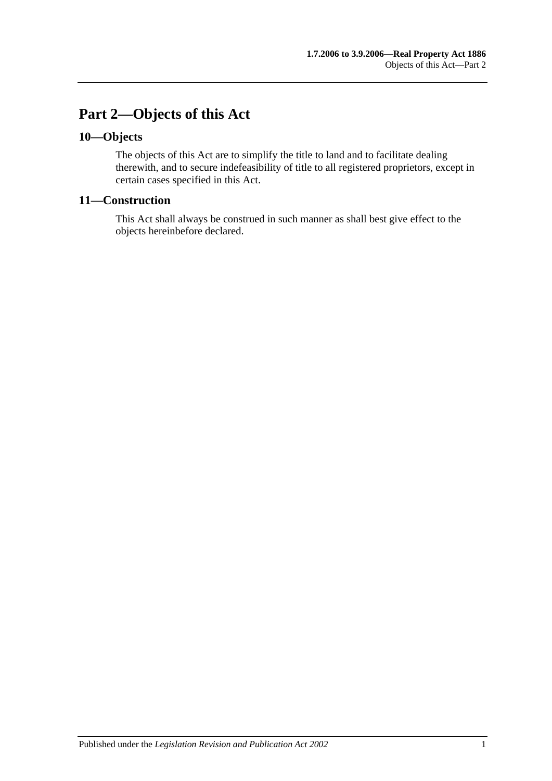## <span id="page-14-0"></span>**Part 2—Objects of this Act**

## <span id="page-14-1"></span>**10—Objects**

The objects of this Act are to simplify the title to land and to facilitate dealing therewith, and to secure indefeasibility of title to all registered proprietors, except in certain cases specified in this Act.

## <span id="page-14-2"></span>**11—Construction**

This Act shall always be construed in such manner as shall best give effect to the objects hereinbefore declared.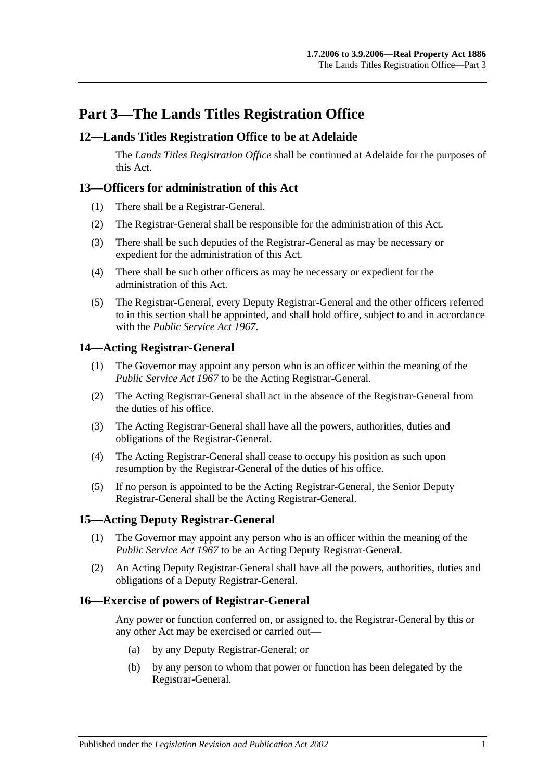## <span id="page-16-0"></span>**Part 3—The Lands Titles Registration Office**

## <span id="page-16-1"></span>**12—Lands Titles Registration Office to be at Adelaide**

The *Lands Titles Registration Office* shall be continued at Adelaide for the purposes of this Act.

## <span id="page-16-2"></span>**13—Officers for administration of this Act**

- (1) There shall be a Registrar-General.
- (2) The Registrar-General shall be responsible for the administration of this Act.
- (3) There shall be such deputies of the Registrar-General as may be necessary or expedient for the administration of this Act.
- (4) There shall be such other officers as may be necessary or expedient for the administration of this Act.
- (5) The Registrar-General, every Deputy Registrar-General and the other officers referred to in this section shall be appointed, and shall hold office, subject to and in accordance with the *[Public Service Act](http://www.legislation.sa.gov.au/index.aspx?action=legref&type=act&legtitle=Public%20Service%20Act%201967) 1967*.

## <span id="page-16-3"></span>**14—Acting Registrar-General**

- (1) The Governor may appoint any person who is an officer within the meaning of the *[Public Service Act](http://www.legislation.sa.gov.au/index.aspx?action=legref&type=act&legtitle=Public%20Service%20Act%201967) 1967* to be the Acting Registrar-General.
- (2) The Acting Registrar-General shall act in the absence of the Registrar-General from the duties of his office.
- (3) The Acting Registrar-General shall have all the powers, authorities, duties and obligations of the Registrar-General.
- (4) The Acting Registrar-General shall cease to occupy his position as such upon resumption by the Registrar-General of the duties of his office.
- (5) If no person is appointed to be the Acting Registrar-General, the Senior Deputy Registrar-General shall be the Acting Registrar-General.

## <span id="page-16-4"></span>**15—Acting Deputy Registrar-General**

- (1) The Governor may appoint any person who is an officer within the meaning of the *[Public Service Act](http://www.legislation.sa.gov.au/index.aspx?action=legref&type=act&legtitle=Public%20Service%20Act%201967) 1967* to be an Acting Deputy Registrar-General.
- (2) An Acting Deputy Registrar-General shall have all the powers, authorities, duties and obligations of a Deputy Registrar-General.

#### <span id="page-16-5"></span>**16—Exercise of powers of Registrar-General**

Any power or function conferred on, or assigned to, the Registrar-General by this or any other Act may be exercised or carried out—

- (a) by any Deputy Registrar-General; or
- (b) by any person to whom that power or function has been delegated by the Registrar-General.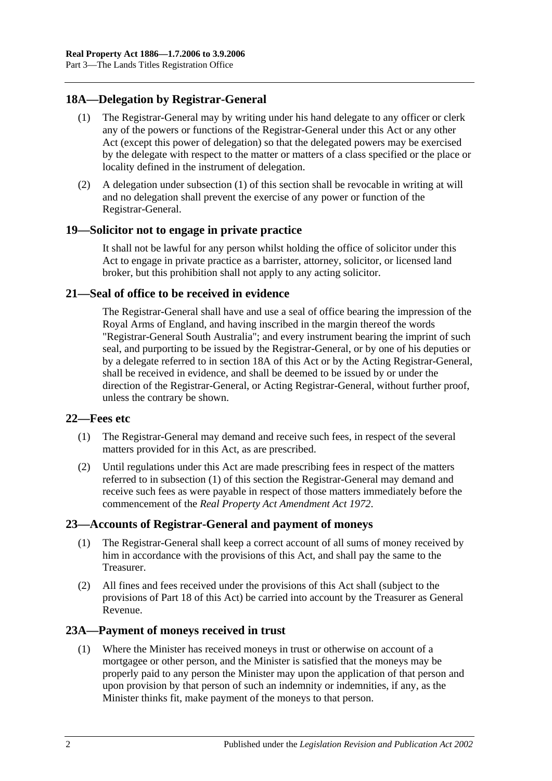## <span id="page-17-6"></span><span id="page-17-0"></span>**18A—Delegation by Registrar-General**

- (1) The Registrar-General may by writing under his hand delegate to any officer or clerk any of the powers or functions of the Registrar-General under this Act or any other Act (except this power of delegation) so that the delegated powers may be exercised by the delegate with respect to the matter or matters of a class specified or the place or locality defined in the instrument of delegation.
- (2) A delegation under [subsection](#page-17-6) (1) of this section shall be revocable in writing at will and no delegation shall prevent the exercise of any power or function of the Registrar-General.

#### <span id="page-17-1"></span>**19—Solicitor not to engage in private practice**

It shall not be lawful for any person whilst holding the office of solicitor under this Act to engage in private practice as a barrister, attorney, solicitor, or licensed land broker, but this prohibition shall not apply to any acting solicitor.

## <span id="page-17-2"></span>**21—Seal of office to be received in evidence**

The Registrar-General shall have and use a seal of office bearing the impression of the Royal Arms of England, and having inscribed in the margin thereof the words "Registrar-General South Australia"; and every instrument bearing the imprint of such seal, and purporting to be issued by the Registrar-General, or by one of his deputies or by a delegate referred to in [section](#page-17-0) 18A of this Act or by the Acting Registrar-General, shall be received in evidence, and shall be deemed to be issued by or under the direction of the Registrar-General, or Acting Registrar-General, without further proof, unless the contrary be shown.

#### <span id="page-17-7"></span><span id="page-17-3"></span>**22—Fees etc**

- (1) The Registrar-General may demand and receive such fees, in respect of the several matters provided for in this Act, as are prescribed.
- (2) Until regulations under this Act are made prescribing fees in respect of the matters referred to in [subsection](#page-17-7) (1) of this section the Registrar-General may demand and receive such fees as were payable in respect of those matters immediately before the commencement of the *[Real Property Act Amendment Act](http://www.legislation.sa.gov.au/index.aspx?action=legref&type=act&legtitle=Real%20Property%20Act%20Amendment%20Act%201972) 1972*.

## <span id="page-17-4"></span>**23—Accounts of Registrar-General and payment of moneys**

- (1) The Registrar-General shall keep a correct account of all sums of money received by him in accordance with the provisions of this Act, and shall pay the same to the Treasurer.
- (2) All fines and fees received under the provisions of this Act shall (subject to the provisions of [Part 18](#page-88-0) of this Act) be carried into account by the Treasurer as General Revenue.

## <span id="page-17-8"></span><span id="page-17-5"></span>**23A—Payment of moneys received in trust**

(1) Where the Minister has received moneys in trust or otherwise on account of a mortgagee or other person, and the Minister is satisfied that the moneys may be properly paid to any person the Minister may upon the application of that person and upon provision by that person of such an indemnity or indemnities, if any, as the Minister thinks fit, make payment of the moneys to that person.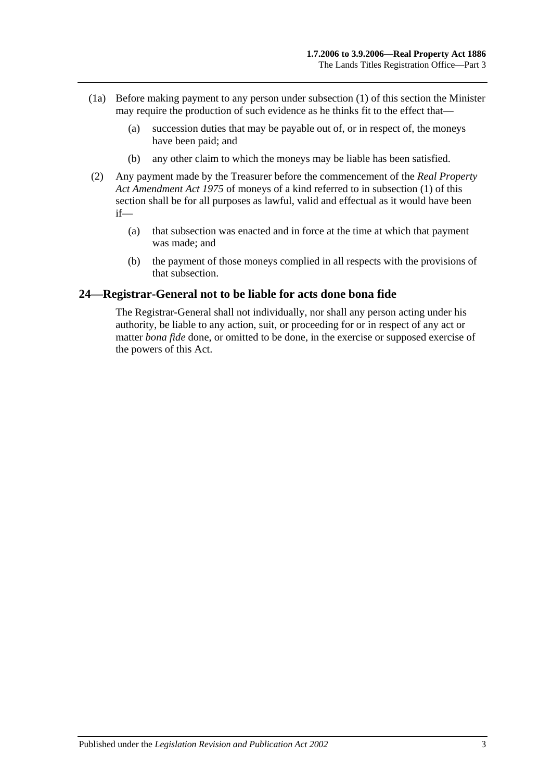- (1a) Before making payment to any person under [subsection](#page-17-8) (1) of this section the Minister may require the production of such evidence as he thinks fit to the effect that—
	- (a) succession duties that may be payable out of, or in respect of, the moneys have been paid; and
	- (b) any other claim to which the moneys may be liable has been satisfied.
- (2) Any payment made by the Treasurer before the commencement of the *[Real Property](http://www.legislation.sa.gov.au/index.aspx?action=legref&type=act&legtitle=Real%20Property%20Act%20Amendment%20Act%201975)  [Act Amendment Act](http://www.legislation.sa.gov.au/index.aspx?action=legref&type=act&legtitle=Real%20Property%20Act%20Amendment%20Act%201975) 1975* of moneys of a kind referred to in [subsection](#page-17-8) (1) of this section shall be for all purposes as lawful, valid and effectual as it would have been if—
	- (a) that subsection was enacted and in force at the time at which that payment was made; and
	- (b) the payment of those moneys complied in all respects with the provisions of that subsection.

#### <span id="page-18-0"></span>**24—Registrar-General not to be liable for acts done bona fide**

The Registrar-General shall not individually, nor shall any person acting under his authority, be liable to any action, suit, or proceeding for or in respect of any act or matter *bona fide* done, or omitted to be done, in the exercise or supposed exercise of the powers of this Act.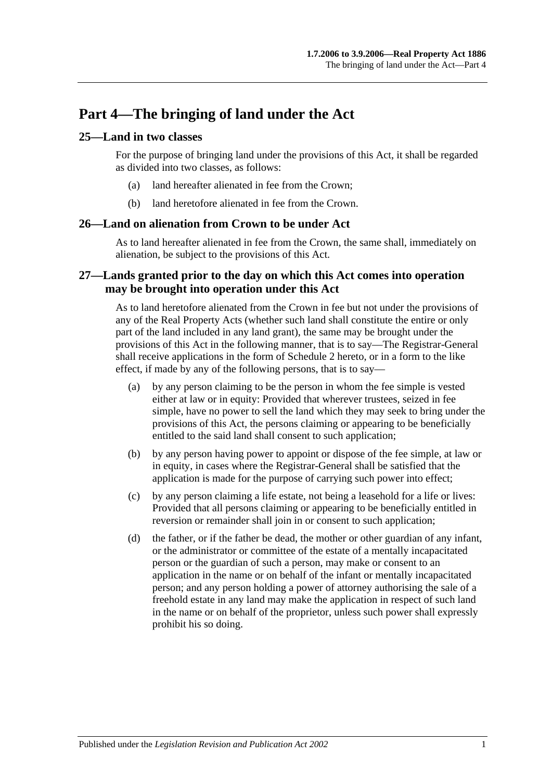## <span id="page-20-0"></span>**Part 4—The bringing of land under the Act**

## <span id="page-20-1"></span>**25—Land in two classes**

For the purpose of bringing land under the provisions of this Act, it shall be regarded as divided into two classes, as follows:

- (a) land hereafter alienated in fee from the Crown;
- (b) land heretofore alienated in fee from the Crown.

#### <span id="page-20-2"></span>**26—Land on alienation from Crown to be under Act**

As to land hereafter alienated in fee from the Crown, the same shall, immediately on alienation, be subject to the provisions of this Act.

## <span id="page-20-3"></span>**27—Lands granted prior to the day on which this Act comes into operation may be brought into operation under this Act**

As to land heretofore alienated from the Crown in fee but not under the provisions of any of the Real Property Acts (whether such land shall constitute the entire or only part of the land included in any land grant), the same may be brought under the provisions of this Act in the following manner, that is to say—The Registrar-General shall receive applications in the form of [Schedule 2](#page-133-0) hereto, or in a form to the like effect, if made by any of the following persons, that is to say—

- (a) by any person claiming to be the person in whom the fee simple is vested either at law or in equity: Provided that wherever trustees, seized in fee simple, have no power to sell the land which they may seek to bring under the provisions of this Act, the persons claiming or appearing to be beneficially entitled to the said land shall consent to such application;
- (b) by any person having power to appoint or dispose of the fee simple, at law or in equity, in cases where the Registrar-General shall be satisfied that the application is made for the purpose of carrying such power into effect;
- (c) by any person claiming a life estate, not being a leasehold for a life or lives: Provided that all persons claiming or appearing to be beneficially entitled in reversion or remainder shall join in or consent to such application;
- (d) the father, or if the father be dead, the mother or other guardian of any infant, or the administrator or committee of the estate of a mentally incapacitated person or the guardian of such a person, may make or consent to an application in the name or on behalf of the infant or mentally incapacitated person; and any person holding a power of attorney authorising the sale of a freehold estate in any land may make the application in respect of such land in the name or on behalf of the proprietor, unless such power shall expressly prohibit his so doing.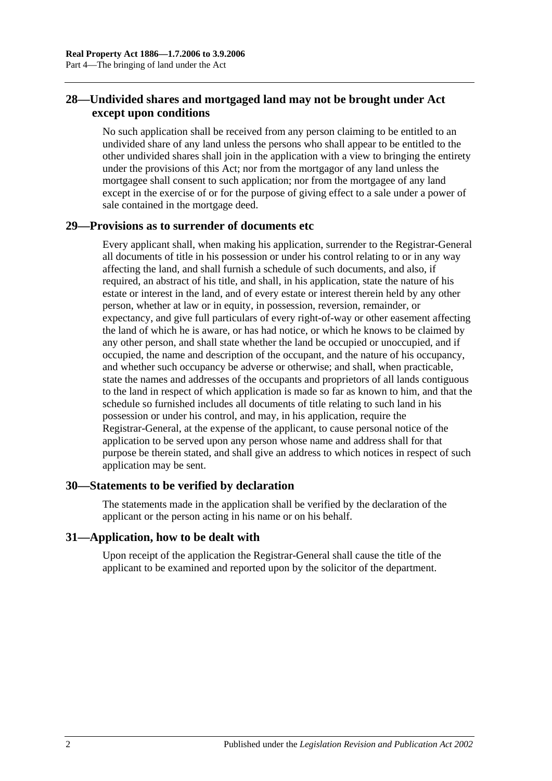## <span id="page-21-0"></span>**28—Undivided shares and mortgaged land may not be brought under Act except upon conditions**

No such application shall be received from any person claiming to be entitled to an undivided share of any land unless the persons who shall appear to be entitled to the other undivided shares shall join in the application with a view to bringing the entirety under the provisions of this Act; nor from the mortgagor of any land unless the mortgagee shall consent to such application; nor from the mortgagee of any land except in the exercise of or for the purpose of giving effect to a sale under a power of sale contained in the mortgage deed.

## <span id="page-21-1"></span>**29—Provisions as to surrender of documents etc**

Every applicant shall, when making his application, surrender to the Registrar-General all documents of title in his possession or under his control relating to or in any way affecting the land, and shall furnish a schedule of such documents, and also, if required, an abstract of his title, and shall, in his application, state the nature of his estate or interest in the land, and of every estate or interest therein held by any other person, whether at law or in equity, in possession, reversion, remainder, or expectancy, and give full particulars of every right-of-way or other easement affecting the land of which he is aware, or has had notice, or which he knows to be claimed by any other person, and shall state whether the land be occupied or unoccupied, and if occupied, the name and description of the occupant, and the nature of his occupancy, and whether such occupancy be adverse or otherwise; and shall, when practicable, state the names and addresses of the occupants and proprietors of all lands contiguous to the land in respect of which application is made so far as known to him, and that the schedule so furnished includes all documents of title relating to such land in his possession or under his control, and may, in his application, require the Registrar-General, at the expense of the applicant, to cause personal notice of the application to be served upon any person whose name and address shall for that purpose be therein stated, and shall give an address to which notices in respect of such application may be sent.

## <span id="page-21-2"></span>**30—Statements to be verified by declaration**

The statements made in the application shall be verified by the declaration of the applicant or the person acting in his name or on his behalf.

## <span id="page-21-3"></span>**31—Application, how to be dealt with**

Upon receipt of the application the Registrar-General shall cause the title of the applicant to be examined and reported upon by the solicitor of the department.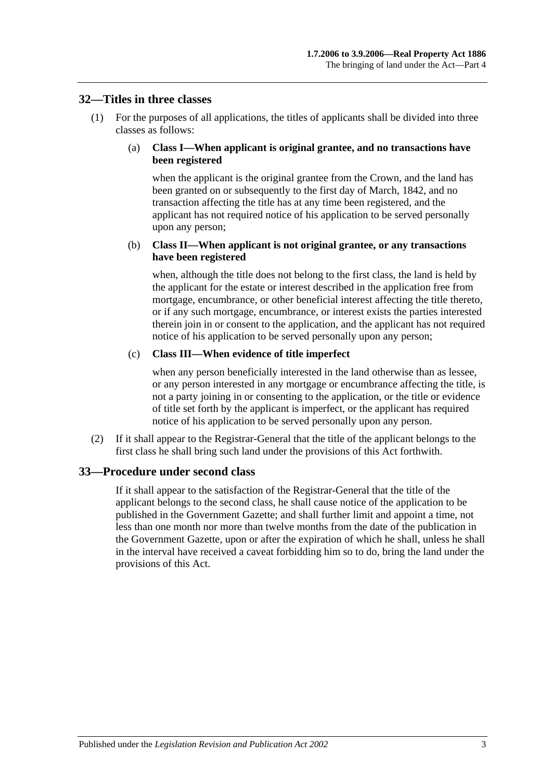#### <span id="page-22-0"></span>**32—Titles in three classes**

(1) For the purposes of all applications, the titles of applicants shall be divided into three classes as follows:

#### (a) **Class I—When applicant is original grantee, and no transactions have been registered**

when the applicant is the original grantee from the Crown, and the land has been granted on or subsequently to the first day of March, 1842, and no transaction affecting the title has at any time been registered, and the applicant has not required notice of his application to be served personally upon any person;

#### (b) **Class II—When applicant is not original grantee, or any transactions have been registered**

when, although the title does not belong to the first class, the land is held by the applicant for the estate or interest described in the application free from mortgage, encumbrance, or other beneficial interest affecting the title thereto, or if any such mortgage, encumbrance, or interest exists the parties interested therein join in or consent to the application, and the applicant has not required notice of his application to be served personally upon any person;

#### (c) **Class III—When evidence of title imperfect**

when any person beneficially interested in the land otherwise than as lessee, or any person interested in any mortgage or encumbrance affecting the title, is not a party joining in or consenting to the application, or the title or evidence of title set forth by the applicant is imperfect, or the applicant has required notice of his application to be served personally upon any person.

(2) If it shall appear to the Registrar-General that the title of the applicant belongs to the first class he shall bring such land under the provisions of this Act forthwith.

#### <span id="page-22-1"></span>**33—Procedure under second class**

If it shall appear to the satisfaction of the Registrar-General that the title of the applicant belongs to the second class, he shall cause notice of the application to be published in the Government Gazette; and shall further limit and appoint a time, not less than one month nor more than twelve months from the date of the publication in the Government Gazette, upon or after the expiration of which he shall, unless he shall in the interval have received a caveat forbidding him so to do, bring the land under the provisions of this Act.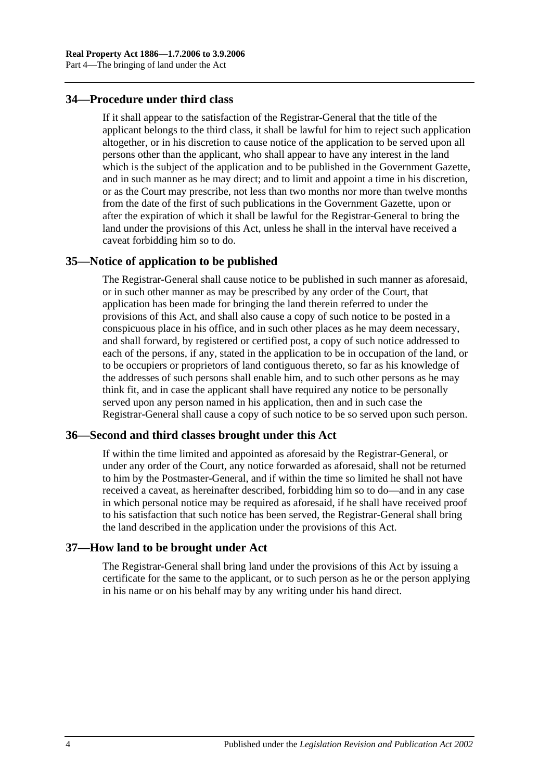## <span id="page-23-0"></span>**34—Procedure under third class**

If it shall appear to the satisfaction of the Registrar-General that the title of the applicant belongs to the third class, it shall be lawful for him to reject such application altogether, or in his discretion to cause notice of the application to be served upon all persons other than the applicant, who shall appear to have any interest in the land which is the subject of the application and to be published in the Government Gazette, and in such manner as he may direct; and to limit and appoint a time in his discretion, or as the Court may prescribe, not less than two months nor more than twelve months from the date of the first of such publications in the Government Gazette, upon or after the expiration of which it shall be lawful for the Registrar-General to bring the land under the provisions of this Act, unless he shall in the interval have received a caveat forbidding him so to do.

#### <span id="page-23-1"></span>**35—Notice of application to be published**

The Registrar-General shall cause notice to be published in such manner as aforesaid, or in such other manner as may be prescribed by any order of the Court, that application has been made for bringing the land therein referred to under the provisions of this Act, and shall also cause a copy of such notice to be posted in a conspicuous place in his office, and in such other places as he may deem necessary, and shall forward, by registered or certified post, a copy of such notice addressed to each of the persons, if any, stated in the application to be in occupation of the land, or to be occupiers or proprietors of land contiguous thereto, so far as his knowledge of the addresses of such persons shall enable him, and to such other persons as he may think fit, and in case the applicant shall have required any notice to be personally served upon any person named in his application, then and in such case the Registrar-General shall cause a copy of such notice to be so served upon such person.

#### <span id="page-23-2"></span>**36—Second and third classes brought under this Act**

If within the time limited and appointed as aforesaid by the Registrar-General, or under any order of the Court, any notice forwarded as aforesaid, shall not be returned to him by the Postmaster-General, and if within the time so limited he shall not have received a caveat, as hereinafter described, forbidding him so to do—and in any case in which personal notice may be required as aforesaid, if he shall have received proof to his satisfaction that such notice has been served, the Registrar-General shall bring the land described in the application under the provisions of this Act.

## <span id="page-23-3"></span>**37—How land to be brought under Act**

The Registrar-General shall bring land under the provisions of this Act by issuing a certificate for the same to the applicant, or to such person as he or the person applying in his name or on his behalf may by any writing under his hand direct.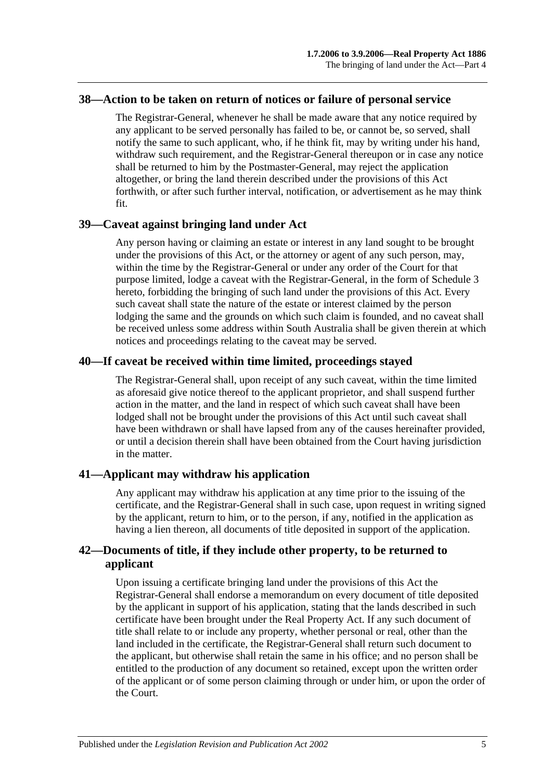#### <span id="page-24-0"></span>**38—Action to be taken on return of notices or failure of personal service**

The Registrar-General, whenever he shall be made aware that any notice required by any applicant to be served personally has failed to be, or cannot be, so served, shall notify the same to such applicant, who, if he think fit, may by writing under his hand, withdraw such requirement, and the Registrar-General thereupon or in case any notice shall be returned to him by the Postmaster-General, may reject the application altogether, or bring the land therein described under the provisions of this Act forthwith, or after such further interval, notification, or advertisement as he may think fit.

#### <span id="page-24-1"></span>**39—Caveat against bringing land under Act**

Any person having or claiming an estate or interest in any land sought to be brought under the provisions of this Act, or the attorney or agent of any such person, may, within the time by the Registrar-General or under any order of the Court for that purpose limited, lodge a caveat with the Registrar-General, in the form of [Schedule 3](#page-134-0) hereto, forbidding the bringing of such land under the provisions of this Act. Every such caveat shall state the nature of the estate or interest claimed by the person lodging the same and the grounds on which such claim is founded, and no caveat shall be received unless some address within South Australia shall be given therein at which notices and proceedings relating to the caveat may be served.

## <span id="page-24-2"></span>**40—If caveat be received within time limited, proceedings stayed**

The Registrar-General shall, upon receipt of any such caveat, within the time limited as aforesaid give notice thereof to the applicant proprietor, and shall suspend further action in the matter, and the land in respect of which such caveat shall have been lodged shall not be brought under the provisions of this Act until such caveat shall have been withdrawn or shall have lapsed from any of the causes hereinafter provided, or until a decision therein shall have been obtained from the Court having jurisdiction in the matter.

## <span id="page-24-3"></span>**41—Applicant may withdraw his application**

Any applicant may withdraw his application at any time prior to the issuing of the certificate, and the Registrar-General shall in such case, upon request in writing signed by the applicant, return to him, or to the person, if any, notified in the application as having a lien thereon, all documents of title deposited in support of the application.

## <span id="page-24-4"></span>**42—Documents of title, if they include other property, to be returned to applicant**

Upon issuing a certificate bringing land under the provisions of this Act the Registrar-General shall endorse a memorandum on every document of title deposited by the applicant in support of his application, stating that the lands described in such certificate have been brought under the Real Property Act. If any such document of title shall relate to or include any property, whether personal or real, other than the land included in the certificate, the Registrar-General shall return such document to the applicant, but otherwise shall retain the same in his office; and no person shall be entitled to the production of any document so retained, except upon the written order of the applicant or of some person claiming through or under him, or upon the order of the Court.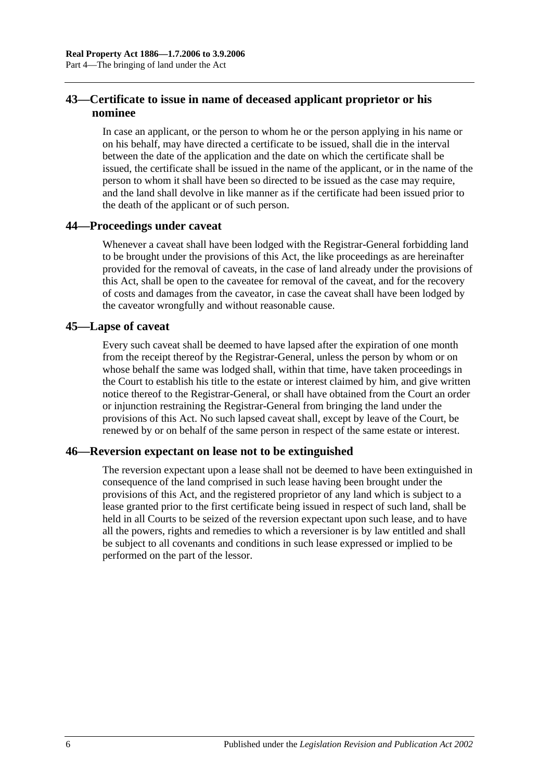## <span id="page-25-0"></span>**43—Certificate to issue in name of deceased applicant proprietor or his nominee**

In case an applicant, or the person to whom he or the person applying in his name or on his behalf, may have directed a certificate to be issued, shall die in the interval between the date of the application and the date on which the certificate shall be issued, the certificate shall be issued in the name of the applicant, or in the name of the person to whom it shall have been so directed to be issued as the case may require, and the land shall devolve in like manner as if the certificate had been issued prior to the death of the applicant or of such person.

## <span id="page-25-1"></span>**44—Proceedings under caveat**

Whenever a caveat shall have been lodged with the Registrar-General forbidding land to be brought under the provisions of this Act, the like proceedings as are hereinafter provided for the removal of caveats, in the case of land already under the provisions of this Act, shall be open to the caveatee for removal of the caveat, and for the recovery of costs and damages from the caveator, in case the caveat shall have been lodged by the caveator wrongfully and without reasonable cause.

## <span id="page-25-2"></span>**45—Lapse of caveat**

Every such caveat shall be deemed to have lapsed after the expiration of one month from the receipt thereof by the Registrar-General, unless the person by whom or on whose behalf the same was lodged shall, within that time, have taken proceedings in the Court to establish his title to the estate or interest claimed by him, and give written notice thereof to the Registrar-General, or shall have obtained from the Court an order or injunction restraining the Registrar-General from bringing the land under the provisions of this Act. No such lapsed caveat shall, except by leave of the Court, be renewed by or on behalf of the same person in respect of the same estate or interest.

## <span id="page-25-3"></span>**46—Reversion expectant on lease not to be extinguished**

The reversion expectant upon a lease shall not be deemed to have been extinguished in consequence of the land comprised in such lease having been brought under the provisions of this Act, and the registered proprietor of any land which is subject to a lease granted prior to the first certificate being issued in respect of such land, shall be held in all Courts to be seized of the reversion expectant upon such lease, and to have all the powers, rights and remedies to which a reversioner is by law entitled and shall be subject to all covenants and conditions in such lease expressed or implied to be performed on the part of the lessor.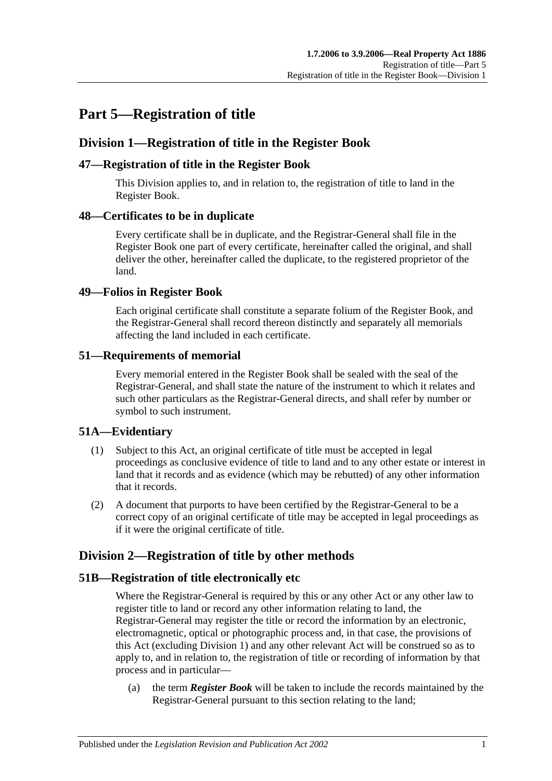## <span id="page-26-0"></span>**Part 5—Registration of title**

## <span id="page-26-1"></span>**Division 1—Registration of title in the Register Book**

## <span id="page-26-2"></span>**47—Registration of title in the Register Book**

This Division applies to, and in relation to, the registration of title to land in the Register Book.

## <span id="page-26-3"></span>**48—Certificates to be in duplicate**

Every certificate shall be in duplicate, and the Registrar-General shall file in the Register Book one part of every certificate, hereinafter called the original, and shall deliver the other, hereinafter called the duplicate, to the registered proprietor of the land.

## <span id="page-26-4"></span>**49—Folios in Register Book**

Each original certificate shall constitute a separate folium of the Register Book, and the Registrar-General shall record thereon distinctly and separately all memorials affecting the land included in each certificate.

## <span id="page-26-5"></span>**51—Requirements of memorial**

Every memorial entered in the Register Book shall be sealed with the seal of the Registrar-General, and shall state the nature of the instrument to which it relates and such other particulars as the Registrar-General directs, and shall refer by number or symbol to such instrument.

## <span id="page-26-6"></span>**51A—Evidentiary**

- (1) Subject to this Act, an original certificate of title must be accepted in legal proceedings as conclusive evidence of title to land and to any other estate or interest in land that it records and as evidence (which may be rebutted) of any other information that it records.
- (2) A document that purports to have been certified by the Registrar-General to be a correct copy of an original certificate of title may be accepted in legal proceedings as if it were the original certificate of title.

## <span id="page-26-7"></span>**Division 2—Registration of title by other methods**

## <span id="page-26-8"></span>**51B—Registration of title electronically etc**

Where the Registrar-General is required by this or any other Act or any other law to register title to land or record any other information relating to land, the Registrar-General may register the title or record the information by an electronic, electromagnetic, optical or photographic process and, in that case, the provisions of this Act (excluding [Division 1\)](#page-26-1) and any other relevant Act will be construed so as to apply to, and in relation to, the registration of title or recording of information by that process and in particular—

(a) the term *Register Book* will be taken to include the records maintained by the Registrar-General pursuant to this section relating to the land;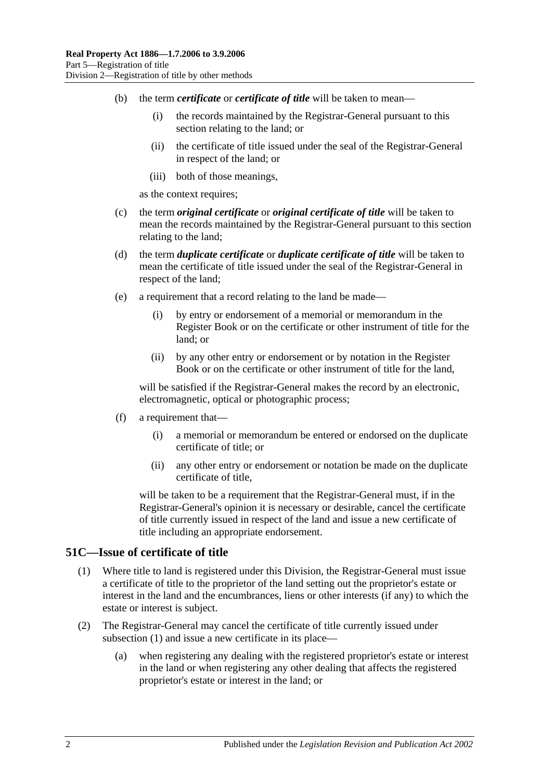- (b) the term *certificate* or *certificate of title* will be taken to mean—
	- (i) the records maintained by the Registrar-General pursuant to this section relating to the land; or
	- (ii) the certificate of title issued under the seal of the Registrar-General in respect of the land; or
	- (iii) both of those meanings,

as the context requires;

- (c) the term *original certificate* or *original certificate of title* will be taken to mean the records maintained by the Registrar-General pursuant to this section relating to the land;
- (d) the term *duplicate certificate* or *duplicate certificate of title* will be taken to mean the certificate of title issued under the seal of the Registrar-General in respect of the land;
- (e) a requirement that a record relating to the land be made—
	- (i) by entry or endorsement of a memorial or memorandum in the Register Book or on the certificate or other instrument of title for the land; or
	- (ii) by any other entry or endorsement or by notation in the Register Book or on the certificate or other instrument of title for the land,

will be satisfied if the Registrar-General makes the record by an electronic, electromagnetic, optical or photographic process;

- (f) a requirement that—
	- (i) a memorial or memorandum be entered or endorsed on the duplicate certificate of title; or
	- (ii) any other entry or endorsement or notation be made on the duplicate certificate of title,

will be taken to be a requirement that the Registrar-General must, if in the Registrar-General's opinion it is necessary or desirable, cancel the certificate of title currently issued in respect of the land and issue a new certificate of title including an appropriate endorsement.

#### <span id="page-27-1"></span><span id="page-27-0"></span>**51C—Issue of certificate of title**

- (1) Where title to land is registered under this Division, the Registrar-General must issue a certificate of title to the proprietor of the land setting out the proprietor's estate or interest in the land and the encumbrances, liens or other interests (if any) to which the estate or interest is subject.
- (2) The Registrar-General may cancel the certificate of title currently issued under [subsection](#page-27-1) (1) and issue a new certificate in its place—
	- (a) when registering any dealing with the registered proprietor's estate or interest in the land or when registering any other dealing that affects the registered proprietor's estate or interest in the land; or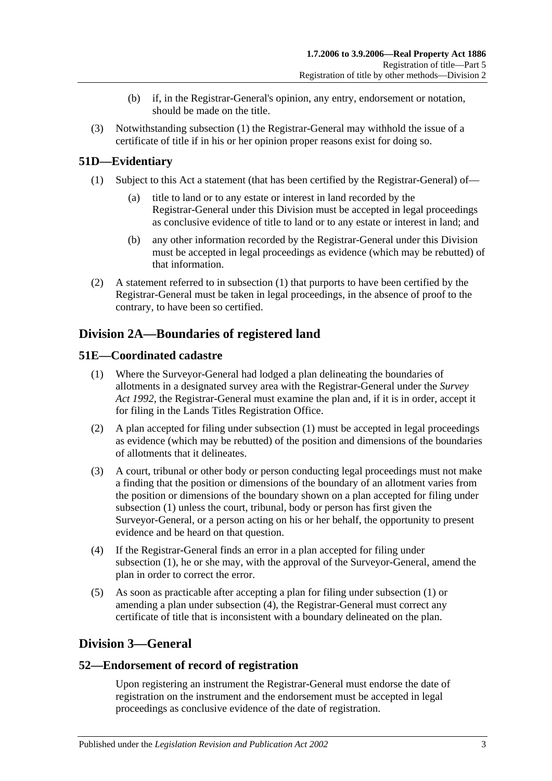- (b) if, in the Registrar-General's opinion, any entry, endorsement or notation, should be made on the title.
- (3) Notwithstanding [subsection](#page-27-1) (1) the Registrar-General may withhold the issue of a certificate of title if in his or her opinion proper reasons exist for doing so.

## <span id="page-28-5"></span><span id="page-28-0"></span>**51D—Evidentiary**

- (1) Subject to this Act a statement (that has been certified by the Registrar-General) of
	- title to land or to any estate or interest in land recorded by the Registrar-General under this Division must be accepted in legal proceedings as conclusive evidence of title to land or to any estate or interest in land; and
	- (b) any other information recorded by the Registrar-General under this Division must be accepted in legal proceedings as evidence (which may be rebutted) of that information.
- (2) A statement referred to in [subsection](#page-28-5) (1) that purports to have been certified by the Registrar-General must be taken in legal proceedings, in the absence of proof to the contrary, to have been so certified.

## <span id="page-28-1"></span>**Division 2A—Boundaries of registered land**

## <span id="page-28-6"></span><span id="page-28-2"></span>**51E—Coordinated cadastre**

- (1) Where the Surveyor-General had lodged a plan delineating the boundaries of allotments in a designated survey area with the Registrar-General under the *[Survey](http://www.legislation.sa.gov.au/index.aspx?action=legref&type=act&legtitle=Survey%20Act%201992)  Act [1992](http://www.legislation.sa.gov.au/index.aspx?action=legref&type=act&legtitle=Survey%20Act%201992)*, the Registrar-General must examine the plan and, if it is in order, accept it for filing in the Lands Titles Registration Office.
- (2) A plan accepted for filing under [subsection](#page-28-6) (1) must be accepted in legal proceedings as evidence (which may be rebutted) of the position and dimensions of the boundaries of allotments that it delineates.
- (3) A court, tribunal or other body or person conducting legal proceedings must not make a finding that the position or dimensions of the boundary of an allotment varies from the position or dimensions of the boundary shown on a plan accepted for filing under [subsection](#page-28-6) (1) unless the court, tribunal, body or person has first given the Surveyor-General, or a person acting on his or her behalf, the opportunity to present evidence and be heard on that question.
- <span id="page-28-7"></span>(4) If the Registrar-General finds an error in a plan accepted for filing under [subsection](#page-28-6) (1), he or she may, with the approval of the Surveyor-General, amend the plan in order to correct the error.
- (5) As soon as practicable after accepting a plan for filing under [subsection](#page-28-6) (1) or amending a plan under [subsection](#page-28-7) (4), the Registrar-General must correct any certificate of title that is inconsistent with a boundary delineated on the plan.

## <span id="page-28-3"></span>**Division 3—General**

## <span id="page-28-4"></span>**52—Endorsement of record of registration**

Upon registering an instrument the Registrar-General must endorse the date of registration on the instrument and the endorsement must be accepted in legal proceedings as conclusive evidence of the date of registration.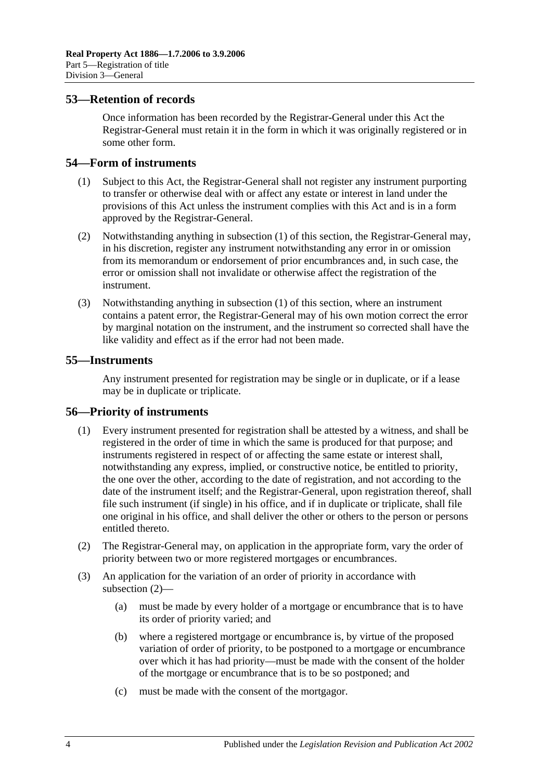#### <span id="page-29-0"></span>**53—Retention of records**

Once information has been recorded by the Registrar-General under this Act the Registrar-General must retain it in the form in which it was originally registered or in some other form.

### <span id="page-29-4"></span><span id="page-29-1"></span>**54—Form of instruments**

- (1) Subject to this Act, the Registrar-General shall not register any instrument purporting to transfer or otherwise deal with or affect any estate or interest in land under the provisions of this Act unless the instrument complies with this Act and is in a form approved by the Registrar-General.
- (2) Notwithstanding anything in [subsection](#page-29-4) (1) of this section, the Registrar-General may, in his discretion, register any instrument notwithstanding any error in or omission from its memorandum or endorsement of prior encumbrances and, in such case, the error or omission shall not invalidate or otherwise affect the registration of the instrument.
- (3) Notwithstanding anything in [subsection](#page-29-4) (1) of this section, where an instrument contains a patent error, the Registrar-General may of his own motion correct the error by marginal notation on the instrument, and the instrument so corrected shall have the like validity and effect as if the error had not been made.

### <span id="page-29-2"></span>**55—Instruments**

Any instrument presented for registration may be single or in duplicate, or if a lease may be in duplicate or triplicate.

## <span id="page-29-3"></span>**56—Priority of instruments**

- (1) Every instrument presented for registration shall be attested by a witness, and shall be registered in the order of time in which the same is produced for that purpose; and instruments registered in respect of or affecting the same estate or interest shall, notwithstanding any express, implied, or constructive notice, be entitled to priority, the one over the other, according to the date of registration, and not according to the date of the instrument itself; and the Registrar-General, upon registration thereof, shall file such instrument (if single) in his office, and if in duplicate or triplicate, shall file one original in his office, and shall deliver the other or others to the person or persons entitled thereto.
- <span id="page-29-5"></span>(2) The Registrar-General may, on application in the appropriate form, vary the order of priority between two or more registered mortgages or encumbrances.
- (3) An application for the variation of an order of priority in accordance with [subsection](#page-29-5) (2)—
	- (a) must be made by every holder of a mortgage or encumbrance that is to have its order of priority varied; and
	- (b) where a registered mortgage or encumbrance is, by virtue of the proposed variation of order of priority, to be postponed to a mortgage or encumbrance over which it has had priority—must be made with the consent of the holder of the mortgage or encumbrance that is to be so postponed; and
	- (c) must be made with the consent of the mortgagor.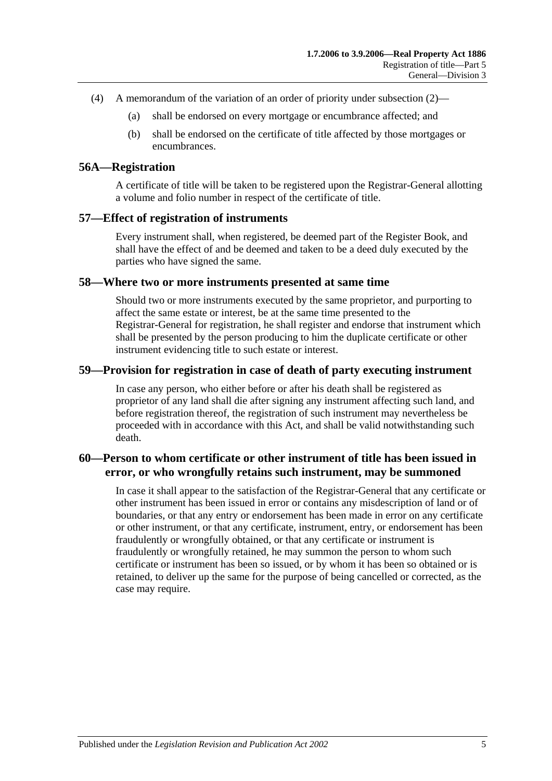- (4) A memorandum of the variation of an order of priority under [subsection](#page-29-5) (2)—
	- (a) shall be endorsed on every mortgage or encumbrance affected; and
	- (b) shall be endorsed on the certificate of title affected by those mortgages or encumbrances.

#### <span id="page-30-0"></span>**56A—Registration**

A certificate of title will be taken to be registered upon the Registrar-General allotting a volume and folio number in respect of the certificate of title.

#### <span id="page-30-1"></span>**57—Effect of registration of instruments**

Every instrument shall, when registered, be deemed part of the Register Book, and shall have the effect of and be deemed and taken to be a deed duly executed by the parties who have signed the same.

#### <span id="page-30-2"></span>**58—Where two or more instruments presented at same time**

Should two or more instruments executed by the same proprietor, and purporting to affect the same estate or interest, be at the same time presented to the Registrar-General for registration, he shall register and endorse that instrument which shall be presented by the person producing to him the duplicate certificate or other instrument evidencing title to such estate or interest.

#### <span id="page-30-3"></span>**59—Provision for registration in case of death of party executing instrument**

In case any person, who either before or after his death shall be registered as proprietor of any land shall die after signing any instrument affecting such land, and before registration thereof, the registration of such instrument may nevertheless be proceeded with in accordance with this Act, and shall be valid notwithstanding such death.

## <span id="page-30-4"></span>**60—Person to whom certificate or other instrument of title has been issued in error, or who wrongfully retains such instrument, may be summoned**

In case it shall appear to the satisfaction of the Registrar-General that any certificate or other instrument has been issued in error or contains any misdescription of land or of boundaries, or that any entry or endorsement has been made in error on any certificate or other instrument, or that any certificate, instrument, entry, or endorsement has been fraudulently or wrongfully obtained, or that any certificate or instrument is fraudulently or wrongfully retained, he may summon the person to whom such certificate or instrument has been so issued, or by whom it has been so obtained or is retained, to deliver up the same for the purpose of being cancelled or corrected, as the case may require.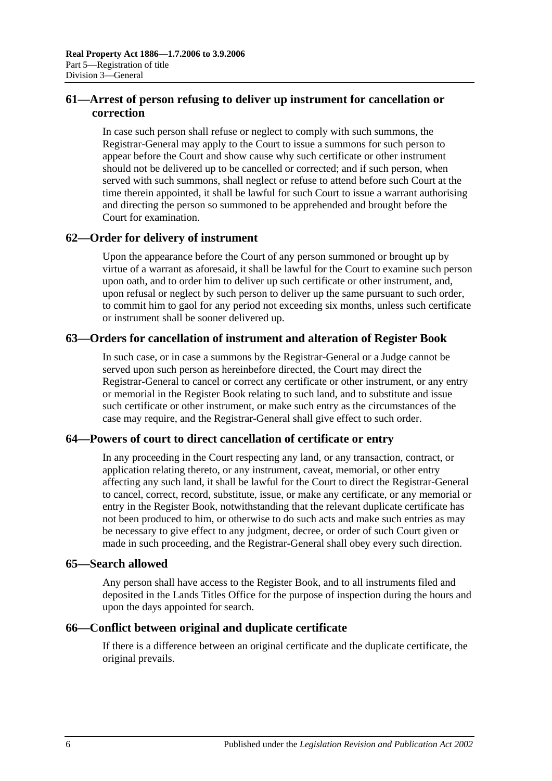## <span id="page-31-0"></span>**61—Arrest of person refusing to deliver up instrument for cancellation or correction**

In case such person shall refuse or neglect to comply with such summons, the Registrar-General may apply to the Court to issue a summons for such person to appear before the Court and show cause why such certificate or other instrument should not be delivered up to be cancelled or corrected; and if such person, when served with such summons, shall neglect or refuse to attend before such Court at the time therein appointed, it shall be lawful for such Court to issue a warrant authorising and directing the person so summoned to be apprehended and brought before the Court for examination.

## <span id="page-31-1"></span>**62—Order for delivery of instrument**

Upon the appearance before the Court of any person summoned or brought up by virtue of a warrant as aforesaid, it shall be lawful for the Court to examine such person upon oath, and to order him to deliver up such certificate or other instrument, and, upon refusal or neglect by such person to deliver up the same pursuant to such order, to commit him to gaol for any period not exceeding six months, unless such certificate or instrument shall be sooner delivered up.

## <span id="page-31-2"></span>**63—Orders for cancellation of instrument and alteration of Register Book**

In such case, or in case a summons by the Registrar-General or a Judge cannot be served upon such person as hereinbefore directed, the Court may direct the Registrar-General to cancel or correct any certificate or other instrument, or any entry or memorial in the Register Book relating to such land, and to substitute and issue such certificate or other instrument, or make such entry as the circumstances of the case may require, and the Registrar-General shall give effect to such order.

## <span id="page-31-3"></span>**64—Powers of court to direct cancellation of certificate or entry**

In any proceeding in the Court respecting any land, or any transaction, contract, or application relating thereto, or any instrument, caveat, memorial, or other entry affecting any such land, it shall be lawful for the Court to direct the Registrar-General to cancel, correct, record, substitute, issue, or make any certificate, or any memorial or entry in the Register Book, notwithstanding that the relevant duplicate certificate has not been produced to him, or otherwise to do such acts and make such entries as may be necessary to give effect to any judgment, decree, or order of such Court given or made in such proceeding, and the Registrar-General shall obey every such direction.

### <span id="page-31-4"></span>**65—Search allowed**

Any person shall have access to the Register Book, and to all instruments filed and deposited in the Lands Titles Office for the purpose of inspection during the hours and upon the days appointed for search.

## <span id="page-31-5"></span>**66—Conflict between original and duplicate certificate**

If there is a difference between an original certificate and the duplicate certificate, the original prevails.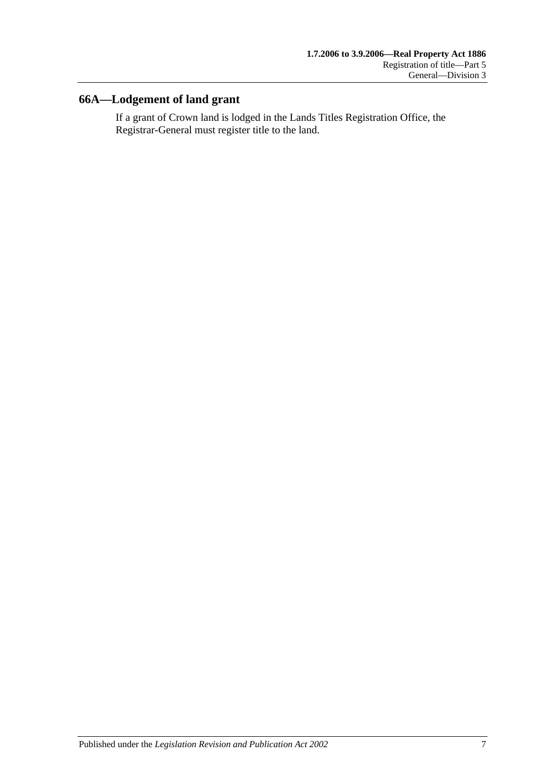## <span id="page-32-0"></span>**66A—Lodgement of land grant**

If a grant of Crown land is lodged in the Lands Titles Registration Office, the Registrar-General must register title to the land.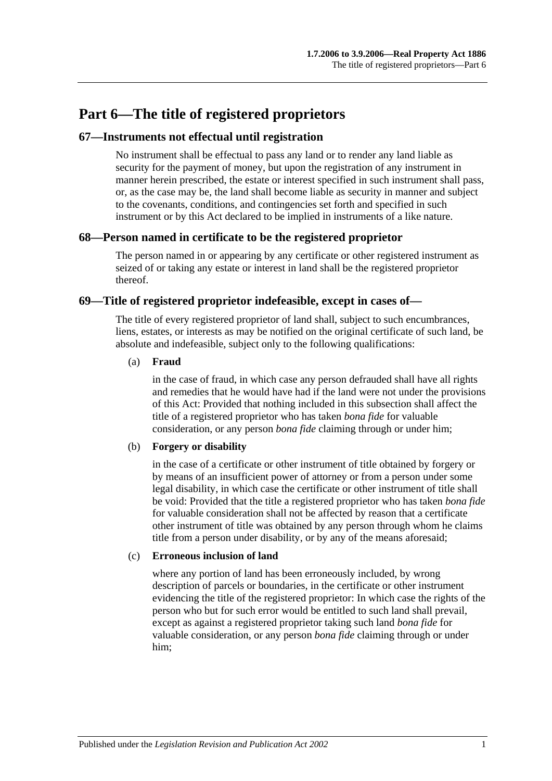## <span id="page-34-0"></span>**Part 6—The title of registered proprietors**

#### <span id="page-34-1"></span>**67—Instruments not effectual until registration**

No instrument shall be effectual to pass any land or to render any land liable as security for the payment of money, but upon the registration of any instrument in manner herein prescribed, the estate or interest specified in such instrument shall pass, or, as the case may be, the land shall become liable as security in manner and subject to the covenants, conditions, and contingencies set forth and specified in such instrument or by this Act declared to be implied in instruments of a like nature.

#### <span id="page-34-2"></span>**68—Person named in certificate to be the registered proprietor**

The person named in or appearing by any certificate or other registered instrument as seized of or taking any estate or interest in land shall be the registered proprietor thereof.

#### <span id="page-34-3"></span>**69—Title of registered proprietor indefeasible, except in cases of—**

The title of every registered proprietor of land shall, subject to such encumbrances, liens, estates, or interests as may be notified on the original certificate of such land, be absolute and indefeasible, subject only to the following qualifications:

#### (a) **Fraud**

in the case of fraud, in which case any person defrauded shall have all rights and remedies that he would have had if the land were not under the provisions of this Act: Provided that nothing included in this subsection shall affect the title of a registered proprietor who has taken *bona fide* for valuable consideration, or any person *bona fide* claiming through or under him;

#### (b) **Forgery or disability**

in the case of a certificate or other instrument of title obtained by forgery or by means of an insufficient power of attorney or from a person under some legal disability, in which case the certificate or other instrument of title shall be void: Provided that the title a registered proprietor who has taken *bona fide* for valuable consideration shall not be affected by reason that a certificate other instrument of title was obtained by any person through whom he claims title from a person under disability, or by any of the means aforesaid;

#### (c) **Erroneous inclusion of land**

where any portion of land has been erroneously included, by wrong description of parcels or boundaries, in the certificate or other instrument evidencing the title of the registered proprietor: In which case the rights of the person who but for such error would be entitled to such land shall prevail, except as against a registered proprietor taking such land *bona fide* for valuable consideration, or any person *bona fide* claiming through or under him;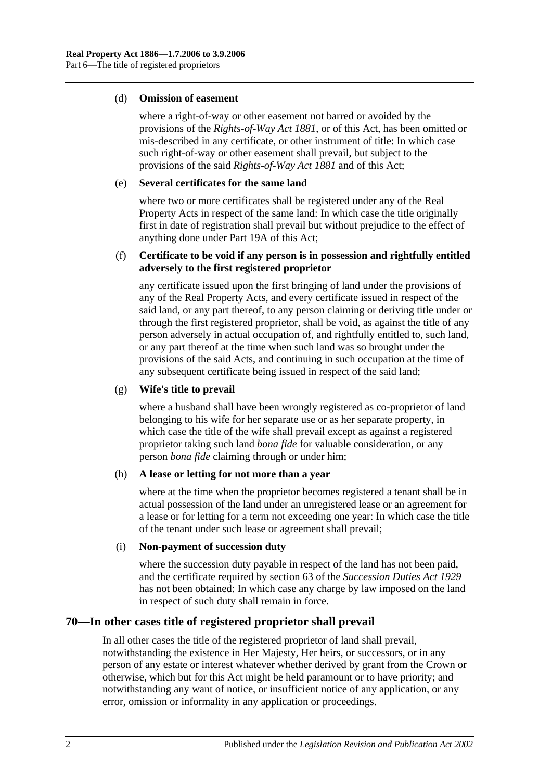#### (d) **Omission of easement**

where a right-of-way or other easement not barred or avoided by the provisions of the *[Rights-of-Way Act](http://www.legislation.sa.gov.au/index.aspx?action=legref&type=act&legtitle=Rights-of-Way%20Act%201881) 1881*, or of this Act, has been omitted or mis-described in any certificate, or other instrument of title: In which case such right-of-way or other easement shall prevail, but subject to the provisions of the said *[Rights-of-Way Act](http://www.legislation.sa.gov.au/index.aspx?action=legref&type=act&legtitle=Rights-of-Way%20Act%201881) 1881* and of this Act;

#### (e) **Several certificates for the same land**

where two or more certificates shall be registered under any of the Real Property Acts in respect of the same land: In which case the title originally first in date of registration shall prevail but without prejudice to the effect of anything done under [Part 19A](#page-98-0) of this Act;

#### (f) **Certificate to be void if any person is in possession and rightfully entitled adversely to the first registered proprietor**

any certificate issued upon the first bringing of land under the provisions of any of the Real Property Acts, and every certificate issued in respect of the said land, or any part thereof, to any person claiming or deriving title under or through the first registered proprietor, shall be void, as against the title of any person adversely in actual occupation of, and rightfully entitled to, such land, or any part thereof at the time when such land was so brought under the provisions of the said Acts, and continuing in such occupation at the time of any subsequent certificate being issued in respect of the said land;

#### (g) **Wife's title to prevail**

where a husband shall have been wrongly registered as co-proprietor of land belonging to his wife for her separate use or as her separate property, in which case the title of the wife shall prevail except as against a registered proprietor taking such land *bona fide* for valuable consideration, or any person *bona fide* claiming through or under him;

#### (h) **A lease or letting for not more than a year**

where at the time when the proprietor becomes registered a tenant shall be in actual possession of the land under an unregistered lease or an agreement for a lease or for letting for a term not exceeding one year: In which case the title of the tenant under such lease or agreement shall prevail;

#### (i) **Non-payment of succession duty**

where the succession duty payable in respect of the land has not been paid, and the certificate required by section 63 of the *[Succession Duties Act](http://www.legislation.sa.gov.au/index.aspx?action=legref&type=act&legtitle=Succession%20Duties%20Act%201929) 1929* has not been obtained: In which case any charge by law imposed on the land in respect of such duty shall remain in force.

## <span id="page-35-0"></span>**70—In other cases title of registered proprietor shall prevail**

In all other cases the title of the registered proprietor of land shall prevail, notwithstanding the existence in Her Majesty, Her heirs, or successors, or in any person of any estate or interest whatever whether derived by grant from the Crown or otherwise, which but for this Act might be held paramount or to have priority; and notwithstanding any want of notice, or insufficient notice of any application, or any error, omission or informality in any application or proceedings.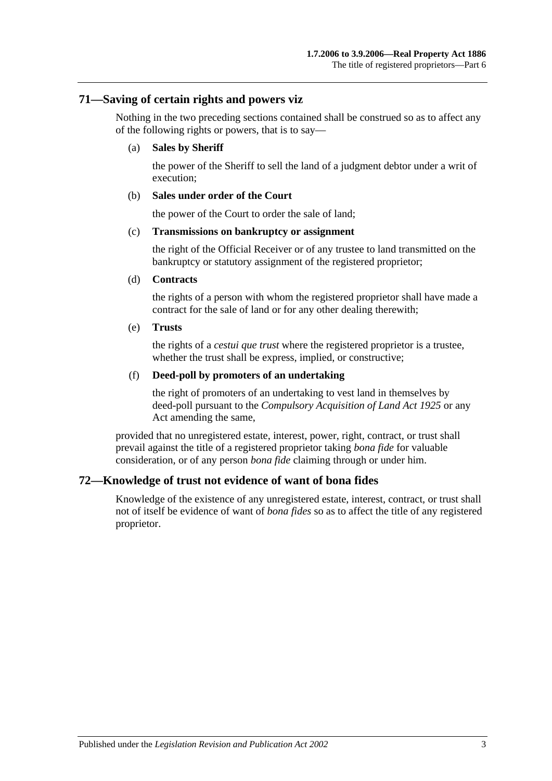## **71—Saving of certain rights and powers viz**

Nothing in the two preceding sections contained shall be construed so as to affect any of the following rights or powers, that is to say—

#### (a) **Sales by Sheriff**

the power of the Sheriff to sell the land of a judgment debtor under a writ of execution;

#### (b) **Sales under order of the Court**

the power of the Court to order the sale of land;

#### (c) **Transmissions on bankruptcy or assignment**

the right of the Official Receiver or of any trustee to land transmitted on the bankruptcy or statutory assignment of the registered proprietor;

#### (d) **Contracts**

the rights of a person with whom the registered proprietor shall have made a contract for the sale of land or for any other dealing therewith;

#### (e) **Trusts**

the rights of a *cestui que trust* where the registered proprietor is a trustee, whether the trust shall be express, implied, or constructive;

#### (f) **Deed-poll by promoters of an undertaking**

the right of promoters of an undertaking to vest land in themselves by deed-poll pursuant to the *[Compulsory Acquisition of Land Act](http://www.legislation.sa.gov.au/index.aspx?action=legref&type=act&legtitle=Compulsory%20Acquisition%20of%20Land%20Act%201925) 1925* or any Act amending the same,

provided that no unregistered estate, interest, power, right, contract, or trust shall prevail against the title of a registered proprietor taking *bona fide* for valuable consideration, or of any person *bona fide* claiming through or under him.

## **72—Knowledge of trust not evidence of want of bona fides**

Knowledge of the existence of any unregistered estate, interest, contract, or trust shall not of itself be evidence of want of *bona fides* so as to affect the title of any registered proprietor.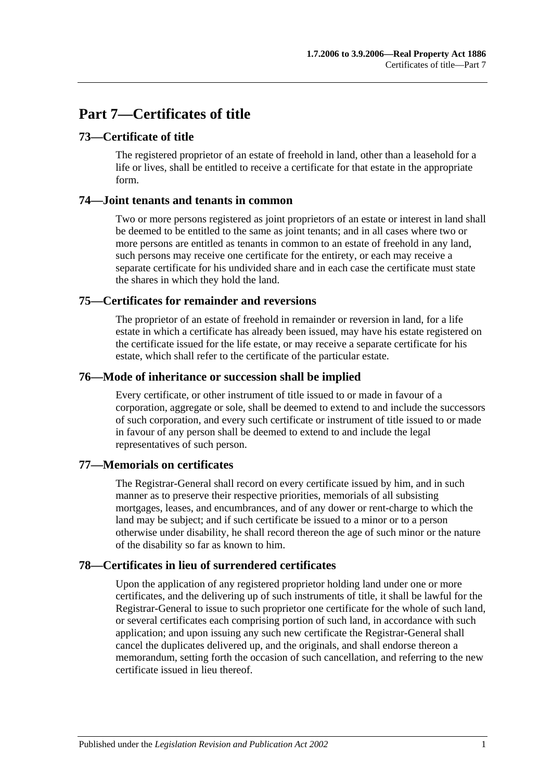# **Part 7—Certificates of title**

# **73—Certificate of title**

The registered proprietor of an estate of freehold in land, other than a leasehold for a life or lives, shall be entitled to receive a certificate for that estate in the appropriate form.

## **74—Joint tenants and tenants in common**

Two or more persons registered as joint proprietors of an estate or interest in land shall be deemed to be entitled to the same as joint tenants; and in all cases where two or more persons are entitled as tenants in common to an estate of freehold in any land, such persons may receive one certificate for the entirety, or each may receive a separate certificate for his undivided share and in each case the certificate must state the shares in which they hold the land.

# **75—Certificates for remainder and reversions**

The proprietor of an estate of freehold in remainder or reversion in land, for a life estate in which a certificate has already been issued, may have his estate registered on the certificate issued for the life estate, or may receive a separate certificate for his estate, which shall refer to the certificate of the particular estate.

## **76—Mode of inheritance or succession shall be implied**

Every certificate, or other instrument of title issued to or made in favour of a corporation, aggregate or sole, shall be deemed to extend to and include the successors of such corporation, and every such certificate or instrument of title issued to or made in favour of any person shall be deemed to extend to and include the legal representatives of such person.

## **77—Memorials on certificates**

The Registrar-General shall record on every certificate issued by him, and in such manner as to preserve their respective priorities, memorials of all subsisting mortgages, leases, and encumbrances, and of any dower or rent-charge to which the land may be subject; and if such certificate be issued to a minor or to a person otherwise under disability, he shall record thereon the age of such minor or the nature of the disability so far as known to him.

## **78—Certificates in lieu of surrendered certificates**

Upon the application of any registered proprietor holding land under one or more certificates, and the delivering up of such instruments of title, it shall be lawful for the Registrar-General to issue to such proprietor one certificate for the whole of such land, or several certificates each comprising portion of such land, in accordance with such application; and upon issuing any such new certificate the Registrar-General shall cancel the duplicates delivered up, and the originals, and shall endorse thereon a memorandum, setting forth the occasion of such cancellation, and referring to the new certificate issued in lieu thereof.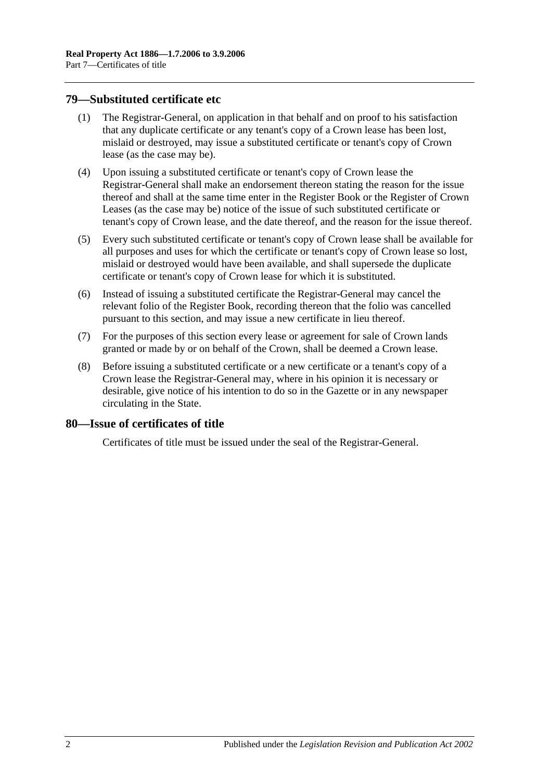## <span id="page-39-0"></span>**79—Substituted certificate etc**

- (1) The Registrar-General, on application in that behalf and on proof to his satisfaction that any duplicate certificate or any tenant's copy of a Crown lease has been lost, mislaid or destroyed, may issue a substituted certificate or tenant's copy of Crown lease (as the case may be).
- (4) Upon issuing a substituted certificate or tenant's copy of Crown lease the Registrar-General shall make an endorsement thereon stating the reason for the issue thereof and shall at the same time enter in the Register Book or the Register of Crown Leases (as the case may be) notice of the issue of such substituted certificate or tenant's copy of Crown lease, and the date thereof, and the reason for the issue thereof.
- (5) Every such substituted certificate or tenant's copy of Crown lease shall be available for all purposes and uses for which the certificate or tenant's copy of Crown lease so lost, mislaid or destroyed would have been available, and shall supersede the duplicate certificate or tenant's copy of Crown lease for which it is substituted.
- (6) Instead of issuing a substituted certificate the Registrar-General may cancel the relevant folio of the Register Book, recording thereon that the folio was cancelled pursuant to this section, and may issue a new certificate in lieu thereof.
- (7) For the purposes of this section every lease or agreement for sale of Crown lands granted or made by or on behalf of the Crown, shall be deemed a Crown lease.
- (8) Before issuing a substituted certificate or a new certificate or a tenant's copy of a Crown lease the Registrar-General may, where in his opinion it is necessary or desirable, give notice of his intention to do so in the Gazette or in any newspaper circulating in the State.

## **80—Issue of certificates of title**

Certificates of title must be issued under the seal of the Registrar-General.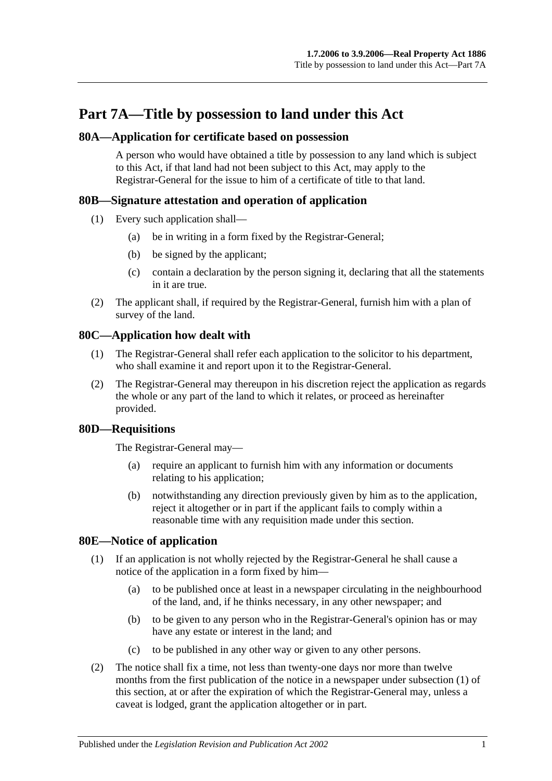# **Part 7A—Title by possession to land under this Act**

# **80A—Application for certificate based on possession**

A person who would have obtained a title by possession to any land which is subject to this Act, if that land had not been subject to this Act, may apply to the Registrar-General for the issue to him of a certificate of title to that land.

# **80B—Signature attestation and operation of application**

- (1) Every such application shall—
	- (a) be in writing in a form fixed by the Registrar-General;
	- (b) be signed by the applicant;
	- (c) contain a declaration by the person signing it, declaring that all the statements in it are true.
- (2) The applicant shall, if required by the Registrar-General, furnish him with a plan of survey of the land.

# **80C—Application how dealt with**

- (1) The Registrar-General shall refer each application to the solicitor to his department, who shall examine it and report upon it to the Registrar-General.
- (2) The Registrar-General may thereupon in his discretion reject the application as regards the whole or any part of the land to which it relates, or proceed as hereinafter provided.

## **80D—Requisitions**

The Registrar-General may—

- (a) require an applicant to furnish him with any information or documents relating to his application;
- (b) notwithstanding any direction previously given by him as to the application, reject it altogether or in part if the applicant fails to comply within a reasonable time with any requisition made under this section.

## <span id="page-40-1"></span><span id="page-40-0"></span>**80E—Notice of application**

- (1) If an application is not wholly rejected by the Registrar-General he shall cause a notice of the application in a form fixed by him—
	- (a) to be published once at least in a newspaper circulating in the neighbourhood of the land, and, if he thinks necessary, in any other newspaper; and
	- (b) to be given to any person who in the Registrar-General's opinion has or may have any estate or interest in the land; and
	- (c) to be published in any other way or given to any other persons.
- (2) The notice shall fix a time, not less than twenty-one days nor more than twelve months from the first publication of the notice in a newspaper under [subsection](#page-40-0) (1) of this section, at or after the expiration of which the Registrar-General may, unless a caveat is lodged, grant the application altogether or in part.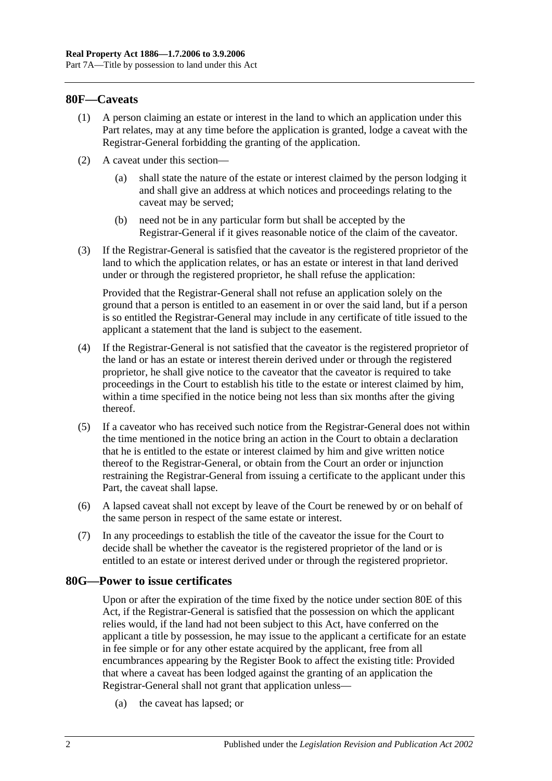## **80F—Caveats**

- (1) A person claiming an estate or interest in the land to which an application under this Part relates, may at any time before the application is granted, lodge a caveat with the Registrar-General forbidding the granting of the application.
- (2) A caveat under this section—
	- (a) shall state the nature of the estate or interest claimed by the person lodging it and shall give an address at which notices and proceedings relating to the caveat may be served;
	- (b) need not be in any particular form but shall be accepted by the Registrar-General if it gives reasonable notice of the claim of the caveator.
- (3) If the Registrar-General is satisfied that the caveator is the registered proprietor of the land to which the application relates, or has an estate or interest in that land derived under or through the registered proprietor, he shall refuse the application:

Provided that the Registrar-General shall not refuse an application solely on the ground that a person is entitled to an easement in or over the said land, but if a person is so entitled the Registrar-General may include in any certificate of title issued to the applicant a statement that the land is subject to the easement.

- (4) If the Registrar-General is not satisfied that the caveator is the registered proprietor of the land or has an estate or interest therein derived under or through the registered proprietor, he shall give notice to the caveator that the caveator is required to take proceedings in the Court to establish his title to the estate or interest claimed by him, within a time specified in the notice being not less than six months after the giving thereof.
- (5) If a caveator who has received such notice from the Registrar-General does not within the time mentioned in the notice bring an action in the Court to obtain a declaration that he is entitled to the estate or interest claimed by him and give written notice thereof to the Registrar-General, or obtain from the Court an order or injunction restraining the Registrar-General from issuing a certificate to the applicant under this Part, the caveat shall lapse.
- (6) A lapsed caveat shall not except by leave of the Court be renewed by or on behalf of the same person in respect of the same estate or interest.
- (7) In any proceedings to establish the title of the caveator the issue for the Court to decide shall be whether the caveator is the registered proprietor of the land or is entitled to an estate or interest derived under or through the registered proprietor.

#### **80G—Power to issue certificates**

Upon or after the expiration of the time fixed by the notice under [section](#page-40-1) 80E of this Act, if the Registrar-General is satisfied that the possession on which the applicant relies would, if the land had not been subject to this Act, have conferred on the applicant a title by possession, he may issue to the applicant a certificate for an estate in fee simple or for any other estate acquired by the applicant, free from all encumbrances appearing by the Register Book to affect the existing title: Provided that where a caveat has been lodged against the granting of an application the Registrar-General shall not grant that application unless—

(a) the caveat has lapsed; or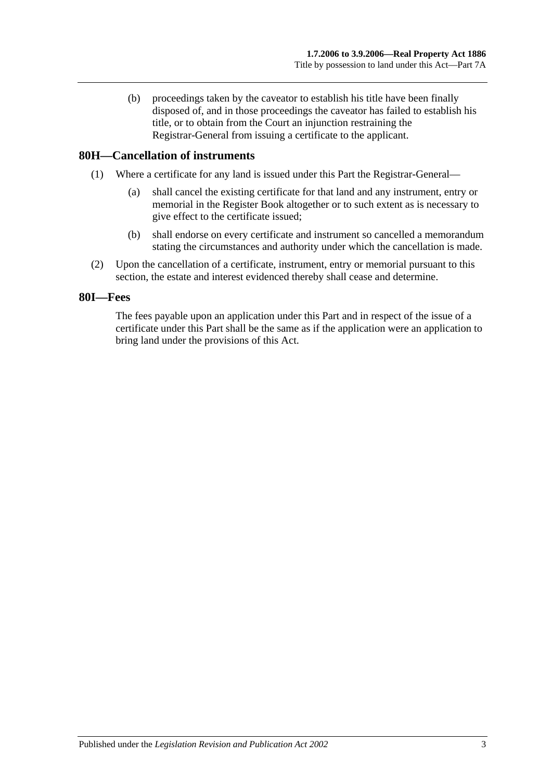(b) proceedings taken by the caveator to establish his title have been finally disposed of, and in those proceedings the caveator has failed to establish his title, or to obtain from the Court an injunction restraining the Registrar-General from issuing a certificate to the applicant.

## **80H—Cancellation of instruments**

- (1) Where a certificate for any land is issued under this Part the Registrar-General—
	- (a) shall cancel the existing certificate for that land and any instrument, entry or memorial in the Register Book altogether or to such extent as is necessary to give effect to the certificate issued;
	- (b) shall endorse on every certificate and instrument so cancelled a memorandum stating the circumstances and authority under which the cancellation is made.
- (2) Upon the cancellation of a certificate, instrument, entry or memorial pursuant to this section, the estate and interest evidenced thereby shall cease and determine.

#### **80I—Fees**

The fees payable upon an application under this Part and in respect of the issue of a certificate under this Part shall be the same as if the application were an application to bring land under the provisions of this Act.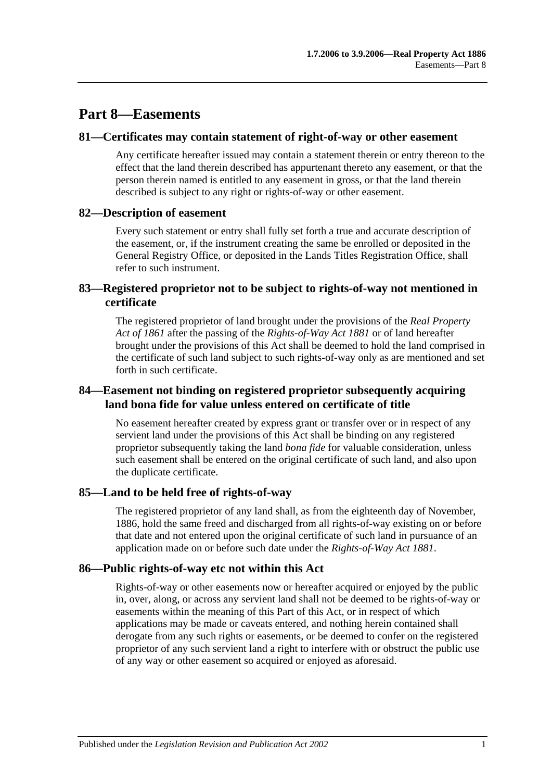# **Part 8—Easements**

#### **81—Certificates may contain statement of right-of-way or other easement**

Any certificate hereafter issued may contain a statement therein or entry thereon to the effect that the land therein described has appurtenant thereto any easement, or that the person therein named is entitled to any easement in gross, or that the land therein described is subject to any right or rights-of-way or other easement.

## **82—Description of easement**

Every such statement or entry shall fully set forth a true and accurate description of the easement, or, if the instrument creating the same be enrolled or deposited in the General Registry Office, or deposited in the Lands Titles Registration Office, shall refer to such instrument.

# **83—Registered proprietor not to be subject to rights-of-way not mentioned in certificate**

The registered proprietor of land brought under the provisions of the *[Real Property](http://www.legislation.sa.gov.au/index.aspx?action=legref&type=act&legtitle=Real%20Property%20Act%20of%201861)  [Act of](http://www.legislation.sa.gov.au/index.aspx?action=legref&type=act&legtitle=Real%20Property%20Act%20of%201861) 1861* after the passing of the *[Rights-of-Way Act](http://www.legislation.sa.gov.au/index.aspx?action=legref&type=act&legtitle=Rights-of-Way%20Act%201881) 1881* or of land hereafter brought under the provisions of this Act shall be deemed to hold the land comprised in the certificate of such land subject to such rights-of-way only as are mentioned and set forth in such certificate.

## **84—Easement not binding on registered proprietor subsequently acquiring land bona fide for value unless entered on certificate of title**

No easement hereafter created by express grant or transfer over or in respect of any servient land under the provisions of this Act shall be binding on any registered proprietor subsequently taking the land *bona fide* for valuable consideration, unless such easement shall be entered on the original certificate of such land, and also upon the duplicate certificate.

## **85—Land to be held free of rights-of-way**

The registered proprietor of any land shall, as from the eighteenth day of November, 1886, hold the same freed and discharged from all rights-of-way existing on or before that date and not entered upon the original certificate of such land in pursuance of an application made on or before such date under the *[Rights-of-Way Act](http://www.legislation.sa.gov.au/index.aspx?action=legref&type=act&legtitle=Rights-of-Way%20Act%201881) 1881*.

## **86—Public rights-of-way etc not within this Act**

Rights-of-way or other easements now or hereafter acquired or enjoyed by the public in, over, along, or across any servient land shall not be deemed to be rights-of-way or easements within the meaning of this Part of this Act, or in respect of which applications may be made or caveats entered, and nothing herein contained shall derogate from any such rights or easements, or be deemed to confer on the registered proprietor of any such servient land a right to interfere with or obstruct the public use of any way or other easement so acquired or enjoyed as aforesaid.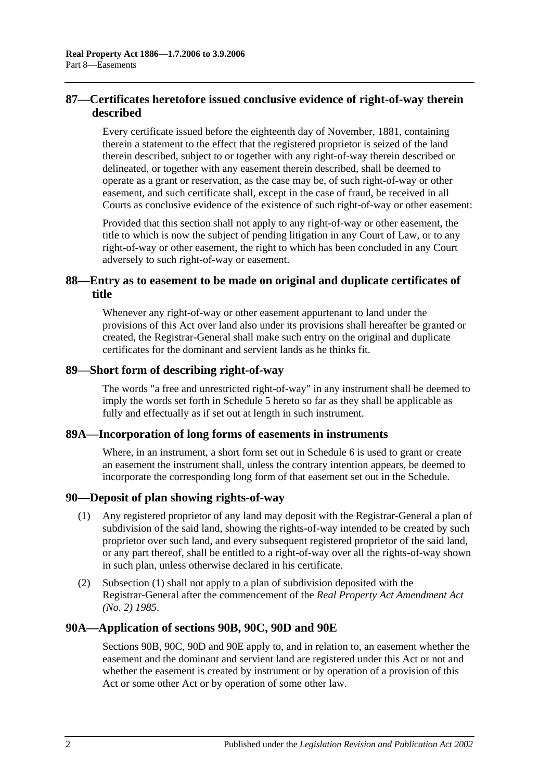# **87—Certificates heretofore issued conclusive evidence of right-of-way therein described**

Every certificate issued before the eighteenth day of November, 1881, containing therein a statement to the effect that the registered proprietor is seized of the land therein described, subject to or together with any right-of-way therein described or delineated, or together with any easement therein described, shall be deemed to operate as a grant or reservation, as the case may be, of such right-of-way or other easement, and such certificate shall, except in the case of fraud, be received in all Courts as conclusive evidence of the existence of such right-of-way or other easement:

Provided that this section shall not apply to any right-of-way or other easement, the title to which is now the subject of pending litigation in any Court of Law, or to any right-of-way or other easement, the right to which has been concluded in any Court adversely to such right-of-way or easement.

# **88—Entry as to easement to be made on original and duplicate certificates of title**

Whenever any right-of-way or other easement appurtenant to land under the provisions of this Act over land also under its provisions shall hereafter be granted or created, the Registrar-General shall make such entry on the original and duplicate certificates for the dominant and servient lands as he thinks fit.

## **89—Short form of describing right-of-way**

The words "a free and unrestricted right-of-way" in any instrument shall be deemed to imply the words set forth in [Schedule 5](#page-134-0) hereto so far as they shall be applicable as fully and effectually as if set out at length in such instrument.

## **89A—Incorporation of long forms of easements in instruments**

Where, in an instrument, a short form set out in [Schedule 6](#page-134-1) is used to grant or create an easement the instrument shall, unless the contrary intention appears, be deemed to incorporate the corresponding long form of that easement set out in the Schedule.

## <span id="page-45-0"></span>**90—Deposit of plan showing rights-of-way**

- (1) Any registered proprietor of any land may deposit with the Registrar-General a plan of subdivision of the said land, showing the rights-of-way intended to be created by such proprietor over such land, and every subsequent registered proprietor of the said land, or any part thereof, shall be entitled to a right-of-way over all the rights-of-way shown in such plan, unless otherwise declared in his certificate.
- (2) [Subsection](#page-45-0) (1) shall not apply to a plan of subdivision deposited with the Registrar-General after the commencement of the *[Real Property Act Amendment Act](http://www.legislation.sa.gov.au/index.aspx?action=legref&type=act&legtitle=Real%20Property%20Act%20Amendment%20Act%20(No.%202)%201985)  (No. 2) [1985](http://www.legislation.sa.gov.au/index.aspx?action=legref&type=act&legtitle=Real%20Property%20Act%20Amendment%20Act%20(No.%202)%201985)*.

## **90A—Application of [sections](#page-46-0) 90B, [90C,](#page-48-0) [90D](#page-49-0) and [90E](#page-49-1)**

[Sections](#page-46-0) 90B, [90C,](#page-48-0) [90D](#page-49-0) and [90E](#page-49-1) apply to, and in relation to, an easement whether the easement and the dominant and servient land are registered under this Act or not and whether the easement is created by instrument or by operation of a provision of this Act or some other Act or by operation of some other law.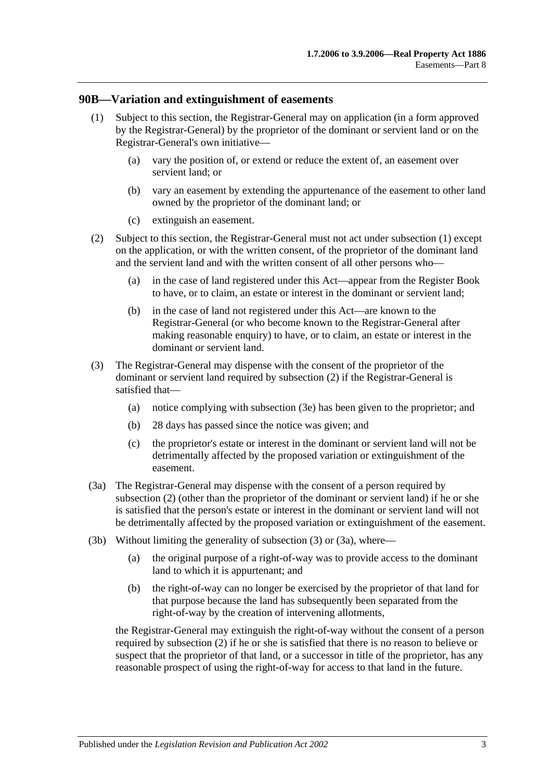#### <span id="page-46-1"></span><span id="page-46-0"></span>**90B—Variation and extinguishment of easements**

- (1) Subject to this section, the Registrar-General may on application (in a form approved by the Registrar-General) by the proprietor of the dominant or servient land or on the Registrar-General's own initiative—
	- (a) vary the position of, or extend or reduce the extent of, an easement over servient land; or
	- (b) vary an easement by extending the appurtenance of the easement to other land owned by the proprietor of the dominant land; or
	- (c) extinguish an easement.
- <span id="page-46-2"></span>(2) Subject to this section, the Registrar-General must not act under [subsection](#page-46-1) (1) except on the application, or with the written consent, of the proprietor of the dominant land and the servient land and with the written consent of all other persons who—
	- (a) in the case of land registered under this Act—appear from the Register Book to have, or to claim, an estate or interest in the dominant or servient land;
	- (b) in the case of land not registered under this Act—are known to the Registrar-General (or who become known to the Registrar-General after making reasonable enquiry) to have, or to claim, an estate or interest in the dominant or servient land.
- <span id="page-46-3"></span>(3) The Registrar-General may dispense with the consent of the proprietor of the dominant or servient land required by [subsection](#page-46-2) (2) if the Registrar-General is satisfied that—
	- (a) notice complying with [subsection](#page-47-0) (3e) has been given to the proprietor; and
	- (b) 28 days has passed since the notice was given; and
	- (c) the proprietor's estate or interest in the dominant or servient land will not be detrimentally affected by the proposed variation or extinguishment of the easement.
- <span id="page-46-4"></span>(3a) The Registrar-General may dispense with the consent of a person required by [subsection](#page-46-2) (2) (other than the proprietor of the dominant or servient land) if he or she is satisfied that the person's estate or interest in the dominant or servient land will not be detrimentally affected by the proposed variation or extinguishment of the easement.
- <span id="page-46-5"></span>(3b) Without limiting the generality of [subsection](#page-46-3) (3) or [\(3a\),](#page-46-4) where—
	- (a) the original purpose of a right-of-way was to provide access to the dominant land to which it is appurtenant; and
	- (b) the right-of-way can no longer be exercised by the proprietor of that land for that purpose because the land has subsequently been separated from the right-of-way by the creation of intervening allotments,

the Registrar-General may extinguish the right-of-way without the consent of a person required by [subsection](#page-46-2) (2) if he or she is satisfied that there is no reason to believe or suspect that the proprietor of that land, or a successor in title of the proprietor, has any reasonable prospect of using the right-of-way for access to that land in the future.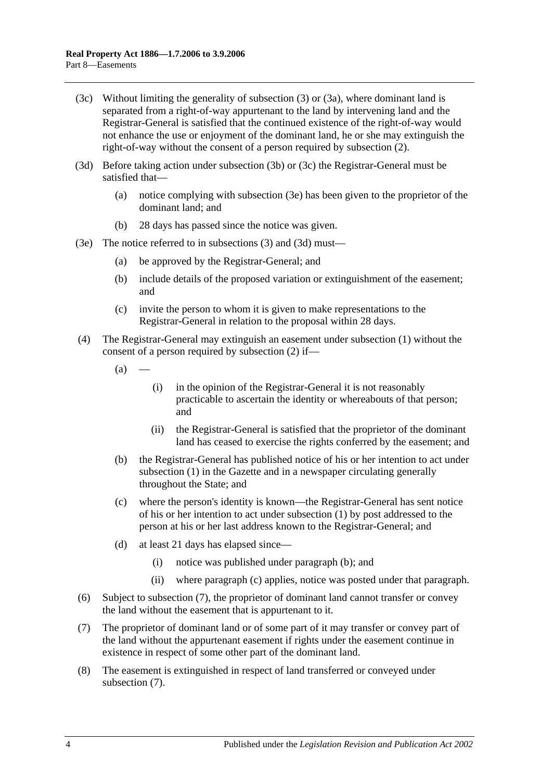- <span id="page-47-1"></span>(3c) Without limiting the generality of [subsection](#page-46-3) (3) or [\(3a\),](#page-46-4) where dominant land is separated from a right-of-way appurtenant to the land by intervening land and the Registrar-General is satisfied that the continued existence of the right-of-way would not enhance the use or enjoyment of the dominant land, he or she may extinguish the right-of-way without the consent of a person required by [subsection](#page-46-2) (2).
- <span id="page-47-2"></span>(3d) Before taking action under [subsection](#page-46-5) (3b) or [\(3c\)](#page-47-1) the Registrar-General must be satisfied that—
	- (a) notice complying with [subsection](#page-47-0) (3e) has been given to the proprietor of the dominant land; and
	- (b) 28 days has passed since the notice was given.
- <span id="page-47-0"></span>(3e) The notice referred to in [subsections](#page-46-3) (3) and [\(3d\)](#page-47-2) must—
	- (a) be approved by the Registrar-General; and
	- (b) include details of the proposed variation or extinguishment of the easement; and
	- (c) invite the person to whom it is given to make representations to the Registrar-General in relation to the proposal within 28 days.
- (4) The Registrar-General may extinguish an easement under [subsection](#page-46-1) (1) without the consent of a person required by [subsection](#page-46-2) (2) if—
	- $(a)$
- (i) in the opinion of the Registrar-General it is not reasonably practicable to ascertain the identity or whereabouts of that person; and
- (ii) the Registrar-General is satisfied that the proprietor of the dominant land has ceased to exercise the rights conferred by the easement; and
- <span id="page-47-3"></span>(b) the Registrar-General has published notice of his or her intention to act under [subsection](#page-46-1) (1) in the Gazette and in a newspaper circulating generally throughout the State; and
- <span id="page-47-4"></span>(c) where the person's identity is known—the Registrar-General has sent notice of his or her intention to act under [subsection](#page-46-1) (1) by post addressed to the person at his or her last address known to the Registrar-General; and
- (d) at least 21 days has elapsed since—
	- (i) notice was published under [paragraph](#page-47-3) (b); and
	- (ii) where [paragraph](#page-47-4) (c) applies, notice was posted under that paragraph.
- (6) Subject to [subsection](#page-47-5) (7), the proprietor of dominant land cannot transfer or convey the land without the easement that is appurtenant to it.
- <span id="page-47-5"></span>(7) The proprietor of dominant land or of some part of it may transfer or convey part of the land without the appurtenant easement if rights under the easement continue in existence in respect of some other part of the dominant land.
- (8) The easement is extinguished in respect of land transferred or conveyed under [subsection](#page-47-5) (7).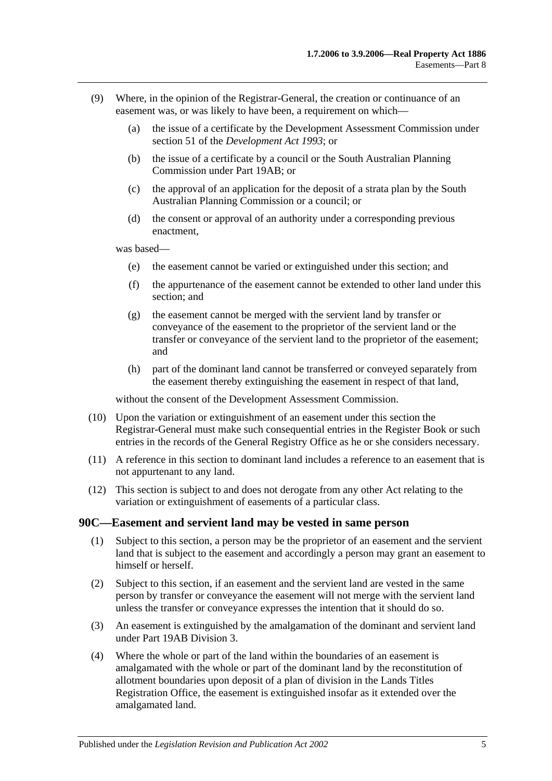- (9) Where, in the opinion of the Registrar-General, the creation or continuance of an easement was, or was likely to have been, a requirement on which—
	- (a) the issue of a certificate by the Development Assessment Commission under section 51 of the *[Development Act](http://www.legislation.sa.gov.au/index.aspx?action=legref&type=act&legtitle=Development%20Act%201993) 1993*; or
	- (b) the issue of a certificate by a council or the South Australian Planning Commission under [Part 19AB;](#page-102-0) or
	- (c) the approval of an application for the deposit of a strata plan by the South Australian Planning Commission or a council; or
	- (d) the consent or approval of an authority under a corresponding previous enactment,

was based—

- (e) the easement cannot be varied or extinguished under this section; and
- (f) the appurtenance of the easement cannot be extended to other land under this section; and
- (g) the easement cannot be merged with the servient land by transfer or conveyance of the easement to the proprietor of the servient land or the transfer or conveyance of the servient land to the proprietor of the easement; and
- (h) part of the dominant land cannot be transferred or conveyed separately from the easement thereby extinguishing the easement in respect of that land,

without the consent of the Development Assessment Commission.

- (10) Upon the variation or extinguishment of an easement under this section the Registrar-General must make such consequential entries in the Register Book or such entries in the records of the General Registry Office as he or she considers necessary.
- (11) A reference in this section to dominant land includes a reference to an easement that is not appurtenant to any land.
- (12) This section is subject to and does not derogate from any other Act relating to the variation or extinguishment of easements of a particular class.

#### <span id="page-48-0"></span>**90C—Easement and servient land may be vested in same person**

- (1) Subject to this section, a person may be the proprietor of an easement and the servient land that is subject to the easement and accordingly a person may grant an easement to himself or herself.
- (2) Subject to this section, if an easement and the servient land are vested in the same person by transfer or conveyance the easement will not merge with the servient land unless the transfer or conveyance expresses the intention that it should do so.
- (3) An easement is extinguished by the amalgamation of the dominant and servient land under [Part 19AB](#page-102-0) [Division 3.](#page-110-0)
- (4) Where the whole or part of the land within the boundaries of an easement is amalgamated with the whole or part of the dominant land by the reconstitution of allotment boundaries upon deposit of a plan of division in the Lands Titles Registration Office, the easement is extinguished insofar as it extended over the amalgamated land.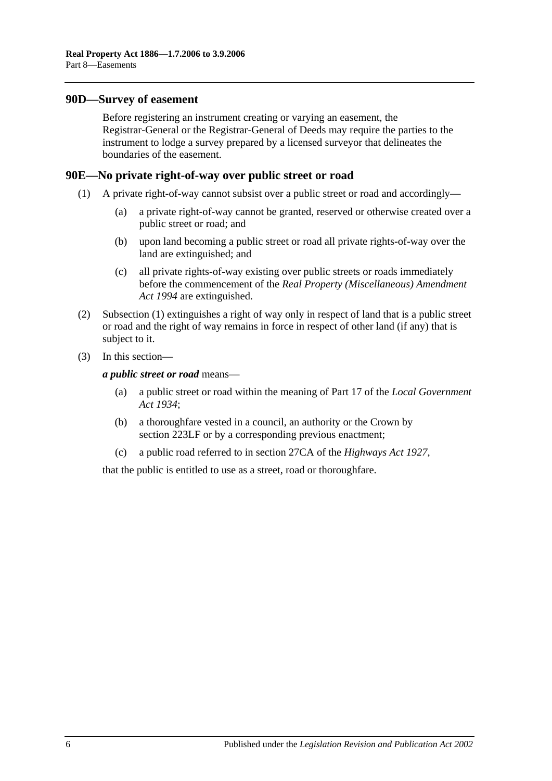#### <span id="page-49-0"></span>**90D—Survey of easement**

Before registering an instrument creating or varying an easement, the Registrar-General or the Registrar-General of Deeds may require the parties to the instrument to lodge a survey prepared by a licensed surveyor that delineates the boundaries of the easement.

#### <span id="page-49-2"></span><span id="page-49-1"></span>**90E—No private right-of-way over public street or road**

- (1) A private right-of-way cannot subsist over a public street or road and accordingly—
	- (a) a private right-of-way cannot be granted, reserved or otherwise created over a public street or road; and
	- (b) upon land becoming a public street or road all private rights-of-way over the land are extinguished; and
	- (c) all private rights-of-way existing over public streets or roads immediately before the commencement of the *[Real Property \(Miscellaneous\) Amendment](http://www.legislation.sa.gov.au/index.aspx?action=legref&type=act&legtitle=Real%20Property%20(Miscellaneous)%20Amendment%20Act%201994)  Act [1994](http://www.legislation.sa.gov.au/index.aspx?action=legref&type=act&legtitle=Real%20Property%20(Miscellaneous)%20Amendment%20Act%201994)* are extinguished.
- (2) [Subsection](#page-49-2) (1) extinguishes a right of way only in respect of land that is a public street or road and the right of way remains in force in respect of other land (if any) that is subject to it.
- (3) In this section—

*a public street or road* means—

- (a) a public street or road within the meaning of Part 17 of the *[Local Government](http://www.legislation.sa.gov.au/index.aspx?action=legref&type=act&legtitle=Local%20Government%20Act%201934)  Act [1934](http://www.legislation.sa.gov.au/index.aspx?action=legref&type=act&legtitle=Local%20Government%20Act%201934)*;
- (b) a thoroughfare vested in a council, an authority or the Crown by [section](#page-107-0) 223LF or by a corresponding previous enactment;
- (c) a public road referred to in section 27CA of the *[Highways Act](http://www.legislation.sa.gov.au/index.aspx?action=legref&type=act&legtitle=Highways%20Act%201927) 1927*,

that the public is entitled to use as a street, road or thoroughfare.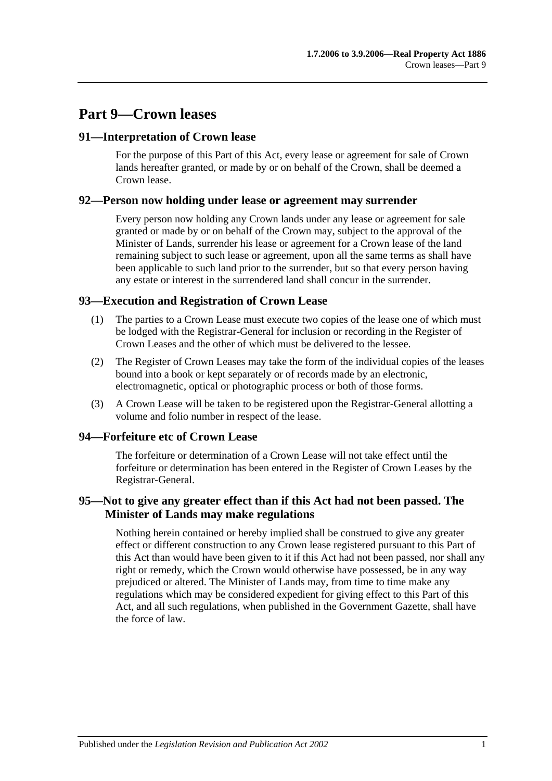# **Part 9—Crown leases**

## **91—Interpretation of Crown lease**

For the purpose of this Part of this Act, every lease or agreement for sale of Crown lands hereafter granted, or made by or on behalf of the Crown, shall be deemed a Crown lease.

## **92—Person now holding under lease or agreement may surrender**

Every person now holding any Crown lands under any lease or agreement for sale granted or made by or on behalf of the Crown may, subject to the approval of the Minister of Lands, surrender his lease or agreement for a Crown lease of the land remaining subject to such lease or agreement, upon all the same terms as shall have been applicable to such land prior to the surrender, but so that every person having any estate or interest in the surrendered land shall concur in the surrender.

## **93—Execution and Registration of Crown Lease**

- (1) The parties to a Crown Lease must execute two copies of the lease one of which must be lodged with the Registrar-General for inclusion or recording in the Register of Crown Leases and the other of which must be delivered to the lessee.
- (2) The Register of Crown Leases may take the form of the individual copies of the leases bound into a book or kept separately or of records made by an electronic, electromagnetic, optical or photographic process or both of those forms.
- (3) A Crown Lease will be taken to be registered upon the Registrar-General allotting a volume and folio number in respect of the lease.

## **94—Forfeiture etc of Crown Lease**

The forfeiture or determination of a Crown Lease will not take effect until the forfeiture or determination has been entered in the Register of Crown Leases by the Registrar-General.

# **95—Not to give any greater effect than if this Act had not been passed. The Minister of Lands may make regulations**

Nothing herein contained or hereby implied shall be construed to give any greater effect or different construction to any Crown lease registered pursuant to this Part of this Act than would have been given to it if this Act had not been passed, nor shall any right or remedy, which the Crown would otherwise have possessed, be in any way prejudiced or altered. The Minister of Lands may, from time to time make any regulations which may be considered expedient for giving effect to this Part of this Act, and all such regulations, when published in the Government Gazette, shall have the force of law.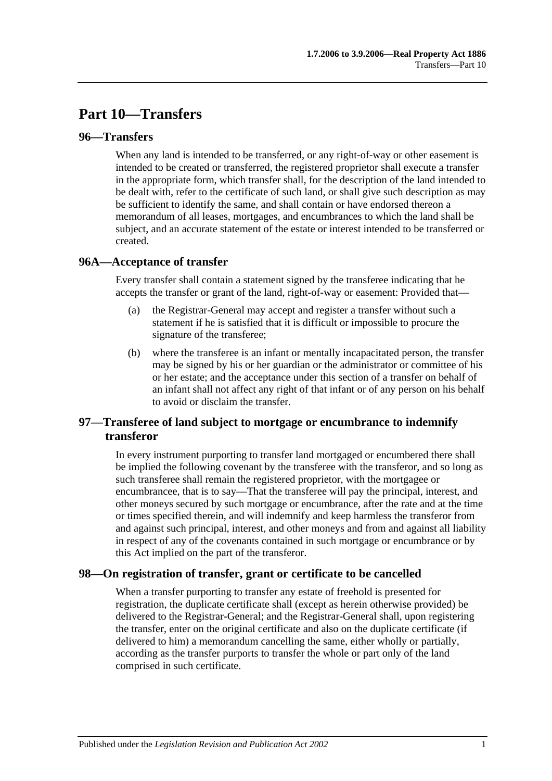# **Part 10—Transfers**

## **96—Transfers**

When any land is intended to be transferred, or any right-of-way or other easement is intended to be created or transferred, the registered proprietor shall execute a transfer in the appropriate form, which transfer shall, for the description of the land intended to be dealt with, refer to the certificate of such land, or shall give such description as may be sufficient to identify the same, and shall contain or have endorsed thereon a memorandum of all leases, mortgages, and encumbrances to which the land shall be subject, and an accurate statement of the estate or interest intended to be transferred or created.

## **96A—Acceptance of transfer**

Every transfer shall contain a statement signed by the transferee indicating that he accepts the transfer or grant of the land, right-of-way or easement: Provided that—

- (a) the Registrar-General may accept and register a transfer without such a statement if he is satisfied that it is difficult or impossible to procure the signature of the transferee;
- (b) where the transferee is an infant or mentally incapacitated person, the transfer may be signed by his or her guardian or the administrator or committee of his or her estate; and the acceptance under this section of a transfer on behalf of an infant shall not affect any right of that infant or of any person on his behalf to avoid or disclaim the transfer.

# **97—Transferee of land subject to mortgage or encumbrance to indemnify transferor**

In every instrument purporting to transfer land mortgaged or encumbered there shall be implied the following covenant by the transferee with the transferor, and so long as such transferee shall remain the registered proprietor, with the mortgagee or encumbrancee, that is to say—That the transferee will pay the principal, interest, and other moneys secured by such mortgage or encumbrance, after the rate and at the time or times specified therein, and will indemnify and keep harmless the transferor from and against such principal, interest, and other moneys and from and against all liability in respect of any of the covenants contained in such mortgage or encumbrance or by this Act implied on the part of the transferor.

## **98—On registration of transfer, grant or certificate to be cancelled**

When a transfer purporting to transfer any estate of freehold is presented for registration, the duplicate certificate shall (except as herein otherwise provided) be delivered to the Registrar-General; and the Registrar-General shall, upon registering the transfer, enter on the original certificate and also on the duplicate certificate (if delivered to him) a memorandum cancelling the same, either wholly or partially, according as the transfer purports to transfer the whole or part only of the land comprised in such certificate.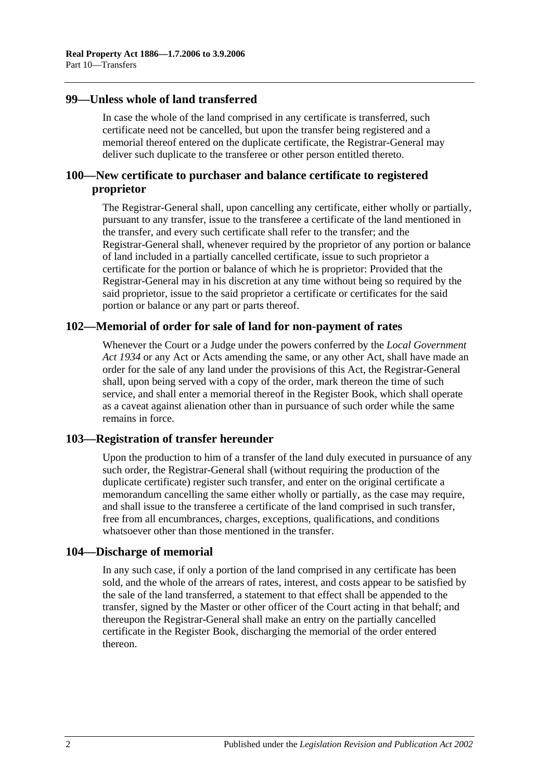## **99—Unless whole of land transferred**

In case the whole of the land comprised in any certificate is transferred, such certificate need not be cancelled, but upon the transfer being registered and a memorial thereof entered on the duplicate certificate, the Registrar-General may deliver such duplicate to the transferee or other person entitled thereto.

## **100—New certificate to purchaser and balance certificate to registered proprietor**

The Registrar-General shall, upon cancelling any certificate, either wholly or partially, pursuant to any transfer, issue to the transferee a certificate of the land mentioned in the transfer, and every such certificate shall refer to the transfer; and the Registrar-General shall, whenever required by the proprietor of any portion or balance of land included in a partially cancelled certificate, issue to such proprietor a certificate for the portion or balance of which he is proprietor: Provided that the Registrar-General may in his discretion at any time without being so required by the said proprietor, issue to the said proprietor a certificate or certificates for the said portion or balance or any part or parts thereof.

## **102—Memorial of order for sale of land for non-payment of rates**

Whenever the Court or a Judge under the powers conferred by the *[Local Government](http://www.legislation.sa.gov.au/index.aspx?action=legref&type=act&legtitle=Local%20Government%20Act%201934)  Act [1934](http://www.legislation.sa.gov.au/index.aspx?action=legref&type=act&legtitle=Local%20Government%20Act%201934)* or any Act or Acts amending the same, or any other Act, shall have made an order for the sale of any land under the provisions of this Act, the Registrar-General shall, upon being served with a copy of the order, mark thereon the time of such service, and shall enter a memorial thereof in the Register Book, which shall operate as a caveat against alienation other than in pursuance of such order while the same remains in force.

## **103—Registration of transfer hereunder**

Upon the production to him of a transfer of the land duly executed in pursuance of any such order, the Registrar-General shall (without requiring the production of the duplicate certificate) register such transfer, and enter on the original certificate a memorandum cancelling the same either wholly or partially, as the case may require, and shall issue to the transferee a certificate of the land comprised in such transfer, free from all encumbrances, charges, exceptions, qualifications, and conditions whatsoever other than those mentioned in the transfer.

#### **104—Discharge of memorial**

In any such case, if only a portion of the land comprised in any certificate has been sold, and the whole of the arrears of rates, interest, and costs appear to be satisfied by the sale of the land transferred, a statement to that effect shall be appended to the transfer, signed by the Master or other officer of the Court acting in that behalf; and thereupon the Registrar-General shall make an entry on the partially cancelled certificate in the Register Book, discharging the memorial of the order entered thereon.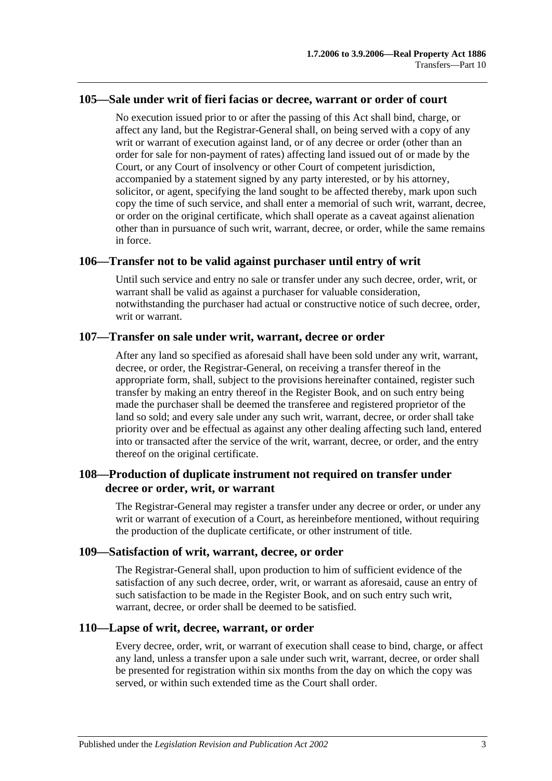## **105—Sale under writ of fieri facias or decree, warrant or order of court**

No execution issued prior to or after the passing of this Act shall bind, charge, or affect any land, but the Registrar-General shall, on being served with a copy of any writ or warrant of execution against land, or of any decree or order (other than an order for sale for non-payment of rates) affecting land issued out of or made by the Court, or any Court of insolvency or other Court of competent jurisdiction, accompanied by a statement signed by any party interested, or by his attorney, solicitor, or agent, specifying the land sought to be affected thereby, mark upon such copy the time of such service, and shall enter a memorial of such writ, warrant, decree, or order on the original certificate, which shall operate as a caveat against alienation other than in pursuance of such writ, warrant, decree, or order, while the same remains in force.

## **106—Transfer not to be valid against purchaser until entry of writ**

Until such service and entry no sale or transfer under any such decree, order, writ, or warrant shall be valid as against a purchaser for valuable consideration, notwithstanding the purchaser had actual or constructive notice of such decree, order, writ or warrant.

#### **107—Transfer on sale under writ, warrant, decree or order**

After any land so specified as aforesaid shall have been sold under any writ, warrant, decree, or order, the Registrar-General, on receiving a transfer thereof in the appropriate form, shall, subject to the provisions hereinafter contained, register such transfer by making an entry thereof in the Register Book, and on such entry being made the purchaser shall be deemed the transferee and registered proprietor of the land so sold; and every sale under any such writ, warrant, decree, or order shall take priority over and be effectual as against any other dealing affecting such land, entered into or transacted after the service of the writ, warrant, decree, or order, and the entry thereof on the original certificate.

## **108—Production of duplicate instrument not required on transfer under decree or order, writ, or warrant**

The Registrar-General may register a transfer under any decree or order, or under any writ or warrant of execution of a Court, as hereinbefore mentioned, without requiring the production of the duplicate certificate, or other instrument of title.

#### **109—Satisfaction of writ, warrant, decree, or order**

The Registrar-General shall, upon production to him of sufficient evidence of the satisfaction of any such decree, order, writ, or warrant as aforesaid, cause an entry of such satisfaction to be made in the Register Book, and on such entry such writ, warrant, decree, or order shall be deemed to be satisfied.

#### **110—Lapse of writ, decree, warrant, or order**

Every decree, order, writ, or warrant of execution shall cease to bind, charge, or affect any land, unless a transfer upon a sale under such writ, warrant, decree, or order shall be presented for registration within six months from the day on which the copy was served, or within such extended time as the Court shall order.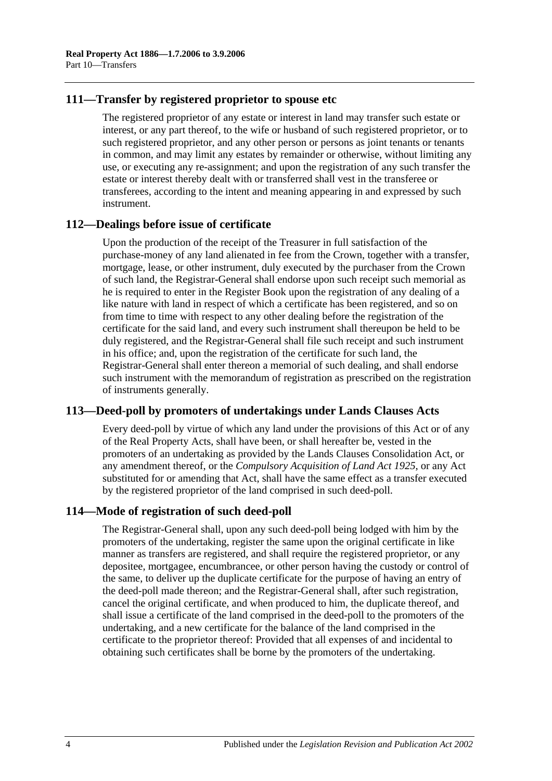## **111—Transfer by registered proprietor to spouse etc**

The registered proprietor of any estate or interest in land may transfer such estate or interest, or any part thereof, to the wife or husband of such registered proprietor, or to such registered proprietor, and any other person or persons as joint tenants or tenants in common, and may limit any estates by remainder or otherwise, without limiting any use, or executing any re-assignment; and upon the registration of any such transfer the estate or interest thereby dealt with or transferred shall vest in the transferee or transferees, according to the intent and meaning appearing in and expressed by such instrument.

## **112—Dealings before issue of certificate**

Upon the production of the receipt of the Treasurer in full satisfaction of the purchase-money of any land alienated in fee from the Crown, together with a transfer, mortgage, lease, or other instrument, duly executed by the purchaser from the Crown of such land, the Registrar-General shall endorse upon such receipt such memorial as he is required to enter in the Register Book upon the registration of any dealing of a like nature with land in respect of which a certificate has been registered, and so on from time to time with respect to any other dealing before the registration of the certificate for the said land, and every such instrument shall thereupon be held to be duly registered, and the Registrar-General shall file such receipt and such instrument in his office; and, upon the registration of the certificate for such land, the Registrar-General shall enter thereon a memorial of such dealing, and shall endorse such instrument with the memorandum of registration as prescribed on the registration of instruments generally.

## **113—Deed-poll by promoters of undertakings under Lands Clauses Acts**

Every deed-poll by virtue of which any land under the provisions of this Act or of any of the Real Property Acts, shall have been, or shall hereafter be, vested in the promoters of an undertaking as provided by the Lands Clauses Consolidation Act, or any amendment thereof, or the *[Compulsory Acquisition of Land Act](http://www.legislation.sa.gov.au/index.aspx?action=legref&type=act&legtitle=Compulsory%20Acquisition%20of%20Land%20Act%201925) 1925*, or any Act substituted for or amending that Act, shall have the same effect as a transfer executed by the registered proprietor of the land comprised in such deed-poll.

## **114—Mode of registration of such deed-poll**

The Registrar-General shall, upon any such deed-poll being lodged with him by the promoters of the undertaking, register the same upon the original certificate in like manner as transfers are registered, and shall require the registered proprietor, or any depositee, mortgagee, encumbrancee, or other person having the custody or control of the same, to deliver up the duplicate certificate for the purpose of having an entry of the deed-poll made thereon; and the Registrar-General shall, after such registration, cancel the original certificate, and when produced to him, the duplicate thereof, and shall issue a certificate of the land comprised in the deed-poll to the promoters of the undertaking, and a new certificate for the balance of the land comprised in the certificate to the proprietor thereof: Provided that all expenses of and incidental to obtaining such certificates shall be borne by the promoters of the undertaking.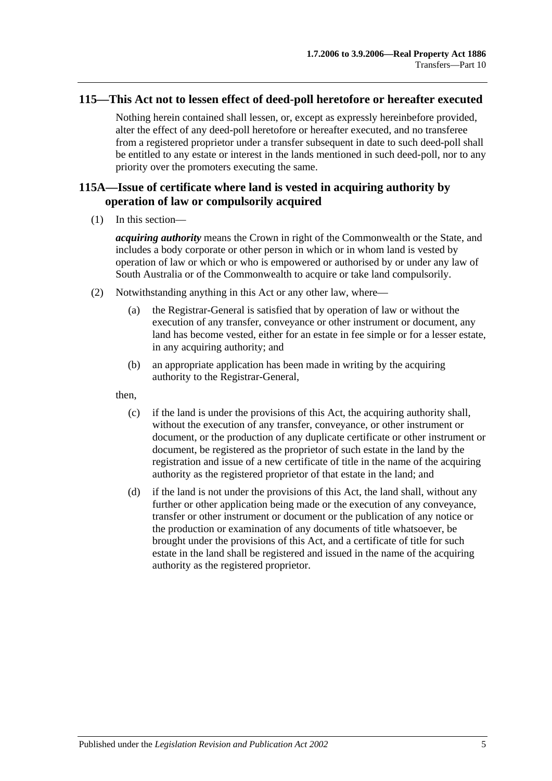## **115—This Act not to lessen effect of deed-poll heretofore or hereafter executed**

Nothing herein contained shall lessen, or, except as expressly hereinbefore provided, alter the effect of any deed-poll heretofore or hereafter executed, and no transferee from a registered proprietor under a transfer subsequent in date to such deed-poll shall be entitled to any estate or interest in the lands mentioned in such deed-poll, nor to any priority over the promoters executing the same.

# **115A—Issue of certificate where land is vested in acquiring authority by operation of law or compulsorily acquired**

(1) In this section—

*acquiring authority* means the Crown in right of the Commonwealth or the State, and includes a body corporate or other person in which or in whom land is vested by operation of law or which or who is empowered or authorised by or under any law of South Australia or of the Commonwealth to acquire or take land compulsorily.

- (2) Notwithstanding anything in this Act or any other law, where—
	- (a) the Registrar-General is satisfied that by operation of law or without the execution of any transfer, conveyance or other instrument or document, any land has become vested, either for an estate in fee simple or for a lesser estate, in any acquiring authority; and
	- (b) an appropriate application has been made in writing by the acquiring authority to the Registrar-General,

then,

- (c) if the land is under the provisions of this Act, the acquiring authority shall, without the execution of any transfer, conveyance, or other instrument or document, or the production of any duplicate certificate or other instrument or document, be registered as the proprietor of such estate in the land by the registration and issue of a new certificate of title in the name of the acquiring authority as the registered proprietor of that estate in the land; and
- (d) if the land is not under the provisions of this Act, the land shall, without any further or other application being made or the execution of any conveyance, transfer or other instrument or document or the publication of any notice or the production or examination of any documents of title whatsoever, be brought under the provisions of this Act, and a certificate of title for such estate in the land shall be registered and issued in the name of the acquiring authority as the registered proprietor.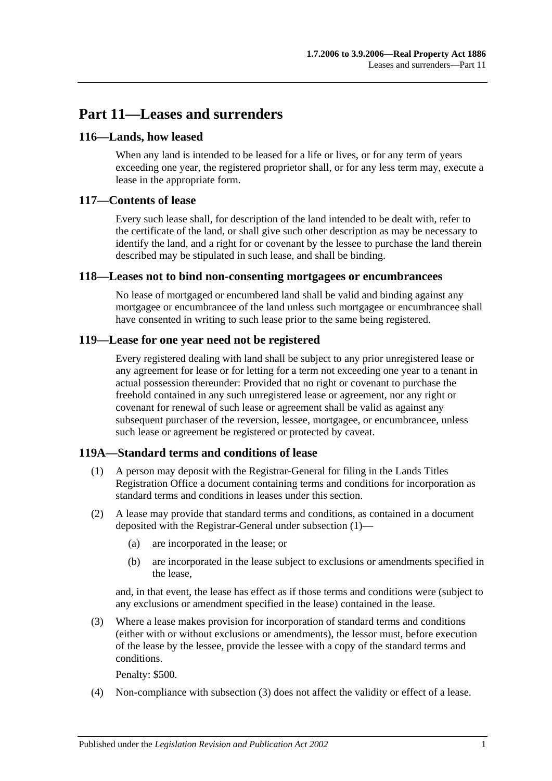# **Part 11—Leases and surrenders**

## **116—Lands, how leased**

When any land is intended to be leased for a life or lives, or for any term of years exceeding one year, the registered proprietor shall, or for any less term may, execute a lease in the appropriate form.

# **117—Contents of lease**

Every such lease shall, for description of the land intended to be dealt with, refer to the certificate of the land, or shall give such other description as may be necessary to identify the land, and a right for or covenant by the lessee to purchase the land therein described may be stipulated in such lease, and shall be binding.

## **118—Leases not to bind non-consenting mortgagees or encumbrancees**

No lease of mortgaged or encumbered land shall be valid and binding against any mortgagee or encumbrancee of the land unless such mortgagee or encumbrancee shall have consented in writing to such lease prior to the same being registered.

# **119—Lease for one year need not be registered**

Every registered dealing with land shall be subject to any prior unregistered lease or any agreement for lease or for letting for a term not exceeding one year to a tenant in actual possession thereunder: Provided that no right or covenant to purchase the freehold contained in any such unregistered lease or agreement, nor any right or covenant for renewal of such lease or agreement shall be valid as against any subsequent purchaser of the reversion, lessee, mortgagee, or encumbrancee, unless such lease or agreement be registered or protected by caveat.

## <span id="page-58-0"></span>**119A—Standard terms and conditions of lease**

- (1) A person may deposit with the Registrar-General for filing in the Lands Titles Registration Office a document containing terms and conditions for incorporation as standard terms and conditions in leases under this section.
- (2) A lease may provide that standard terms and conditions, as contained in a document deposited with the Registrar-General under [subsection](#page-58-0) (1)—
	- (a) are incorporated in the lease; or
	- (b) are incorporated in the lease subject to exclusions or amendments specified in the lease,

and, in that event, the lease has effect as if those terms and conditions were (subject to any exclusions or amendment specified in the lease) contained in the lease.

<span id="page-58-1"></span>(3) Where a lease makes provision for incorporation of standard terms and conditions (either with or without exclusions or amendments), the lessor must, before execution of the lease by the lessee, provide the lessee with a copy of the standard terms and conditions.

Penalty: \$500.

(4) Non-compliance with [subsection](#page-58-1) (3) does not affect the validity or effect of a lease.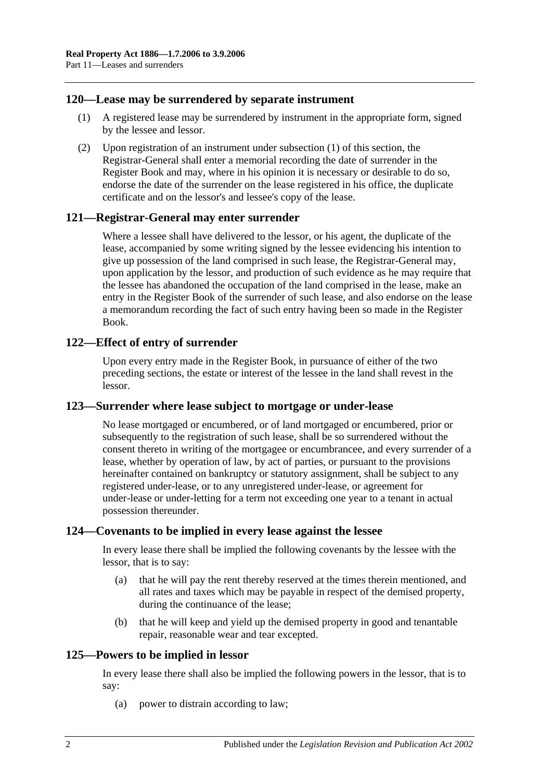## <span id="page-59-0"></span>**120—Lease may be surrendered by separate instrument**

- (1) A registered lease may be surrendered by instrument in the appropriate form, signed by the lessee and lessor.
- (2) Upon registration of an instrument under [subsection](#page-59-0) (1) of this section, the Registrar-General shall enter a memorial recording the date of surrender in the Register Book and may, where in his opinion it is necessary or desirable to do so, endorse the date of the surrender on the lease registered in his office, the duplicate certificate and on the lessor's and lessee's copy of the lease.

#### **121—Registrar-General may enter surrender**

Where a lessee shall have delivered to the lessor, or his agent, the duplicate of the lease, accompanied by some writing signed by the lessee evidencing his intention to give up possession of the land comprised in such lease, the Registrar-General may, upon application by the lessor, and production of such evidence as he may require that the lessee has abandoned the occupation of the land comprised in the lease, make an entry in the Register Book of the surrender of such lease, and also endorse on the lease a memorandum recording the fact of such entry having been so made in the Register Book.

## **122—Effect of entry of surrender**

Upon every entry made in the Register Book, in pursuance of either of the two preceding sections, the estate or interest of the lessee in the land shall revest in the lessor.

#### **123—Surrender where lease subject to mortgage or under-lease**

No lease mortgaged or encumbered, or of land mortgaged or encumbered, prior or subsequently to the registration of such lease, shall be so surrendered without the consent thereto in writing of the mortgagee or encumbrancee, and every surrender of a lease, whether by operation of law, by act of parties, or pursuant to the provisions hereinafter contained on bankruptcy or statutory assignment, shall be subject to any registered under-lease, or to any unregistered under-lease, or agreement for under-lease or under-letting for a term not exceeding one year to a tenant in actual possession thereunder.

#### **124—Covenants to be implied in every lease against the lessee**

In every lease there shall be implied the following covenants by the lessee with the lessor, that is to say:

- (a) that he will pay the rent thereby reserved at the times therein mentioned, and all rates and taxes which may be payable in respect of the demised property, during the continuance of the lease;
- (b) that he will keep and yield up the demised property in good and tenantable repair, reasonable wear and tear excepted.

## **125—Powers to be implied in lessor**

In every lease there shall also be implied the following powers in the lessor, that is to say:

(a) power to distrain according to law;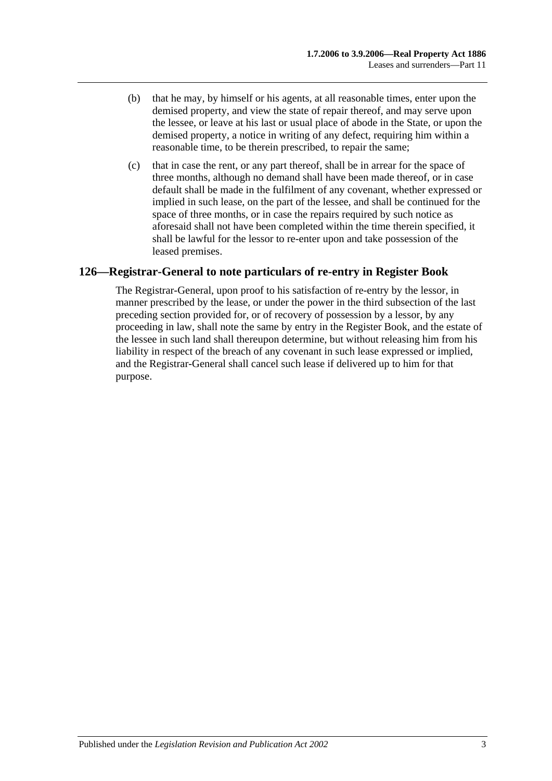- (b) that he may, by himself or his agents, at all reasonable times, enter upon the demised property, and view the state of repair thereof, and may serve upon the lessee, or leave at his last or usual place of abode in the State, or upon the demised property, a notice in writing of any defect, requiring him within a reasonable time, to be therein prescribed, to repair the same;
- (c) that in case the rent, or any part thereof, shall be in arrear for the space of three months, although no demand shall have been made thereof, or in case default shall be made in the fulfilment of any covenant, whether expressed or implied in such lease, on the part of the lessee, and shall be continued for the space of three months, or in case the repairs required by such notice as aforesaid shall not have been completed within the time therein specified, it shall be lawful for the lessor to re-enter upon and take possession of the leased premises.

# **126—Registrar-General to note particulars of re-entry in Register Book**

The Registrar-General, upon proof to his satisfaction of re-entry by the lessor, in manner prescribed by the lease, or under the power in the third subsection of the last preceding section provided for, or of recovery of possession by a lessor, by any proceeding in law, shall note the same by entry in the Register Book, and the estate of the lessee in such land shall thereupon determine, but without releasing him from his liability in respect of the breach of any covenant in such lease expressed or implied, and the Registrar-General shall cancel such lease if delivered up to him for that purpose.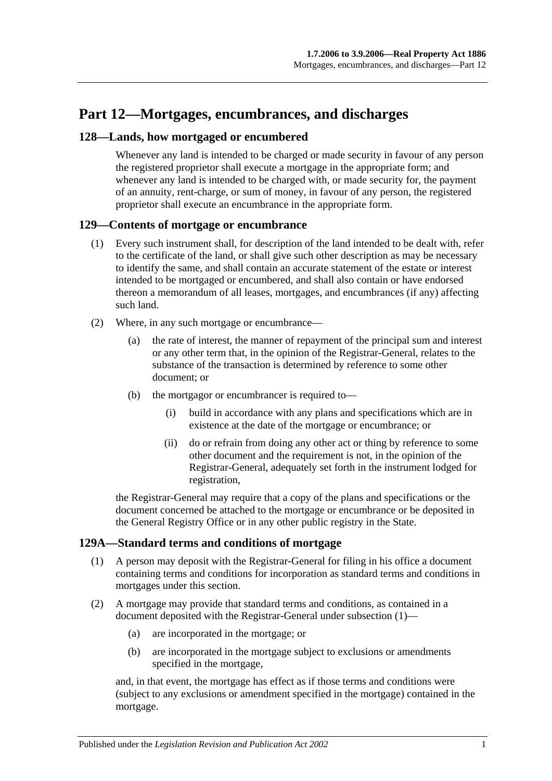# **Part 12—Mortgages, encumbrances, and discharges**

## **128—Lands, how mortgaged or encumbered**

Whenever any land is intended to be charged or made security in favour of any person the registered proprietor shall execute a mortgage in the appropriate form; and whenever any land is intended to be charged with, or made security for, the payment of an annuity, rent-charge, or sum of money, in favour of any person, the registered proprietor shall execute an encumbrance in the appropriate form.

#### **129—Contents of mortgage or encumbrance**

- (1) Every such instrument shall, for description of the land intended to be dealt with, refer to the certificate of the land, or shall give such other description as may be necessary to identify the same, and shall contain an accurate statement of the estate or interest intended to be mortgaged or encumbered, and shall also contain or have endorsed thereon a memorandum of all leases, mortgages, and encumbrances (if any) affecting such land.
- (2) Where, in any such mortgage or encumbrance—
	- (a) the rate of interest, the manner of repayment of the principal sum and interest or any other term that, in the opinion of the Registrar-General, relates to the substance of the transaction is determined by reference to some other document; or
	- (b) the mortgagor or encumbrancer is required to—
		- (i) build in accordance with any plans and specifications which are in existence at the date of the mortgage or encumbrance; or
		- (ii) do or refrain from doing any other act or thing by reference to some other document and the requirement is not, in the opinion of the Registrar-General, adequately set forth in the instrument lodged for registration,

the Registrar-General may require that a copy of the plans and specifications or the document concerned be attached to the mortgage or encumbrance or be deposited in the General Registry Office or in any other public registry in the State.

#### <span id="page-62-0"></span>**129A—Standard terms and conditions of mortgage**

- (1) A person may deposit with the Registrar-General for filing in his office a document containing terms and conditions for incorporation as standard terms and conditions in mortgages under this section.
- (2) A mortgage may provide that standard terms and conditions, as contained in a document deposited with the Registrar-General under [subsection](#page-62-0) (1)—
	- (a) are incorporated in the mortgage; or
	- (b) are incorporated in the mortgage subject to exclusions or amendments specified in the mortgage,

and, in that event, the mortgage has effect as if those terms and conditions were (subject to any exclusions or amendment specified in the mortgage) contained in the mortgage.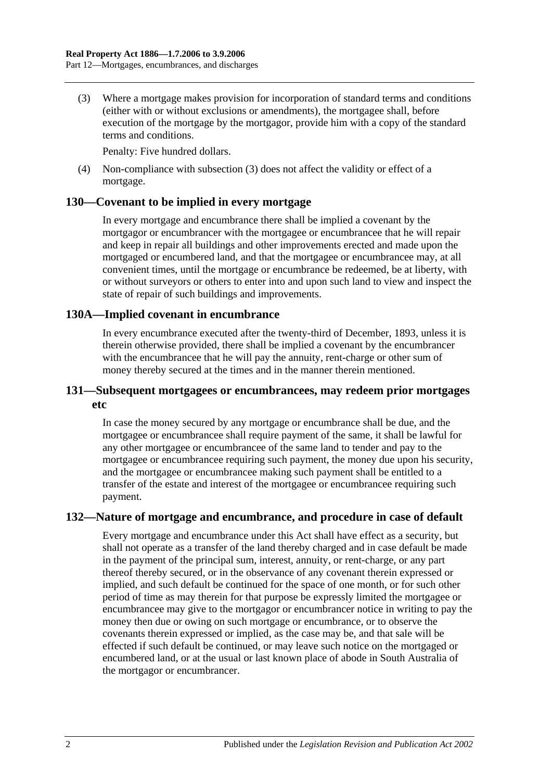<span id="page-63-0"></span>(3) Where a mortgage makes provision for incorporation of standard terms and conditions (either with or without exclusions or amendments), the mortgagee shall, before execution of the mortgage by the mortgagor, provide him with a copy of the standard terms and conditions.

Penalty: Five hundred dollars.

(4) Non-compliance with [subsection](#page-63-0) (3) does not affect the validity or effect of a mortgage.

## **130—Covenant to be implied in every mortgage**

In every mortgage and encumbrance there shall be implied a covenant by the mortgagor or encumbrancer with the mortgagee or encumbrancee that he will repair and keep in repair all buildings and other improvements erected and made upon the mortgaged or encumbered land, and that the mortgagee or encumbrancee may, at all convenient times, until the mortgage or encumbrance be redeemed, be at liberty, with or without surveyors or others to enter into and upon such land to view and inspect the state of repair of such buildings and improvements.

#### **130A—Implied covenant in encumbrance**

In every encumbrance executed after the twenty-third of December, 1893, unless it is therein otherwise provided, there shall be implied a covenant by the encumbrancer with the encumbrancee that he will pay the annuity, rent-charge or other sum of money thereby secured at the times and in the manner therein mentioned.

## **131—Subsequent mortgagees or encumbrancees, may redeem prior mortgages etc**

In case the money secured by any mortgage or encumbrance shall be due, and the mortgagee or encumbrancee shall require payment of the same, it shall be lawful for any other mortgagee or encumbrancee of the same land to tender and pay to the mortgagee or encumbrancee requiring such payment, the money due upon his security, and the mortgagee or encumbrancee making such payment shall be entitled to a transfer of the estate and interest of the mortgagee or encumbrancee requiring such payment.

## **132—Nature of mortgage and encumbrance, and procedure in case of default**

Every mortgage and encumbrance under this Act shall have effect as a security, but shall not operate as a transfer of the land thereby charged and in case default be made in the payment of the principal sum, interest, annuity, or rent-charge, or any part thereof thereby secured, or in the observance of any covenant therein expressed or implied, and such default be continued for the space of one month, or for such other period of time as may therein for that purpose be expressly limited the mortgagee or encumbrancee may give to the mortgagor or encumbrancer notice in writing to pay the money then due or owing on such mortgage or encumbrance, or to observe the covenants therein expressed or implied, as the case may be, and that sale will be effected if such default be continued, or may leave such notice on the mortgaged or encumbered land, or at the usual or last known place of abode in South Australia of the mortgagor or encumbrancer.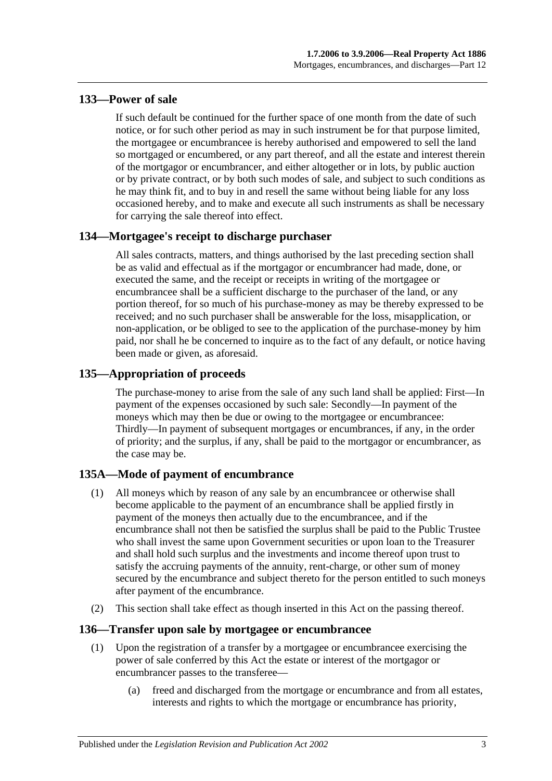# **133—Power of sale**

If such default be continued for the further space of one month from the date of such notice, or for such other period as may in such instrument be for that purpose limited, the mortgagee or encumbrancee is hereby authorised and empowered to sell the land so mortgaged or encumbered, or any part thereof, and all the estate and interest therein of the mortgagor or encumbrancer, and either altogether or in lots, by public auction or by private contract, or by both such modes of sale, and subject to such conditions as he may think fit, and to buy in and resell the same without being liable for any loss occasioned hereby, and to make and execute all such instruments as shall be necessary for carrying the sale thereof into effect.

# **134—Mortgagee's receipt to discharge purchaser**

All sales contracts, matters, and things authorised by the last preceding section shall be as valid and effectual as if the mortgagor or encumbrancer had made, done, or executed the same, and the receipt or receipts in writing of the mortgagee or encumbrancee shall be a sufficient discharge to the purchaser of the land, or any portion thereof, for so much of his purchase-money as may be thereby expressed to be received; and no such purchaser shall be answerable for the loss, misapplication, or non-application, or be obliged to see to the application of the purchase-money by him paid, nor shall he be concerned to inquire as to the fact of any default, or notice having been made or given, as aforesaid.

# **135—Appropriation of proceeds**

The purchase-money to arise from the sale of any such land shall be applied: First—In payment of the expenses occasioned by such sale: Secondly—In payment of the moneys which may then be due or owing to the mortgagee or encumbrancee: Thirdly—In payment of subsequent mortgages or encumbrances, if any, in the order of priority; and the surplus, if any, shall be paid to the mortgagor or encumbrancer, as the case may be.

# **135A—Mode of payment of encumbrance**

- (1) All moneys which by reason of any sale by an encumbrancee or otherwise shall become applicable to the payment of an encumbrance shall be applied firstly in payment of the moneys then actually due to the encumbrancee, and if the encumbrance shall not then be satisfied the surplus shall be paid to the Public Trustee who shall invest the same upon Government securities or upon loan to the Treasurer and shall hold such surplus and the investments and income thereof upon trust to satisfy the accruing payments of the annuity, rent-charge, or other sum of money secured by the encumbrance and subject thereto for the person entitled to such moneys after payment of the encumbrance.
- (2) This section shall take effect as though inserted in this Act on the passing thereof.

## **136—Transfer upon sale by mortgagee or encumbrancee**

- (1) Upon the registration of a transfer by a mortgagee or encumbrancee exercising the power of sale conferred by this Act the estate or interest of the mortgagor or encumbrancer passes to the transferee—
	- (a) freed and discharged from the mortgage or encumbrance and from all estates, interests and rights to which the mortgage or encumbrance has priority,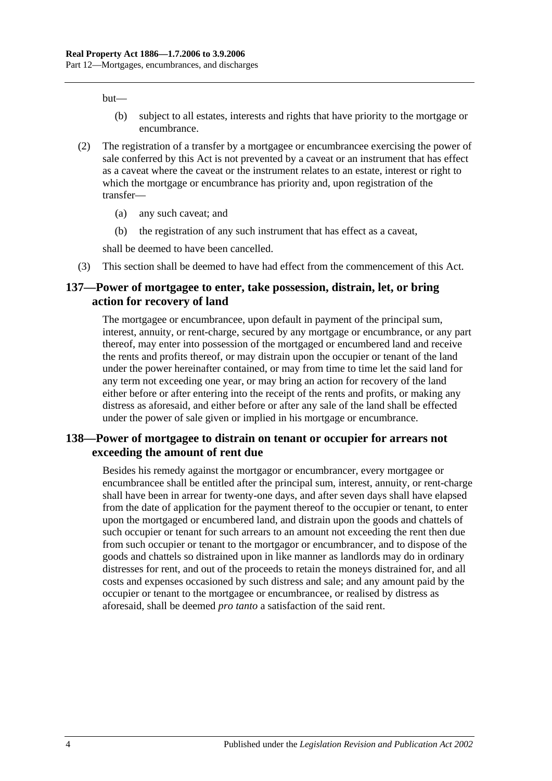but—

- (b) subject to all estates, interests and rights that have priority to the mortgage or encumbrance.
- (2) The registration of a transfer by a mortgagee or encumbrancee exercising the power of sale conferred by this Act is not prevented by a caveat or an instrument that has effect as a caveat where the caveat or the instrument relates to an estate, interest or right to which the mortgage or encumbrance has priority and, upon registration of the transfer—
	- (a) any such caveat; and
	- (b) the registration of any such instrument that has effect as a caveat,

shall be deemed to have been cancelled.

(3) This section shall be deemed to have had effect from the commencement of this Act.

## **137—Power of mortgagee to enter, take possession, distrain, let, or bring action for recovery of land**

The mortgagee or encumbrancee, upon default in payment of the principal sum, interest, annuity, or rent-charge, secured by any mortgage or encumbrance, or any part thereof, may enter into possession of the mortgaged or encumbered land and receive the rents and profits thereof, or may distrain upon the occupier or tenant of the land under the power hereinafter contained, or may from time to time let the said land for any term not exceeding one year, or may bring an action for recovery of the land either before or after entering into the receipt of the rents and profits, or making any distress as aforesaid, and either before or after any sale of the land shall be effected under the power of sale given or implied in his mortgage or encumbrance.

## **138—Power of mortgagee to distrain on tenant or occupier for arrears not exceeding the amount of rent due**

Besides his remedy against the mortgagor or encumbrancer, every mortgagee or encumbrancee shall be entitled after the principal sum, interest, annuity, or rent-charge shall have been in arrear for twenty-one days, and after seven days shall have elapsed from the date of application for the payment thereof to the occupier or tenant, to enter upon the mortgaged or encumbered land, and distrain upon the goods and chattels of such occupier or tenant for such arrears to an amount not exceeding the rent then due from such occupier or tenant to the mortgagor or encumbrancer, and to dispose of the goods and chattels so distrained upon in like manner as landlords may do in ordinary distresses for rent, and out of the proceeds to retain the moneys distrained for, and all costs and expenses occasioned by such distress and sale; and any amount paid by the occupier or tenant to the mortgagee or encumbrancee, or realised by distress as aforesaid, shall be deemed *pro tanto* a satisfaction of the said rent.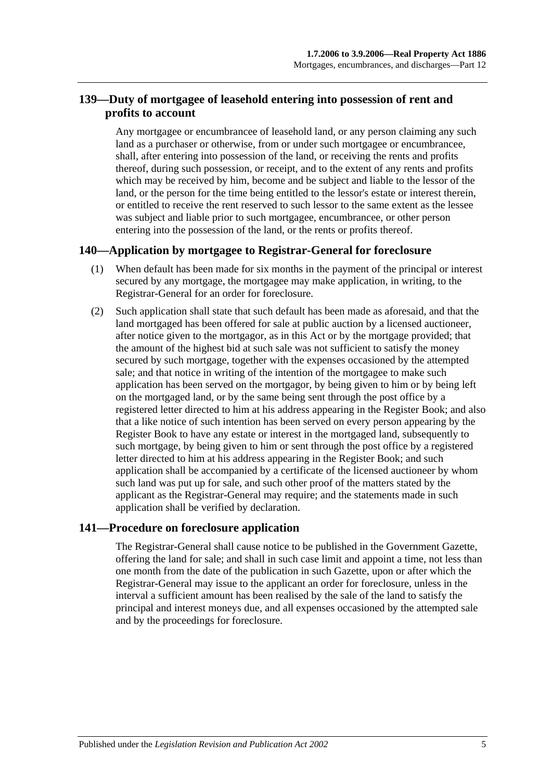# **139—Duty of mortgagee of leasehold entering into possession of rent and profits to account**

Any mortgagee or encumbrancee of leasehold land, or any person claiming any such land as a purchaser or otherwise, from or under such mortgagee or encumbrancee, shall, after entering into possession of the land, or receiving the rents and profits thereof, during such possession, or receipt, and to the extent of any rents and profits which may be received by him, become and be subject and liable to the lessor of the land, or the person for the time being entitled to the lessor's estate or interest therein, or entitled to receive the rent reserved to such lessor to the same extent as the lessee was subject and liable prior to such mortgagee, encumbrancee, or other person entering into the possession of the land, or the rents or profits thereof.

## **140—Application by mortgagee to Registrar-General for foreclosure**

- (1) When default has been made for six months in the payment of the principal or interest secured by any mortgage, the mortgagee may make application, in writing, to the Registrar-General for an order for foreclosure.
- (2) Such application shall state that such default has been made as aforesaid, and that the land mortgaged has been offered for sale at public auction by a licensed auctioneer, after notice given to the mortgagor, as in this Act or by the mortgage provided; that the amount of the highest bid at such sale was not sufficient to satisfy the money secured by such mortgage, together with the expenses occasioned by the attempted sale; and that notice in writing of the intention of the mortgagee to make such application has been served on the mortgagor, by being given to him or by being left on the mortgaged land, or by the same being sent through the post office by a registered letter directed to him at his address appearing in the Register Book; and also that a like notice of such intention has been served on every person appearing by the Register Book to have any estate or interest in the mortgaged land, subsequently to such mortgage, by being given to him or sent through the post office by a registered letter directed to him at his address appearing in the Register Book; and such application shall be accompanied by a certificate of the licensed auctioneer by whom such land was put up for sale, and such other proof of the matters stated by the applicant as the Registrar-General may require; and the statements made in such application shall be verified by declaration.

## **141—Procedure on foreclosure application**

The Registrar-General shall cause notice to be published in the Government Gazette, offering the land for sale; and shall in such case limit and appoint a time, not less than one month from the date of the publication in such Gazette, upon or after which the Registrar-General may issue to the applicant an order for foreclosure, unless in the interval a sufficient amount has been realised by the sale of the land to satisfy the principal and interest moneys due, and all expenses occasioned by the attempted sale and by the proceedings for foreclosure.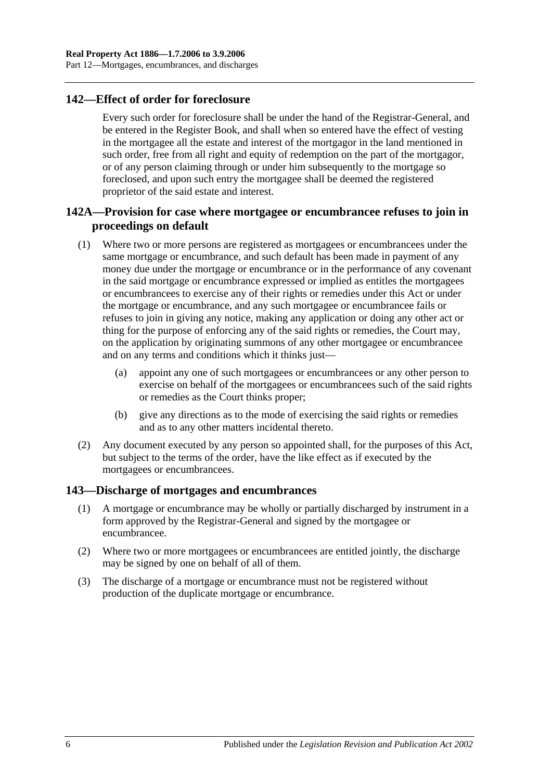# **142—Effect of order for foreclosure**

Every such order for foreclosure shall be under the hand of the Registrar-General, and be entered in the Register Book, and shall when so entered have the effect of vesting in the mortgagee all the estate and interest of the mortgagor in the land mentioned in such order, free from all right and equity of redemption on the part of the mortgagor, or of any person claiming through or under him subsequently to the mortgage so foreclosed, and upon such entry the mortgagee shall be deemed the registered proprietor of the said estate and interest.

# **142A—Provision for case where mortgagee or encumbrancee refuses to join in proceedings on default**

- (1) Where two or more persons are registered as mortgagees or encumbrancees under the same mortgage or encumbrance, and such default has been made in payment of any money due under the mortgage or encumbrance or in the performance of any covenant in the said mortgage or encumbrance expressed or implied as entitles the mortgagees or encumbrancees to exercise any of their rights or remedies under this Act or under the mortgage or encumbrance, and any such mortgagee or encumbrancee fails or refuses to join in giving any notice, making any application or doing any other act or thing for the purpose of enforcing any of the said rights or remedies, the Court may, on the application by originating summons of any other mortgagee or encumbrancee and on any terms and conditions which it thinks just—
	- (a) appoint any one of such mortgagees or encumbrancees or any other person to exercise on behalf of the mortgagees or encumbrancees such of the said rights or remedies as the Court thinks proper;
	- (b) give any directions as to the mode of exercising the said rights or remedies and as to any other matters incidental thereto.
- (2) Any document executed by any person so appointed shall, for the purposes of this Act, but subject to the terms of the order, have the like effect as if executed by the mortgagees or encumbrancees.

#### **143—Discharge of mortgages and encumbrances**

- (1) A mortgage or encumbrance may be wholly or partially discharged by instrument in a form approved by the Registrar-General and signed by the mortgagee or encumbrancee.
- (2) Where two or more mortgagees or encumbrancees are entitled jointly, the discharge may be signed by one on behalf of all of them.
- (3) The discharge of a mortgage or encumbrance must not be registered without production of the duplicate mortgage or encumbrance.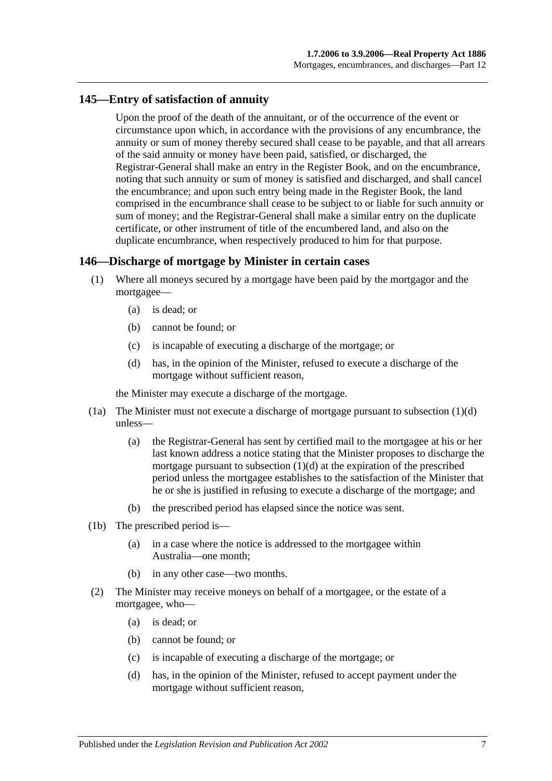## **145—Entry of satisfaction of annuity**

Upon the proof of the death of the annuitant, or of the occurrence of the event or circumstance upon which, in accordance with the provisions of any encumbrance, the annuity or sum of money thereby secured shall cease to be payable, and that all arrears of the said annuity or money have been paid, satisfied, or discharged, the Registrar-General shall make an entry in the Register Book, and on the encumbrance, noting that such annuity or sum of money is satisfied and discharged, and shall cancel the encumbrance; and upon such entry being made in the Register Book, the land comprised in the encumbrance shall cease to be subject to or liable for such annuity or sum of money; and the Registrar-General shall make a similar entry on the duplicate certificate, or other instrument of title of the encumbered land, and also on the duplicate encumbrance, when respectively produced to him for that purpose.

## **146—Discharge of mortgage by Minister in certain cases**

- (1) Where all moneys secured by a mortgage have been paid by the mortgagor and the mortgagee—
	- (a) is dead; or
	- (b) cannot be found; or
	- (c) is incapable of executing a discharge of the mortgage; or
	- (d) has, in the opinion of the Minister, refused to execute a discharge of the mortgage without sufficient reason,

<span id="page-68-0"></span>the Minister may execute a discharge of the mortgage.

- (1a) The Minister must not execute a discharge of mortgage pursuant to [subsection](#page-68-0) (1)(d) unless—
	- (a) the Registrar-General has sent by certified mail to the mortgagee at his or her last known address a notice stating that the Minister proposes to discharge the mortgage pursuant to [subsection](#page-68-0)  $(1)(d)$  at the expiration of the prescribed period unless the mortgagee establishes to the satisfaction of the Minister that he or she is justified in refusing to execute a discharge of the mortgage; and
	- (b) the prescribed period has elapsed since the notice was sent.
- (1b) The prescribed period is—
	- (a) in a case where the notice is addressed to the mortgagee within Australia—one month;
	- (b) in any other case—two months.
- <span id="page-68-1"></span>(2) The Minister may receive moneys on behalf of a mortgagee, or the estate of a mortgagee, who—
	- (a) is dead; or
	- (b) cannot be found; or
	- (c) is incapable of executing a discharge of the mortgage; or
	- (d) has, in the opinion of the Minister, refused to accept payment under the mortgage without sufficient reason,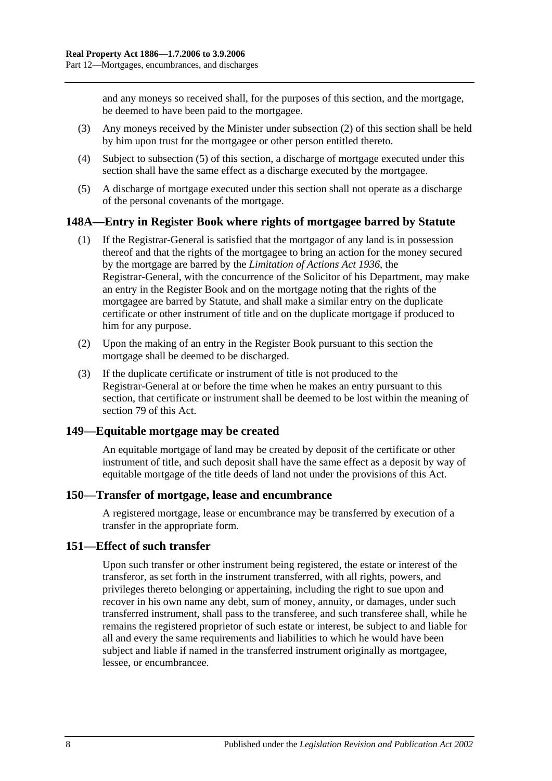and any moneys so received shall, for the purposes of this section, and the mortgage, be deemed to have been paid to the mortgagee.

- (3) Any moneys received by the Minister under [subsection](#page-68-1) (2) of this section shall be held by him upon trust for the mortgagee or other person entitled thereto.
- (4) Subject to [subsection](#page-69-0) (5) of this section, a discharge of mortgage executed under this section shall have the same effect as a discharge executed by the mortgagee.
- <span id="page-69-0"></span>(5) A discharge of mortgage executed under this section shall not operate as a discharge of the personal covenants of the mortgage.

## **148A—Entry in Register Book where rights of mortgagee barred by Statute**

- (1) If the Registrar-General is satisfied that the mortgagor of any land is in possession thereof and that the rights of the mortgagee to bring an action for the money secured by the mortgage are barred by the *[Limitation of Actions Act](http://www.legislation.sa.gov.au/index.aspx?action=legref&type=act&legtitle=Limitation%20of%20Actions%20Act%201936) 1936*, the Registrar-General, with the concurrence of the Solicitor of his Department, may make an entry in the Register Book and on the mortgage noting that the rights of the mortgagee are barred by Statute, and shall make a similar entry on the duplicate certificate or other instrument of title and on the duplicate mortgage if produced to him for any purpose.
- (2) Upon the making of an entry in the Register Book pursuant to this section the mortgage shall be deemed to be discharged.
- (3) If the duplicate certificate or instrument of title is not produced to the Registrar-General at or before the time when he makes an entry pursuant to this section, that certificate or instrument shall be deemed to be lost within the meaning of [section](#page-39-0) 79 of this Act.

## **149—Equitable mortgage may be created**

An equitable mortgage of land may be created by deposit of the certificate or other instrument of title, and such deposit shall have the same effect as a deposit by way of equitable mortgage of the title deeds of land not under the provisions of this Act.

#### **150—Transfer of mortgage, lease and encumbrance**

A registered mortgage, lease or encumbrance may be transferred by execution of a transfer in the appropriate form.

## **151—Effect of such transfer**

Upon such transfer or other instrument being registered, the estate or interest of the transferor, as set forth in the instrument transferred, with all rights, powers, and privileges thereto belonging or appertaining, including the right to sue upon and recover in his own name any debt, sum of money, annuity, or damages, under such transferred instrument, shall pass to the transferee, and such transferee shall, while he remains the registered proprietor of such estate or interest, be subject to and liable for all and every the same requirements and liabilities to which he would have been subject and liable if named in the transferred instrument originally as mortgagee, lessee, or encumbrancee.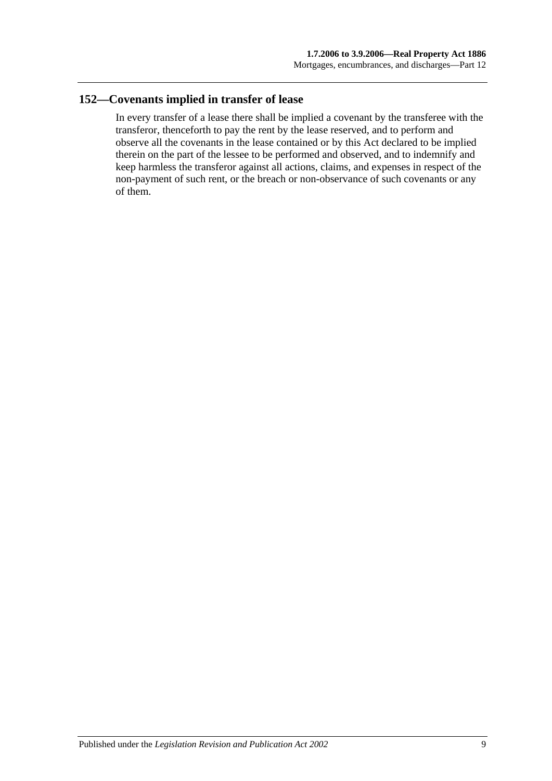# **152—Covenants implied in transfer of lease**

In every transfer of a lease there shall be implied a covenant by the transferee with the transferor, thenceforth to pay the rent by the lease reserved, and to perform and observe all the covenants in the lease contained or by this Act declared to be implied therein on the part of the lessee to be performed and observed, and to indemnify and keep harmless the transferor against all actions, claims, and expenses in respect of the non-payment of such rent, or the breach or non-observance of such covenants or any of them.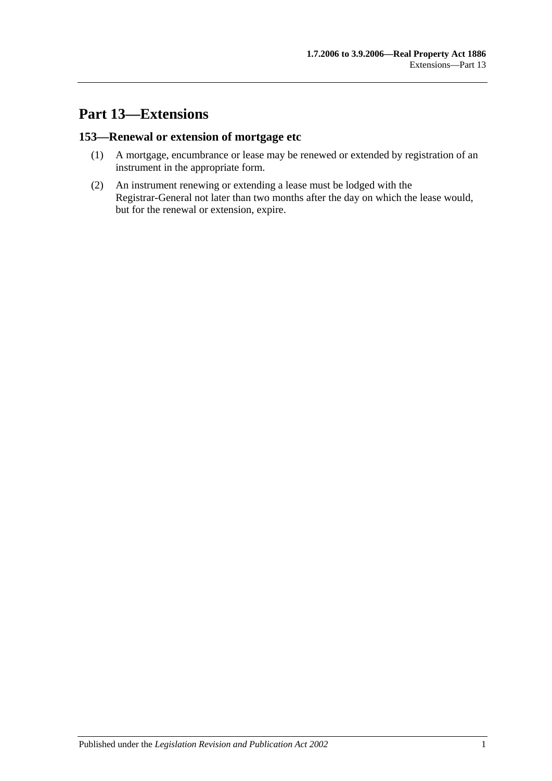# **Part 13—Extensions**

## **153—Renewal or extension of mortgage etc**

- (1) A mortgage, encumbrance or lease may be renewed or extended by registration of an instrument in the appropriate form.
- (2) An instrument renewing or extending a lease must be lodged with the Registrar-General not later than two months after the day on which the lease would, but for the renewal or extension, expire.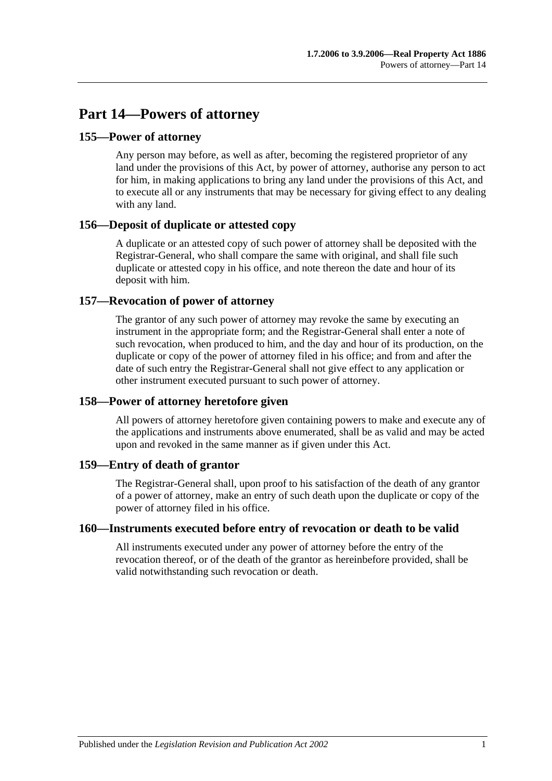# **Part 14—Powers of attorney**

## **155—Power of attorney**

Any person may before, as well as after, becoming the registered proprietor of any land under the provisions of this Act, by power of attorney, authorise any person to act for him, in making applications to bring any land under the provisions of this Act, and to execute all or any instruments that may be necessary for giving effect to any dealing with any land.

## **156—Deposit of duplicate or attested copy**

A duplicate or an attested copy of such power of attorney shall be deposited with the Registrar-General, who shall compare the same with original, and shall file such duplicate or attested copy in his office, and note thereon the date and hour of its deposit with him.

## **157—Revocation of power of attorney**

The grantor of any such power of attorney may revoke the same by executing an instrument in the appropriate form; and the Registrar-General shall enter a note of such revocation, when produced to him, and the day and hour of its production, on the duplicate or copy of the power of attorney filed in his office; and from and after the date of such entry the Registrar-General shall not give effect to any application or other instrument executed pursuant to such power of attorney.

## **158—Power of attorney heretofore given**

All powers of attorney heretofore given containing powers to make and execute any of the applications and instruments above enumerated, shall be as valid and may be acted upon and revoked in the same manner as if given under this Act.

## **159—Entry of death of grantor**

The Registrar-General shall, upon proof to his satisfaction of the death of any grantor of a power of attorney, make an entry of such death upon the duplicate or copy of the power of attorney filed in his office.

## **160—Instruments executed before entry of revocation or death to be valid**

All instruments executed under any power of attorney before the entry of the revocation thereof, or of the death of the grantor as hereinbefore provided, shall be valid notwithstanding such revocation or death.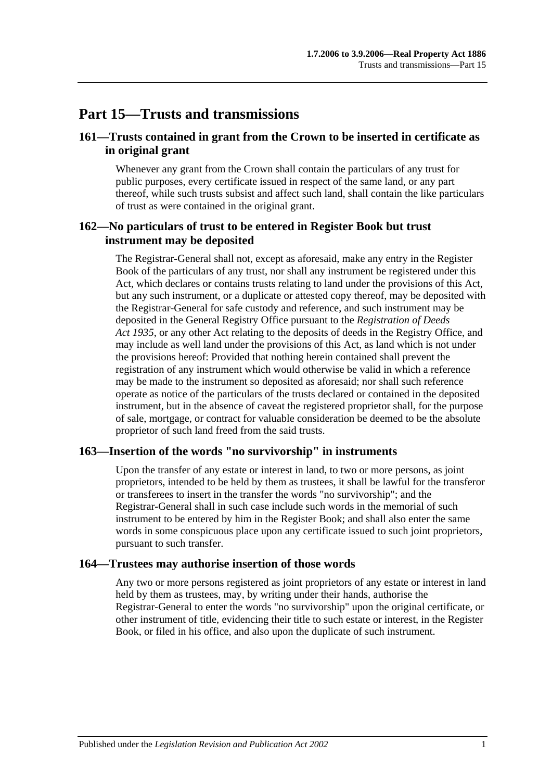## **Part 15—Trusts and transmissions**

## **161—Trusts contained in grant from the Crown to be inserted in certificate as in original grant**

Whenever any grant from the Crown shall contain the particulars of any trust for public purposes, every certificate issued in respect of the same land, or any part thereof, while such trusts subsist and affect such land, shall contain the like particulars of trust as were contained in the original grant.

## **162—No particulars of trust to be entered in Register Book but trust instrument may be deposited**

The Registrar-General shall not, except as aforesaid, make any entry in the Register Book of the particulars of any trust, nor shall any instrument be registered under this Act, which declares or contains trusts relating to land under the provisions of this Act, but any such instrument, or a duplicate or attested copy thereof, may be deposited with the Registrar-General for safe custody and reference, and such instrument may be deposited in the General Registry Office pursuant to the *[Registration of Deeds](http://www.legislation.sa.gov.au/index.aspx?action=legref&type=act&legtitle=Registration%20of%20Deeds%20Act%201935)  Act [1935](http://www.legislation.sa.gov.au/index.aspx?action=legref&type=act&legtitle=Registration%20of%20Deeds%20Act%201935)*, or any other Act relating to the deposits of deeds in the Registry Office, and may include as well land under the provisions of this Act, as land which is not under the provisions hereof: Provided that nothing herein contained shall prevent the registration of any instrument which would otherwise be valid in which a reference may be made to the instrument so deposited as aforesaid; nor shall such reference operate as notice of the particulars of the trusts declared or contained in the deposited instrument, but in the absence of caveat the registered proprietor shall, for the purpose of sale, mortgage, or contract for valuable consideration be deemed to be the absolute proprietor of such land freed from the said trusts.

#### **163—Insertion of the words "no survivorship" in instruments**

Upon the transfer of any estate or interest in land, to two or more persons, as joint proprietors, intended to be held by them as trustees, it shall be lawful for the transferor or transferees to insert in the transfer the words "no survivorship"; and the Registrar-General shall in such case include such words in the memorial of such instrument to be entered by him in the Register Book; and shall also enter the same words in some conspicuous place upon any certificate issued to such joint proprietors, pursuant to such transfer.

#### **164—Trustees may authorise insertion of those words**

Any two or more persons registered as joint proprietors of any estate or interest in land held by them as trustees, may, by writing under their hands, authorise the Registrar-General to enter the words "no survivorship" upon the original certificate, or other instrument of title, evidencing their title to such estate or interest, in the Register Book, or filed in his office, and also upon the duplicate of such instrument.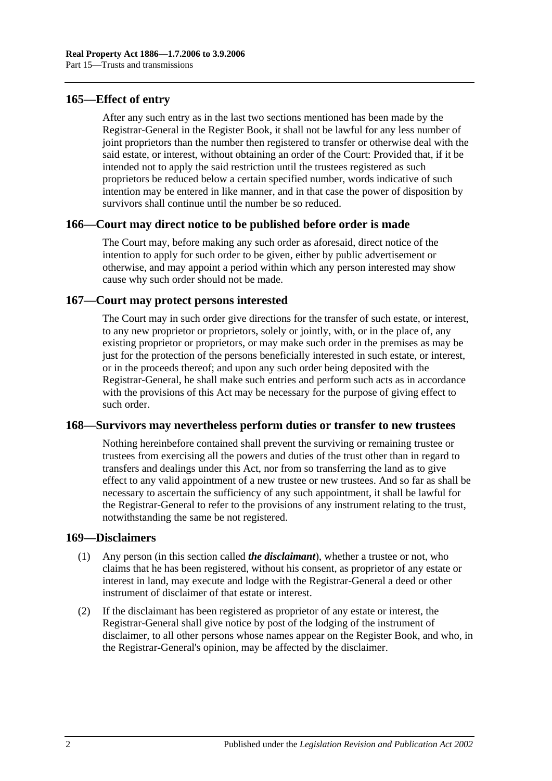## **165—Effect of entry**

After any such entry as in the last two sections mentioned has been made by the Registrar-General in the Register Book, it shall not be lawful for any less number of joint proprietors than the number then registered to transfer or otherwise deal with the said estate, or interest, without obtaining an order of the Court: Provided that, if it be intended not to apply the said restriction until the trustees registered as such proprietors be reduced below a certain specified number, words indicative of such intention may be entered in like manner, and in that case the power of disposition by survivors shall continue until the number be so reduced.

## **166—Court may direct notice to be published before order is made**

The Court may, before making any such order as aforesaid, direct notice of the intention to apply for such order to be given, either by public advertisement or otherwise, and may appoint a period within which any person interested may show cause why such order should not be made.

## **167—Court may protect persons interested**

The Court may in such order give directions for the transfer of such estate, or interest, to any new proprietor or proprietors, solely or jointly, with, or in the place of, any existing proprietor or proprietors, or may make such order in the premises as may be just for the protection of the persons beneficially interested in such estate, or interest, or in the proceeds thereof; and upon any such order being deposited with the Registrar-General, he shall make such entries and perform such acts as in accordance with the provisions of this Act may be necessary for the purpose of giving effect to such order.

#### **168—Survivors may nevertheless perform duties or transfer to new trustees**

Nothing hereinbefore contained shall prevent the surviving or remaining trustee or trustees from exercising all the powers and duties of the trust other than in regard to transfers and dealings under this Act, nor from so transferring the land as to give effect to any valid appointment of a new trustee or new trustees. And so far as shall be necessary to ascertain the sufficiency of any such appointment, it shall be lawful for the Registrar-General to refer to the provisions of any instrument relating to the trust, notwithstanding the same be not registered.

#### **169—Disclaimers**

- (1) Any person (in this section called *the disclaimant*), whether a trustee or not, who claims that he has been registered, without his consent, as proprietor of any estate or interest in land, may execute and lodge with the Registrar-General a deed or other instrument of disclaimer of that estate or interest.
- (2) If the disclaimant has been registered as proprietor of any estate or interest, the Registrar-General shall give notice by post of the lodging of the instrument of disclaimer, to all other persons whose names appear on the Register Book, and who, in the Registrar-General's opinion, may be affected by the disclaimer.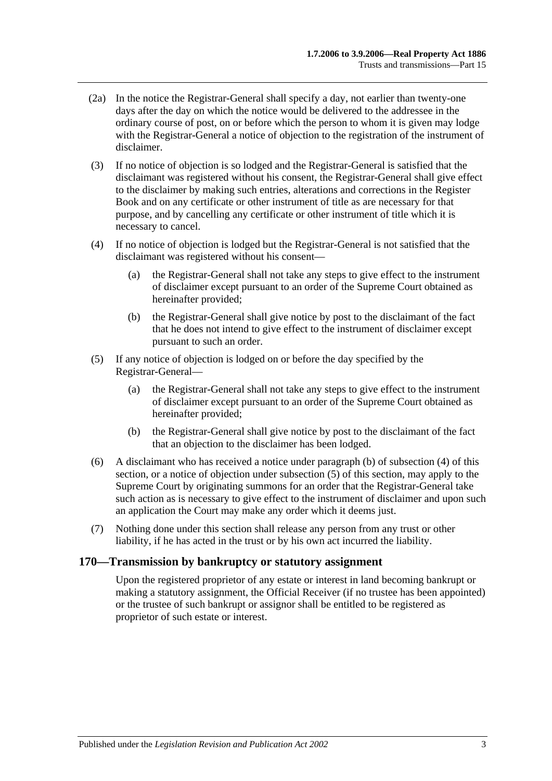- (2a) In the notice the Registrar-General shall specify a day, not earlier than twenty-one days after the day on which the notice would be delivered to the addressee in the ordinary course of post, on or before which the person to whom it is given may lodge with the Registrar-General a notice of objection to the registration of the instrument of disclaimer.
- (3) If no notice of objection is so lodged and the Registrar-General is satisfied that the disclaimant was registered without his consent, the Registrar-General shall give effect to the disclaimer by making such entries, alterations and corrections in the Register Book and on any certificate or other instrument of title as are necessary for that purpose, and by cancelling any certificate or other instrument of title which it is necessary to cancel.
- <span id="page-78-1"></span>(4) If no notice of objection is lodged but the Registrar-General is not satisfied that the disclaimant was registered without his consent—
	- (a) the Registrar-General shall not take any steps to give effect to the instrument of disclaimer except pursuant to an order of the Supreme Court obtained as hereinafter provided;
	- (b) the Registrar-General shall give notice by post to the disclaimant of the fact that he does not intend to give effect to the instrument of disclaimer except pursuant to such an order.
- <span id="page-78-2"></span><span id="page-78-0"></span>(5) If any notice of objection is lodged on or before the day specified by the Registrar-General—
	- (a) the Registrar-General shall not take any steps to give effect to the instrument of disclaimer except pursuant to an order of the Supreme Court obtained as hereinafter provided;
	- (b) the Registrar-General shall give notice by post to the disclaimant of the fact that an objection to the disclaimer has been lodged.
- (6) A disclaimant who has received a notice under [paragraph](#page-78-0) (b) of [subsection](#page-78-1) (4) of this section, or a notice of objection under [subsection](#page-78-2) (5) of this section, may apply to the Supreme Court by originating summons for an order that the Registrar-General take such action as is necessary to give effect to the instrument of disclaimer and upon such an application the Court may make any order which it deems just.
- (7) Nothing done under this section shall release any person from any trust or other liability, if he has acted in the trust or by his own act incurred the liability.

## **170—Transmission by bankruptcy or statutory assignment**

Upon the registered proprietor of any estate or interest in land becoming bankrupt or making a statutory assignment, the Official Receiver (if no trustee has been appointed) or the trustee of such bankrupt or assignor shall be entitled to be registered as proprietor of such estate or interest.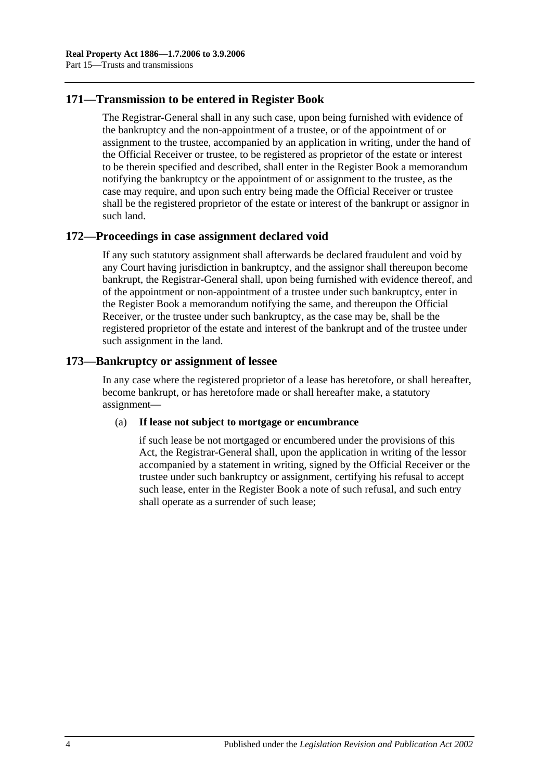## **171—Transmission to be entered in Register Book**

The Registrar-General shall in any such case, upon being furnished with evidence of the bankruptcy and the non-appointment of a trustee, or of the appointment of or assignment to the trustee, accompanied by an application in writing, under the hand of the Official Receiver or trustee, to be registered as proprietor of the estate or interest to be therein specified and described, shall enter in the Register Book a memorandum notifying the bankruptcy or the appointment of or assignment to the trustee, as the case may require, and upon such entry being made the Official Receiver or trustee shall be the registered proprietor of the estate or interest of the bankrupt or assignor in such land.

## **172—Proceedings in case assignment declared void**

If any such statutory assignment shall afterwards be declared fraudulent and void by any Court having jurisdiction in bankruptcy, and the assignor shall thereupon become bankrupt, the Registrar-General shall, upon being furnished with evidence thereof, and of the appointment or non-appointment of a trustee under such bankruptcy, enter in the Register Book a memorandum notifying the same, and thereupon the Official Receiver, or the trustee under such bankruptcy, as the case may be, shall be the registered proprietor of the estate and interest of the bankrupt and of the trustee under such assignment in the land.

## **173—Bankruptcy or assignment of lessee**

In any case where the registered proprietor of a lease has heretofore, or shall hereafter, become bankrupt, or has heretofore made or shall hereafter make, a statutory assignment—

#### (a) **If lease not subject to mortgage or encumbrance**

if such lease be not mortgaged or encumbered under the provisions of this Act, the Registrar-General shall, upon the application in writing of the lessor accompanied by a statement in writing, signed by the Official Receiver or the trustee under such bankruptcy or assignment, certifying his refusal to accept such lease, enter in the Register Book a note of such refusal, and such entry shall operate as a surrender of such lease;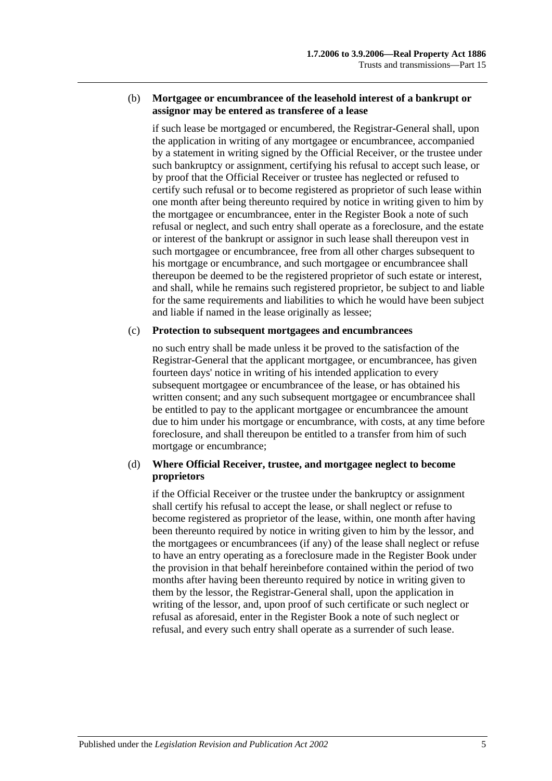#### (b) **Mortgagee or encumbrancee of the leasehold interest of a bankrupt or assignor may be entered as transferee of a lease**

if such lease be mortgaged or encumbered, the Registrar-General shall, upon the application in writing of any mortgagee or encumbrancee, accompanied by a statement in writing signed by the Official Receiver, or the trustee under such bankruptcy or assignment, certifying his refusal to accept such lease, or by proof that the Official Receiver or trustee has neglected or refused to certify such refusal or to become registered as proprietor of such lease within one month after being thereunto required by notice in writing given to him by the mortgagee or encumbrancee, enter in the Register Book a note of such refusal or neglect, and such entry shall operate as a foreclosure, and the estate or interest of the bankrupt or assignor in such lease shall thereupon vest in such mortgagee or encumbrancee, free from all other charges subsequent to his mortgage or encumbrance, and such mortgagee or encumbrancee shall thereupon be deemed to be the registered proprietor of such estate or interest, and shall, while he remains such registered proprietor, be subject to and liable for the same requirements and liabilities to which he would have been subject and liable if named in the lease originally as lessee;

#### (c) **Protection to subsequent mortgagees and encumbrancees**

no such entry shall be made unless it be proved to the satisfaction of the Registrar-General that the applicant mortgagee, or encumbrancee, has given fourteen days' notice in writing of his intended application to every subsequent mortgagee or encumbrancee of the lease, or has obtained his written consent; and any such subsequent mortgagee or encumbrancee shall be entitled to pay to the applicant mortgagee or encumbrancee the amount due to him under his mortgage or encumbrance, with costs, at any time before foreclosure, and shall thereupon be entitled to a transfer from him of such mortgage or encumbrance;

#### (d) **Where Official Receiver, trustee, and mortgagee neglect to become proprietors**

if the Official Receiver or the trustee under the bankruptcy or assignment shall certify his refusal to accept the lease, or shall neglect or refuse to become registered as proprietor of the lease, within, one month after having been thereunto required by notice in writing given to him by the lessor, and the mortgagees or encumbrancees (if any) of the lease shall neglect or refuse to have an entry operating as a foreclosure made in the Register Book under the provision in that behalf hereinbefore contained within the period of two months after having been thereunto required by notice in writing given to them by the lessor, the Registrar-General shall, upon the application in writing of the lessor, and, upon proof of such certificate or such neglect or refusal as aforesaid, enter in the Register Book a note of such neglect or refusal, and every such entry shall operate as a surrender of such lease.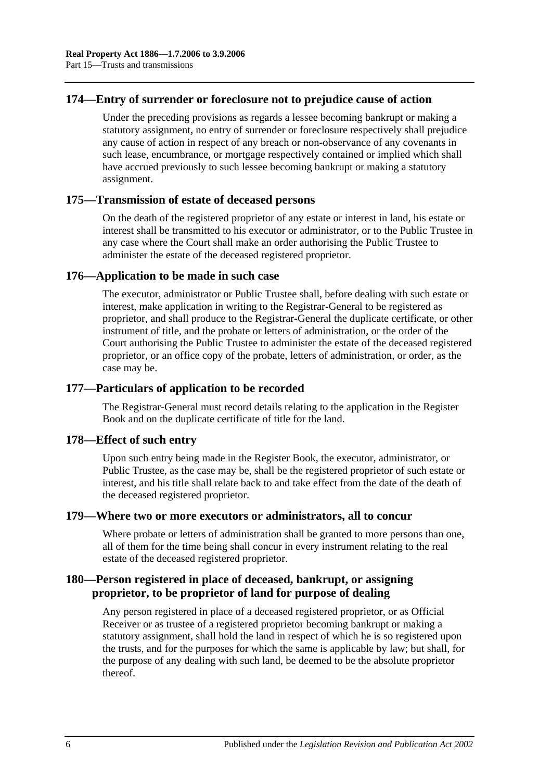## **174—Entry of surrender or foreclosure not to prejudice cause of action**

Under the preceding provisions as regards a lessee becoming bankrupt or making a statutory assignment, no entry of surrender or foreclosure respectively shall prejudice any cause of action in respect of any breach or non-observance of any covenants in such lease, encumbrance, or mortgage respectively contained or implied which shall have accrued previously to such lessee becoming bankrupt or making a statutory assignment.

## **175—Transmission of estate of deceased persons**

On the death of the registered proprietor of any estate or interest in land, his estate or interest shall be transmitted to his executor or administrator, or to the Public Trustee in any case where the Court shall make an order authorising the Public Trustee to administer the estate of the deceased registered proprietor.

## **176—Application to be made in such case**

The executor, administrator or Public Trustee shall, before dealing with such estate or interest, make application in writing to the Registrar-General to be registered as proprietor, and shall produce to the Registrar-General the duplicate certificate, or other instrument of title, and the probate or letters of administration, or the order of the Court authorising the Public Trustee to administer the estate of the deceased registered proprietor, or an office copy of the probate, letters of administration, or order, as the case may be.

## **177—Particulars of application to be recorded**

The Registrar-General must record details relating to the application in the Register Book and on the duplicate certificate of title for the land.

#### **178—Effect of such entry**

Upon such entry being made in the Register Book, the executor, administrator, or Public Trustee, as the case may be, shall be the registered proprietor of such estate or interest, and his title shall relate back to and take effect from the date of the death of the deceased registered proprietor.

## **179—Where two or more executors or administrators, all to concur**

Where probate or letters of administration shall be granted to more persons than one, all of them for the time being shall concur in every instrument relating to the real estate of the deceased registered proprietor.

## **180—Person registered in place of deceased, bankrupt, or assigning proprietor, to be proprietor of land for purpose of dealing**

Any person registered in place of a deceased registered proprietor, or as Official Receiver or as trustee of a registered proprietor becoming bankrupt or making a statutory assignment, shall hold the land in respect of which he is so registered upon the trusts, and for the purposes for which the same is applicable by law; but shall, for the purpose of any dealing with such land, be deemed to be the absolute proprietor thereof.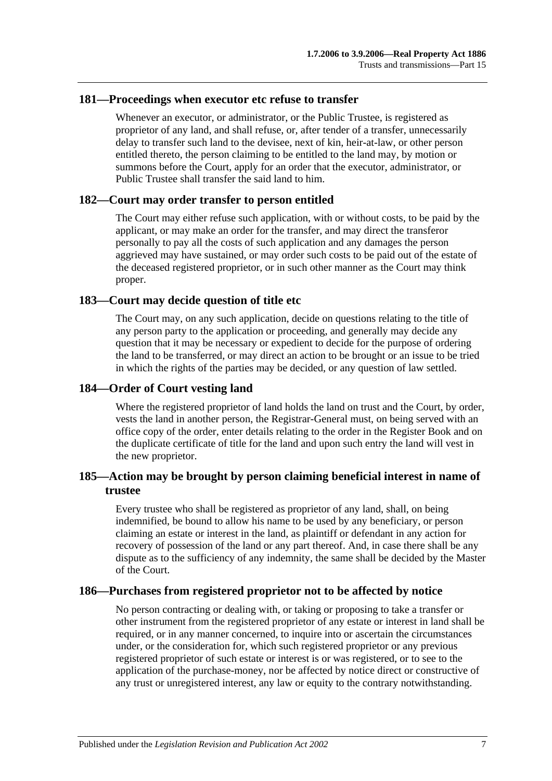## **181—Proceedings when executor etc refuse to transfer**

Whenever an executor, or administrator, or the Public Trustee, is registered as proprietor of any land, and shall refuse, or, after tender of a transfer, unnecessarily delay to transfer such land to the devisee, next of kin, heir-at-law, or other person entitled thereto, the person claiming to be entitled to the land may, by motion or summons before the Court, apply for an order that the executor, administrator, or Public Trustee shall transfer the said land to him.

#### **182—Court may order transfer to person entitled**

The Court may either refuse such application, with or without costs, to be paid by the applicant, or may make an order for the transfer, and may direct the transferor personally to pay all the costs of such application and any damages the person aggrieved may have sustained, or may order such costs to be paid out of the estate of the deceased registered proprietor, or in such other manner as the Court may think proper.

## **183—Court may decide question of title etc**

The Court may, on any such application, decide on questions relating to the title of any person party to the application or proceeding, and generally may decide any question that it may be necessary or expedient to decide for the purpose of ordering the land to be transferred, or may direct an action to be brought or an issue to be tried in which the rights of the parties may be decided, or any question of law settled.

## **184—Order of Court vesting land**

Where the registered proprietor of land holds the land on trust and the Court, by order, vests the land in another person, the Registrar-General must, on being served with an office copy of the order, enter details relating to the order in the Register Book and on the duplicate certificate of title for the land and upon such entry the land will vest in the new proprietor.

## **185—Action may be brought by person claiming beneficial interest in name of trustee**

Every trustee who shall be registered as proprietor of any land, shall, on being indemnified, be bound to allow his name to be used by any beneficiary, or person claiming an estate or interest in the land, as plaintiff or defendant in any action for recovery of possession of the land or any part thereof. And, in case there shall be any dispute as to the sufficiency of any indemnity, the same shall be decided by the Master of the Court.

## **186—Purchases from registered proprietor not to be affected by notice**

No person contracting or dealing with, or taking or proposing to take a transfer or other instrument from the registered proprietor of any estate or interest in land shall be required, or in any manner concerned, to inquire into or ascertain the circumstances under, or the consideration for, which such registered proprietor or any previous registered proprietor of such estate or interest is or was registered, or to see to the application of the purchase-money, nor be affected by notice direct or constructive of any trust or unregistered interest, any law or equity to the contrary notwithstanding.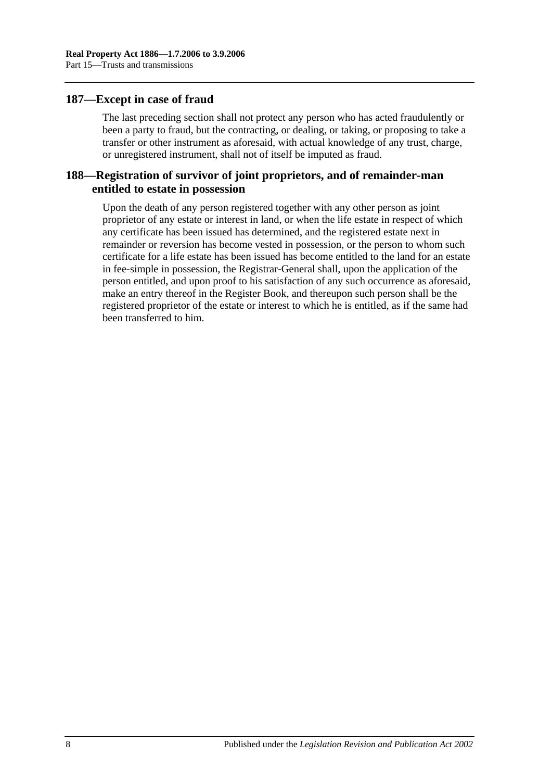## **187—Except in case of fraud**

The last preceding section shall not protect any person who has acted fraudulently or been a party to fraud, but the contracting, or dealing, or taking, or proposing to take a transfer or other instrument as aforesaid, with actual knowledge of any trust, charge, or unregistered instrument, shall not of itself be imputed as fraud.

## **188—Registration of survivor of joint proprietors, and of remainder-man entitled to estate in possession**

Upon the death of any person registered together with any other person as joint proprietor of any estate or interest in land, or when the life estate in respect of which any certificate has been issued has determined, and the registered estate next in remainder or reversion has become vested in possession, or the person to whom such certificate for a life estate has been issued has become entitled to the land for an estate in fee-simple in possession, the Registrar-General shall, upon the application of the person entitled, and upon proof to his satisfaction of any such occurrence as aforesaid, make an entry thereof in the Register Book, and thereupon such person shall be the registered proprietor of the estate or interest to which he is entitled, as if the same had been transferred to him.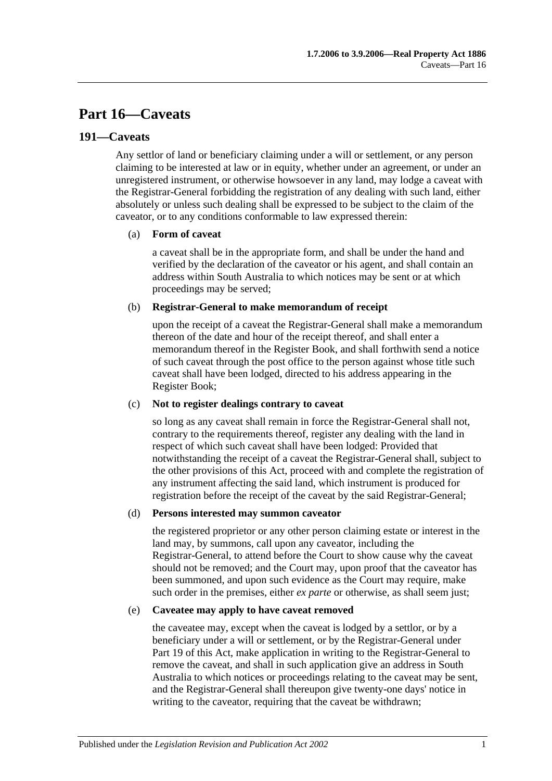# **Part 16—Caveats**

## **191—Caveats**

Any settlor of land or beneficiary claiming under a will or settlement, or any person claiming to be interested at law or in equity, whether under an agreement, or under an unregistered instrument, or otherwise howsoever in any land, may lodge a caveat with the Registrar-General forbidding the registration of any dealing with such land, either absolutely or unless such dealing shall be expressed to be subject to the claim of the caveator, or to any conditions conformable to law expressed therein:

#### (a) **Form of caveat**

a caveat shall be in the appropriate form, and shall be under the hand and verified by the declaration of the caveator or his agent, and shall contain an address within South Australia to which notices may be sent or at which proceedings may be served;

#### (b) **Registrar-General to make memorandum of receipt**

upon the receipt of a caveat the Registrar-General shall make a memorandum thereon of the date and hour of the receipt thereof, and shall enter a memorandum thereof in the Register Book, and shall forthwith send a notice of such caveat through the post office to the person against whose title such caveat shall have been lodged, directed to his address appearing in the Register Book;

#### (c) **Not to register dealings contrary to caveat**

so long as any caveat shall remain in force the Registrar-General shall not, contrary to the requirements thereof, register any dealing with the land in respect of which such caveat shall have been lodged: Provided that notwithstanding the receipt of a caveat the Registrar-General shall, subject to the other provisions of this Act, proceed with and complete the registration of any instrument affecting the said land, which instrument is produced for registration before the receipt of the caveat by the said Registrar-General;

#### (d) **Persons interested may summon caveator**

the registered proprietor or any other person claiming estate or interest in the land may, by summons, call upon any caveator, including the Registrar-General, to attend before the Court to show cause why the caveat should not be removed; and the Court may, upon proof that the caveator has been summoned, and upon such evidence as the Court may require, make such order in the premises, either *ex parte* or otherwise, as shall seem just;

#### (e) **Caveatee may apply to have caveat removed**

the caveatee may, except when the caveat is lodged by a settlor, or by a beneficiary under a will or settlement, or by the Registrar-General under [Part](#page-94-0) 19 of this Act, make application in writing to the Registrar-General to remove the caveat, and shall in such application give an address in South Australia to which notices or proceedings relating to the caveat may be sent, and the Registrar-General shall thereupon give twenty-one days' notice in writing to the caveator, requiring that the caveat be withdrawn;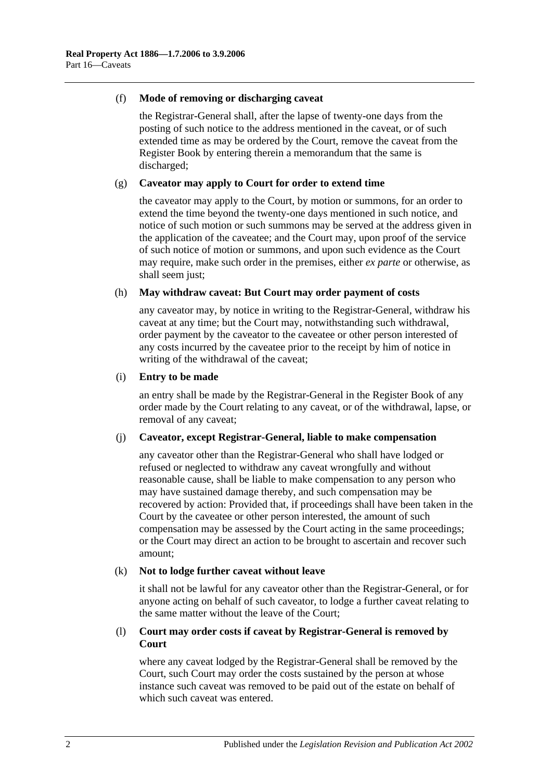#### (f) **Mode of removing or discharging caveat**

the Registrar-General shall, after the lapse of twenty-one days from the posting of such notice to the address mentioned in the caveat, or of such extended time as may be ordered by the Court, remove the caveat from the Register Book by entering therein a memorandum that the same is discharged;

#### (g) **Caveator may apply to Court for order to extend time**

the caveator may apply to the Court, by motion or summons, for an order to extend the time beyond the twenty-one days mentioned in such notice, and notice of such motion or such summons may be served at the address given in the application of the caveatee; and the Court may, upon proof of the service of such notice of motion or summons, and upon such evidence as the Court may require, make such order in the premises, either *ex parte* or otherwise, as shall seem just;

#### (h) **May withdraw caveat: But Court may order payment of costs**

any caveator may, by notice in writing to the Registrar-General, withdraw his caveat at any time; but the Court may, notwithstanding such withdrawal, order payment by the caveator to the caveatee or other person interested of any costs incurred by the caveatee prior to the receipt by him of notice in writing of the withdrawal of the caveat;

#### (i) **Entry to be made**

an entry shall be made by the Registrar-General in the Register Book of any order made by the Court relating to any caveat, or of the withdrawal, lapse, or removal of any caveat;

#### (j) **Caveator, except Registrar-General, liable to make compensation**

any caveator other than the Registrar-General who shall have lodged or refused or neglected to withdraw any caveat wrongfully and without reasonable cause, shall be liable to make compensation to any person who may have sustained damage thereby, and such compensation may be recovered by action: Provided that, if proceedings shall have been taken in the Court by the caveatee or other person interested, the amount of such compensation may be assessed by the Court acting in the same proceedings; or the Court may direct an action to be brought to ascertain and recover such amount;

#### (k) **Not to lodge further caveat without leave**

it shall not be lawful for any caveator other than the Registrar-General, or for anyone acting on behalf of such caveator, to lodge a further caveat relating to the same matter without the leave of the Court;

#### (l) **Court may order costs if caveat by Registrar-General is removed by Court**

where any caveat lodged by the Registrar-General shall be removed by the Court, such Court may order the costs sustained by the person at whose instance such caveat was removed to be paid out of the estate on behalf of which such caveat was entered.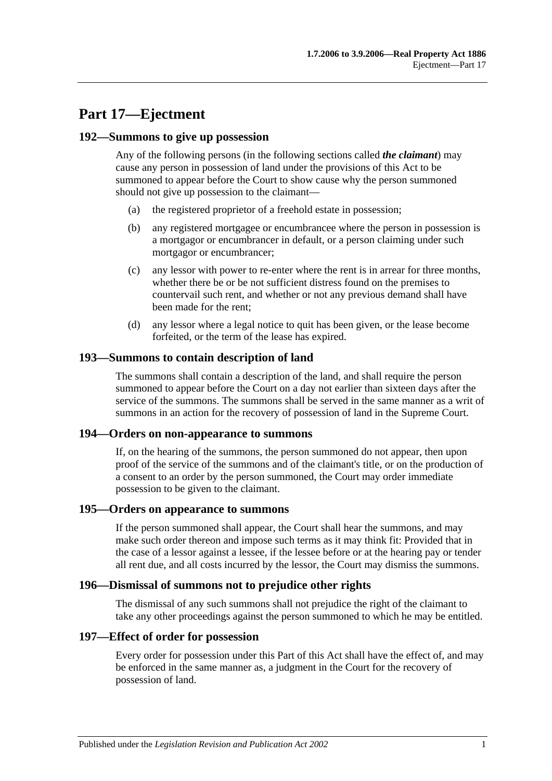# **Part 17—Ejectment**

## **192—Summons to give up possession**

Any of the following persons (in the following sections called *the claimant*) may cause any person in possession of land under the provisions of this Act to be summoned to appear before the Court to show cause why the person summoned should not give up possession to the claimant—

- (a) the registered proprietor of a freehold estate in possession;
- (b) any registered mortgagee or encumbrancee where the person in possession is a mortgagor or encumbrancer in default, or a person claiming under such mortgagor or encumbrancer;
- (c) any lessor with power to re-enter where the rent is in arrear for three months, whether there be or be not sufficient distress found on the premises to countervail such rent, and whether or not any previous demand shall have been made for the rent;
- (d) any lessor where a legal notice to quit has been given, or the lease become forfeited, or the term of the lease has expired.

## **193—Summons to contain description of land**

The summons shall contain a description of the land, and shall require the person summoned to appear before the Court on a day not earlier than sixteen days after the service of the summons. The summons shall be served in the same manner as a writ of summons in an action for the recovery of possession of land in the Supreme Court.

#### **194—Orders on non-appearance to summons**

If, on the hearing of the summons, the person summoned do not appear, then upon proof of the service of the summons and of the claimant's title, or on the production of a consent to an order by the person summoned, the Court may order immediate possession to be given to the claimant.

#### **195—Orders on appearance to summons**

If the person summoned shall appear, the Court shall hear the summons, and may make such order thereon and impose such terms as it may think fit: Provided that in the case of a lessor against a lessee, if the lessee before or at the hearing pay or tender all rent due, and all costs incurred by the lessor, the Court may dismiss the summons.

## **196—Dismissal of summons not to prejudice other rights**

The dismissal of any such summons shall not prejudice the right of the claimant to take any other proceedings against the person summoned to which he may be entitled.

#### **197—Effect of order for possession**

Every order for possession under this Part of this Act shall have the effect of, and may be enforced in the same manner as, a judgment in the Court for the recovery of possession of land.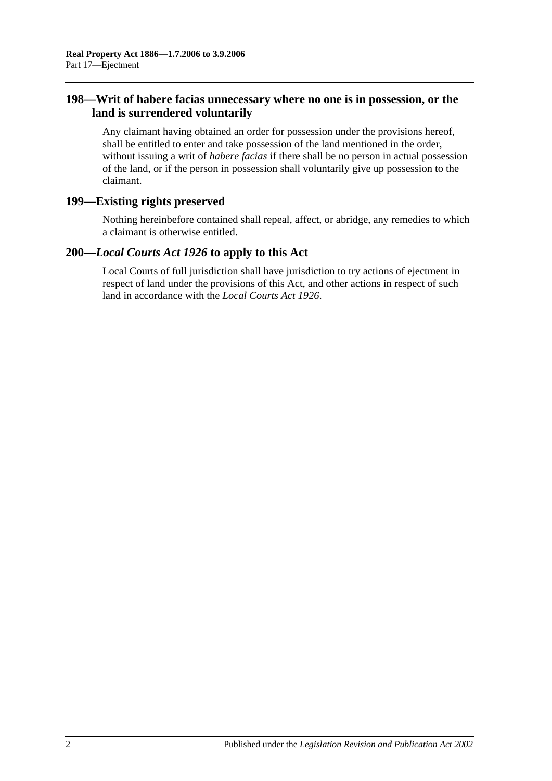## **198—Writ of habere facias unnecessary where no one is in possession, or the land is surrendered voluntarily**

Any claimant having obtained an order for possession under the provisions hereof, shall be entitled to enter and take possession of the land mentioned in the order, without issuing a writ of *habere facias* if there shall be no person in actual possession of the land, or if the person in possession shall voluntarily give up possession to the claimant.

## **199—Existing rights preserved**

Nothing hereinbefore contained shall repeal, affect, or abridge, any remedies to which a claimant is otherwise entitled.

## **200—***Local Courts Act 1926* **to apply to this Act**

Local Courts of full jurisdiction shall have jurisdiction to try actions of ejectment in respect of land under the provisions of this Act, and other actions in respect of such land in accordance with the *[Local Courts Act](http://www.legislation.sa.gov.au/index.aspx?action=legref&type=act&legtitle=Local%20Courts%20Act%201926) 1926*.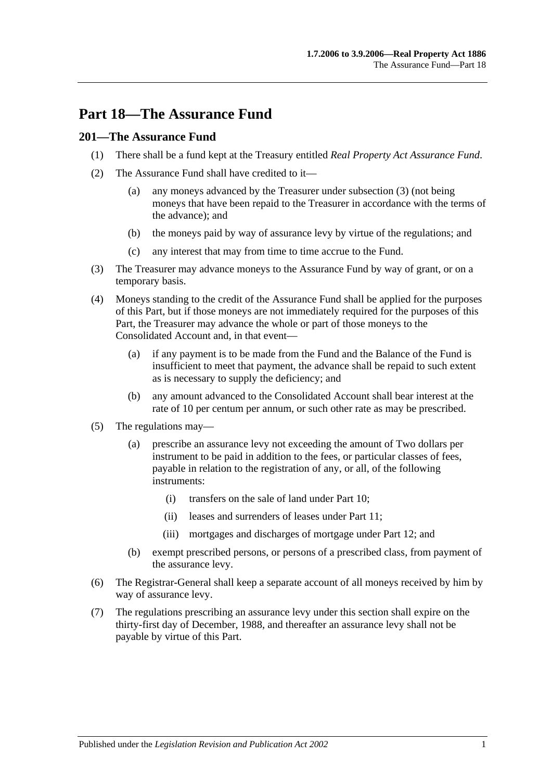# **Part 18—The Assurance Fund**

## **201—The Assurance Fund**

- (1) There shall be a fund kept at the Treasury entitled *Real Property Act Assurance Fund*.
- (2) The Assurance Fund shall have credited to it—
	- (a) any moneys advanced by the Treasurer under [subsection](#page-88-0) (3) (not being moneys that have been repaid to the Treasurer in accordance with the terms of the advance); and
	- (b) the moneys paid by way of assurance levy by virtue of the regulations; and
	- (c) any interest that may from time to time accrue to the Fund.
- <span id="page-88-0"></span>(3) The Treasurer may advance moneys to the Assurance Fund by way of grant, or on a temporary basis.
- (4) Moneys standing to the credit of the Assurance Fund shall be applied for the purposes of this Part, but if those moneys are not immediately required for the purposes of this Part, the Treasurer may advance the whole or part of those moneys to the Consolidated Account and, in that event—
	- (a) if any payment is to be made from the Fund and the Balance of the Fund is insufficient to meet that payment, the advance shall be repaid to such extent as is necessary to supply the deficiency; and
	- (b) any amount advanced to the Consolidated Account shall bear interest at the rate of 10 per centum per annum, or such other rate as may be prescribed.
- (5) The regulations may—
	- (a) prescribe an assurance levy not exceeding the amount of Two dollars per instrument to be paid in addition to the fees, or particular classes of fees, payable in relation to the registration of any, or all, of the following instruments:
		- (i) transfers on the sale of land under [Part 10;](#page-52-0)
		- (ii) leases and surrenders of leases under [Part 11;](#page-58-0)
		- (iii) mortgages and discharges of mortgage under [Part 12;](#page-62-0) and
	- (b) exempt prescribed persons, or persons of a prescribed class, from payment of the assurance levy.
- (6) The Registrar-General shall keep a separate account of all moneys received by him by way of assurance levy.
- (7) The regulations prescribing an assurance levy under this section shall expire on the thirty-first day of December, 1988, and thereafter an assurance levy shall not be payable by virtue of this Part.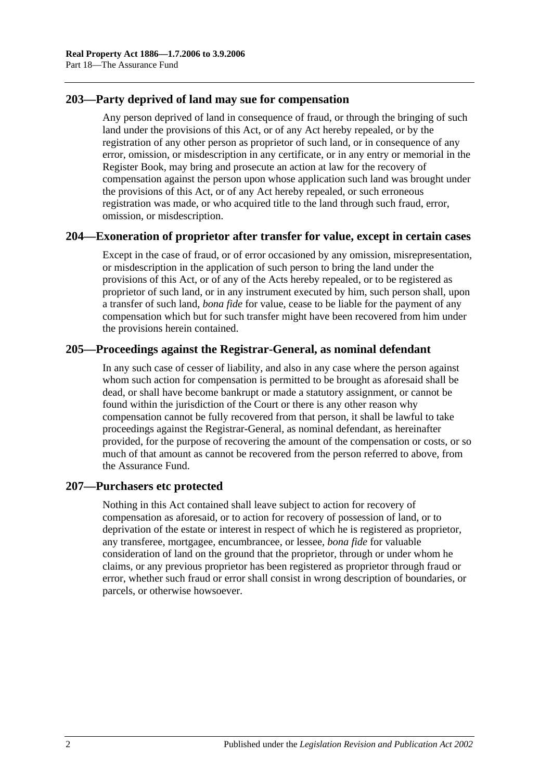## **203—Party deprived of land may sue for compensation**

Any person deprived of land in consequence of fraud, or through the bringing of such land under the provisions of this Act, or of any Act hereby repealed, or by the registration of any other person as proprietor of such land, or in consequence of any error, omission, or misdescription in any certificate, or in any entry or memorial in the Register Book, may bring and prosecute an action at law for the recovery of compensation against the person upon whose application such land was brought under the provisions of this Act, or of any Act hereby repealed, or such erroneous registration was made, or who acquired title to the land through such fraud, error, omission, or misdescription.

## **204—Exoneration of proprietor after transfer for value, except in certain cases**

Except in the case of fraud, or of error occasioned by any omission, misrepresentation, or misdescription in the application of such person to bring the land under the provisions of this Act, or of any of the Acts hereby repealed, or to be registered as proprietor of such land, or in any instrument executed by him, such person shall, upon a transfer of such land, *bona fide* for value, cease to be liable for the payment of any compensation which but for such transfer might have been recovered from him under the provisions herein contained.

## **205—Proceedings against the Registrar-General, as nominal defendant**

In any such case of cesser of liability, and also in any case where the person against whom such action for compensation is permitted to be brought as aforesaid shall be dead, or shall have become bankrupt or made a statutory assignment, or cannot be found within the jurisdiction of the Court or there is any other reason why compensation cannot be fully recovered from that person, it shall be lawful to take proceedings against the Registrar-General, as nominal defendant, as hereinafter provided, for the purpose of recovering the amount of the compensation or costs, or so much of that amount as cannot be recovered from the person referred to above, from the Assurance Fund.

#### **207—Purchasers etc protected**

Nothing in this Act contained shall leave subject to action for recovery of compensation as aforesaid, or to action for recovery of possession of land, or to deprivation of the estate or interest in respect of which he is registered as proprietor, any transferee, mortgagee, encumbrancee, or lessee, *bona fide* for valuable consideration of land on the ground that the proprietor, through or under whom he claims, or any previous proprietor has been registered as proprietor through fraud or error, whether such fraud or error shall consist in wrong description of boundaries, or parcels, or otherwise howsoever.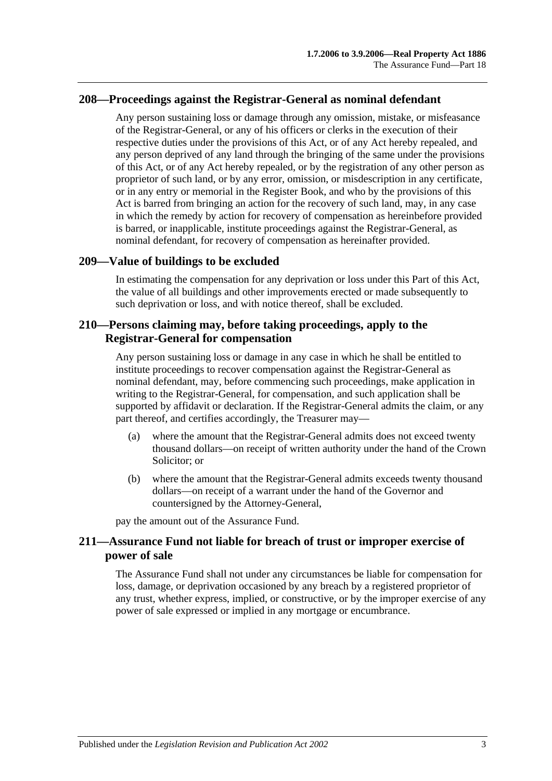## **208—Proceedings against the Registrar-General as nominal defendant**

Any person sustaining loss or damage through any omission, mistake, or misfeasance of the Registrar-General, or any of his officers or clerks in the execution of their respective duties under the provisions of this Act, or of any Act hereby repealed, and any person deprived of any land through the bringing of the same under the provisions of this Act, or of any Act hereby repealed, or by the registration of any other person as proprietor of such land, or by any error, omission, or misdescription in any certificate, or in any entry or memorial in the Register Book, and who by the provisions of this Act is barred from bringing an action for the recovery of such land, may, in any case in which the remedy by action for recovery of compensation as hereinbefore provided is barred, or inapplicable, institute proceedings against the Registrar-General, as nominal defendant, for recovery of compensation as hereinafter provided.

## **209—Value of buildings to be excluded**

In estimating the compensation for any deprivation or loss under this Part of this Act, the value of all buildings and other improvements erected or made subsequently to such deprivation or loss, and with notice thereof, shall be excluded.

## **210—Persons claiming may, before taking proceedings, apply to the Registrar-General for compensation**

Any person sustaining loss or damage in any case in which he shall be entitled to institute proceedings to recover compensation against the Registrar-General as nominal defendant, may, before commencing such proceedings, make application in writing to the Registrar-General, for compensation, and such application shall be supported by affidavit or declaration. If the Registrar-General admits the claim, or any part thereof, and certifies accordingly, the Treasurer may—

- (a) where the amount that the Registrar-General admits does not exceed twenty thousand dollars—on receipt of written authority under the hand of the Crown Solicitor; or
- (b) where the amount that the Registrar-General admits exceeds twenty thousand dollars—on receipt of a warrant under the hand of the Governor and countersigned by the Attorney-General,

pay the amount out of the Assurance Fund.

## **211—Assurance Fund not liable for breach of trust or improper exercise of power of sale**

The Assurance Fund shall not under any circumstances be liable for compensation for loss, damage, or deprivation occasioned by any breach by a registered proprietor of any trust, whether express, implied, or constructive, or by the improper exercise of any power of sale expressed or implied in any mortgage or encumbrance.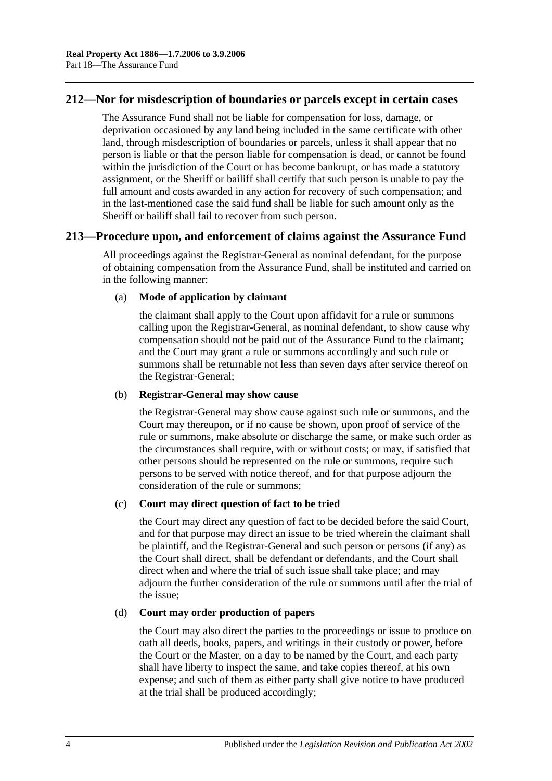## **212—Nor for misdescription of boundaries or parcels except in certain cases**

The Assurance Fund shall not be liable for compensation for loss, damage, or deprivation occasioned by any land being included in the same certificate with other land, through misdescription of boundaries or parcels, unless it shall appear that no person is liable or that the person liable for compensation is dead, or cannot be found within the jurisdiction of the Court or has become bankrupt, or has made a statutory assignment, or the Sheriff or bailiff shall certify that such person is unable to pay the full amount and costs awarded in any action for recovery of such compensation; and in the last-mentioned case the said fund shall be liable for such amount only as the Sheriff or bailiff shall fail to recover from such person.

## **213—Procedure upon, and enforcement of claims against the Assurance Fund**

All proceedings against the Registrar-General as nominal defendant, for the purpose of obtaining compensation from the Assurance Fund, shall be instituted and carried on in the following manner:

#### (a) **Mode of application by claimant**

the claimant shall apply to the Court upon affidavit for a rule or summons calling upon the Registrar-General, as nominal defendant, to show cause why compensation should not be paid out of the Assurance Fund to the claimant; and the Court may grant a rule or summons accordingly and such rule or summons shall be returnable not less than seven days after service thereof on the Registrar-General;

#### (b) **Registrar-General may show cause**

the Registrar-General may show cause against such rule or summons, and the Court may thereupon, or if no cause be shown, upon proof of service of the rule or summons, make absolute or discharge the same, or make such order as the circumstances shall require, with or without costs; or may, if satisfied that other persons should be represented on the rule or summons, require such persons to be served with notice thereof, and for that purpose adjourn the consideration of the rule or summons;

#### (c) **Court may direct question of fact to be tried**

the Court may direct any question of fact to be decided before the said Court, and for that purpose may direct an issue to be tried wherein the claimant shall be plaintiff, and the Registrar-General and such person or persons (if any) as the Court shall direct, shall be defendant or defendants, and the Court shall direct when and where the trial of such issue shall take place; and may adjourn the further consideration of the rule or summons until after the trial of the issue;

#### (d) **Court may order production of papers**

the Court may also direct the parties to the proceedings or issue to produce on oath all deeds, books, papers, and writings in their custody or power, before the Court or the Master, on a day to be named by the Court, and each party shall have liberty to inspect the same, and take copies thereof, at his own expense; and such of them as either party shall give notice to have produced at the trial shall be produced accordingly;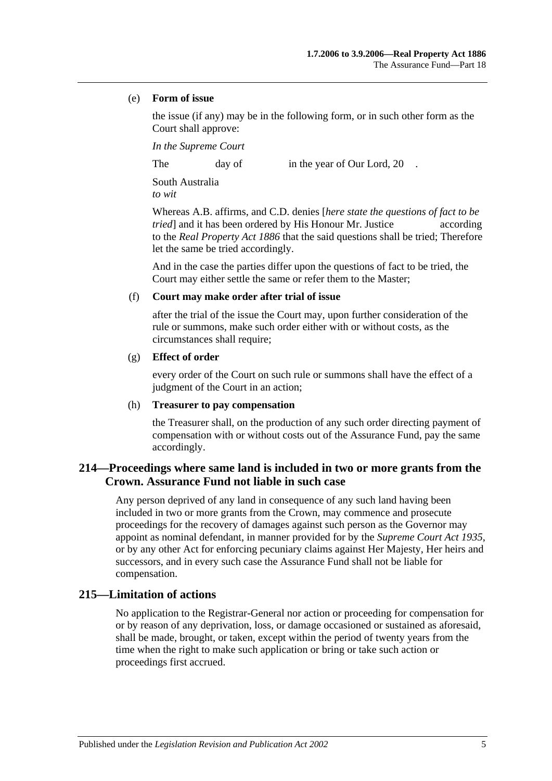#### (e) **Form of issue**

the issue (if any) may be in the following form, or in such other form as the Court shall approve:

*In the Supreme Court*

The day of in the year of Our Lord, 20

South Australia *to wit*

Whereas A.B. affirms, and C.D. denies [*here state the questions of fact to be tried* and it has been ordered by His Honour Mr. Justice according to the *[Real Property Act](http://www.legislation.sa.gov.au/index.aspx?action=legref&type=act&legtitle=Real%20Property%20Act%201886) 1886* that the said questions shall be tried; Therefore let the same be tried accordingly.

And in the case the parties differ upon the questions of fact to be tried, the Court may either settle the same or refer them to the Master;

#### (f) **Court may make order after trial of issue**

after the trial of the issue the Court may, upon further consideration of the rule or summons, make such order either with or without costs, as the circumstances shall require;

#### (g) **Effect of order**

every order of the Court on such rule or summons shall have the effect of a judgment of the Court in an action;

#### (h) **Treasurer to pay compensation**

the Treasurer shall, on the production of any such order directing payment of compensation with or without costs out of the Assurance Fund, pay the same accordingly.

## **214—Proceedings where same land is included in two or more grants from the Crown. Assurance Fund not liable in such case**

Any person deprived of any land in consequence of any such land having been included in two or more grants from the Crown, may commence and prosecute proceedings for the recovery of damages against such person as the Governor may appoint as nominal defendant, in manner provided for by the *[Supreme Court Act](http://www.legislation.sa.gov.au/index.aspx?action=legref&type=act&legtitle=Supreme%20Court%20Act%201935) 1935*, or by any other Act for enforcing pecuniary claims against Her Majesty, Her heirs and successors, and in every such case the Assurance Fund shall not be liable for compensation.

## **215—Limitation of actions**

No application to the Registrar-General nor action or proceeding for compensation for or by reason of any deprivation, loss, or damage occasioned or sustained as aforesaid, shall be made, brought, or taken, except within the period of twenty years from the time when the right to make such application or bring or take such action or proceedings first accrued.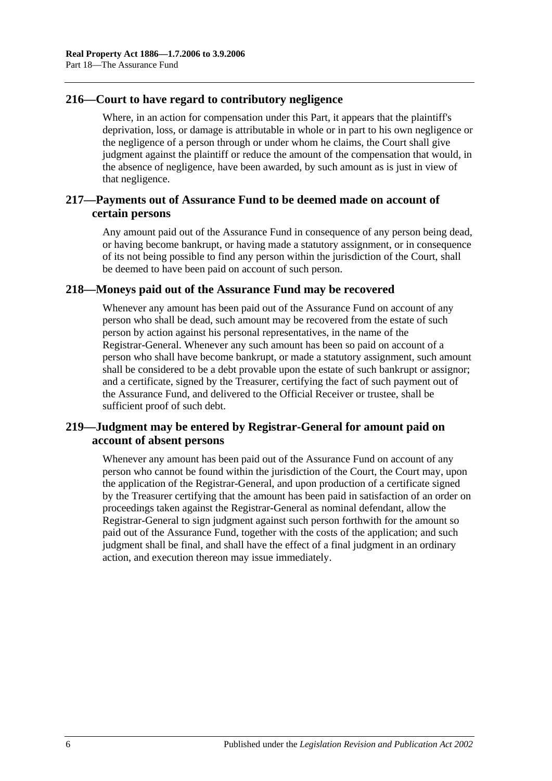## **216—Court to have regard to contributory negligence**

Where, in an action for compensation under this Part, it appears that the plaintiff's deprivation, loss, or damage is attributable in whole or in part to his own negligence or the negligence of a person through or under whom he claims, the Court shall give judgment against the plaintiff or reduce the amount of the compensation that would, in the absence of negligence, have been awarded, by such amount as is just in view of that negligence.

## **217—Payments out of Assurance Fund to be deemed made on account of certain persons**

Any amount paid out of the Assurance Fund in consequence of any person being dead, or having become bankrupt, or having made a statutory assignment, or in consequence of its not being possible to find any person within the jurisdiction of the Court, shall be deemed to have been paid on account of such person.

## **218—Moneys paid out of the Assurance Fund may be recovered**

Whenever any amount has been paid out of the Assurance Fund on account of any person who shall be dead, such amount may be recovered from the estate of such person by action against his personal representatives, in the name of the Registrar-General. Whenever any such amount has been so paid on account of a person who shall have become bankrupt, or made a statutory assignment, such amount shall be considered to be a debt provable upon the estate of such bankrupt or assignor; and a certificate, signed by the Treasurer, certifying the fact of such payment out of the Assurance Fund, and delivered to the Official Receiver or trustee, shall be sufficient proof of such debt.

## **219—Judgment may be entered by Registrar-General for amount paid on account of absent persons**

Whenever any amount has been paid out of the Assurance Fund on account of any person who cannot be found within the jurisdiction of the Court, the Court may, upon the application of the Registrar-General, and upon production of a certificate signed by the Treasurer certifying that the amount has been paid in satisfaction of an order on proceedings taken against the Registrar-General as nominal defendant, allow the Registrar-General to sign judgment against such person forthwith for the amount so paid out of the Assurance Fund, together with the costs of the application; and such judgment shall be final, and shall have the effect of a final judgment in an ordinary action, and execution thereon may issue immediately.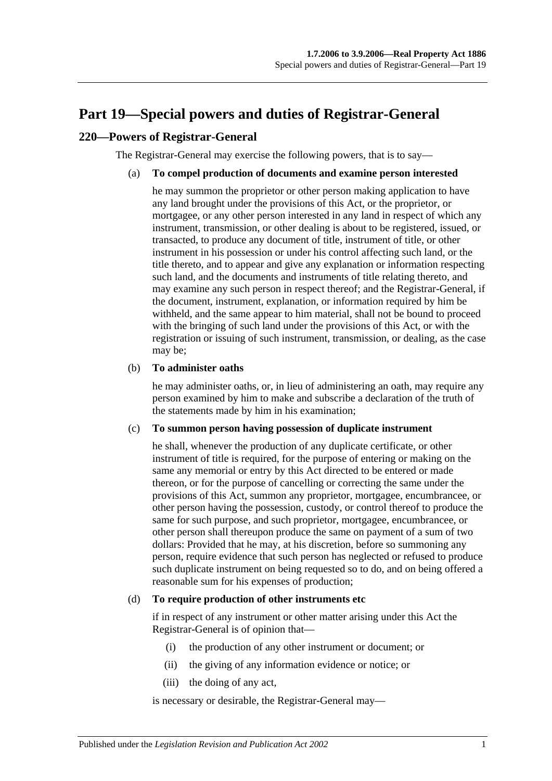# <span id="page-94-0"></span>**Part 19—Special powers and duties of Registrar-General**

## **220—Powers of Registrar-General**

The Registrar-General may exercise the following powers, that is to say—

#### (a) **To compel production of documents and examine person interested**

he may summon the proprietor or other person making application to have any land brought under the provisions of this Act, or the proprietor, or mortgagee, or any other person interested in any land in respect of which any instrument, transmission, or other dealing is about to be registered, issued, or transacted, to produce any document of title, instrument of title, or other instrument in his possession or under his control affecting such land, or the title thereto, and to appear and give any explanation or information respecting such land, and the documents and instruments of title relating thereto, and may examine any such person in respect thereof; and the Registrar-General, if the document, instrument, explanation, or information required by him be withheld, and the same appear to him material, shall not be bound to proceed with the bringing of such land under the provisions of this Act, or with the registration or issuing of such instrument, transmission, or dealing, as the case may be;

#### (b) **To administer oaths**

he may administer oaths, or, in lieu of administering an oath, may require any person examined by him to make and subscribe a declaration of the truth of the statements made by him in his examination;

#### (c) **To summon person having possession of duplicate instrument**

he shall, whenever the production of any duplicate certificate, or other instrument of title is required, for the purpose of entering or making on the same any memorial or entry by this Act directed to be entered or made thereon, or for the purpose of cancelling or correcting the same under the provisions of this Act, summon any proprietor, mortgagee, encumbrancee, or other person having the possession, custody, or control thereof to produce the same for such purpose, and such proprietor, mortgagee, encumbrancee, or other person shall thereupon produce the same on payment of a sum of two dollars: Provided that he may, at his discretion, before so summoning any person, require evidence that such person has neglected or refused to produce such duplicate instrument on being requested so to do, and on being offered a reasonable sum for his expenses of production;

#### <span id="page-94-1"></span>(d) **To require production of other instruments etc**

if in respect of any instrument or other matter arising under this Act the Registrar-General is of opinion that—

- (i) the production of any other instrument or document; or
- (ii) the giving of any information evidence or notice; or
- (iii) the doing of any act,

is necessary or desirable, the Registrar-General may—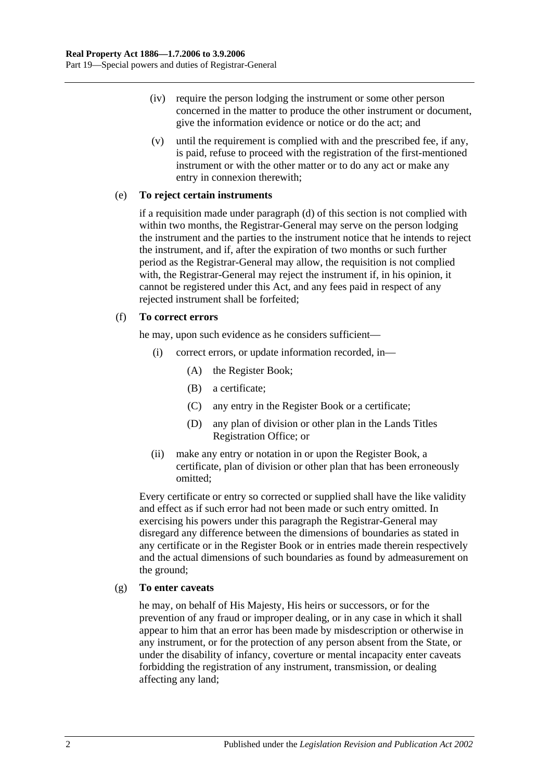- (iv) require the person lodging the instrument or some other person concerned in the matter to produce the other instrument or document, give the information evidence or notice or do the act; and
- (v) until the requirement is complied with and the prescribed fee, if any, is paid, refuse to proceed with the registration of the first-mentioned instrument or with the other matter or to do any act or make any entry in connexion therewith;

#### (e) **To reject certain instruments**

if a requisition made under [paragraph](#page-94-1) (d) of this section is not complied with within two months, the Registrar-General may serve on the person lodging the instrument and the parties to the instrument notice that he intends to reject the instrument, and if, after the expiration of two months or such further period as the Registrar-General may allow, the requisition is not complied with, the Registrar-General may reject the instrument if, in his opinion, it cannot be registered under this Act, and any fees paid in respect of any rejected instrument shall be forfeited;

#### (f) **To correct errors**

he may, upon such evidence as he considers sufficient—

- (i) correct errors, or update information recorded, in—
	- (A) the Register Book;
	- (B) a certificate;
	- (C) any entry in the Register Book or a certificate;
	- (D) any plan of division or other plan in the Lands Titles Registration Office; or
- (ii) make any entry or notation in or upon the Register Book, a certificate, plan of division or other plan that has been erroneously omitted;

Every certificate or entry so corrected or supplied shall have the like validity and effect as if such error had not been made or such entry omitted. In exercising his powers under this paragraph the Registrar-General may disregard any difference between the dimensions of boundaries as stated in any certificate or in the Register Book or in entries made therein respectively and the actual dimensions of such boundaries as found by admeasurement on the ground;

#### (g) **To enter caveats**

he may, on behalf of His Majesty, His heirs or successors, or for the prevention of any fraud or improper dealing, or in any case in which it shall appear to him that an error has been made by misdescription or otherwise in any instrument, or for the protection of any person absent from the State, or under the disability of infancy, coverture or mental incapacity enter caveats forbidding the registration of any instrument, transmission, or dealing affecting any land;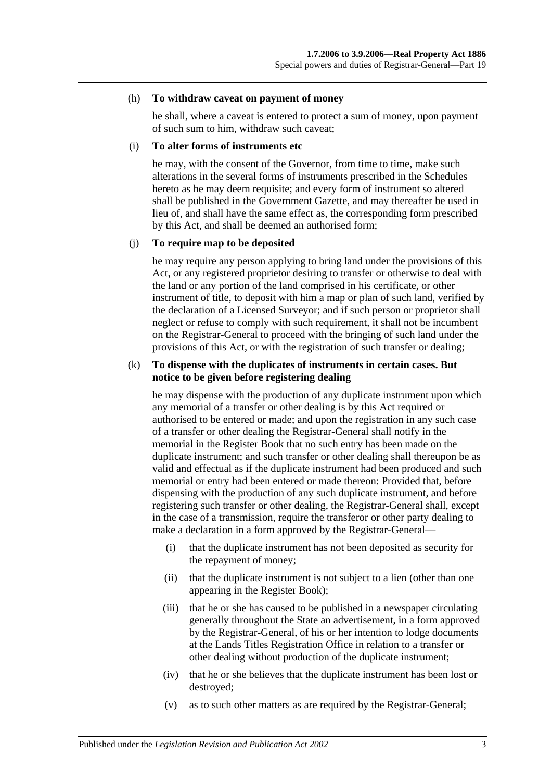#### (h) **To withdraw caveat on payment of money**

he shall, where a caveat is entered to protect a sum of money, upon payment of such sum to him, withdraw such caveat;

#### (i) **To alter forms of instruments etc**

he may, with the consent of the Governor, from time to time, make such alterations in the several forms of instruments prescribed in the Schedules hereto as he may deem requisite; and every form of instrument so altered shall be published in the Government Gazette, and may thereafter be used in lieu of, and shall have the same effect as, the corresponding form prescribed by this Act, and shall be deemed an authorised form;

#### (j) **To require map to be deposited**

he may require any person applying to bring land under the provisions of this Act, or any registered proprietor desiring to transfer or otherwise to deal with the land or any portion of the land comprised in his certificate, or other instrument of title, to deposit with him a map or plan of such land, verified by the declaration of a Licensed Surveyor; and if such person or proprietor shall neglect or refuse to comply with such requirement, it shall not be incumbent on the Registrar-General to proceed with the bringing of such land under the provisions of this Act, or with the registration of such transfer or dealing;

#### (k) **To dispense with the duplicates of instruments in certain cases. But notice to be given before registering dealing**

he may dispense with the production of any duplicate instrument upon which any memorial of a transfer or other dealing is by this Act required or authorised to be entered or made; and upon the registration in any such case of a transfer or other dealing the Registrar-General shall notify in the memorial in the Register Book that no such entry has been made on the duplicate instrument; and such transfer or other dealing shall thereupon be as valid and effectual as if the duplicate instrument had been produced and such memorial or entry had been entered or made thereon: Provided that, before dispensing with the production of any such duplicate instrument, and before registering such transfer or other dealing, the Registrar-General shall, except in the case of a transmission, require the transferor or other party dealing to make a declaration in a form approved by the Registrar-General—

- (i) that the duplicate instrument has not been deposited as security for the repayment of money;
- (ii) that the duplicate instrument is not subject to a lien (other than one appearing in the Register Book);
- (iii) that he or she has caused to be published in a newspaper circulating generally throughout the State an advertisement, in a form approved by the Registrar-General, of his or her intention to lodge documents at the Lands Titles Registration Office in relation to a transfer or other dealing without production of the duplicate instrument;
- (iv) that he or she believes that the duplicate instrument has been lost or destroyed;
- (v) as to such other matters as are required by the Registrar-General;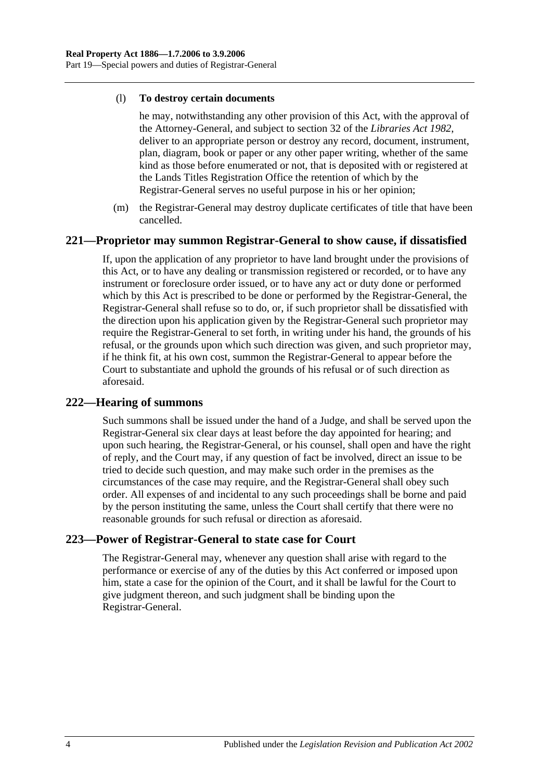#### (l) **To destroy certain documents**

he may, notwithstanding any other provision of this Act, with the approval of the Attorney-General, and subject to section 32 of the *[Libraries Act](http://www.legislation.sa.gov.au/index.aspx?action=legref&type=act&legtitle=Libraries%20Act%201982) 1982*, deliver to an appropriate person or destroy any record, document, instrument, plan, diagram, book or paper or any other paper writing, whether of the same kind as those before enumerated or not, that is deposited with or registered at the Lands Titles Registration Office the retention of which by the Registrar-General serves no useful purpose in his or her opinion;

(m) the Registrar-General may destroy duplicate certificates of title that have been cancelled.

## **221—Proprietor may summon Registrar-General to show cause, if dissatisfied**

If, upon the application of any proprietor to have land brought under the provisions of this Act, or to have any dealing or transmission registered or recorded, or to have any instrument or foreclosure order issued, or to have any act or duty done or performed which by this Act is prescribed to be done or performed by the Registrar-General, the Registrar-General shall refuse so to do, or, if such proprietor shall be dissatisfied with the direction upon his application given by the Registrar-General such proprietor may require the Registrar-General to set forth, in writing under his hand, the grounds of his refusal, or the grounds upon which such direction was given, and such proprietor may, if he think fit, at his own cost, summon the Registrar-General to appear before the Court to substantiate and uphold the grounds of his refusal or of such direction as aforesaid.

## **222—Hearing of summons**

Such summons shall be issued under the hand of a Judge, and shall be served upon the Registrar-General six clear days at least before the day appointed for hearing; and upon such hearing, the Registrar-General, or his counsel, shall open and have the right of reply, and the Court may, if any question of fact be involved, direct an issue to be tried to decide such question, and may make such order in the premises as the circumstances of the case may require, and the Registrar-General shall obey such order. All expenses of and incidental to any such proceedings shall be borne and paid by the person instituting the same, unless the Court shall certify that there were no reasonable grounds for such refusal or direction as aforesaid.

## **223—Power of Registrar-General to state case for Court**

The Registrar-General may, whenever any question shall arise with regard to the performance or exercise of any of the duties by this Act conferred or imposed upon him, state a case for the opinion of the Court, and it shall be lawful for the Court to give judgment thereon, and such judgment shall be binding upon the Registrar-General.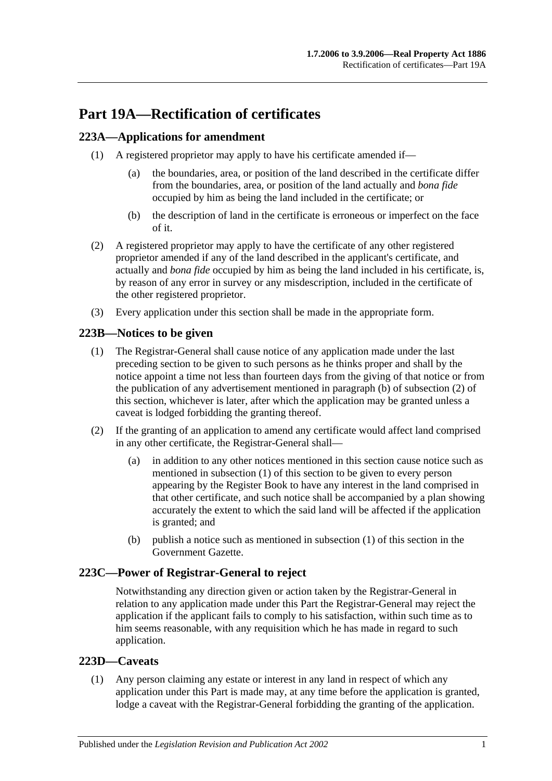# **Part 19A—Rectification of certificates**

## <span id="page-98-3"></span>**223A—Applications for amendment**

- (1) A registered proprietor may apply to have his certificate amended if—
	- (a) the boundaries, area, or position of the land described in the certificate differ from the boundaries, area, or position of the land actually and *bona fide* occupied by him as being the land included in the certificate; or
	- (b) the description of land in the certificate is erroneous or imperfect on the face of it.
- (2) A registered proprietor may apply to have the certificate of any other registered proprietor amended if any of the land described in the applicant's certificate, and actually and *bona fide* occupied by him as being the land included in his certificate, is, by reason of any error in survey or any misdescription, included in the certificate of the other registered proprietor.
- (3) Every application under this section shall be made in the appropriate form.

## <span id="page-98-2"></span>**223B—Notices to be given**

- (1) The Registrar-General shall cause notice of any application made under the last preceding section to be given to such persons as he thinks proper and shall by the notice appoint a time not less than fourteen days from the giving of that notice or from the publication of any advertisement mentioned in [paragraph](#page-98-0) (b) of [subsection](#page-98-1) (2) of this section, whichever is later, after which the application may be granted unless a caveat is lodged forbidding the granting thereof.
- <span id="page-98-1"></span>(2) If the granting of an application to amend any certificate would affect land comprised in any other certificate, the Registrar-General shall—
	- (a) in addition to any other notices mentioned in this section cause notice such as mentioned in [subsection](#page-98-2) (1) of this section to be given to every person appearing by the Register Book to have any interest in the land comprised in that other certificate, and such notice shall be accompanied by a plan showing accurately the extent to which the said land will be affected if the application is granted; and
	- (b) publish a notice such as mentioned in [subsection](#page-98-2) (1) of this section in the Government Gazette.

## <span id="page-98-0"></span>**223C—Power of Registrar-General to reject**

Notwithstanding any direction given or action taken by the Registrar-General in relation to any application made under this Part the Registrar-General may reject the application if the applicant fails to comply to his satisfaction, within such time as to him seems reasonable, with any requisition which he has made in regard to such application.

## **223D—Caveats**

(1) Any person claiming any estate or interest in any land in respect of which any application under this Part is made may, at any time before the application is granted, lodge a caveat with the Registrar-General forbidding the granting of the application.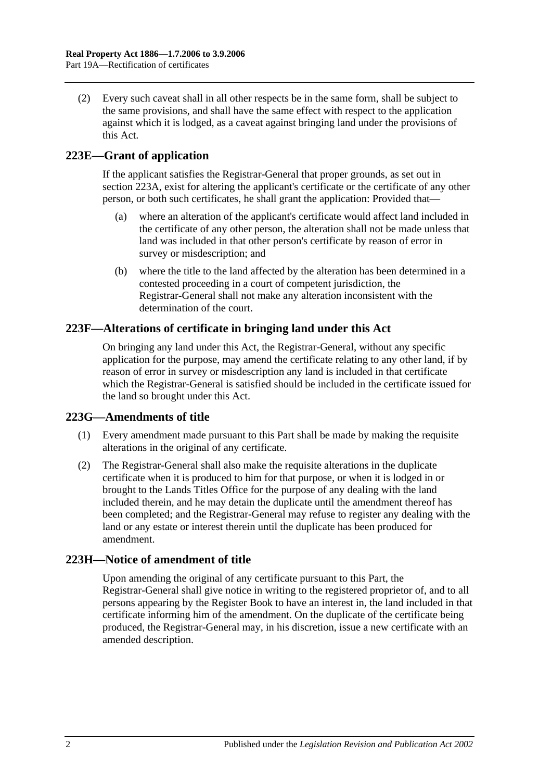(2) Every such caveat shall in all other respects be in the same form, shall be subject to the same provisions, and shall have the same effect with respect to the application against which it is lodged, as a caveat against bringing land under the provisions of this Act.

## **223E—Grant of application**

If the applicant satisfies the Registrar-General that proper grounds, as set out in [section](#page-98-3) 223A, exist for altering the applicant's certificate or the certificate of any other person, or both such certificates, he shall grant the application: Provided that—

- (a) where an alteration of the applicant's certificate would affect land included in the certificate of any other person, the alteration shall not be made unless that land was included in that other person's certificate by reason of error in survey or misdescription; and
- (b) where the title to the land affected by the alteration has been determined in a contested proceeding in a court of competent jurisdiction, the Registrar-General shall not make any alteration inconsistent with the determination of the court.

## **223F—Alterations of certificate in bringing land under this Act**

On bringing any land under this Act, the Registrar-General, without any specific application for the purpose, may amend the certificate relating to any other land, if by reason of error in survey or misdescription any land is included in that certificate which the Registrar-General is satisfied should be included in the certificate issued for the land so brought under this Act.

## **223G—Amendments of title**

- (1) Every amendment made pursuant to this Part shall be made by making the requisite alterations in the original of any certificate.
- (2) The Registrar-General shall also make the requisite alterations in the duplicate certificate when it is produced to him for that purpose, or when it is lodged in or brought to the Lands Titles Office for the purpose of any dealing with the land included therein, and he may detain the duplicate until the amendment thereof has been completed; and the Registrar-General may refuse to register any dealing with the land or any estate or interest therein until the duplicate has been produced for amendment.

## **223H—Notice of amendment of title**

Upon amending the original of any certificate pursuant to this Part, the Registrar-General shall give notice in writing to the registered proprietor of, and to all persons appearing by the Register Book to have an interest in, the land included in that certificate informing him of the amendment. On the duplicate of the certificate being produced, the Registrar-General may, in his discretion, issue a new certificate with an amended description.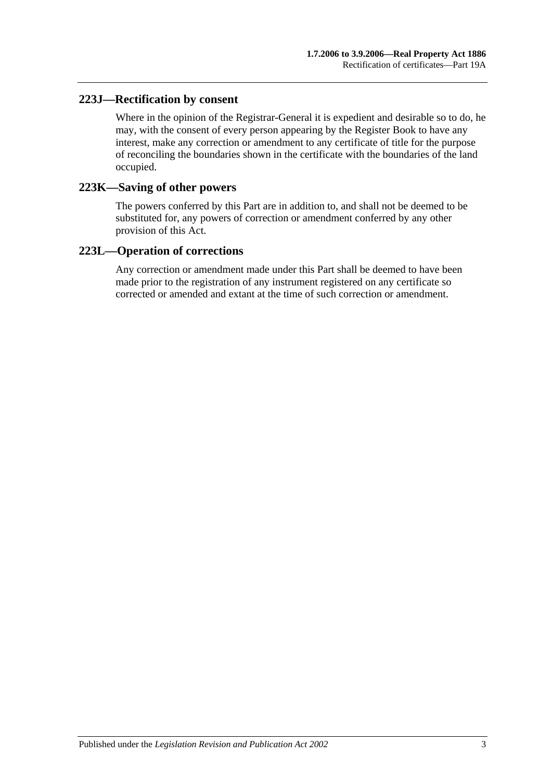## **223J—Rectification by consent**

Where in the opinion of the Registrar-General it is expedient and desirable so to do, he may, with the consent of every person appearing by the Register Book to have any interest, make any correction or amendment to any certificate of title for the purpose of reconciling the boundaries shown in the certificate with the boundaries of the land occupied.

#### **223K—Saving of other powers**

The powers conferred by this Part are in addition to, and shall not be deemed to be substituted for, any powers of correction or amendment conferred by any other provision of this Act.

## **223L—Operation of corrections**

Any correction or amendment made under this Part shall be deemed to have been made prior to the registration of any instrument registered on any certificate so corrected or amended and extant at the time of such correction or amendment.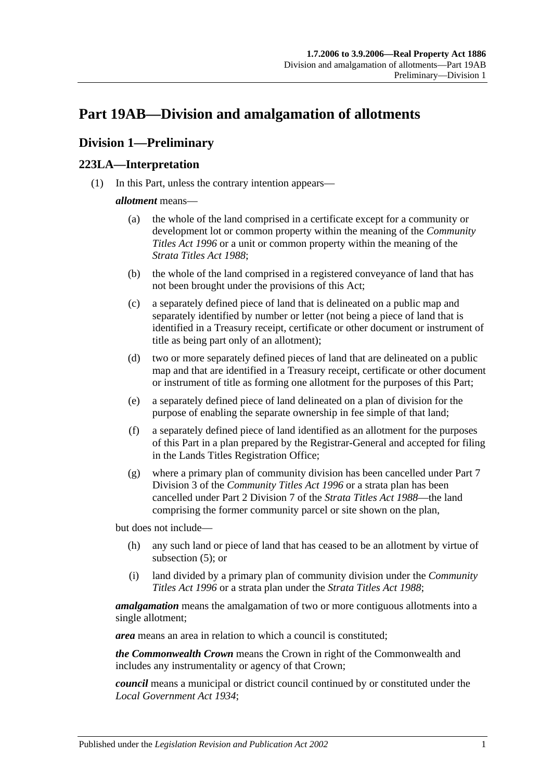# <span id="page-102-2"></span>**Part 19AB—Division and amalgamation of allotments**

## **Division 1—Preliminary**

## <span id="page-102-1"></span>**223LA—Interpretation**

(1) In this Part, unless the contrary intention appears—

## *allotment* means—

- (a) the whole of the land comprised in a certificate except for a community or development lot or common property within the meaning of the *[Community](http://www.legislation.sa.gov.au/index.aspx?action=legref&type=act&legtitle=Community%20Titles%20Act%201996)  [Titles Act](http://www.legislation.sa.gov.au/index.aspx?action=legref&type=act&legtitle=Community%20Titles%20Act%201996) 1996* or a unit or common property within the meaning of the *[Strata Titles Act](http://www.legislation.sa.gov.au/index.aspx?action=legref&type=act&legtitle=Strata%20Titles%20Act%201988) 1988*;
- (b) the whole of the land comprised in a registered conveyance of land that has not been brought under the provisions of this Act;
- (c) a separately defined piece of land that is delineated on a public map and separately identified by number or letter (not being a piece of land that is identified in a Treasury receipt, certificate or other document or instrument of title as being part only of an allotment);
- (d) two or more separately defined pieces of land that are delineated on a public map and that are identified in a Treasury receipt, certificate or other document or instrument of title as forming one allotment for the purposes of this Part;
- <span id="page-102-0"></span>(e) a separately defined piece of land delineated on a plan of division for the purpose of enabling the separate ownership in fee simple of that land;
- (f) a separately defined piece of land identified as an allotment for the purposes of this Part in a plan prepared by the Registrar-General and accepted for filing in the Lands Titles Registration Office;
- (g) where a primary plan of community division has been cancelled under Part 7 Division 3 of the *[Community Titles Act](http://www.legislation.sa.gov.au/index.aspx?action=legref&type=act&legtitle=Community%20Titles%20Act%201996) 1996* or a strata plan has been cancelled under Part 2 Division 7 of the *[Strata Titles Act](http://www.legislation.sa.gov.au/index.aspx?action=legref&type=act&legtitle=Strata%20Titles%20Act%201988) 1988*—the land comprising the former community parcel or site shown on the plan,

but does not include—

- (h) any such land or piece of land that has ceased to be an allotment by virtue of [subsection](#page-104-0) (5); or
- (i) land divided by a primary plan of community division under the *[Community](http://www.legislation.sa.gov.au/index.aspx?action=legref&type=act&legtitle=Community%20Titles%20Act%201996)  [Titles Act](http://www.legislation.sa.gov.au/index.aspx?action=legref&type=act&legtitle=Community%20Titles%20Act%201996) 1996* or a strata plan under the *[Strata Titles Act](http://www.legislation.sa.gov.au/index.aspx?action=legref&type=act&legtitle=Strata%20Titles%20Act%201988) 1988*;

*amalgamation* means the amalgamation of two or more contiguous allotments into a single allotment;

*area* means an area in relation to which a council is constituted;

*the Commonwealth Crown* means the Crown in right of the Commonwealth and includes any instrumentality or agency of that Crown;

*council* means a municipal or district council continued by or constituted under the *[Local Government Act](http://www.legislation.sa.gov.au/index.aspx?action=legref&type=act&legtitle=Local%20Government%20Act%201934) 1934*;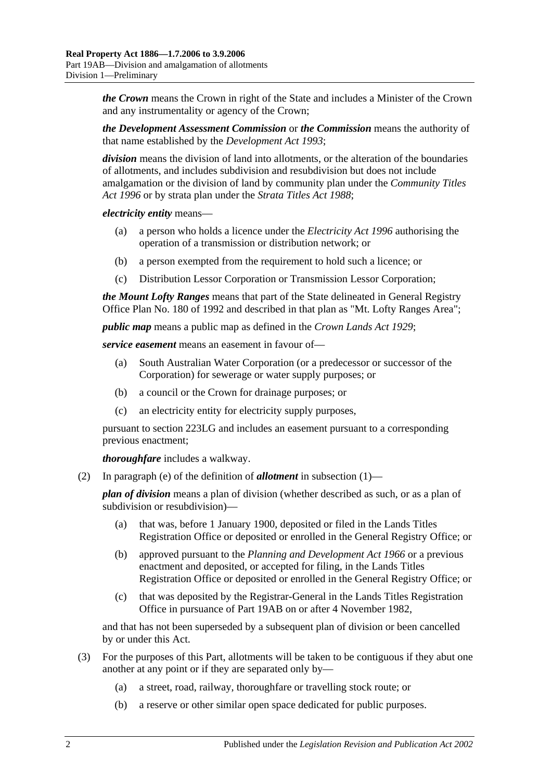*the Crown* means the Crown in right of the State and includes a Minister of the Crown and any instrumentality or agency of the Crown;

*the Development Assessment Commission* or *the Commission* means the authority of that name established by the *[Development Act](http://www.legislation.sa.gov.au/index.aspx?action=legref&type=act&legtitle=Development%20Act%201993) 1993*;

*division* means the division of land into allotments, or the alteration of the boundaries of allotments, and includes subdivision and resubdivision but does not include amalgamation or the division of land by community plan under the *[Community Titles](http://www.legislation.sa.gov.au/index.aspx?action=legref&type=act&legtitle=Community%20Titles%20Act%201996)  Act [1996](http://www.legislation.sa.gov.au/index.aspx?action=legref&type=act&legtitle=Community%20Titles%20Act%201996)* or by strata plan under the *[Strata Titles Act](http://www.legislation.sa.gov.au/index.aspx?action=legref&type=act&legtitle=Strata%20Titles%20Act%201988) 1988*;

*electricity entity* means—

- (a) a person who holds a licence under the *[Electricity Act](http://www.legislation.sa.gov.au/index.aspx?action=legref&type=act&legtitle=Electricity%20Act%201996) 1996* authorising the operation of a transmission or distribution network; or
- (b) a person exempted from the requirement to hold such a licence; or
- (c) Distribution Lessor Corporation or Transmission Lessor Corporation;

*the Mount Lofty Ranges* means that part of the State delineated in General Registry Office Plan No. 180 of 1992 and described in that plan as "Mt. Lofty Ranges Area";

*public map* means a public map as defined in the *[Crown Lands Act](http://www.legislation.sa.gov.au/index.aspx?action=legref&type=act&legtitle=Crown%20Lands%20Act%201929) 1929*;

*service easement* means an easement in favour of—

- (a) South Australian Water Corporation (or a predecessor or successor of the Corporation) for sewerage or water supply purposes; or
- (b) a council or the Crown for drainage purposes; or
- (c) an electricity entity for electricity supply purposes,

pursuant to [section](#page-108-0) 223LG and includes an easement pursuant to a corresponding previous enactment;

*thoroughfare* includes a walkway.

(2) In [paragraph](#page-102-0) (e) of the definition of *allotment* in [subsection](#page-102-1) (1)—

*plan of division* means a plan of division (whether described as such, or as a plan of subdivision or resubdivision)—

- (a) that was, before 1 January 1900, deposited or filed in the Lands Titles Registration Office or deposited or enrolled in the General Registry Office; or
- (b) approved pursuant to the *[Planning and Development Act](http://www.legislation.sa.gov.au/index.aspx?action=legref&type=act&legtitle=Planning%20and%20Development%20Act%201966) 1966* or a previous enactment and deposited, or accepted for filing, in the Lands Titles Registration Office or deposited or enrolled in the General Registry Office; or
- (c) that was deposited by the Registrar-General in the Lands Titles Registration Office in pursuance of [Part 19AB](#page-102-2) on or after 4 November 1982,

and that has not been superseded by a subsequent plan of division or been cancelled by or under this Act.

- <span id="page-103-0"></span>(3) For the purposes of this Part, allotments will be taken to be contiguous if they abut one another at any point or if they are separated only by—
	- (a) a street, road, railway, thoroughfare or travelling stock route; or
	- (b) a reserve or other similar open space dedicated for public purposes.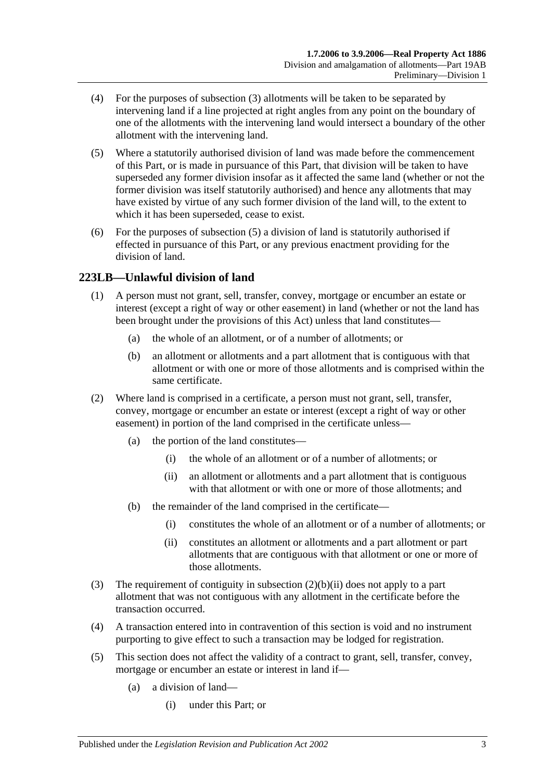- (4) For the purposes of [subsection](#page-103-0) (3) allotments will be taken to be separated by intervening land if a line projected at right angles from any point on the boundary of one of the allotments with the intervening land would intersect a boundary of the other allotment with the intervening land.
- <span id="page-104-0"></span>(5) Where a statutorily authorised division of land was made before the commencement of this Part, or is made in pursuance of this Part, that division will be taken to have superseded any former division insofar as it affected the same land (whether or not the former division was itself statutorily authorised) and hence any allotments that may have existed by virtue of any such former division of the land will, to the extent to which it has been superseded, cease to exist.
- (6) For the purposes of [subsection](#page-104-0) (5) a division of land is statutorily authorised if effected in pursuance of this Part, or any previous enactment providing for the division of land.

## **223LB—Unlawful division of land**

- (1) A person must not grant, sell, transfer, convey, mortgage or encumber an estate or interest (except a right of way or other easement) in land (whether or not the land has been brought under the provisions of this Act) unless that land constitutes—
	- (a) the whole of an allotment, or of a number of allotments; or
	- (b) an allotment or allotments and a part allotment that is contiguous with that allotment or with one or more of those allotments and is comprised within the same certificate.
- (2) Where land is comprised in a certificate, a person must not grant, sell, transfer, convey, mortgage or encumber an estate or interest (except a right of way or other easement) in portion of the land comprised in the certificate unless—
	- (a) the portion of the land constitutes—
		- (i) the whole of an allotment or of a number of allotments; or
		- (ii) an allotment or allotments and a part allotment that is contiguous with that allotment or with one or more of those allotments; and
	- (b) the remainder of the land comprised in the certificate—
		- (i) constitutes the whole of an allotment or of a number of allotments; or
		- (ii) constitutes an allotment or allotments and a part allotment or part allotments that are contiguous with that allotment or one or more of those allotments.
- <span id="page-104-1"></span>(3) The requirement of contiguity in [subsection](#page-104-1) (2)(b)(ii) does not apply to a part allotment that was not contiguous with any allotment in the certificate before the transaction occurred.
- (4) A transaction entered into in contravention of this section is void and no instrument purporting to give effect to such a transaction may be lodged for registration.
- (5) This section does not affect the validity of a contract to grant, sell, transfer, convey, mortgage or encumber an estate or interest in land if—
	- (a) a division of land—
		- (i) under this Part; or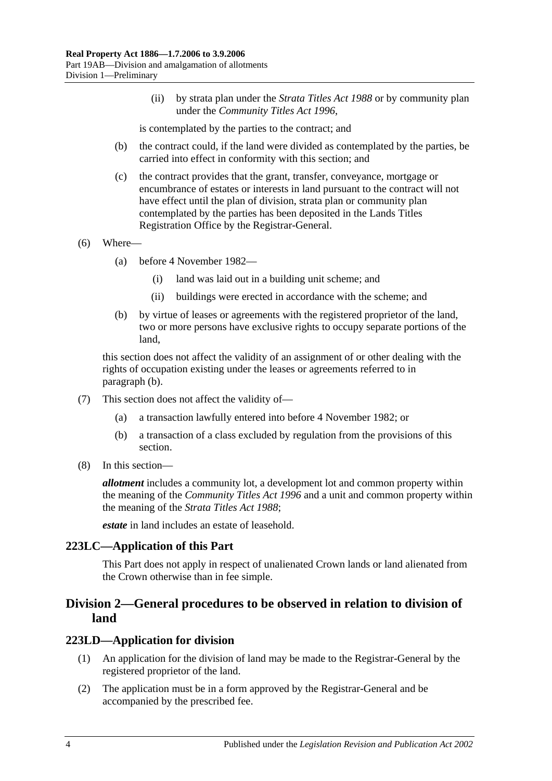(ii) by strata plan under the *[Strata Titles Act](http://www.legislation.sa.gov.au/index.aspx?action=legref&type=act&legtitle=Strata%20Titles%20Act%201988) 1988* or by community plan under the *[Community Titles Act](http://www.legislation.sa.gov.au/index.aspx?action=legref&type=act&legtitle=Community%20Titles%20Act%201996) 1996*,

is contemplated by the parties to the contract; and

- (b) the contract could, if the land were divided as contemplated by the parties, be carried into effect in conformity with this section; and
- (c) the contract provides that the grant, transfer, conveyance, mortgage or encumbrance of estates or interests in land pursuant to the contract will not have effect until the plan of division, strata plan or community plan contemplated by the parties has been deposited in the Lands Titles Registration Office by the Registrar-General.
- (6) Where—
	- (a) before 4 November 1982—
		- (i) land was laid out in a building unit scheme; and
		- (ii) buildings were erected in accordance with the scheme; and
	- (b) by virtue of leases or agreements with the registered proprietor of the land, two or more persons have exclusive rights to occupy separate portions of the land,

<span id="page-105-0"></span>this section does not affect the validity of an assignment of or other dealing with the rights of occupation existing under the leases or agreements referred to in [paragraph](#page-105-0) (b).

- (7) This section does not affect the validity of—
	- (a) a transaction lawfully entered into before 4 November 1982; or
	- (b) a transaction of a class excluded by regulation from the provisions of this section.
- (8) In this section—

*allotment* includes a community lot, a development lot and common property within the meaning of the *[Community Titles Act](http://www.legislation.sa.gov.au/index.aspx?action=legref&type=act&legtitle=Community%20Titles%20Act%201996) 1996* and a unit and common property within the meaning of the *[Strata Titles Act](http://www.legislation.sa.gov.au/index.aspx?action=legref&type=act&legtitle=Strata%20Titles%20Act%201988) 1988*;

*estate* in land includes an estate of leasehold.

#### **223LC—Application of this Part**

This Part does not apply in respect of unalienated Crown lands or land alienated from the Crown otherwise than in fee simple.

## **Division 2—General procedures to be observed in relation to division of land**

#### <span id="page-105-1"></span>**223LD—Application for division**

- (1) An application for the division of land may be made to the Registrar-General by the registered proprietor of the land.
- (2) The application must be in a form approved by the Registrar-General and be accompanied by the prescribed fee.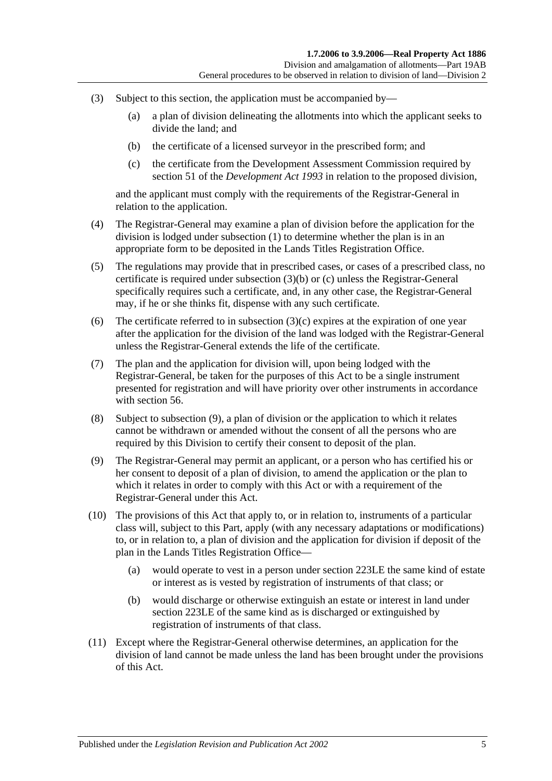- <span id="page-106-0"></span>(3) Subject to this section, the application must be accompanied by—
	- (a) a plan of division delineating the allotments into which the applicant seeks to divide the land; and
	- (b) the certificate of a licensed surveyor in the prescribed form; and
	- (c) the certificate from the Development Assessment Commission required by section 51 of the *[Development Act](http://www.legislation.sa.gov.au/index.aspx?action=legref&type=act&legtitle=Development%20Act%201993) 1993* in relation to the proposed division,

<span id="page-106-1"></span>and the applicant must comply with the requirements of the Registrar-General in relation to the application.

- (4) The Registrar-General may examine a plan of division before the application for the division is lodged under [subsection](#page-105-1) (1) to determine whether the plan is in an appropriate form to be deposited in the Lands Titles Registration Office.
- (5) The regulations may provide that in prescribed cases, or cases of a prescribed class, no certificate is required under [subsection](#page-106-0) (3)(b) or [\(c\)](#page-106-1) unless the Registrar-General specifically requires such a certificate, and, in any other case, the Registrar-General may, if he or she thinks fit, dispense with any such certificate.
- (6) The certificate referred to in [subsection](#page-106-1)  $(3)(c)$  expires at the expiration of one year after the application for the division of the land was lodged with the Registrar-General unless the Registrar-General extends the life of the certificate.
- (7) The plan and the application for division will, upon being lodged with the Registrar-General, be taken for the purposes of this Act to be a single instrument presented for registration and will have priority over other instruments in accordance with [section](#page-29-0) 56.
- (8) Subject to [subsection](#page-106-2) (9), a plan of division or the application to which it relates cannot be withdrawn or amended without the consent of all the persons who are required by this Division to certify their consent to deposit of the plan.
- <span id="page-106-2"></span>(9) The Registrar-General may permit an applicant, or a person who has certified his or her consent to deposit of a plan of division, to amend the application or the plan to which it relates in order to comply with this Act or with a requirement of the Registrar-General under this Act.
- (10) The provisions of this Act that apply to, or in relation to, instruments of a particular class will, subject to this Part, apply (with any necessary adaptations or modifications) to, or in relation to, a plan of division and the application for division if deposit of the plan in the Lands Titles Registration Office—
	- (a) would operate to vest in a person under [section](#page-107-0) 223LE the same kind of estate or interest as is vested by registration of instruments of that class; or
	- (b) would discharge or otherwise extinguish an estate or interest in land under [section](#page-107-0) 223LE of the same kind as is discharged or extinguished by registration of instruments of that class.
- (11) Except where the Registrar-General otherwise determines, an application for the division of land cannot be made unless the land has been brought under the provisions of this Act.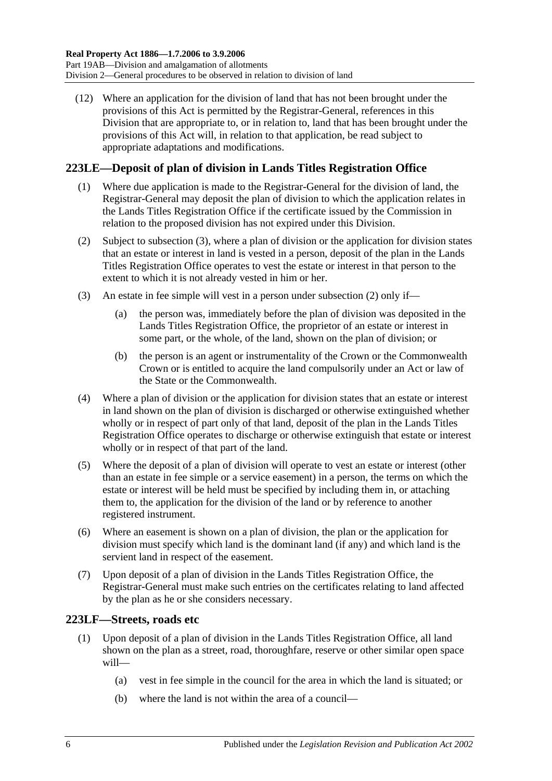(12) Where an application for the division of land that has not been brought under the provisions of this Act is permitted by the Registrar-General, references in this Division that are appropriate to, or in relation to, land that has been brought under the provisions of this Act will, in relation to that application, be read subject to appropriate adaptations and modifications.

## <span id="page-107-0"></span>**223LE—Deposit of plan of division in Lands Titles Registration Office**

- (1) Where due application is made to the Registrar-General for the division of land, the Registrar-General may deposit the plan of division to which the application relates in the Lands Titles Registration Office if the certificate issued by the Commission in relation to the proposed division has not expired under this Division.
- <span id="page-107-2"></span>(2) Subject to [subsection](#page-107-1) (3), where a plan of division or the application for division states that an estate or interest in land is vested in a person, deposit of the plan in the Lands Titles Registration Office operates to vest the estate or interest in that person to the extent to which it is not already vested in him or her.
- <span id="page-107-1"></span>(3) An estate in fee simple will vest in a person under [subsection](#page-107-2) (2) only if—
	- (a) the person was, immediately before the plan of division was deposited in the Lands Titles Registration Office, the proprietor of an estate or interest in some part, or the whole, of the land, shown on the plan of division; or
	- (b) the person is an agent or instrumentality of the Crown or the Commonwealth Crown or is entitled to acquire the land compulsorily under an Act or law of the State or the Commonwealth.
- (4) Where a plan of division or the application for division states that an estate or interest in land shown on the plan of division is discharged or otherwise extinguished whether wholly or in respect of part only of that land, deposit of the plan in the Lands Titles Registration Office operates to discharge or otherwise extinguish that estate or interest wholly or in respect of that part of the land.
- (5) Where the deposit of a plan of division will operate to vest an estate or interest (other than an estate in fee simple or a service easement) in a person, the terms on which the estate or interest will be held must be specified by including them in, or attaching them to, the application for the division of the land or by reference to another registered instrument.
- (6) Where an easement is shown on a plan of division, the plan or the application for division must specify which land is the dominant land (if any) and which land is the servient land in respect of the easement.
- (7) Upon deposit of a plan of division in the Lands Titles Registration Office, the Registrar-General must make such entries on the certificates relating to land affected by the plan as he or she considers necessary.

## **223LF—Streets, roads etc**

- (1) Upon deposit of a plan of division in the Lands Titles Registration Office, all land shown on the plan as a street, road, thoroughfare, reserve or other similar open space will—
	- (a) vest in fee simple in the council for the area in which the land is situated; or
	- (b) where the land is not within the area of a council—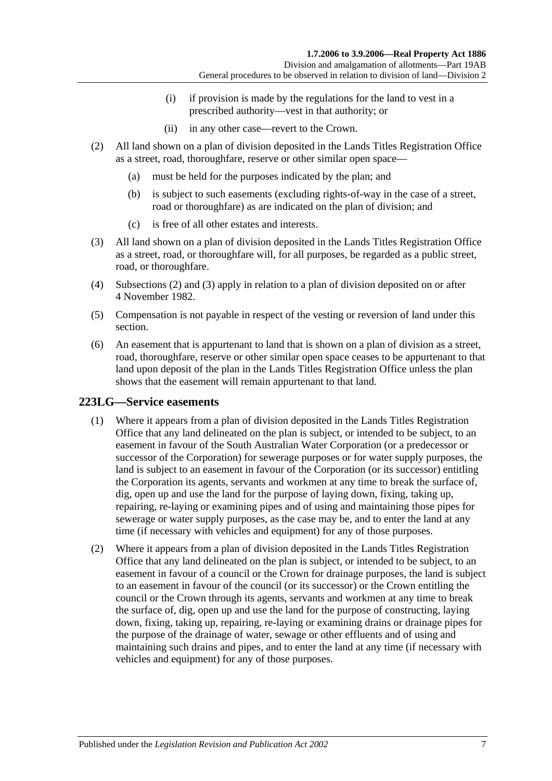- (i) if provision is made by the regulations for the land to vest in a prescribed authority—vest in that authority; or
- (ii) in any other case—revert to the Crown.
- <span id="page-108-0"></span>(2) All land shown on a plan of division deposited in the Lands Titles Registration Office as a street, road, thoroughfare, reserve or other similar open space—
	- (a) must be held for the purposes indicated by the plan; and
	- (b) is subject to such easements (excluding rights-of-way in the case of a street, road or thoroughfare) as are indicated on the plan of division; and
	- (c) is free of all other estates and interests.
- <span id="page-108-1"></span>(3) All land shown on a plan of division deposited in the Lands Titles Registration Office as a street, road, or thoroughfare will, for all purposes, be regarded as a public street, road, or thoroughfare.
- (4) [Subsections](#page-108-0) (2) and [\(3\)](#page-108-1) apply in relation to a plan of division deposited on or after 4 November 1982.
- (5) Compensation is not payable in respect of the vesting or reversion of land under this section.
- (6) An easement that is appurtenant to land that is shown on a plan of division as a street, road, thoroughfare, reserve or other similar open space ceases to be appurtenant to that land upon deposit of the plan in the Lands Titles Registration Office unless the plan shows that the easement will remain appurtenant to that land.

# <span id="page-108-4"></span><span id="page-108-2"></span>**223LG—Service easements**

- (1) Where it appears from a plan of division deposited in the Lands Titles Registration Office that any land delineated on the plan is subject, or intended to be subject, to an easement in favour of the South Australian Water Corporation (or a predecessor or successor of the Corporation) for sewerage purposes or for water supply purposes, the land is subject to an easement in favour of the Corporation (or its successor) entitling the Corporation its agents, servants and workmen at any time to break the surface of, dig, open up and use the land for the purpose of laying down, fixing, taking up, repairing, re-laying or examining pipes and of using and maintaining those pipes for sewerage or water supply purposes, as the case may be, and to enter the land at any time (if necessary with vehicles and equipment) for any of those purposes.
- <span id="page-108-3"></span>(2) Where it appears from a plan of division deposited in the Lands Titles Registration Office that any land delineated on the plan is subject, or intended to be subject, to an easement in favour of a council or the Crown for drainage purposes, the land is subject to an easement in favour of the council (or its successor) or the Crown entitling the council or the Crown through its agents, servants and workmen at any time to break the surface of, dig, open up and use the land for the purpose of constructing, laying down, fixing, taking up, repairing, re-laying or examining drains or drainage pipes for the purpose of the drainage of water, sewage or other effluents and of using and maintaining such drains and pipes, and to enter the land at any time (if necessary with vehicles and equipment) for any of those purposes.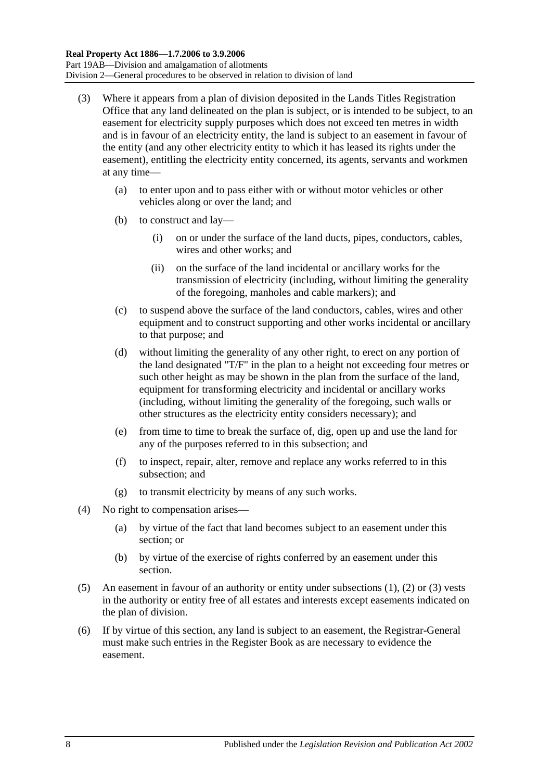- <span id="page-109-0"></span>(3) Where it appears from a plan of division deposited in the Lands Titles Registration Office that any land delineated on the plan is subject, or is intended to be subject, to an easement for electricity supply purposes which does not exceed ten metres in width and is in favour of an electricity entity, the land is subject to an easement in favour of the entity (and any other electricity entity to which it has leased its rights under the easement), entitling the electricity entity concerned, its agents, servants and workmen at any time—
	- (a) to enter upon and to pass either with or without motor vehicles or other vehicles along or over the land; and
	- (b) to construct and lay—
		- (i) on or under the surface of the land ducts, pipes, conductors, cables, wires and other works; and
		- (ii) on the surface of the land incidental or ancillary works for the transmission of electricity (including, without limiting the generality of the foregoing, manholes and cable markers); and
	- (c) to suspend above the surface of the land conductors, cables, wires and other equipment and to construct supporting and other works incidental or ancillary to that purpose; and
	- (d) without limiting the generality of any other right, to erect on any portion of the land designated "T/F" in the plan to a height not exceeding four metres or such other height as may be shown in the plan from the surface of the land, equipment for transforming electricity and incidental or ancillary works (including, without limiting the generality of the foregoing, such walls or other structures as the electricity entity considers necessary); and
	- (e) from time to time to break the surface of, dig, open up and use the land for any of the purposes referred to in this subsection; and
	- (f) to inspect, repair, alter, remove and replace any works referred to in this subsection; and
	- (g) to transmit electricity by means of any such works.
- (4) No right to compensation arises—
	- (a) by virtue of the fact that land becomes subject to an easement under this section; or
	- (b) by virtue of the exercise of rights conferred by an easement under this section.
- (5) An easement in favour of an authority or entity under [subsections](#page-108-2) (1), [\(2\)](#page-108-3) or [\(3\)](#page-109-0) vests in the authority or entity free of all estates and interests except easements indicated on the plan of division.
- (6) If by virtue of this section, any land is subject to an easement, the Registrar-General must make such entries in the Register Book as are necessary to evidence the easement.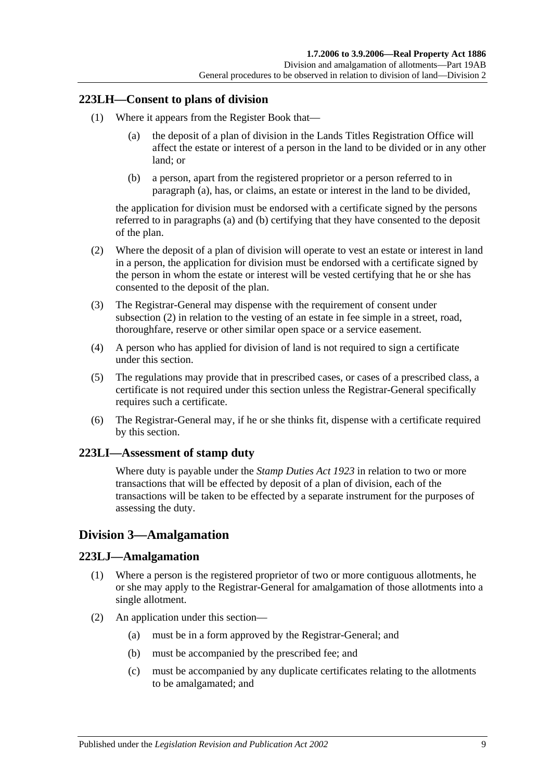# **223LH—Consent to plans of division**

- <span id="page-110-0"></span>(1) Where it appears from the Register Book that—
	- (a) the deposit of a plan of division in the Lands Titles Registration Office will affect the estate or interest of a person in the land to be divided or in any other land; or
	- (b) a person, apart from the registered proprietor or a person referred to in [paragraph](#page-110-0) (a), has, or claims, an estate or interest in the land to be divided,

<span id="page-110-1"></span>the application for division must be endorsed with a certificate signed by the persons referred to in [paragraphs](#page-110-0) (a) and [\(b\)](#page-110-1) certifying that they have consented to the deposit of the plan.

- <span id="page-110-2"></span>(2) Where the deposit of a plan of division will operate to vest an estate or interest in land in a person, the application for division must be endorsed with a certificate signed by the person in whom the estate or interest will be vested certifying that he or she has consented to the deposit of the plan.
- (3) The Registrar-General may dispense with the requirement of consent under [subsection](#page-110-2) (2) in relation to the vesting of an estate in fee simple in a street, road, thoroughfare, reserve or other similar open space or a service easement.
- (4) A person who has applied for division of land is not required to sign a certificate under this section.
- (5) The regulations may provide that in prescribed cases, or cases of a prescribed class, a certificate is not required under this section unless the Registrar-General specifically requires such a certificate.
- (6) The Registrar-General may, if he or she thinks fit, dispense with a certificate required by this section.

# **223LI—Assessment of stamp duty**

Where duty is payable under the *[Stamp Duties Act](http://www.legislation.sa.gov.au/index.aspx?action=legref&type=act&legtitle=Stamp%20Duties%20Act%201923) 1923* in relation to two or more transactions that will be effected by deposit of a plan of division, each of the transactions will be taken to be effected by a separate instrument for the purposes of assessing the duty.

# <span id="page-110-3"></span>**Division 3—Amalgamation**

# **223LJ—Amalgamation**

- (1) Where a person is the registered proprietor of two or more contiguous allotments, he or she may apply to the Registrar-General for amalgamation of those allotments into a single allotment.
- (2) An application under this section—
	- (a) must be in a form approved by the Registrar-General; and
	- (b) must be accompanied by the prescribed fee; and
	- (c) must be accompanied by any duplicate certificates relating to the allotments to be amalgamated; and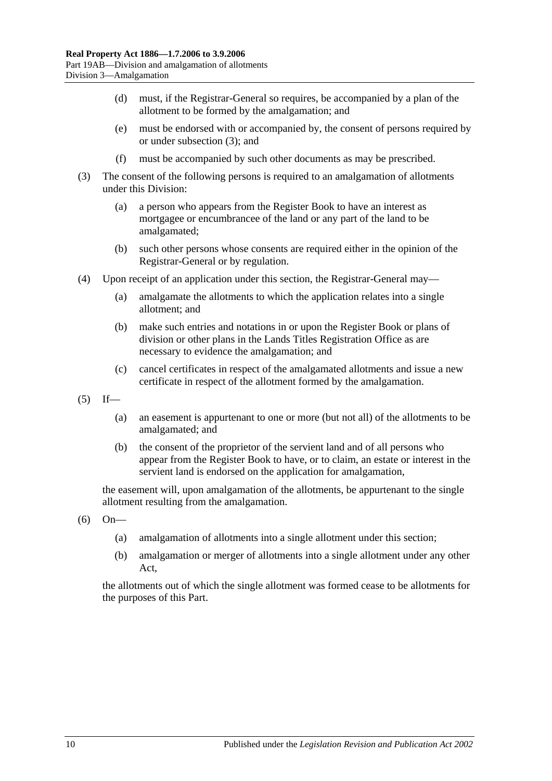- (d) must, if the Registrar-General so requires, be accompanied by a plan of the allotment to be formed by the amalgamation; and
- (e) must be endorsed with or accompanied by, the consent of persons required by or under [subsection](#page-111-0) (3); and
- (f) must be accompanied by such other documents as may be prescribed.
- <span id="page-111-0"></span>(3) The consent of the following persons is required to an amalgamation of allotments under this Division:
	- (a) a person who appears from the Register Book to have an interest as mortgagee or encumbrancee of the land or any part of the land to be amalgamated;
	- (b) such other persons whose consents are required either in the opinion of the Registrar-General or by regulation.
- (4) Upon receipt of an application under this section, the Registrar-General may—
	- (a) amalgamate the allotments to which the application relates into a single allotment; and
	- (b) make such entries and notations in or upon the Register Book or plans of division or other plans in the Lands Titles Registration Office as are necessary to evidence the amalgamation; and
	- (c) cancel certificates in respect of the amalgamated allotments and issue a new certificate in respect of the allotment formed by the amalgamation.
- $(5)$  If—
	- (a) an easement is appurtenant to one or more (but not all) of the allotments to be amalgamated; and
	- (b) the consent of the proprietor of the servient land and of all persons who appear from the Register Book to have, or to claim, an estate or interest in the servient land is endorsed on the application for amalgamation,

the easement will, upon amalgamation of the allotments, be appurtenant to the single allotment resulting from the amalgamation.

- (6) On—
	- (a) amalgamation of allotments into a single allotment under this section;
	- (b) amalgamation or merger of allotments into a single allotment under any other Act,

the allotments out of which the single allotment was formed cease to be allotments for the purposes of this Part.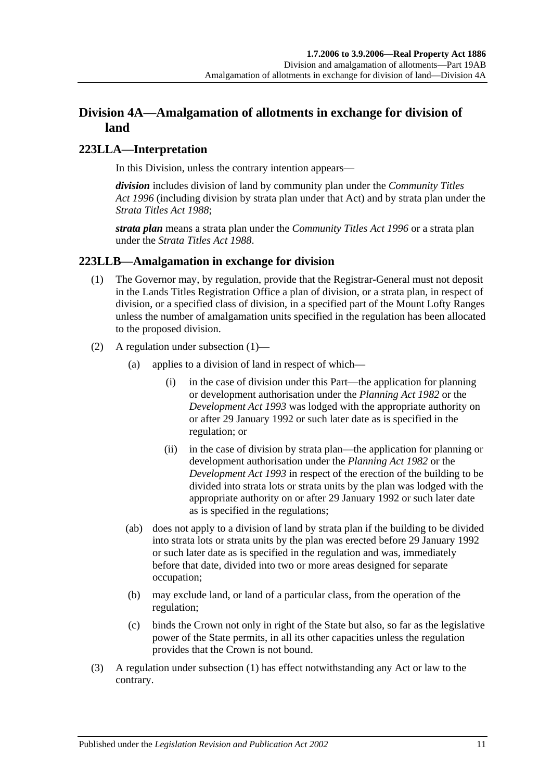# **Division 4A—Amalgamation of allotments in exchange for division of land**

# **223LLA—Interpretation**

In this Division, unless the contrary intention appears—

*division* includes division of land by community plan under the *[Community Titles](http://www.legislation.sa.gov.au/index.aspx?action=legref&type=act&legtitle=Community%20Titles%20Act%201996)  Act [1996](http://www.legislation.sa.gov.au/index.aspx?action=legref&type=act&legtitle=Community%20Titles%20Act%201996)* (including division by strata plan under that Act) and by strata plan under the *[Strata Titles Act](http://www.legislation.sa.gov.au/index.aspx?action=legref&type=act&legtitle=Strata%20Titles%20Act%201988) 1988*;

*strata plan* means a strata plan under the *[Community Titles Act](http://www.legislation.sa.gov.au/index.aspx?action=legref&type=act&legtitle=Community%20Titles%20Act%201996) 1996* or a strata plan under the *[Strata Titles Act](http://www.legislation.sa.gov.au/index.aspx?action=legref&type=act&legtitle=Strata%20Titles%20Act%201988) 1988*.

# <span id="page-112-0"></span>**223LLB—Amalgamation in exchange for division**

- (1) The Governor may, by regulation, provide that the Registrar-General must not deposit in the Lands Titles Registration Office a plan of division, or a strata plan, in respect of division, or a specified class of division, in a specified part of the Mount Lofty Ranges unless the number of amalgamation units specified in the regulation has been allocated to the proposed division.
- (2) A regulation under [subsection](#page-112-0) (1)—
	- (a) applies to a division of land in respect of which—
		- (i) in the case of division under this Part—the application for planning or development authorisation under the *[Planning Act](http://www.legislation.sa.gov.au/index.aspx?action=legref&type=act&legtitle=Planning%20Act%201982) 1982* or the *[Development Act](http://www.legislation.sa.gov.au/index.aspx?action=legref&type=act&legtitle=Development%20Act%201993) 1993* was lodged with the appropriate authority on or after 29 January 1992 or such later date as is specified in the regulation; or
		- (ii) in the case of division by strata plan—the application for planning or development authorisation under the *[Planning Act](http://www.legislation.sa.gov.au/index.aspx?action=legref&type=act&legtitle=Planning%20Act%201982) 1982* or the *[Development Act](http://www.legislation.sa.gov.au/index.aspx?action=legref&type=act&legtitle=Development%20Act%201993) 1993* in respect of the erection of the building to be divided into strata lots or strata units by the plan was lodged with the appropriate authority on or after 29 January 1992 or such later date as is specified in the regulations;
	- (ab) does not apply to a division of land by strata plan if the building to be divided into strata lots or strata units by the plan was erected before 29 January 1992 or such later date as is specified in the regulation and was, immediately before that date, divided into two or more areas designed for separate occupation;
	- (b) may exclude land, or land of a particular class, from the operation of the regulation;
	- (c) binds the Crown not only in right of the State but also, so far as the legislative power of the State permits, in all its other capacities unless the regulation provides that the Crown is not bound.
- (3) A regulation under [subsection](#page-112-0) (1) has effect notwithstanding any Act or law to the contrary.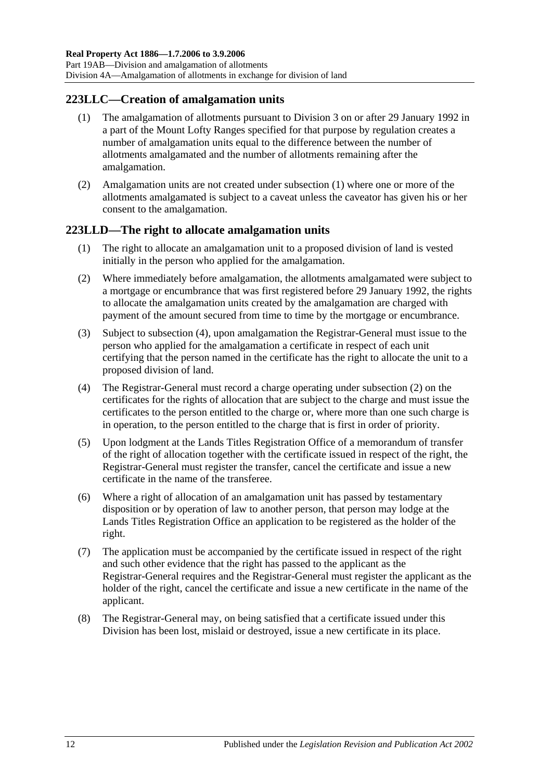# <span id="page-113-0"></span>**223LLC—Creation of amalgamation units**

- (1) The amalgamation of allotments pursuant to [Division 3](#page-110-3) on or after 29 January 1992 in a part of the Mount Lofty Ranges specified for that purpose by regulation creates a number of amalgamation units equal to the difference between the number of allotments amalgamated and the number of allotments remaining after the amalgamation.
- (2) Amalgamation units are not created under [subsection](#page-113-0) (1) where one or more of the allotments amalgamated is subject to a caveat unless the caveator has given his or her consent to the amalgamation.

# **223LLD—The right to allocate amalgamation units**

- (1) The right to allocate an amalgamation unit to a proposed division of land is vested initially in the person who applied for the amalgamation.
- <span id="page-113-2"></span>(2) Where immediately before amalgamation, the allotments amalgamated were subject to a mortgage or encumbrance that was first registered before 29 January 1992, the rights to allocate the amalgamation units created by the amalgamation are charged with payment of the amount secured from time to time by the mortgage or encumbrance.
- (3) Subject to [subsection](#page-113-1) (4), upon amalgamation the Registrar-General must issue to the person who applied for the amalgamation a certificate in respect of each unit certifying that the person named in the certificate has the right to allocate the unit to a proposed division of land.
- <span id="page-113-1"></span>(4) The Registrar-General must record a charge operating under [subsection](#page-113-2) (2) on the certificates for the rights of allocation that are subject to the charge and must issue the certificates to the person entitled to the charge or, where more than one such charge is in operation, to the person entitled to the charge that is first in order of priority.
- (5) Upon lodgment at the Lands Titles Registration Office of a memorandum of transfer of the right of allocation together with the certificate issued in respect of the right, the Registrar-General must register the transfer, cancel the certificate and issue a new certificate in the name of the transferee.
- (6) Where a right of allocation of an amalgamation unit has passed by testamentary disposition or by operation of law to another person, that person may lodge at the Lands Titles Registration Office an application to be registered as the holder of the right.
- (7) The application must be accompanied by the certificate issued in respect of the right and such other evidence that the right has passed to the applicant as the Registrar-General requires and the Registrar-General must register the applicant as the holder of the right, cancel the certificate and issue a new certificate in the name of the applicant.
- (8) The Registrar-General may, on being satisfied that a certificate issued under this Division has been lost, mislaid or destroyed, issue a new certificate in its place.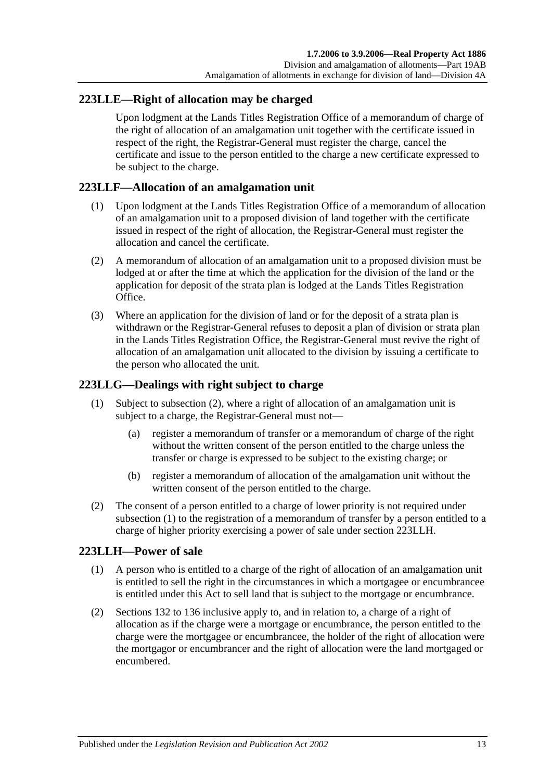# <span id="page-114-3"></span>**223LLE—Right of allocation may be charged**

Upon lodgment at the Lands Titles Registration Office of a memorandum of charge of the right of allocation of an amalgamation unit together with the certificate issued in respect of the right, the Registrar-General must register the charge, cancel the certificate and issue to the person entitled to the charge a new certificate expressed to be subject to the charge.

# **223LLF—Allocation of an amalgamation unit**

- (1) Upon lodgment at the Lands Titles Registration Office of a memorandum of allocation of an amalgamation unit to a proposed division of land together with the certificate issued in respect of the right of allocation, the Registrar-General must register the allocation and cancel the certificate.
- (2) A memorandum of allocation of an amalgamation unit to a proposed division must be lodged at or after the time at which the application for the division of the land or the application for deposit of the strata plan is lodged at the Lands Titles Registration Office.
- (3) Where an application for the division of land or for the deposit of a strata plan is withdrawn or the Registrar-General refuses to deposit a plan of division or strata plan in the Lands Titles Registration Office, the Registrar-General must revive the right of allocation of an amalgamation unit allocated to the division by issuing a certificate to the person who allocated the unit.

# <span id="page-114-1"></span>**223LLG—Dealings with right subject to charge**

- (1) Subject to [subsection](#page-114-0) (2), where a right of allocation of an amalgamation unit is subject to a charge, the Registrar-General must not—
	- (a) register a memorandum of transfer or a memorandum of charge of the right without the written consent of the person entitled to the charge unless the transfer or charge is expressed to be subject to the existing charge; or
	- (b) register a memorandum of allocation of the amalgamation unit without the written consent of the person entitled to the charge.
- <span id="page-114-0"></span>(2) The consent of a person entitled to a charge of lower priority is not required under [subsection](#page-114-1) (1) to the registration of a memorandum of transfer by a person entitled to a charge of higher priority exercising a power of sale under section [223LLH.](#page-114-2)

# <span id="page-114-2"></span>**223LLH—Power of sale**

- (1) A person who is entitled to a charge of the right of allocation of an amalgamation unit is entitled to sell the right in the circumstances in which a mortgagee or encumbrancee is entitled under this Act to sell land that is subject to the mortgage or encumbrance.
- (2) [Sections](#page-63-0) 132 to [136](#page-64-0) inclusive apply to, and in relation to, a charge of a right of allocation as if the charge were a mortgage or encumbrance, the person entitled to the charge were the mortgagee or encumbrancee, the holder of the right of allocation were the mortgagor or encumbrancer and the right of allocation were the land mortgaged or encumbered.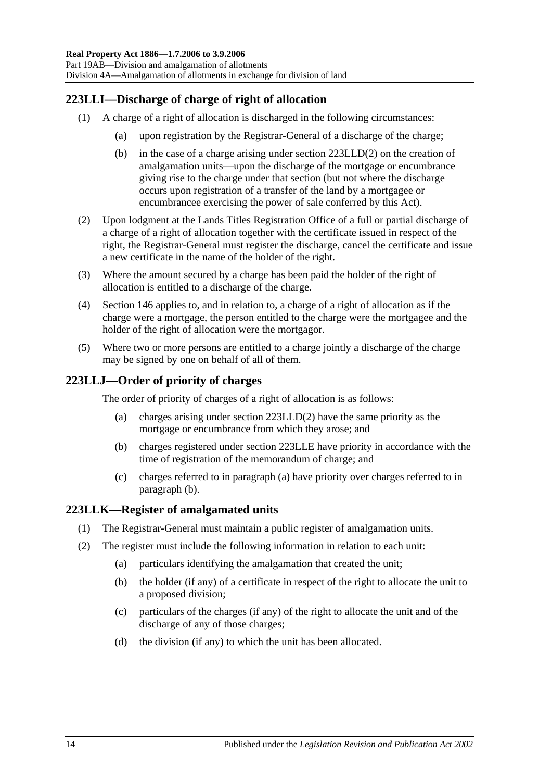# **223LLI—Discharge of charge of right of allocation**

- (1) A charge of a right of allocation is discharged in the following circumstances:
	- (a) upon registration by the Registrar-General of a discharge of the charge;
	- (b) in the case of a charge arising under section [223LLD\(2\)](#page-113-2) on the creation of amalgamation units—upon the discharge of the mortgage or encumbrance giving rise to the charge under that section (but not where the discharge occurs upon registration of a transfer of the land by a mortgagee or encumbrancee exercising the power of sale conferred by this Act).
- (2) Upon lodgment at the Lands Titles Registration Office of a full or partial discharge of a charge of a right of allocation together with the certificate issued in respect of the right, the Registrar-General must register the discharge, cancel the certificate and issue a new certificate in the name of the holder of the right.
- (3) Where the amount secured by a charge has been paid the holder of the right of allocation is entitled to a discharge of the charge.
- (4) [Section](#page-68-0) 146 applies to, and in relation to, a charge of a right of allocation as if the charge were a mortgage, the person entitled to the charge were the mortgagee and the holder of the right of allocation were the mortgagor.
- (5) Where two or more persons are entitled to a charge jointly a discharge of the charge may be signed by one on behalf of all of them.

# <span id="page-115-0"></span>**223LLJ—Order of priority of charges**

The order of priority of charges of a right of allocation is as follows:

- (a) charges arising under section [223LLD\(2\)](#page-113-2) have the same priority as the mortgage or encumbrance from which they arose; and
- <span id="page-115-1"></span>(b) charges registered under section [223LLE](#page-114-3) have priority in accordance with the time of registration of the memorandum of charge; and
- (c) charges referred to in [paragraph](#page-115-0) (a) have priority over charges referred to in [paragraph](#page-115-1) (b).

# **223LLK—Register of amalgamated units**

- (1) The Registrar-General must maintain a public register of amalgamation units.
- (2) The register must include the following information in relation to each unit:
	- (a) particulars identifying the amalgamation that created the unit;
	- (b) the holder (if any) of a certificate in respect of the right to allocate the unit to a proposed division;
	- (c) particulars of the charges (if any) of the right to allocate the unit and of the discharge of any of those charges;
	- (d) the division (if any) to which the unit has been allocated.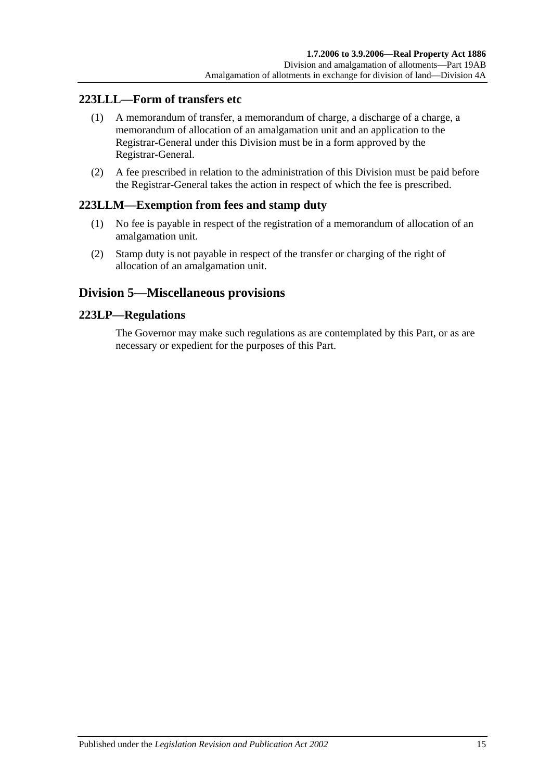# **223LLL—Form of transfers etc**

- (1) A memorandum of transfer, a memorandum of charge, a discharge of a charge, a memorandum of allocation of an amalgamation unit and an application to the Registrar-General under this Division must be in a form approved by the Registrar-General.
- (2) A fee prescribed in relation to the administration of this Division must be paid before the Registrar-General takes the action in respect of which the fee is prescribed.

# **223LLM—Exemption from fees and stamp duty**

- (1) No fee is payable in respect of the registration of a memorandum of allocation of an amalgamation unit.
- (2) Stamp duty is not payable in respect of the transfer or charging of the right of allocation of an amalgamation unit.

# **Division 5—Miscellaneous provisions**

# **223LP—Regulations**

The Governor may make such regulations as are contemplated by this Part, or as are necessary or expedient for the purposes of this Part.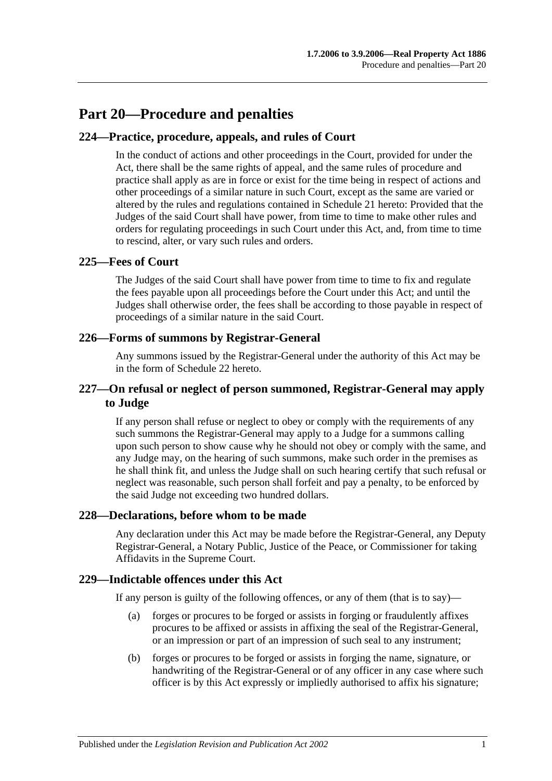# **Part 20—Procedure and penalties**

# **224—Practice, procedure, appeals, and rules of Court**

In the conduct of actions and other proceedings in the Court, provided for under the Act, there shall be the same rights of appeal, and the same rules of procedure and practice shall apply as are in force or exist for the time being in respect of actions and other proceedings of a similar nature in such Court, except as the same are varied or altered by the rules and regulations contained in [Schedule 21](#page-138-0) hereto: Provided that the Judges of the said Court shall have power, from time to time to make other rules and orders for regulating proceedings in such Court under this Act, and, from time to time to rescind, alter, or vary such rules and orders.

# **225—Fees of Court**

The Judges of the said Court shall have power from time to time to fix and regulate the fees payable upon all proceedings before the Court under this Act; and until the Judges shall otherwise order, the fees shall be according to those payable in respect of proceedings of a similar nature in the said Court.

# **226—Forms of summons by Registrar-General**

Any summons issued by the Registrar-General under the authority of this Act may be in the form of [Schedule 22](#page-140-0) hereto.

# **227—On refusal or neglect of person summoned, Registrar-General may apply to Judge**

If any person shall refuse or neglect to obey or comply with the requirements of any such summons the Registrar-General may apply to a Judge for a summons calling upon such person to show cause why he should not obey or comply with the same, and any Judge may, on the hearing of such summons, make such order in the premises as he shall think fit, and unless the Judge shall on such hearing certify that such refusal or neglect was reasonable, such person shall forfeit and pay a penalty, to be enforced by the said Judge not exceeding two hundred dollars.

# **228—Declarations, before whom to be made**

Any declaration under this Act may be made before the Registrar-General, any Deputy Registrar-General, a Notary Public, Justice of the Peace, or Commissioner for taking Affidavits in the Supreme Court.

#### **229—Indictable offences under this Act**

If any person is guilty of the following offences, or any of them (that is to say)—

- (a) forges or procures to be forged or assists in forging or fraudulently affixes procures to be affixed or assists in affixing the seal of the Registrar-General, or an impression or part of an impression of such seal to any instrument;
- (b) forges or procures to be forged or assists in forging the name, signature, or handwriting of the Registrar-General or of any officer in any case where such officer is by this Act expressly or impliedly authorised to affix his signature;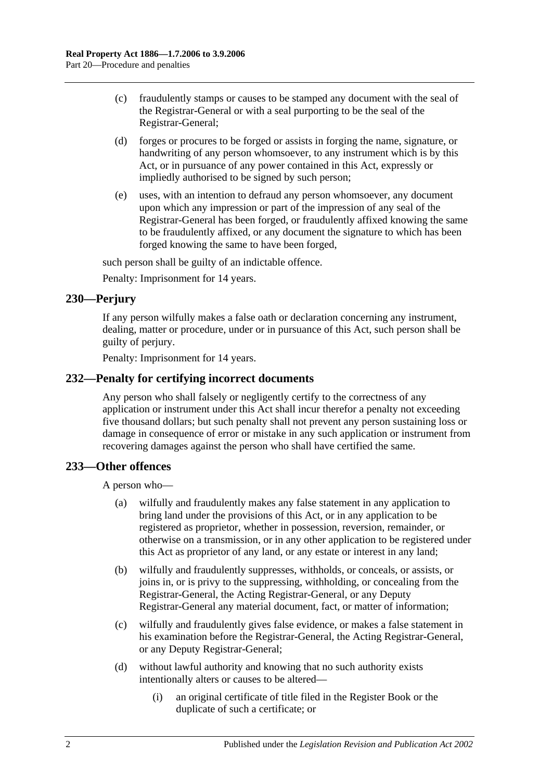- (c) fraudulently stamps or causes to be stamped any document with the seal of the Registrar-General or with a seal purporting to be the seal of the Registrar-General;
- (d) forges or procures to be forged or assists in forging the name, signature, or handwriting of any person whomsoever, to any instrument which is by this Act, or in pursuance of any power contained in this Act, expressly or impliedly authorised to be signed by such person;
- (e) uses, with an intention to defraud any person whomsoever, any document upon which any impression or part of the impression of any seal of the Registrar-General has been forged, or fraudulently affixed knowing the same to be fraudulently affixed, or any document the signature to which has been forged knowing the same to have been forged,

such person shall be guilty of an indictable offence.

Penalty: Imprisonment for 14 years.

# **230—Perjury**

If any person wilfully makes a false oath or declaration concerning any instrument, dealing, matter or procedure, under or in pursuance of this Act, such person shall be guilty of perjury.

Penalty: Imprisonment for 14 years.

#### **232—Penalty for certifying incorrect documents**

Any person who shall falsely or negligently certify to the correctness of any application or instrument under this Act shall incur therefor a penalty not exceeding five thousand dollars; but such penalty shall not prevent any person sustaining loss or damage in consequence of error or mistake in any such application or instrument from recovering damages against the person who shall have certified the same.

#### **233—Other offences**

A person who—

- (a) wilfully and fraudulently makes any false statement in any application to bring land under the provisions of this Act, or in any application to be registered as proprietor, whether in possession, reversion, remainder, or otherwise on a transmission, or in any other application to be registered under this Act as proprietor of any land, or any estate or interest in any land;
- (b) wilfully and fraudulently suppresses, withholds, or conceals, or assists, or joins in, or is privy to the suppressing, withholding, or concealing from the Registrar-General, the Acting Registrar-General, or any Deputy Registrar-General any material document, fact, or matter of information;
- (c) wilfully and fraudulently gives false evidence, or makes a false statement in his examination before the Registrar-General, the Acting Registrar-General, or any Deputy Registrar-General;
- (d) without lawful authority and knowing that no such authority exists intentionally alters or causes to be altered—
	- (i) an original certificate of title filed in the Register Book or the duplicate of such a certificate; or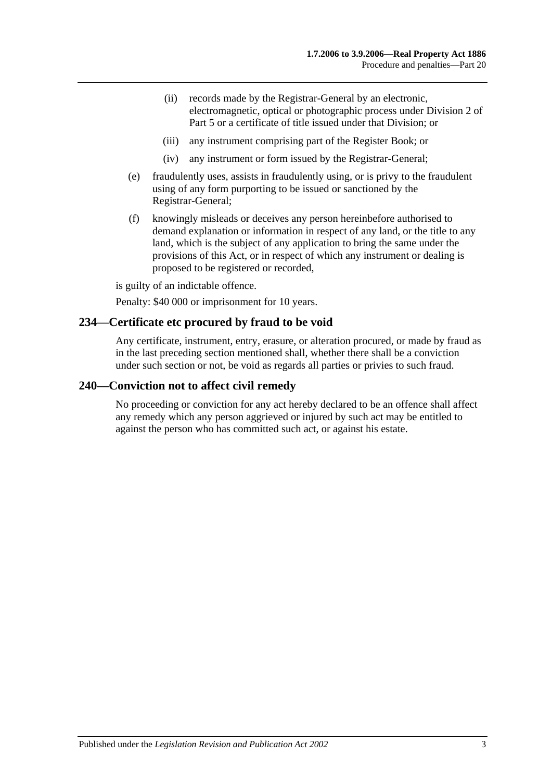- (ii) records made by the Registrar-General by an electronic, electromagnetic, optical or photographic process under [Division 2](#page-26-0) of [Part 5](#page-26-1) or a certificate of title issued under that Division; or
- (iii) any instrument comprising part of the Register Book; or
- (iv) any instrument or form issued by the Registrar-General;
- (e) fraudulently uses, assists in fraudulently using, or is privy to the fraudulent using of any form purporting to be issued or sanctioned by the Registrar-General;
- (f) knowingly misleads or deceives any person hereinbefore authorised to demand explanation or information in respect of any land, or the title to any land, which is the subject of any application to bring the same under the provisions of this Act, or in respect of which any instrument or dealing is proposed to be registered or recorded,

is guilty of an indictable offence.

Penalty: \$40 000 or imprisonment for 10 years.

#### **234—Certificate etc procured by fraud to be void**

Any certificate, instrument, entry, erasure, or alteration procured, or made by fraud as in the last preceding section mentioned shall, whether there shall be a conviction under such section or not, be void as regards all parties or privies to such fraud.

#### **240—Conviction not to affect civil remedy**

No proceeding or conviction for any act hereby declared to be an offence shall affect any remedy which any person aggrieved or injured by such act may be entitled to against the person who has committed such act, or against his estate.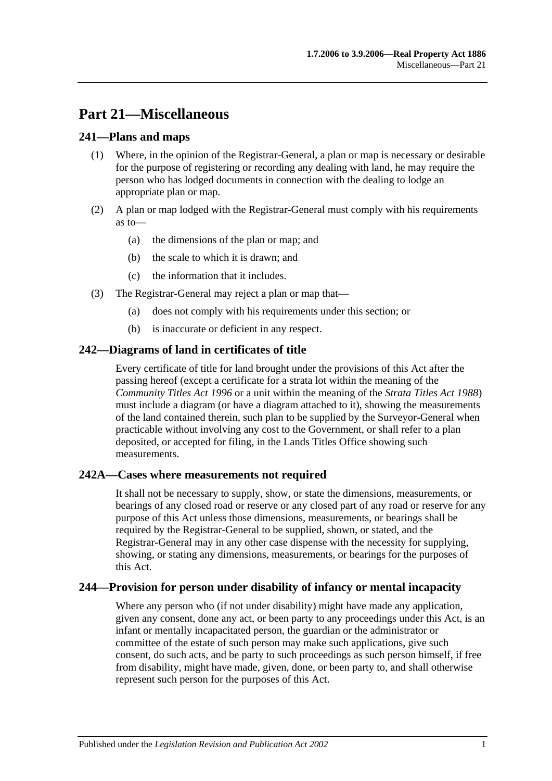# **Part 21—Miscellaneous**

# **241—Plans and maps**

- (1) Where, in the opinion of the Registrar-General, a plan or map is necessary or desirable for the purpose of registering or recording any dealing with land, he may require the person who has lodged documents in connection with the dealing to lodge an appropriate plan or map.
- (2) A plan or map lodged with the Registrar-General must comply with his requirements as to—
	- (a) the dimensions of the plan or map; and
	- (b) the scale to which it is drawn; and
	- (c) the information that it includes.
- (3) The Registrar-General may reject a plan or map that—
	- (a) does not comply with his requirements under this section; or
	- (b) is inaccurate or deficient in any respect.

# **242—Diagrams of land in certificates of title**

Every certificate of title for land brought under the provisions of this Act after the passing hereof (except a certificate for a strata lot within the meaning of the *[Community Titles Act](http://www.legislation.sa.gov.au/index.aspx?action=legref&type=act&legtitle=Community%20Titles%20Act%201996) 1996* or a unit within the meaning of the *[Strata Titles Act](http://www.legislation.sa.gov.au/index.aspx?action=legref&type=act&legtitle=Strata%20Titles%20Act%201988) 1988*) must include a diagram (or have a diagram attached to it), showing the measurements of the land contained therein, such plan to be supplied by the Surveyor-General when practicable without involving any cost to the Government, or shall refer to a plan deposited, or accepted for filing, in the Lands Titles Office showing such measurements.

# **242A—Cases where measurements not required**

It shall not be necessary to supply, show, or state the dimensions, measurements, or bearings of any closed road or reserve or any closed part of any road or reserve for any purpose of this Act unless those dimensions, measurements, or bearings shall be required by the Registrar-General to be supplied, shown, or stated, and the Registrar-General may in any other case dispense with the necessity for supplying, showing, or stating any dimensions, measurements, or bearings for the purposes of this Act.

# **244—Provision for person under disability of infancy or mental incapacity**

Where any person who (if not under disability) might have made any application, given any consent, done any act, or been party to any proceedings under this Act, is an infant or mentally incapacitated person, the guardian or the administrator or committee of the estate of such person may make such applications, give such consent, do such acts, and be party to such proceedings as such person himself, if free from disability, might have made, given, done, or been party to, and shall otherwise represent such person for the purposes of this Act.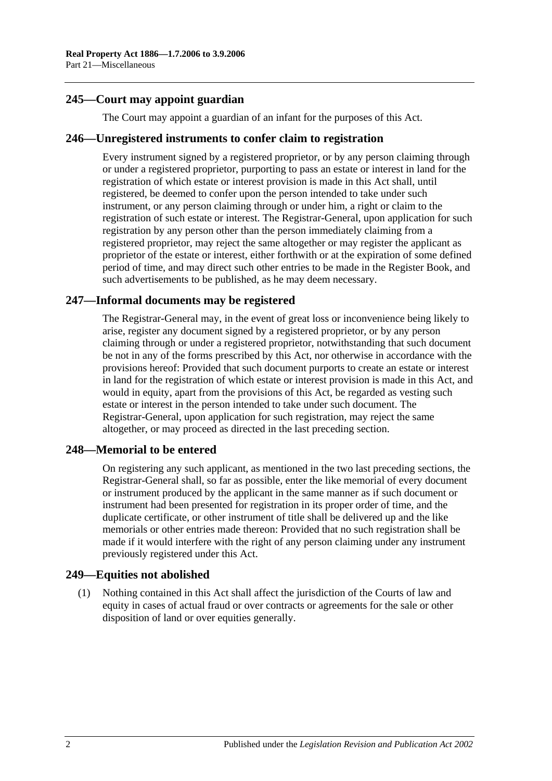# **245—Court may appoint guardian**

The Court may appoint a guardian of an infant for the purposes of this Act.

#### **246—Unregistered instruments to confer claim to registration**

Every instrument signed by a registered proprietor, or by any person claiming through or under a registered proprietor, purporting to pass an estate or interest in land for the registration of which estate or interest provision is made in this Act shall, until registered, be deemed to confer upon the person intended to take under such instrument, or any person claiming through or under him, a right or claim to the registration of such estate or interest. The Registrar-General, upon application for such registration by any person other than the person immediately claiming from a registered proprietor, may reject the same altogether or may register the applicant as proprietor of the estate or interest, either forthwith or at the expiration of some defined period of time, and may direct such other entries to be made in the Register Book, and such advertisements to be published, as he may deem necessary.

# **247—Informal documents may be registered**

The Registrar-General may, in the event of great loss or inconvenience being likely to arise, register any document signed by a registered proprietor, or by any person claiming through or under a registered proprietor, notwithstanding that such document be not in any of the forms prescribed by this Act, nor otherwise in accordance with the provisions hereof: Provided that such document purports to create an estate or interest in land for the registration of which estate or interest provision is made in this Act, and would in equity, apart from the provisions of this Act, be regarded as vesting such estate or interest in the person intended to take under such document. The Registrar-General, upon application for such registration, may reject the same altogether, or may proceed as directed in the last preceding section.

# **248—Memorial to be entered**

On registering any such applicant, as mentioned in the two last preceding sections, the Registrar-General shall, so far as possible, enter the like memorial of every document or instrument produced by the applicant in the same manner as if such document or instrument had been presented for registration in its proper order of time, and the duplicate certificate, or other instrument of title shall be delivered up and the like memorials or other entries made thereon: Provided that no such registration shall be made if it would interfere with the right of any person claiming under any instrument previously registered under this Act.

#### **249—Equities not abolished**

(1) Nothing contained in this Act shall affect the jurisdiction of the Courts of law and equity in cases of actual fraud or over contracts or agreements for the sale or other disposition of land or over equities generally.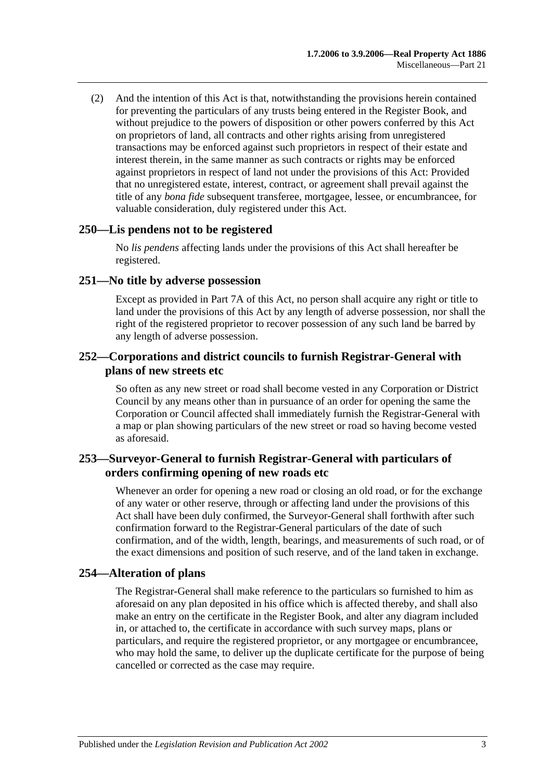(2) And the intention of this Act is that, notwithstanding the provisions herein contained for preventing the particulars of any trusts being entered in the Register Book, and without prejudice to the powers of disposition or other powers conferred by this Act on proprietors of land, all contracts and other rights arising from unregistered transactions may be enforced against such proprietors in respect of their estate and interest therein, in the same manner as such contracts or rights may be enforced against proprietors in respect of land not under the provisions of this Act: Provided that no unregistered estate, interest, contract, or agreement shall prevail against the title of any *bona fide* subsequent transferee, mortgagee, lessee, or encumbrancee, for valuable consideration, duly registered under this Act.

#### **250—Lis pendens not to be registered**

No *lis pendens* affecting lands under the provisions of this Act shall hereafter be registered.

#### **251—No title by adverse possession**

Except as provided in [Part 7A](#page-40-0) of this Act, no person shall acquire any right or title to land under the provisions of this Act by any length of adverse possession, nor shall the right of the registered proprietor to recover possession of any such land be barred by any length of adverse possession.

## **252—Corporations and district councils to furnish Registrar-General with plans of new streets etc**

So often as any new street or road shall become vested in any Corporation or District Council by any means other than in pursuance of an order for opening the same the Corporation or Council affected shall immediately furnish the Registrar-General with a map or plan showing particulars of the new street or road so having become vested as aforesaid.

# **253—Surveyor-General to furnish Registrar-General with particulars of orders confirming opening of new roads etc**

Whenever an order for opening a new road or closing an old road, or for the exchange of any water or other reserve, through or affecting land under the provisions of this Act shall have been duly confirmed, the Surveyor-General shall forthwith after such confirmation forward to the Registrar-General particulars of the date of such confirmation, and of the width, length, bearings, and measurements of such road, or of the exact dimensions and position of such reserve, and of the land taken in exchange.

# **254—Alteration of plans**

The Registrar-General shall make reference to the particulars so furnished to him as aforesaid on any plan deposited in his office which is affected thereby, and shall also make an entry on the certificate in the Register Book, and alter any diagram included in, or attached to, the certificate in accordance with such survey maps, plans or particulars, and require the registered proprietor, or any mortgagee or encumbrancee, who may hold the same, to deliver up the duplicate certificate for the purpose of being cancelled or corrected as the case may require.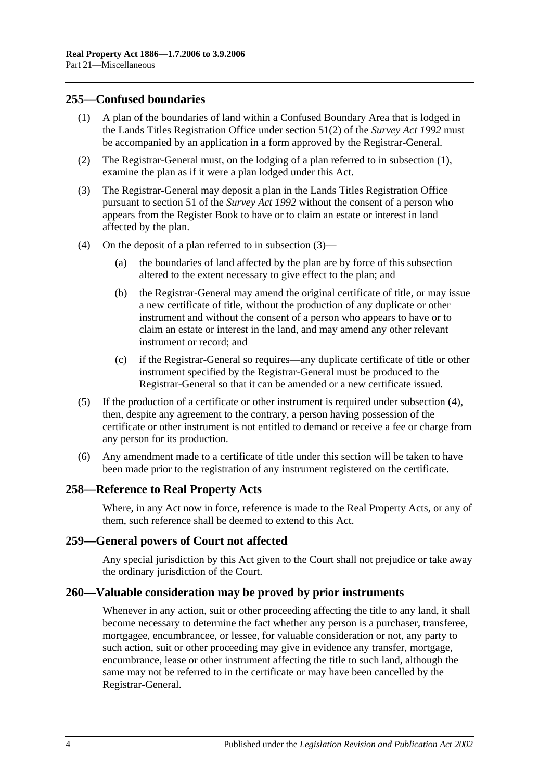## <span id="page-125-0"></span>**255—Confused boundaries**

- (1) A plan of the boundaries of land within a Confused Boundary Area that is lodged in the Lands Titles Registration Office under section 51(2) of the *[Survey Act](http://www.legislation.sa.gov.au/index.aspx?action=legref&type=act&legtitle=Survey%20Act%201992) 1992* must be accompanied by an application in a form approved by the Registrar-General.
- (2) The Registrar-General must, on the lodging of a plan referred to in [subsection](#page-125-0) (1), examine the plan as if it were a plan lodged under this Act.
- <span id="page-125-1"></span>(3) The Registrar-General may deposit a plan in the Lands Titles Registration Office pursuant to section 51 of the *[Survey Act](http://www.legislation.sa.gov.au/index.aspx?action=legref&type=act&legtitle=Survey%20Act%201992) 1992* without the consent of a person who appears from the Register Book to have or to claim an estate or interest in land affected by the plan.
- <span id="page-125-2"></span>(4) On the deposit of a plan referred to in [subsection](#page-125-1) (3)—
	- (a) the boundaries of land affected by the plan are by force of this subsection altered to the extent necessary to give effect to the plan; and
	- (b) the Registrar-General may amend the original certificate of title, or may issue a new certificate of title, without the production of any duplicate or other instrument and without the consent of a person who appears to have or to claim an estate or interest in the land, and may amend any other relevant instrument or record; and
	- (c) if the Registrar-General so requires—any duplicate certificate of title or other instrument specified by the Registrar-General must be produced to the Registrar-General so that it can be amended or a new certificate issued.
- (5) If the production of a certificate or other instrument is required under [subsection](#page-125-2) (4), then, despite any agreement to the contrary, a person having possession of the certificate or other instrument is not entitled to demand or receive a fee or charge from any person for its production.
- (6) Any amendment made to a certificate of title under this section will be taken to have been made prior to the registration of any instrument registered on the certificate.

#### **258—Reference to Real Property Acts**

Where, in any Act now in force, reference is made to the Real Property Acts, or any of them, such reference shall be deemed to extend to this Act.

#### **259—General powers of Court not affected**

Any special jurisdiction by this Act given to the Court shall not prejudice or take away the ordinary jurisdiction of the Court.

#### **260—Valuable consideration may be proved by prior instruments**

Whenever in any action, suit or other proceeding affecting the title to any land, it shall become necessary to determine the fact whether any person is a purchaser, transferee, mortgagee, encumbrancee, or lessee, for valuable consideration or not, any party to such action, suit or other proceeding may give in evidence any transfer, mortgage, encumbrance, lease or other instrument affecting the title to such land, although the same may not be referred to in the certificate or may have been cancelled by the Registrar-General.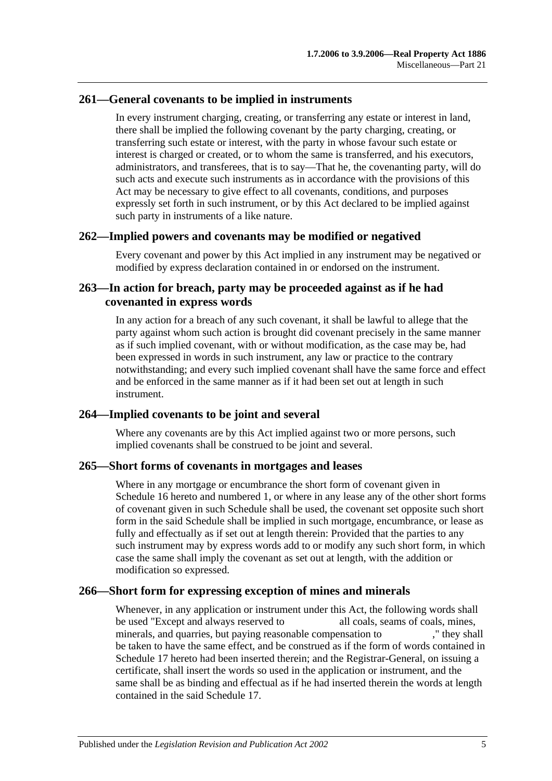# **261—General covenants to be implied in instruments**

In every instrument charging, creating, or transferring any estate or interest in land, there shall be implied the following covenant by the party charging, creating, or transferring such estate or interest, with the party in whose favour such estate or interest is charged or created, or to whom the same is transferred, and his executors, administrators, and transferees, that is to say—That he, the covenanting party, will do such acts and execute such instruments as in accordance with the provisions of this Act may be necessary to give effect to all covenants, conditions, and purposes expressly set forth in such instrument, or by this Act declared to be implied against such party in instruments of a like nature.

# **262—Implied powers and covenants may be modified or negatived**

Every covenant and power by this Act implied in any instrument may be negatived or modified by express declaration contained in or endorsed on the instrument.

# **263—In action for breach, party may be proceeded against as if he had covenanted in express words**

In any action for a breach of any such covenant, it shall be lawful to allege that the party against whom such action is brought did covenant precisely in the same manner as if such implied covenant, with or without modification, as the case may be, had been expressed in words in such instrument, any law or practice to the contrary notwithstanding; and every such implied covenant shall have the same force and effect and be enforced in the same manner as if it had been set out at length in such instrument.

# **264—Implied covenants to be joint and several**

Where any covenants are by this Act implied against two or more persons, such implied covenants shall be construed to be joint and several.

# **265—Short forms of covenants in mortgages and leases**

Where in any mortgage or encumbrance the short form of covenant given in [Schedule](#page-136-0) 16 hereto and numbered 1, or where in any lease any of the other short forms of covenant given in such Schedule shall be used, the covenant set opposite such short form in the said Schedule shall be implied in such mortgage, encumbrance, or lease as fully and effectually as if set out at length therein: Provided that the parties to any such instrument may by express words add to or modify any such short form, in which case the same shall imply the covenant as set out at length, with the addition or modification so expressed.

# **266—Short form for expressing exception of mines and minerals**

Whenever, in any application or instrument under this Act, the following words shall be used "Except and always reserved to all coals, seams of coals, mines, minerals, and quarries, but paying reasonable compensation to ," they shall be taken to have the same effect, and be construed as if the form of words contained in [Schedule 17](#page-138-1) hereto had been inserted therein; and the Registrar-General, on issuing a certificate, shall insert the words so used in the application or instrument, and the same shall be as binding and effectual as if he had inserted therein the words at length contained in the said [Schedule 17.](#page-138-1)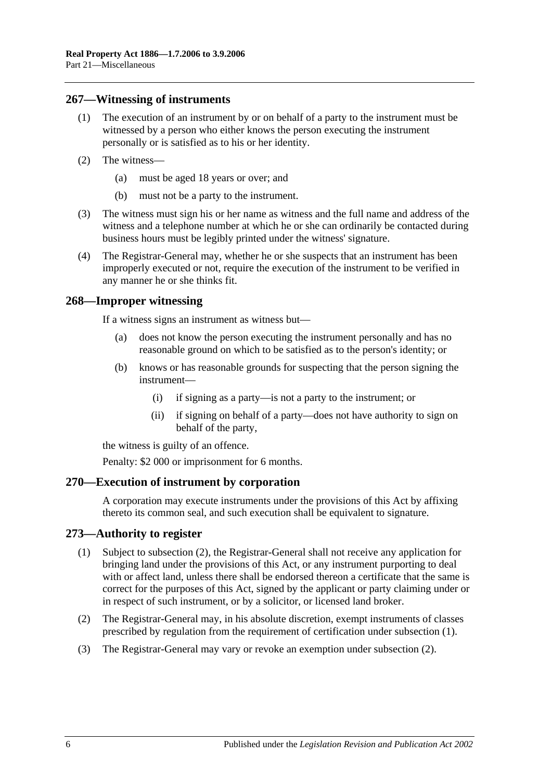#### **267—Witnessing of instruments**

- (1) The execution of an instrument by or on behalf of a party to the instrument must be witnessed by a person who either knows the person executing the instrument personally or is satisfied as to his or her identity.
- (2) The witness—
	- (a) must be aged 18 years or over; and
	- (b) must not be a party to the instrument.
- (3) The witness must sign his or her name as witness and the full name and address of the witness and a telephone number at which he or she can ordinarily be contacted during business hours must be legibly printed under the witness' signature.
- (4) The Registrar-General may, whether he or she suspects that an instrument has been improperly executed or not, require the execution of the instrument to be verified in any manner he or she thinks fit.

#### **268—Improper witnessing**

If a witness signs an instrument as witness but—

- (a) does not know the person executing the instrument personally and has no reasonable ground on which to be satisfied as to the person's identity; or
- (b) knows or has reasonable grounds for suspecting that the person signing the instrument—
	- (i) if signing as a party—is not a party to the instrument; or
	- (ii) if signing on behalf of a party—does not have authority to sign on behalf of the party,

the witness is guilty of an offence.

Penalty: \$2 000 or imprisonment for 6 months.

#### **270—Execution of instrument by corporation**

A corporation may execute instruments under the provisions of this Act by affixing thereto its common seal, and such execution shall be equivalent to signature.

#### <span id="page-127-1"></span>**273—Authority to register**

- (1) Subject to [subsection](#page-127-0) (2), the Registrar-General shall not receive any application for bringing land under the provisions of this Act, or any instrument purporting to deal with or affect land, unless there shall be endorsed thereon a certificate that the same is correct for the purposes of this Act, signed by the applicant or party claiming under or in respect of such instrument, or by a solicitor, or licensed land broker.
- <span id="page-127-0"></span>(2) The Registrar-General may, in his absolute discretion, exempt instruments of classes prescribed by regulation from the requirement of certification under [subsection](#page-127-1) (1).
- (3) The Registrar-General may vary or revoke an exemption under [subsection](#page-127-0) (2).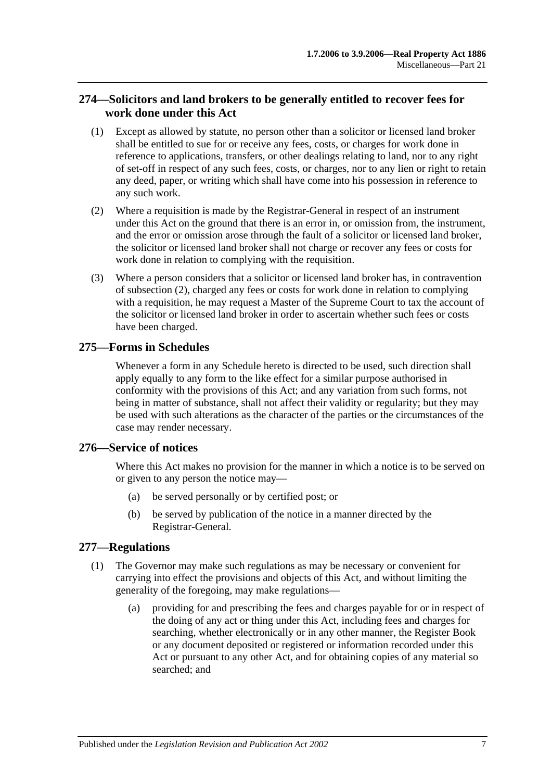# **274—Solicitors and land brokers to be generally entitled to recover fees for work done under this Act**

- (1) Except as allowed by statute, no person other than a solicitor or licensed land broker shall be entitled to sue for or receive any fees, costs, or charges for work done in reference to applications, transfers, or other dealings relating to land, nor to any right of set-off in respect of any such fees, costs, or charges, nor to any lien or right to retain any deed, paper, or writing which shall have come into his possession in reference to any such work.
- <span id="page-128-0"></span>(2) Where a requisition is made by the Registrar-General in respect of an instrument under this Act on the ground that there is an error in, or omission from, the instrument, and the error or omission arose through the fault of a solicitor or licensed land broker, the solicitor or licensed land broker shall not charge or recover any fees or costs for work done in relation to complying with the requisition.
- (3) Where a person considers that a solicitor or licensed land broker has, in contravention of [subsection](#page-128-0) (2), charged any fees or costs for work done in relation to complying with a requisition, he may request a Master of the Supreme Court to tax the account of the solicitor or licensed land broker in order to ascertain whether such fees or costs have been charged.

# **275—Forms in Schedules**

Whenever a form in any Schedule hereto is directed to be used, such direction shall apply equally to any form to the like effect for a similar purpose authorised in conformity with the provisions of this Act; and any variation from such forms, not being in matter of substance, shall not affect their validity or regularity; but they may be used with such alterations as the character of the parties or the circumstances of the case may render necessary.

# **276—Service of notices**

Where this Act makes no provision for the manner in which a notice is to be served on or given to any person the notice may—

- (a) be served personally or by certified post; or
- (b) be served by publication of the notice in a manner directed by the Registrar-General.

# <span id="page-128-1"></span>**277—Regulations**

- (1) The Governor may make such regulations as may be necessary or convenient for carrying into effect the provisions and objects of this Act, and without limiting the generality of the foregoing, may make regulations—
	- (a) providing for and prescribing the fees and charges payable for or in respect of the doing of any act or thing under this Act, including fees and charges for searching, whether electronically or in any other manner, the Register Book or any document deposited or registered or information recorded under this Act or pursuant to any other Act, and for obtaining copies of any material so searched; and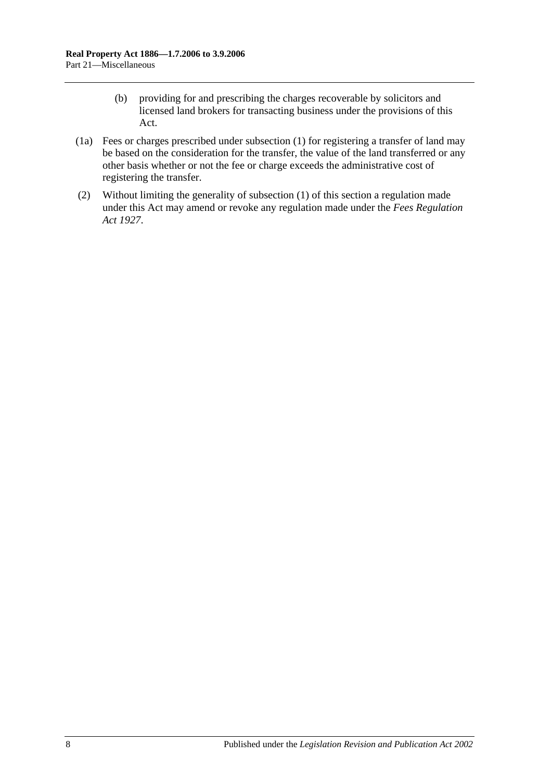- (b) providing for and prescribing the charges recoverable by solicitors and licensed land brokers for transacting business under the provisions of this Act.
- (1a) Fees or charges prescribed under [subsection](#page-128-1) (1) for registering a transfer of land may be based on the consideration for the transfer, the value of the land transferred or any other basis whether or not the fee or charge exceeds the administrative cost of registering the transfer.
- (2) Without limiting the generality of [subsection](#page-128-1) (1) of this section a regulation made under this Act may amend or revoke any regulation made under the *[Fees Regulation](http://www.legislation.sa.gov.au/index.aspx?action=legref&type=act&legtitle=Fees%20Regulation%20Act%201927)  Act [1927](http://www.legislation.sa.gov.au/index.aspx?action=legref&type=act&legtitle=Fees%20Regulation%20Act%201927)*.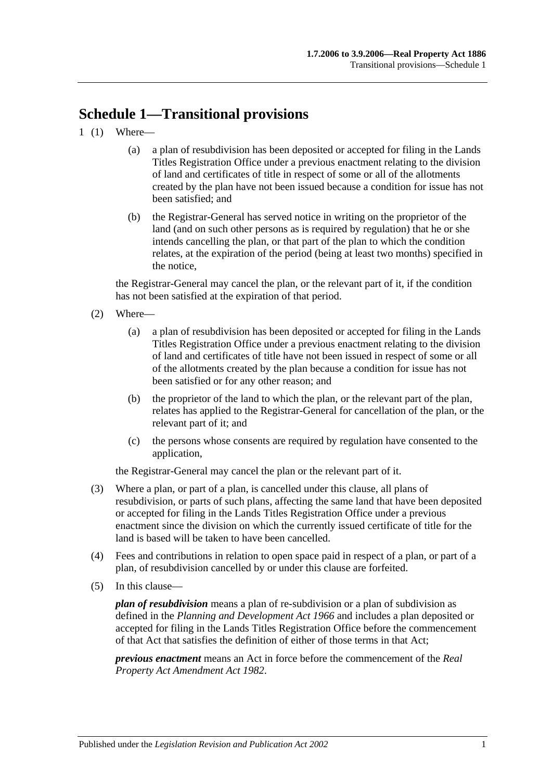# **Schedule 1—Transitional provisions**

- 1 (1) Where—
	- (a) a plan of resubdivision has been deposited or accepted for filing in the Lands Titles Registration Office under a previous enactment relating to the division of land and certificates of title in respect of some or all of the allotments created by the plan have not been issued because a condition for issue has not been satisfied; and
	- (b) the Registrar-General has served notice in writing on the proprietor of the land (and on such other persons as is required by regulation) that he or she intends cancelling the plan, or that part of the plan to which the condition relates, at the expiration of the period (being at least two months) specified in the notice,

the Registrar-General may cancel the plan, or the relevant part of it, if the condition has not been satisfied at the expiration of that period.

- (2) Where—
	- (a) a plan of resubdivision has been deposited or accepted for filing in the Lands Titles Registration Office under a previous enactment relating to the division of land and certificates of title have not been issued in respect of some or all of the allotments created by the plan because a condition for issue has not been satisfied or for any other reason; and
	- (b) the proprietor of the land to which the plan, or the relevant part of the plan, relates has applied to the Registrar-General for cancellation of the plan, or the relevant part of it; and
	- (c) the persons whose consents are required by regulation have consented to the application,

the Registrar-General may cancel the plan or the relevant part of it.

- (3) Where a plan, or part of a plan, is cancelled under this clause, all plans of resubdivision, or parts of such plans, affecting the same land that have been deposited or accepted for filing in the Lands Titles Registration Office under a previous enactment since the division on which the currently issued certificate of title for the land is based will be taken to have been cancelled.
- (4) Fees and contributions in relation to open space paid in respect of a plan, or part of a plan, of resubdivision cancelled by or under this clause are forfeited.
- (5) In this clause—

*plan of resubdivision* means a plan of re-subdivision or a plan of subdivision as defined in the *[Planning and Development Act](http://www.legislation.sa.gov.au/index.aspx?action=legref&type=act&legtitle=Planning%20and%20Development%20Act%201966) 1966* and includes a plan deposited or accepted for filing in the Lands Titles Registration Office before the commencement of that Act that satisfies the definition of either of those terms in that Act;

*previous enactment* means an Act in force before the commencement of the *[Real](http://www.legislation.sa.gov.au/index.aspx?action=legref&type=act&legtitle=Real%20Property%20Act%20Amendment%20Act%201982)  [Property Act Amendment Act](http://www.legislation.sa.gov.au/index.aspx?action=legref&type=act&legtitle=Real%20Property%20Act%20Amendment%20Act%201982) 1982*.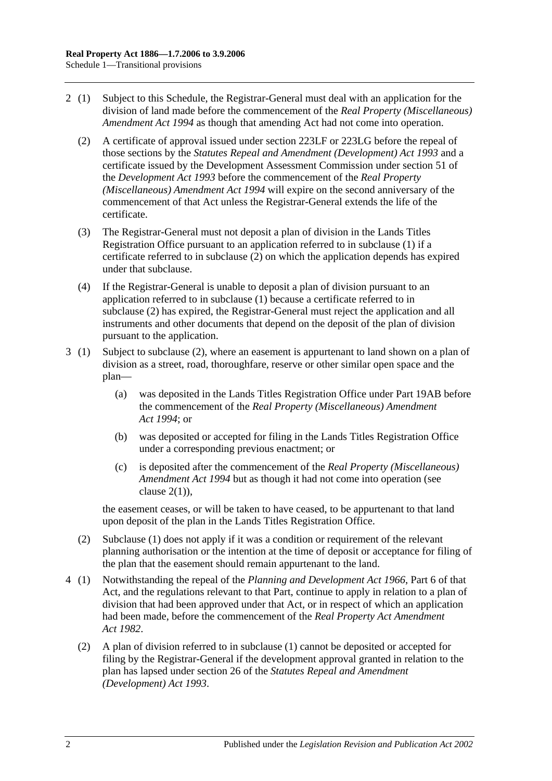- <span id="page-131-0"></span>2 (1) Subject to this Schedule, the Registrar-General must deal with an application for the division of land made before the commencement of the *[Real Property \(Miscellaneous\)](http://www.legislation.sa.gov.au/index.aspx?action=legref&type=act&legtitle=Real%20Property%20(Miscellaneous)%20Amendment%20Act%201994)  [Amendment Act](http://www.legislation.sa.gov.au/index.aspx?action=legref&type=act&legtitle=Real%20Property%20(Miscellaneous)%20Amendment%20Act%201994) 1994* as though that amending Act had not come into operation.
	- (2) A certificate of approval issued under [section](#page-107-0) 223LF or [223LG](#page-108-4) before the repeal of those sections by the *[Statutes Repeal and Amendment \(Development\) Act](http://www.legislation.sa.gov.au/index.aspx?action=legref&type=act&legtitle=Statutes%20Repeal%20and%20Amendment%20(Development)%20Act%201993) 1993* and a certificate issued by the Development Assessment Commission under section 51 of the *[Development Act](http://www.legislation.sa.gov.au/index.aspx?action=legref&type=act&legtitle=Development%20Act%201993) 1993* before the commencement of the *[Real Property](http://www.legislation.sa.gov.au/index.aspx?action=legref&type=act&legtitle=Real%20Property%20(Miscellaneous)%20Amendment%20Act%201994)  [\(Miscellaneous\) Amendment Act](http://www.legislation.sa.gov.au/index.aspx?action=legref&type=act&legtitle=Real%20Property%20(Miscellaneous)%20Amendment%20Act%201994) 1994* will expire on the second anniversary of the commencement of that Act unless the Registrar-General extends the life of the certificate.
	- (3) The Registrar-General must not deposit a plan of division in the Lands Titles Registration Office pursuant to an application referred to in subclause (1) if a certificate referred to in [subclause](#page-131-0) (2) on which the application depends has expired under that subclause.
	- (4) If the Registrar-General is unable to deposit a plan of division pursuant to an application referred to in subclause (1) because a certificate referred to in [subclause](#page-131-0) (2) has expired, the Registrar-General must reject the application and all instruments and other documents that depend on the deposit of the plan of division pursuant to the application.
- 3 (1) Subject to [subclause](#page-131-1) (2), where an easement is appurtenant to land shown on a plan of division as a street, road, thoroughfare, reserve or other similar open space and the plan—
	- (a) was deposited in the Lands Titles Registration Office under [Part 19AB](#page-102-0) before the commencement of the *[Real Property \(Miscellaneous\) Amendment](http://www.legislation.sa.gov.au/index.aspx?action=legref&type=act&legtitle=Real%20Property%20(Miscellaneous)%20Amendment%20Act%201994)  Act [1994](http://www.legislation.sa.gov.au/index.aspx?action=legref&type=act&legtitle=Real%20Property%20(Miscellaneous)%20Amendment%20Act%201994)*; or
	- (b) was deposited or accepted for filing in the Lands Titles Registration Office under a corresponding previous enactment; or
	- (c) is deposited after the commencement of the *[Real Property \(Miscellaneous\)](http://www.legislation.sa.gov.au/index.aspx?action=legref&type=act&legtitle=Real%20Property%20(Miscellaneous)%20Amendment%20Act%201994)  [Amendment Act](http://www.legislation.sa.gov.au/index.aspx?action=legref&type=act&legtitle=Real%20Property%20(Miscellaneous)%20Amendment%20Act%201994) 1994* but as though it had not come into operation (see clause  $2(1)$ ).

the easement ceases, or will be taken to have ceased, to be appurtenant to that land upon deposit of the plan in the Lands Titles Registration Office.

- <span id="page-131-1"></span>(2) Subclause (1) does not apply if it was a condition or requirement of the relevant planning authorisation or the intention at the time of deposit or acceptance for filing of the plan that the easement should remain appurtenant to the land.
- 4 (1) Notwithstanding the repeal of the *[Planning and Development Act](http://www.legislation.sa.gov.au/index.aspx?action=legref&type=act&legtitle=Planning%20and%20Development%20Act%201966) 1966*, Part 6 of that Act, and the regulations relevant to that Part, continue to apply in relation to a plan of division that had been approved under that Act, or in respect of which an application had been made, before the commencement of the *[Real Property Act Amendment](http://www.legislation.sa.gov.au/index.aspx?action=legref&type=act&legtitle=Real%20Property%20Act%20Amendment%20Act%201982)  Act [1982](http://www.legislation.sa.gov.au/index.aspx?action=legref&type=act&legtitle=Real%20Property%20Act%20Amendment%20Act%201982)*.
	- (2) A plan of division referred to in subclause (1) cannot be deposited or accepted for filing by the Registrar-General if the development approval granted in relation to the plan has lapsed under section 26 of the *[Statutes Repeal and Amendment](http://www.legislation.sa.gov.au/index.aspx?action=legref&type=act&legtitle=Statutes%20Repeal%20and%20Amendment%20(Development)%20Act%201993)  [\(Development\) Act](http://www.legislation.sa.gov.au/index.aspx?action=legref&type=act&legtitle=Statutes%20Repeal%20and%20Amendment%20(Development)%20Act%201993) 1993*.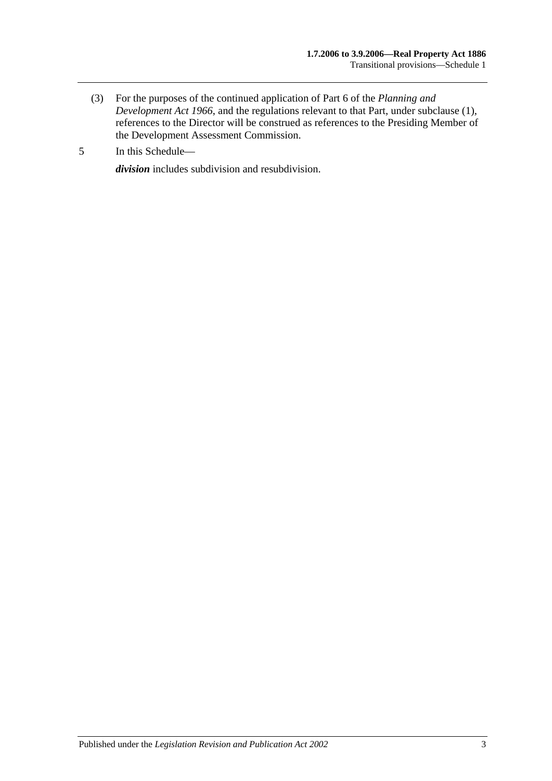- (3) For the purposes of the continued application of Part 6 of the *[Planning and](http://www.legislation.sa.gov.au/index.aspx?action=legref&type=act&legtitle=Planning%20and%20Development%20Act%201966)  [Development Act](http://www.legislation.sa.gov.au/index.aspx?action=legref&type=act&legtitle=Planning%20and%20Development%20Act%201966) 1966*, and the regulations relevant to that Part, under subclause (1), references to the Director will be construed as references to the Presiding Member of the Development Assessment Commission.
- 5 In this Schedule—

*division* includes subdivision and resubdivision.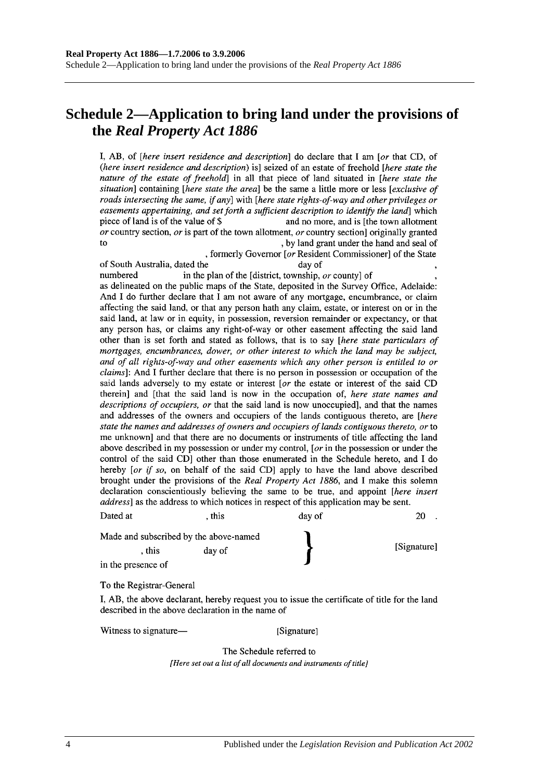# **Schedule 2—Application to bring land under the provisions of the** *Real Property Act 1886*

I, AB, of *[here insert residence and description*] do declare that I am *[or that CD, of* (here insert residence and description) is] seized of an estate of freehold [here state the nature of the estate of freehold] in all that piece of land situated in [here state the situation] containing [here state the area] be the same a little more or less [exclusive of roads intersecting the same, if any] with [here state rights-of-way and other privileges or easements appertaining, and set forth a sufficient description to identify the land which piece of land is of the value of \$ and no more, and is [the town allotment] or country section, or is part of the town allotment, or country section originally granted to , by land grant under the hand and seal of

, formerly Governor [or Resident Commissioner] of the State of South Australia, dated the day of in the plan of the [district, township, or county] of numbered as delineated on the public maps of the State, deposited in the Survey Office, Adelaide: And I do further declare that I am not aware of any mortgage, encumbrance, or claim affecting the said land, or that any person hath any claim, estate, or interest on or in the said land, at law or in equity, in possession, reversion remainder or expectancy, or that any person has, or claims any right-of-way or other easement affecting the said land other than is set forth and stated as follows, that is to say [here state particulars of mortgages, encumbrances, dower, or other interest to which the land may be subject, and of all rights-of-way and other easements which any other person is entitled to or *claims*]: And I further declare that there is no person in possession or occupation of the said lands adversely to my estate or interest [or the estate or interest of the said CD therein] and [that the said land is now in the occupation of, here state names and descriptions of occupiers, or that the said land is now unoccupied], and that the names and addresses of the owners and occupiers of the lands contiguous thereto, are [here

state the names and addresses of owners and occupiers of lands contiguous thereto, or to me unknown and that there are no documents or instruments of title affecting the land above described in my possession or under my control, [ $or$  in the possession or under the control of the said CD] other than those enumerated in the Schedule hereto, and I do hereby [or if so, on behalf of the said CD] apply to have the land above described brought under the provisions of the Real Property Act 1886, and I make this solemn declaration conscientiously believing the same to be true, and appoint [here insert address] as the address to which notices in respect of this application may be sent.

| Dated at           | . this                                 | day of | 20          |
|--------------------|----------------------------------------|--------|-------------|
|                    | Made and subscribed by the above-named |        |             |
| . this             | day of                                 |        | [Signature] |
| in the presence of |                                        |        |             |

To the Registrar-General

I, AB, the above declarant, hereby request you to issue the certificate of title for the land described in the above declaration in the name of

Witness to signature—

[Signature]

The Schedule referred to [Here set out a list of all documents and instruments of title]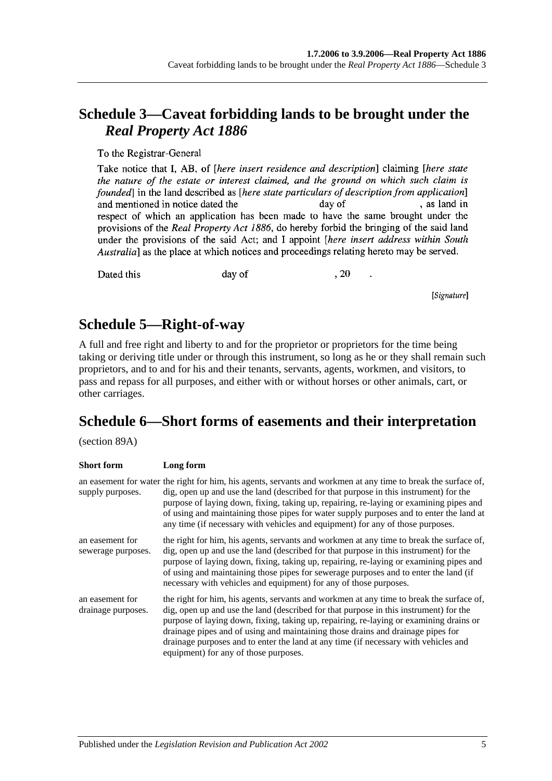# **Schedule 3—Caveat forbidding lands to be brought under the**  *Real Property Act 1886*

To the Registrar-General

Take notice that I, AB, of *[here insert residence and description*] claiming *[here state* the nature of the estate or interest claimed, and the ground on which such claim is founded in the land described as *[here state particulars of description from application*] , as land in and mentioned in notice dated the day of respect of which an application has been made to have the same brought under the provisions of the Real Property Act 1886, do hereby forbid the bringing of the said land under the provisions of the said Act; and I appoint *[here insert address within South* Australia] as the place at which notices and proceedings relating hereto may be served.

Dated this

day of

, 20

[Signature]

# **Schedule 5—Right-of-way**

A full and free right and liberty to and for the proprietor or proprietors for the time being taking or deriving title under or through this instrument, so long as he or they shall remain such proprietors, and to and for his and their tenants, servants, agents, workmen, and visitors, to pass and repass for all purposes, and either with or without horses or other animals, cart, or other carriages.

# **Schedule 6—Short forms of easements and their interpretation**

(section 89A)

| <b>Short form</b>                     | Long form                                                                                                                                                                                                                                                                                                                                                                                                                                                                                      |
|---------------------------------------|------------------------------------------------------------------------------------------------------------------------------------------------------------------------------------------------------------------------------------------------------------------------------------------------------------------------------------------------------------------------------------------------------------------------------------------------------------------------------------------------|
| supply purposes.                      | an easement for water the right for him, his agents, servants and workmen at any time to break the surface of,<br>dig, open up and use the land (described for that purpose in this instrument) for the<br>purpose of laying down, fixing, taking up, repairing, re-laying or examining pipes and<br>of using and maintaining those pipes for water supply purposes and to enter the land at<br>any time (if necessary with vehicles and equipment) for any of those purposes.                 |
| an easement for<br>sewerage purposes. | the right for him, his agents, servants and workmen at any time to break the surface of,<br>dig, open up and use the land (described for that purpose in this instrument) for the<br>purpose of laying down, fixing, taking up, repairing, re-laying or examining pipes and<br>of using and maintaining those pipes for sewerage purposes and to enter the land (if<br>necessary with vehicles and equipment) for any of those purposes.                                                       |
| an easement for<br>drainage purposes. | the right for him, his agents, servants and workmen at any time to break the surface of,<br>dig, open up and use the land (described for that purpose in this instrument) for the<br>purpose of laying down, fixing, taking up, repairing, re-laying or examining drains or<br>drainage pipes and of using and maintaining those drains and drainage pipes for<br>drainage purposes and to enter the land at any time (if necessary with vehicles and<br>equipment) for any of those purposes. |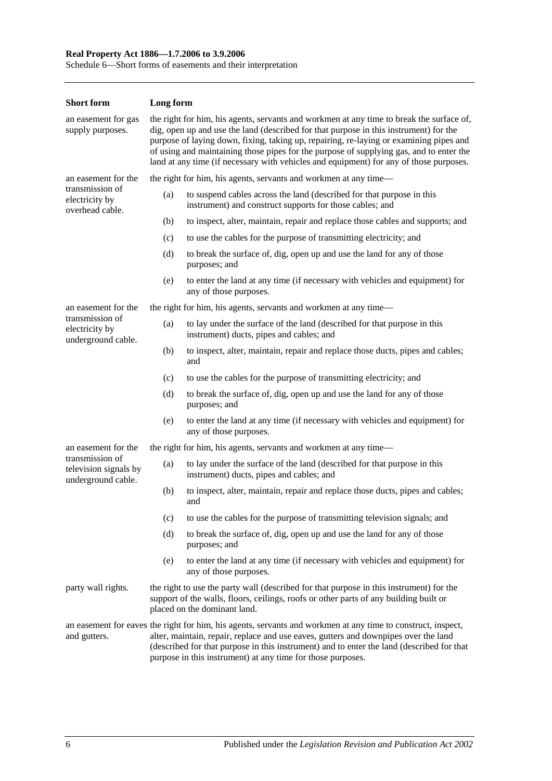#### **Real Property Act 1886—1.7.2006 to 3.9.2006**

Schedule 6—Short forms of easements and their interpretation

| <b>Short form</b>                                              | Long form                                                                                                                                                                                                                                                                                                                                                                                                                                                        |                                                                                                                                   |  |
|----------------------------------------------------------------|------------------------------------------------------------------------------------------------------------------------------------------------------------------------------------------------------------------------------------------------------------------------------------------------------------------------------------------------------------------------------------------------------------------------------------------------------------------|-----------------------------------------------------------------------------------------------------------------------------------|--|
| an easement for gas<br>supply purposes.                        | the right for him, his agents, servants and workmen at any time to break the surface of,<br>dig, open up and use the land (described for that purpose in this instrument) for the<br>purpose of laying down, fixing, taking up, repairing, re-laying or examining pipes and<br>of using and maintaining those pipes for the purpose of supplying gas, and to enter the<br>land at any time (if necessary with vehicles and equipment) for any of those purposes. |                                                                                                                                   |  |
| an easement for the                                            |                                                                                                                                                                                                                                                                                                                                                                                                                                                                  | the right for him, his agents, servants and workmen at any time—                                                                  |  |
| transmission of<br>electricity by<br>overhead cable.           | (a)                                                                                                                                                                                                                                                                                                                                                                                                                                                              | to suspend cables across the land (described for that purpose in this<br>instrument) and construct supports for those cables; and |  |
|                                                                | (b)                                                                                                                                                                                                                                                                                                                                                                                                                                                              | to inspect, alter, maintain, repair and replace those cables and supports; and                                                    |  |
|                                                                | (c)                                                                                                                                                                                                                                                                                                                                                                                                                                                              | to use the cables for the purpose of transmitting electricity; and                                                                |  |
|                                                                | (d)                                                                                                                                                                                                                                                                                                                                                                                                                                                              | to break the surface of, dig, open up and use the land for any of those<br>purposes; and                                          |  |
|                                                                | (e)                                                                                                                                                                                                                                                                                                                                                                                                                                                              | to enter the land at any time (if necessary with vehicles and equipment) for<br>any of those purposes.                            |  |
| an easement for the                                            |                                                                                                                                                                                                                                                                                                                                                                                                                                                                  | the right for him, his agents, servants and workmen at any time-                                                                  |  |
| transmission of<br>electricity by<br>underground cable.        | (a)                                                                                                                                                                                                                                                                                                                                                                                                                                                              | to lay under the surface of the land (described for that purpose in this<br>instrument) ducts, pipes and cables; and              |  |
|                                                                | (b)                                                                                                                                                                                                                                                                                                                                                                                                                                                              | to inspect, alter, maintain, repair and replace those ducts, pipes and cables;<br>and                                             |  |
|                                                                | (c)                                                                                                                                                                                                                                                                                                                                                                                                                                                              | to use the cables for the purpose of transmitting electricity; and                                                                |  |
|                                                                | (d)                                                                                                                                                                                                                                                                                                                                                                                                                                                              | to break the surface of, dig, open up and use the land for any of those<br>purposes; and                                          |  |
|                                                                | (e)                                                                                                                                                                                                                                                                                                                                                                                                                                                              | to enter the land at any time (if necessary with vehicles and equipment) for<br>any of those purposes.                            |  |
| an easement for the                                            |                                                                                                                                                                                                                                                                                                                                                                                                                                                                  | the right for him, his agents, servants and workmen at any time—                                                                  |  |
| transmission of<br>television signals by<br>underground cable. | (a)                                                                                                                                                                                                                                                                                                                                                                                                                                                              | to lay under the surface of the land (described for that purpose in this<br>instrument) ducts, pipes and cables; and              |  |
|                                                                | (b)                                                                                                                                                                                                                                                                                                                                                                                                                                                              | to inspect, alter, maintain, repair and replace those ducts, pipes and cables;<br>and                                             |  |
|                                                                | (c)                                                                                                                                                                                                                                                                                                                                                                                                                                                              | to use the cables for the purpose of transmitting television signals; and                                                         |  |
|                                                                | (d)                                                                                                                                                                                                                                                                                                                                                                                                                                                              | to break the surface of, dig, open up and use the land for any of those<br>purposes; and                                          |  |
|                                                                | (e)                                                                                                                                                                                                                                                                                                                                                                                                                                                              | to enter the land at any time (if necessary with vehicles and equipment) for<br>any of those purposes.                            |  |
| party wall rights.                                             | the right to use the party wall (described for that purpose in this instrument) for the<br>support of the walls, floors, ceilings, roofs or other parts of any building built or<br>placed on the dominant land.                                                                                                                                                                                                                                                 |                                                                                                                                   |  |
| and gutters.                                                   | an easement for eaves the right for him, his agents, servants and workmen at any time to construct, inspect,<br>alter, maintain, repair, replace and use eaves, gutters and downpipes over the land<br>(described for that purpose in this instrument) and to enter the land (described for that<br>purpose in this instrument) at any time for those purposes.                                                                                                  |                                                                                                                                   |  |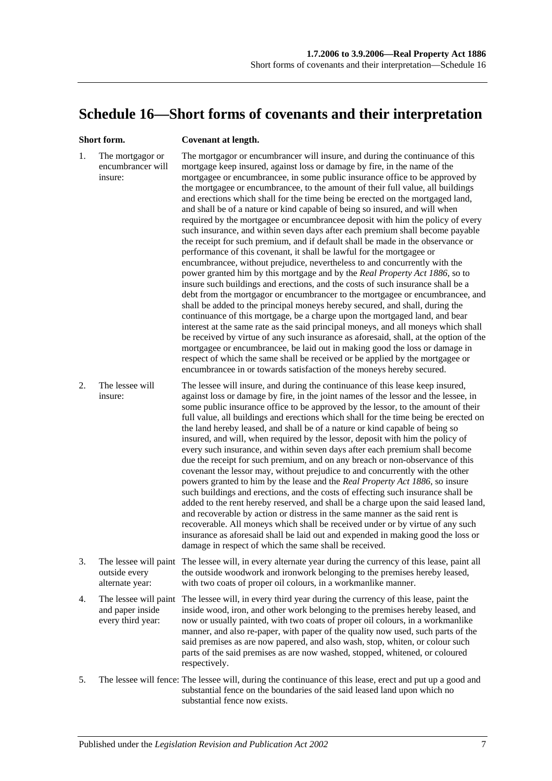# <span id="page-136-0"></span>**Schedule 16—Short forms of covenants and their interpretation**

#### **Short form. Covenant at length.**

| 1. | The mortgagor or<br>encumbrancer will<br>insure:               | The mortgagor or encumbrancer will insure, and during the continuance of this<br>mortgage keep insured, against loss or damage by fire, in the name of the<br>mortgagee or encumbrancee, in some public insurance office to be approved by<br>the mortgagee or encumbrancee, to the amount of their full value, all buildings<br>and erections which shall for the time being be erected on the mortgaged land,<br>and shall be of a nature or kind capable of being so insured, and will when<br>required by the mortgagee or encumbrancee deposit with him the policy of every<br>such insurance, and within seven days after each premium shall become payable<br>the receipt for such premium, and if default shall be made in the observance or<br>performance of this covenant, it shall be lawful for the mortgagee or<br>encumbrancee, without prejudice, nevertheless to and concurrently with the<br>power granted him by this mortgage and by the Real Property Act 1886, so to<br>insure such buildings and erections, and the costs of such insurance shall be a<br>debt from the mortgagor or encumbrancer to the mortgagee or encumbrancee, and<br>shall be added to the principal moneys hereby secured, and shall, during the<br>continuance of this mortgage, be a charge upon the mortgaged land, and bear<br>interest at the same rate as the said principal moneys, and all moneys which shall<br>be received by virtue of any such insurance as aforesaid, shall, at the option of the<br>mortgagee or encumbrancee, be laid out in making good the loss or damage in<br>respect of which the same shall be received or be applied by the mortgagee or<br>encumbrancee in or towards satisfaction of the moneys hereby secured. |
|----|----------------------------------------------------------------|-------------------------------------------------------------------------------------------------------------------------------------------------------------------------------------------------------------------------------------------------------------------------------------------------------------------------------------------------------------------------------------------------------------------------------------------------------------------------------------------------------------------------------------------------------------------------------------------------------------------------------------------------------------------------------------------------------------------------------------------------------------------------------------------------------------------------------------------------------------------------------------------------------------------------------------------------------------------------------------------------------------------------------------------------------------------------------------------------------------------------------------------------------------------------------------------------------------------------------------------------------------------------------------------------------------------------------------------------------------------------------------------------------------------------------------------------------------------------------------------------------------------------------------------------------------------------------------------------------------------------------------------------------------------------------------------------------------------------------------------------------|
| 2. | The lessee will<br>insure:                                     | The lessee will insure, and during the continuance of this lease keep insured,<br>against loss or damage by fire, in the joint names of the lessor and the lessee, in<br>some public insurance office to be approved by the lessor, to the amount of their<br>full value, all buildings and erections which shall for the time being be erected on<br>the land hereby leased, and shall be of a nature or kind capable of being so<br>insured, and will, when required by the lessor, deposit with him the policy of<br>every such insurance, and within seven days after each premium shall become<br>due the receipt for such premium, and on any breach or non-observance of this<br>covenant the lessor may, without prejudice to and concurrently with the other<br>powers granted to him by the lease and the Real Property Act 1886, so insure<br>such buildings and erections, and the costs of effecting such insurance shall be<br>added to the rent hereby reserved, and shall be a charge upon the said leased land,<br>and recoverable by action or distress in the same manner as the said rent is<br>recoverable. All moneys which shall be received under or by virtue of any such<br>insurance as aforesaid shall be laid out and expended in making good the loss or<br>damage in respect of which the same shall be received.                                                                                                                                                                                                                                                                                                                                                                                                      |
| 3. | outside every<br>alternate year:                               | The lessee will paint The lessee will, in every alternate year during the currency of this lease, paint all<br>the outside woodwork and ironwork belonging to the premises hereby leased,<br>with two coats of proper oil colours, in a workmanlike manner.                                                                                                                                                                                                                                                                                                                                                                                                                                                                                                                                                                                                                                                                                                                                                                                                                                                                                                                                                                                                                                                                                                                                                                                                                                                                                                                                                                                                                                                                                           |
| 4. | The lessee will paint<br>and paper inside<br>every third year: | The lessee will, in every third year during the currency of this lease, paint the<br>inside wood, iron, and other work belonging to the premises hereby leased, and<br>now or usually painted, with two coats of proper oil colours, in a workmanlike<br>manner, and also re-paper, with paper of the quality now used, such parts of the<br>said premises as are now papered, and also wash, stop, whiten, or colour such<br>parts of the said premises as are now washed, stopped, whitened, or coloured<br>respectively.                                                                                                                                                                                                                                                                                                                                                                                                                                                                                                                                                                                                                                                                                                                                                                                                                                                                                                                                                                                                                                                                                                                                                                                                                           |
| 5. |                                                                | The lessee will fence: The lessee will, during the continuance of this lease, erect and put up a good and<br>substantial fence on the boundaries of the said leased land upon which no<br>substantial fence now exists.                                                                                                                                                                                                                                                                                                                                                                                                                                                                                                                                                                                                                                                                                                                                                                                                                                                                                                                                                                                                                                                                                                                                                                                                                                                                                                                                                                                                                                                                                                                               |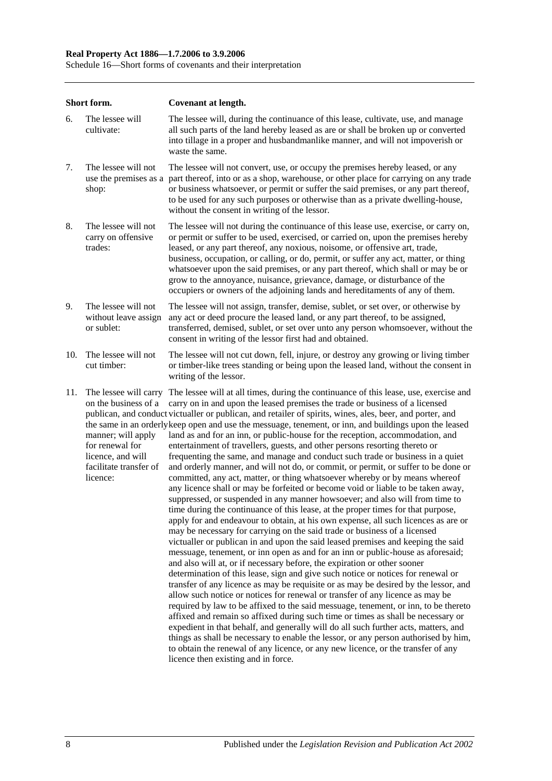#### **Real Property Act 1886—1.7.2006 to 3.9.2006**

Schedule 16—Short forms of covenants and their interpretation

|     | Short form.                                                                                                              | Covenant at length.                                                                                                                                                                                                                                                                                                                                                                                                                                                                                                                                                                                                                                                                                                                                                                                                                                                                                                                                                                                                                                                                                                                                                                                                                                                                                                                                                                                                                                                                                                                                                                                                                                                                                                                                                                                                                                                                                                                                                                                                                                                                                                                                                                                                                                                     |
|-----|--------------------------------------------------------------------------------------------------------------------------|-------------------------------------------------------------------------------------------------------------------------------------------------------------------------------------------------------------------------------------------------------------------------------------------------------------------------------------------------------------------------------------------------------------------------------------------------------------------------------------------------------------------------------------------------------------------------------------------------------------------------------------------------------------------------------------------------------------------------------------------------------------------------------------------------------------------------------------------------------------------------------------------------------------------------------------------------------------------------------------------------------------------------------------------------------------------------------------------------------------------------------------------------------------------------------------------------------------------------------------------------------------------------------------------------------------------------------------------------------------------------------------------------------------------------------------------------------------------------------------------------------------------------------------------------------------------------------------------------------------------------------------------------------------------------------------------------------------------------------------------------------------------------------------------------------------------------------------------------------------------------------------------------------------------------------------------------------------------------------------------------------------------------------------------------------------------------------------------------------------------------------------------------------------------------------------------------------------------------------------------------------------------------|
| 6.  | The lessee will<br>cultivate:                                                                                            | The lessee will, during the continuance of this lease, cultivate, use, and manage<br>all such parts of the land hereby leased as are or shall be broken up or converted<br>into tillage in a proper and husbandmanlike manner, and will not impoverish or<br>waste the same.                                                                                                                                                                                                                                                                                                                                                                                                                                                                                                                                                                                                                                                                                                                                                                                                                                                                                                                                                                                                                                                                                                                                                                                                                                                                                                                                                                                                                                                                                                                                                                                                                                                                                                                                                                                                                                                                                                                                                                                            |
| 7.  | The lessee will not<br>use the premises as a<br>shop:                                                                    | The lessee will not convert, use, or occupy the premises hereby leased, or any<br>part thereof, into or as a shop, warehouse, or other place for carrying on any trade<br>or business whatsoever, or permit or suffer the said premises, or any part thereof,<br>to be used for any such purposes or otherwise than as a private dwelling-house,<br>without the consent in writing of the lessor.                                                                                                                                                                                                                                                                                                                                                                                                                                                                                                                                                                                                                                                                                                                                                                                                                                                                                                                                                                                                                                                                                                                                                                                                                                                                                                                                                                                                                                                                                                                                                                                                                                                                                                                                                                                                                                                                       |
| 8.  | The lessee will not<br>carry on offensive<br>trades:                                                                     | The lessee will not during the continuance of this lease use, exercise, or carry on,<br>or permit or suffer to be used, exercised, or carried on, upon the premises hereby<br>leased, or any part thereof, any noxious, noisome, or offensive art, trade,<br>business, occupation, or calling, or do, permit, or suffer any act, matter, or thing<br>whatsoever upon the said premises, or any part thereof, which shall or may be or<br>grow to the annoyance, nuisance, grievance, damage, or disturbance of the<br>occupiers or owners of the adjoining lands and hereditaments of any of them.                                                                                                                                                                                                                                                                                                                                                                                                                                                                                                                                                                                                                                                                                                                                                                                                                                                                                                                                                                                                                                                                                                                                                                                                                                                                                                                                                                                                                                                                                                                                                                                                                                                                      |
| 9.  | The lessee will not<br>without leave assign<br>or sublet:                                                                | The lessee will not assign, transfer, demise, sublet, or set over, or otherwise by<br>any act or deed procure the leased land, or any part thereof, to be assigned,<br>transferred, demised, sublet, or set over unto any person whomsoever, without the<br>consent in writing of the lessor first had and obtained.                                                                                                                                                                                                                                                                                                                                                                                                                                                                                                                                                                                                                                                                                                                                                                                                                                                                                                                                                                                                                                                                                                                                                                                                                                                                                                                                                                                                                                                                                                                                                                                                                                                                                                                                                                                                                                                                                                                                                    |
| 10. | The lessee will not<br>cut timber:                                                                                       | The lessee will not cut down, fell, injure, or destroy any growing or living timber<br>or timber-like trees standing or being upon the leased land, without the consent in<br>writing of the lessor.                                                                                                                                                                                                                                                                                                                                                                                                                                                                                                                                                                                                                                                                                                                                                                                                                                                                                                                                                                                                                                                                                                                                                                                                                                                                                                                                                                                                                                                                                                                                                                                                                                                                                                                                                                                                                                                                                                                                                                                                                                                                    |
| 11. | on the business of a<br>manner; will apply<br>for renewal for<br>licence, and will<br>facilitate transfer of<br>licence: | The lessee will carry The lessee will at all times, during the continuance of this lease, use, exercise and<br>carry on in and upon the leased premises the trade or business of a licensed<br>publican, and conduct victualler or publican, and retailer of spirits, wines, ales, beer, and porter, and<br>the same in an orderly keep open and use the messuage, tenement, or inn, and buildings upon the leased<br>land as and for an inn, or public-house for the reception, accommodation, and<br>entertainment of travellers, guests, and other persons resorting thereto or<br>frequenting the same, and manage and conduct such trade or business in a quiet<br>and orderly manner, and will not do, or commit, or permit, or suffer to be done or<br>committed, any act, matter, or thing whatsoever whereby or by means whereof<br>any licence shall or may be forfeited or become void or liable to be taken away,<br>suppressed, or suspended in any manner howsoever; and also will from time to<br>time during the continuance of this lease, at the proper times for that purpose,<br>apply for and endeavour to obtain, at his own expense, all such licences as are or<br>may be necessary for carrying on the said trade or business of a licensed<br>victualler or publican in and upon the said leased premises and keeping the said<br>messuage, tenement, or inn open as and for an inn or public-house as aforesaid;<br>and also will at, or if necessary before, the expiration or other sooner<br>determination of this lease, sign and give such notice or notices for renewal or<br>transfer of any licence as may be requisite or as may be desired by the lessor, and<br>allow such notice or notices for renewal or transfer of any licence as may be<br>required by law to be affixed to the said messuage, tenement, or inn, to be thereto<br>affixed and remain so affixed during such time or times as shall be necessary or<br>expedient in that behalf, and generally will do all such further acts, matters, and<br>things as shall be necessary to enable the lessor, or any person authorised by him,<br>to obtain the renewal of any licence, or any new licence, or the transfer of any<br>licence then existing and in force. |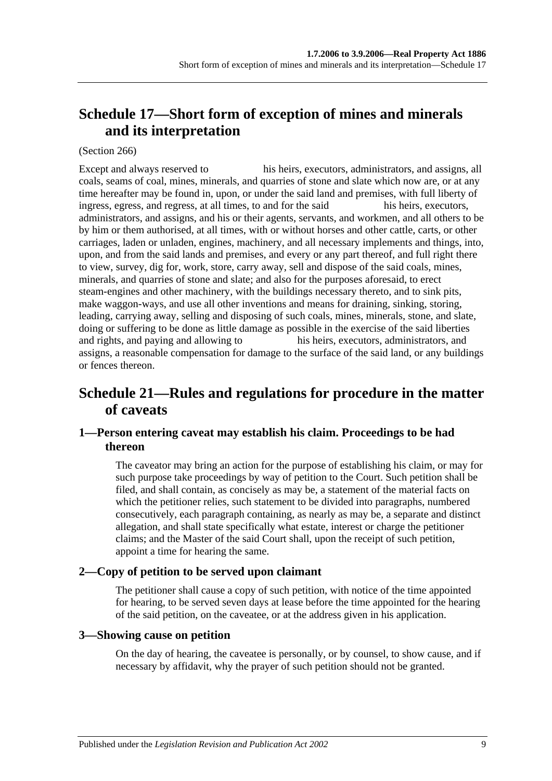# <span id="page-138-1"></span>**Schedule 17—Short form of exception of mines and minerals and its interpretation**

#### (Section 266)

Except and always reserved to his heirs, executors, administrators, and assigns, all coals, seams of coal, mines, minerals, and quarries of stone and slate which now are, or at any time hereafter may be found in, upon, or under the said land and premises, with full liberty of ingress, egress, and regress, at all times, to and for the said his heirs, executors, administrators, and assigns, and his or their agents, servants, and workmen, and all others to be by him or them authorised, at all times, with or without horses and other cattle, carts, or other carriages, laden or unladen, engines, machinery, and all necessary implements and things, into, upon, and from the said lands and premises, and every or any part thereof, and full right there to view, survey, dig for, work, store, carry away, sell and dispose of the said coals, mines, minerals, and quarries of stone and slate; and also for the purposes aforesaid, to erect steam-engines and other machinery, with the buildings necessary thereto, and to sink pits, make waggon-ways, and use all other inventions and means for draining, sinking, storing, leading, carrying away, selling and disposing of such coals, mines, minerals, stone, and slate, doing or suffering to be done as little damage as possible in the exercise of the said liberties and rights, and paying and allowing to his heirs, executors, administrators, and assigns, a reasonable compensation for damage to the surface of the said land, or any buildings or fences thereon.

# <span id="page-138-0"></span>**Schedule 21—Rules and regulations for procedure in the matter of caveats**

# **1—Person entering caveat may establish his claim. Proceedings to be had thereon**

The caveator may bring an action for the purpose of establishing his claim, or may for such purpose take proceedings by way of petition to the Court. Such petition shall be filed, and shall contain, as concisely as may be, a statement of the material facts on which the petitioner relies, such statement to be divided into paragraphs, numbered consecutively, each paragraph containing, as nearly as may be, a separate and distinct allegation, and shall state specifically what estate, interest or charge the petitioner claims; and the Master of the said Court shall, upon the receipt of such petition, appoint a time for hearing the same.

# **2—Copy of petition to be served upon claimant**

The petitioner shall cause a copy of such petition, with notice of the time appointed for hearing, to be served seven days at lease before the time appointed for the hearing of the said petition, on the caveatee, or at the address given in his application.

# **3—Showing cause on petition**

On the day of hearing, the caveatee is personally, or by counsel, to show cause, and if necessary by affidavit, why the prayer of such petition should not be granted.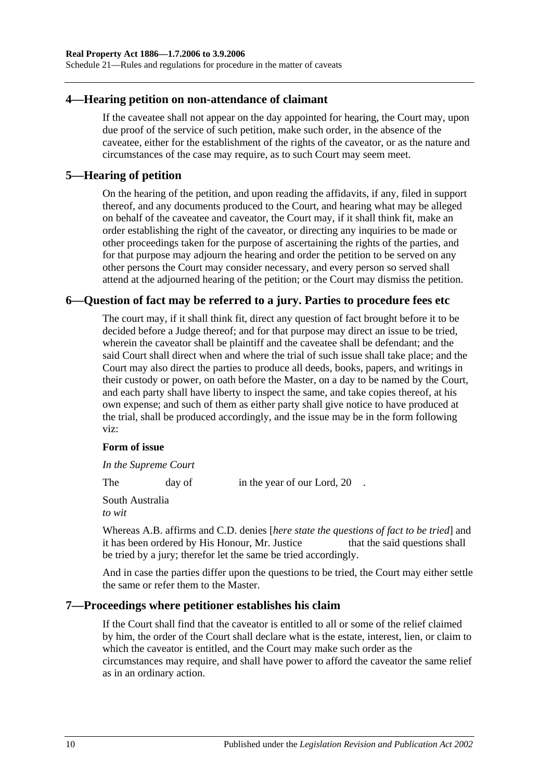Schedule 21—Rules and regulations for procedure in the matter of caveats

#### **4—Hearing petition on non-attendance of claimant**

If the caveatee shall not appear on the day appointed for hearing, the Court may, upon due proof of the service of such petition, make such order, in the absence of the caveatee, either for the establishment of the rights of the caveator, or as the nature and circumstances of the case may require, as to such Court may seem meet.

#### **5—Hearing of petition**

On the hearing of the petition, and upon reading the affidavits, if any, filed in support thereof, and any documents produced to the Court, and hearing what may be alleged on behalf of the caveatee and caveator, the Court may, if it shall think fit, make an order establishing the right of the caveator, or directing any inquiries to be made or other proceedings taken for the purpose of ascertaining the rights of the parties, and for that purpose may adjourn the hearing and order the petition to be served on any other persons the Court may consider necessary, and every person so served shall attend at the adjourned hearing of the petition; or the Court may dismiss the petition.

#### **6—Question of fact may be referred to a jury. Parties to procedure fees etc**

The court may, if it shall think fit, direct any question of fact brought before it to be decided before a Judge thereof; and for that purpose may direct an issue to be tried, wherein the caveator shall be plaintiff and the caveatee shall be defendant; and the said Court shall direct when and where the trial of such issue shall take place; and the Court may also direct the parties to produce all deeds, books, papers, and writings in their custody or power, on oath before the Master, on a day to be named by the Court, and each party shall have liberty to inspect the same, and take copies thereof, at his own expense; and such of them as either party shall give notice to have produced at the trial, shall be produced accordingly, and the issue may be in the form following viz:

#### **Form of issue**

*In the Supreme Court*

The day of in the year of our Lord, 20.

South Australia *to wit*

Whereas A.B. affirms and C.D. denies [*here state the questions of fact to be tried*] and it has been ordered by His Honour, Mr. Justice that the said questions shall be tried by a jury; therefor let the same be tried accordingly.

And in case the parties differ upon the questions to be tried, the Court may either settle the same or refer them to the Master.

#### **7—Proceedings where petitioner establishes his claim**

If the Court shall find that the caveator is entitled to all or some of the relief claimed by him, the order of the Court shall declare what is the estate, interest, lien, or claim to which the caveator is entitled, and the Court may make such order as the circumstances may require, and shall have power to afford the caveator the same relief as in an ordinary action.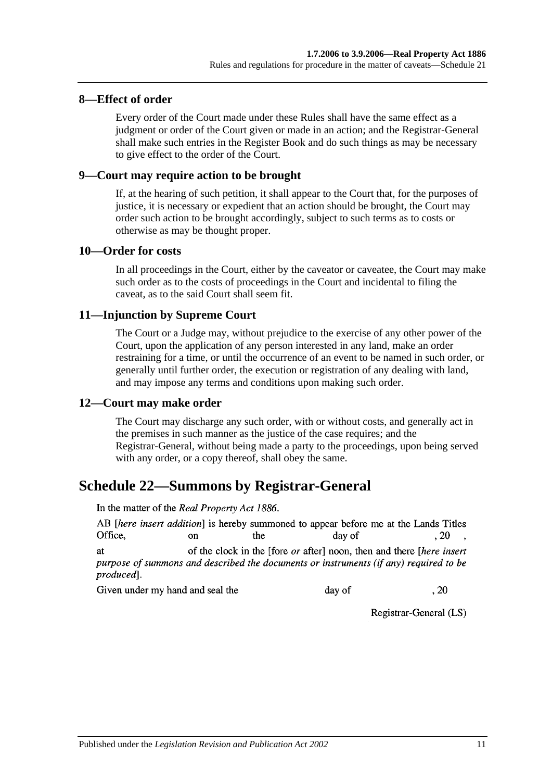## **8—Effect of order**

Every order of the Court made under these Rules shall have the same effect as a judgment or order of the Court given or made in an action; and the Registrar-General shall make such entries in the Register Book and do such things as may be necessary to give effect to the order of the Court.

#### **9—Court may require action to be brought**

If, at the hearing of such petition, it shall appear to the Court that, for the purposes of justice, it is necessary or expedient that an action should be brought, the Court may order such action to be brought accordingly, subject to such terms as to costs or otherwise as may be thought proper.

#### **10—Order for costs**

In all proceedings in the Court, either by the caveator or caveatee, the Court may make such order as to the costs of proceedings in the Court and incidental to filing the caveat, as to the said Court shall seem fit.

#### **11—Injunction by Supreme Court**

The Court or a Judge may, without prejudice to the exercise of any other power of the Court, upon the application of any person interested in any land, make an order restraining for a time, or until the occurrence of an event to be named in such order, or generally until further order, the execution or registration of any dealing with land, and may impose any terms and conditions upon making such order.

#### **12—Court may make order**

The Court may discharge any such order, with or without costs, and generally act in the premises in such manner as the justice of the case requires; and the Registrar-General, without being made a party to the proceedings, upon being served with any order, or a copy thereof, shall obey the same.

# <span id="page-140-0"></span>**Schedule 22—Summons by Registrar-General**

In the matter of the Real Property Act 1886.

AB [here insert addition] is hereby summoned to appear before me at the Lands Titles Office.  $\alpha$ the day of  $.20$ of the clock in the [fore *or* after] noon, then and there *[here insert*] **at** purpose of summons and described the documents or instruments (if any) required to be

produced<sub>1</sub>.

Given under my hand and seal the day of

Registrar-General (LS)

 $.20$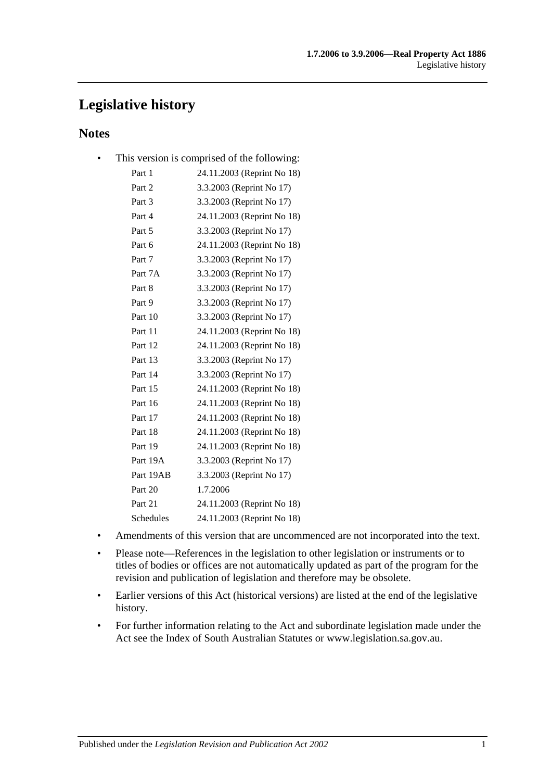# **Legislative history**

# **Notes**

• This version is comprised of the following:

| Part 1    | 24.11.2003 (Reprint No 18) |
|-----------|----------------------------|
| Part 2    | 3.3.2003 (Reprint No 17)   |
| Part 3    | 3.3.2003 (Reprint No 17)   |
| Part 4    | 24.11.2003 (Reprint No 18) |
| Part 5    | 3.3.2003 (Reprint No 17)   |
| Part 6    | 24.11.2003 (Reprint No 18) |
| Part 7    | 3.3.2003 (Reprint No 17)   |
| Part 7A   | 3.3.2003 (Reprint No 17)   |
| Part 8    | 3.3.2003 (Reprint No 17)   |
| Part 9    | 3.3.2003 (Reprint No 17)   |
| Part 10   | 3.3.2003 (Reprint No 17)   |
| Part 11   | 24.11.2003 (Reprint No 18) |
| Part 12   | 24.11.2003 (Reprint No 18) |
| Part 13   | 3.3.2003 (Reprint No 17)   |
| Part 14   | 3.3.2003 (Reprint No 17)   |
| Part 15   | 24.11.2003 (Reprint No 18) |
| Part 16   | 24.11.2003 (Reprint No 18) |
| Part 17   | 24.11.2003 (Reprint No 18) |
| Part 18   | 24.11.2003 (Reprint No 18) |
| Part 19   | 24.11.2003 (Reprint No 18) |
| Part 19A  | 3.3.2003 (Reprint No 17)   |
| Part 19AB | 3.3.2003 (Reprint No 17)   |
| Part 20   | 1.7.2006                   |
| Part 21   | 24.11.2003 (Reprint No 18) |
| Schedules | 24.11.2003 (Reprint No 18) |

- Amendments of this version that are uncommenced are not incorporated into the text.
- Please note—References in the legislation to other legislation or instruments or to titles of bodies or offices are not automatically updated as part of the program for the revision and publication of legislation and therefore may be obsolete.
- Earlier versions of this Act (historical versions) are listed at the end of the legislative history.
- For further information relating to the Act and subordinate legislation made under the Act see the Index of South Australian Statutes or www.legislation.sa.gov.au.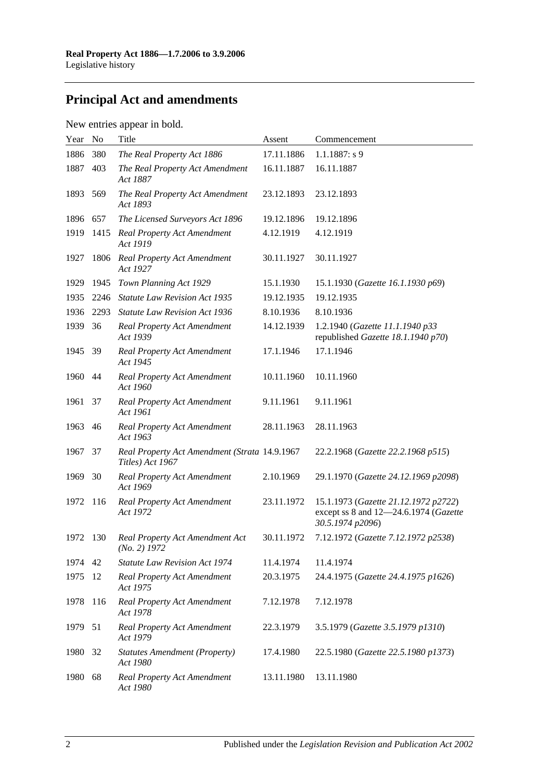# **Principal Act and amendments**

# New entries appear in bold.

| Year | No   | Title                                                             | Assent     | Commencement                                                                                      |
|------|------|-------------------------------------------------------------------|------------|---------------------------------------------------------------------------------------------------|
| 1886 | 380  | The Real Property Act 1886                                        | 17.11.1886 | $1.1.1887: s$ 9                                                                                   |
| 1887 | 403  | The Real Property Act Amendment<br>Act 1887                       | 16.11.1887 | 16.11.1887                                                                                        |
| 1893 | 569  | The Real Property Act Amendment<br>Act 1893                       | 23.12.1893 | 23.12.1893                                                                                        |
| 1896 | 657  | The Licensed Surveyors Act 1896                                   | 19.12.1896 | 19.12.1896                                                                                        |
| 1919 | 1415 | <b>Real Property Act Amendment</b><br>Act 1919                    | 4.12.1919  | 4.12.1919                                                                                         |
| 1927 | 1806 | <b>Real Property Act Amendment</b><br>Act 1927                    | 30.11.1927 | 30.11.1927                                                                                        |
| 1929 | 1945 | Town Planning Act 1929                                            | 15.1.1930  | 15.1.1930 (Gazette 16.1.1930 p69)                                                                 |
| 1935 | 2246 | <b>Statute Law Revision Act 1935</b>                              | 19.12.1935 | 19.12.1935                                                                                        |
| 1936 | 2293 | <b>Statute Law Revision Act 1936</b>                              | 8.10.1936  | 8.10.1936                                                                                         |
| 1939 | 36   | <b>Real Property Act Amendment</b><br>Act 1939                    | 14.12.1939 | 1.2.1940 (Gazette 11.1.1940 p33<br>republished Gazette 18.1.1940 p70)                             |
| 1945 | - 39 | <b>Real Property Act Amendment</b><br>Act 1945                    | 17.1.1946  | 17.1.1946                                                                                         |
| 1960 | 44   | <b>Real Property Act Amendment</b><br>Act 1960                    | 10.11.1960 | 10.11.1960                                                                                        |
| 1961 | 37   | <b>Real Property Act Amendment</b><br>Act 1961                    | 9.11.1961  | 9.11.1961                                                                                         |
| 1963 | 46   | <b>Real Property Act Amendment</b><br>Act 1963                    | 28.11.1963 | 28.11.1963                                                                                        |
| 1967 | 37   | Real Property Act Amendment (Strata 14.9.1967<br>Titles) Act 1967 |            | 22.2.1968 (Gazette 22.2.1968 p515)                                                                |
| 1969 | 30   | <b>Real Property Act Amendment</b><br>Act 1969                    | 2.10.1969  | 29.1.1970 (Gazette 24.12.1969 p2098)                                                              |
| 1972 | 116  | <b>Real Property Act Amendment</b><br>Act 1972                    | 23.11.1972 | 15.1.1973 (Gazette 21.12.1972 p2722)<br>except ss 8 and 12-24.6.1974 (Gazette<br>30.5.1974 p2096) |
| 1972 | 130  | Real Property Act Amendment Act<br>$(No. 2)$ 1972                 | 30.11.1972 | 7.12.1972 (Gazette 7.12.1972 p2538)                                                               |
| 1974 | 42   | <b>Statute Law Revision Act 1974</b>                              | 11.4.1974  | 11.4.1974                                                                                         |
| 1975 | 12   | <b>Real Property Act Amendment</b><br>Act 1975                    | 20.3.1975  | 24.4.1975 (Gazette 24.4.1975 p1626)                                                               |
| 1978 | 116  | <b>Real Property Act Amendment</b><br>Act 1978                    | 7.12.1978  | 7.12.1978                                                                                         |
| 1979 | 51   | <b>Real Property Act Amendment</b><br>Act 1979                    | 22.3.1979  | 3.5.1979 (Gazette 3.5.1979 p1310)                                                                 |
| 1980 | 32   | <b>Statutes Amendment (Property)</b><br>Act 1980                  | 17.4.1980  | 22.5.1980 (Gazette 22.5.1980 p1373)                                                               |
| 1980 | 68   | <b>Real Property Act Amendment</b><br>Act 1980                    | 13.11.1980 | 13.11.1980                                                                                        |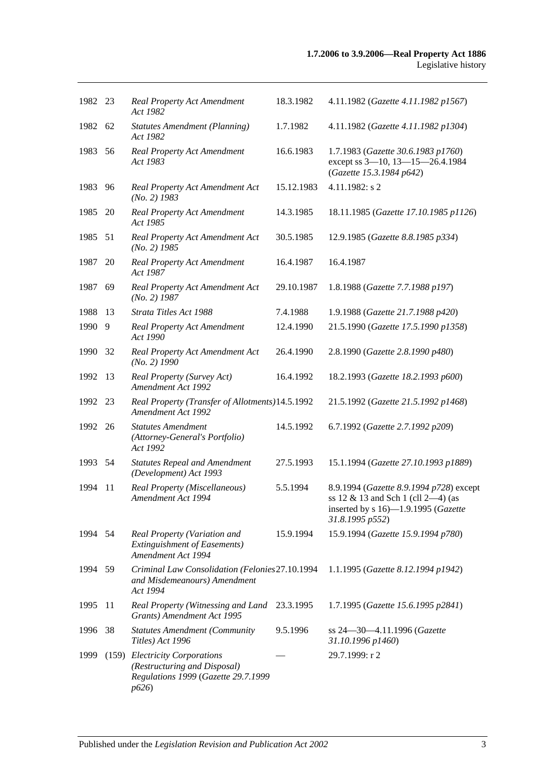| 1982 23 |    | Real Property Act Amendment<br>Act 1982                                                                       | 18.3.1982  | 4.11.1982 (Gazette 4.11.1982 p1567)                                                                                                        |
|---------|----|---------------------------------------------------------------------------------------------------------------|------------|--------------------------------------------------------------------------------------------------------------------------------------------|
| 1982 62 |    | <b>Statutes Amendment (Planning)</b><br>Act 1982                                                              | 1.7.1982   | 4.11.1982 (Gazette 4.11.1982 p1304)                                                                                                        |
| 1983    | 56 | Real Property Act Amendment<br>Act 1983                                                                       | 16.6.1983  | 1.7.1983 (Gazette 30.6.1983 p1760)<br>except ss 3-10, 13-15-26.4.1984<br>(Gazette 15.3.1984 p642)                                          |
| 1983    | 96 | Real Property Act Amendment Act<br>$(No. 2)$ 1983                                                             | 15.12.1983 | $4.11.1982$ : s 2                                                                                                                          |
| 1985    | 20 | Real Property Act Amendment<br>Act 1985                                                                       | 14.3.1985  | 18.11.1985 (Gazette 17.10.1985 p1126)                                                                                                      |
| 1985    | 51 | Real Property Act Amendment Act<br>$(No. 2)$ 1985                                                             | 30.5.1985  | 12.9.1985 (Gazette 8.8.1985 p334)                                                                                                          |
| 1987    | 20 | Real Property Act Amendment<br>Act 1987                                                                       | 16.4.1987  | 16.4.1987                                                                                                                                  |
| 1987    | 69 | Real Property Act Amendment Act<br>$(No. 2)$ 1987                                                             | 29.10.1987 | 1.8.1988 (Gazette 7.7.1988 p197)                                                                                                           |
| 1988    | 13 | Strata Titles Act 1988                                                                                        | 7.4.1988   | 1.9.1988 (Gazette 21.7.1988 p420)                                                                                                          |
| 1990    | 9  | <b>Real Property Act Amendment</b><br>Act 1990                                                                | 12.4.1990  | 21.5.1990 (Gazette 17.5.1990 p1358)                                                                                                        |
| 1990    | 32 | Real Property Act Amendment Act<br>$(No. 2)$ 1990                                                             | 26.4.1990  | 2.8.1990 (Gazette 2.8.1990 p480)                                                                                                           |
| 1992    | 13 | Real Property (Survey Act)<br>Amendment Act 1992                                                              | 16.4.1992  | 18.2.1993 (Gazette 18.2.1993 p600)                                                                                                         |
| 1992    | 23 | Real Property (Transfer of Allotments) 14.5.1992<br>Amendment Act 1992                                        |            | 21.5.1992 (Gazette 21.5.1992 p1468)                                                                                                        |
| 1992    | 26 | <b>Statutes Amendment</b><br>(Attorney-General's Portfolio)<br>Act 1992                                       | 14.5.1992  | 6.7.1992 (Gazette 2.7.1992 p209)                                                                                                           |
| 1993 54 |    | <b>Statutes Repeal and Amendment</b><br>(Development) Act 1993                                                | 27.5.1993  | 15.1.1994 (Gazette 27.10.1993 p1889)                                                                                                       |
| 1994    | 11 | Real Property (Miscellaneous)<br>Amendment Act 1994                                                           | 5.5.1994   | 8.9.1994 (Gazette 8.9.1994 p728) except<br>ss 12 $\&$ 13 and Sch 1 (cll 2-4) (as<br>inserted by s 16)-1.9.1995 (Gazette<br>31.8.1995 p552) |
| 1994 54 |    | Real Property (Variation and<br><b>Extinguishment of Easements)</b><br>Amendment Act 1994                     | 15.9.1994  | 15.9.1994 (Gazette 15.9.1994 p780)                                                                                                         |
| 1994    | 59 | Criminal Law Consolidation (Felonies 27.10.1994<br>and Misdemeanours) Amendment<br>Act 1994                   |            | 1.1.1995 (Gazette 8.12.1994 p1942)                                                                                                         |
| 1995    | 11 | Real Property (Witnessing and Land<br>Grants) Amendment Act 1995                                              | 23.3.1995  | 1.7.1995 (Gazette 15.6.1995 p2841)                                                                                                         |
| 1996    | 38 | <b>Statutes Amendment (Community</b><br>Titles) Act 1996                                                      | 9.5.1996   | ss 24-30-4.11.1996 (Gazette<br>31.10.1996 p1460)                                                                                           |
| 1999    |    | (159) Electricity Corporations<br>(Restructuring and Disposal)<br>Regulations 1999 (Gazette 29.7.1999<br>p626 |            | 29.7.1999: r 2                                                                                                                             |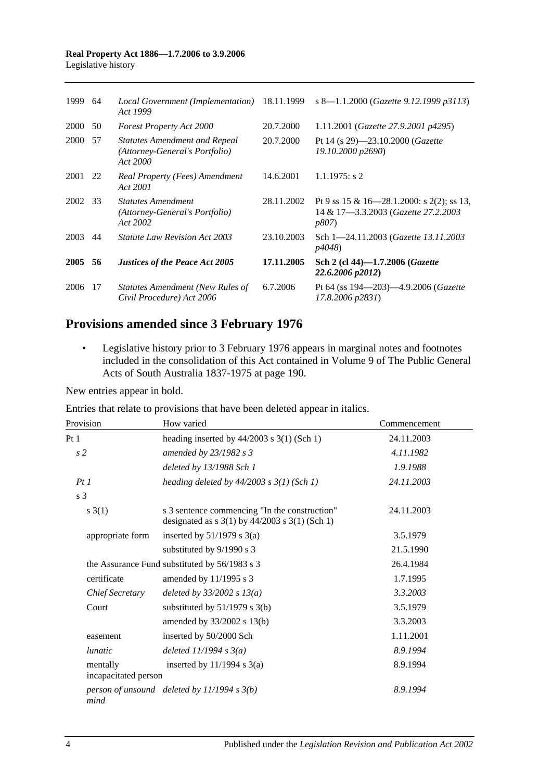| 1999    | 64  | Local Government (Implementation)<br>Act 1999                                      | 18.11.1999 | s 8-1.1.2000 (Gazette 9.12.1999 p3113)                                                            |
|---------|-----|------------------------------------------------------------------------------------|------------|---------------------------------------------------------------------------------------------------|
| 2000 50 |     | <b>Forest Property Act 2000</b>                                                    | 20.7.2000  | 1.11.2001 (Gazette 27.9.2001 p4295)                                                               |
| 2000 57 |     | <b>Statutes Amendment and Repeal</b><br>(Attorney-General's Portfolio)<br>Act 2000 | 20.7.2000  | Pt 14 (s 29)-23.10.2000 (Gazette<br>19.10.2000 p2690)                                             |
| 2001 22 |     | Real Property (Fees) Amendment<br>Act 2001                                         | 14.6.2001  | $1.1.1975$ : s 2                                                                                  |
| 2002 33 |     | <i>Statutes Amendment</i><br>(Attorney-General's Portfolio)<br>Act 2002            | 28.11.2002 | Pt 9 ss 15 & 16—28.1.2000: s 2(2); ss 13,<br>14 & 17-3.3.2003 (Gazette 27.2.2003<br><i>p807</i> ) |
| 2003    | 44  | <i>Statute Law Revision Act 2003</i>                                               | 23.10.2003 | Sch 1-24.11.2003 ( <i>Gazette 13.11.2003</i><br><i>p4048</i> )                                    |
| 2005    | -56 | <b>Justices of the Peace Act 2005</b>                                              | 17.11.2005 | Sch 2 (cl 44)-1.7.2006 (Gazette<br>22.6.2006 p2012)                                               |
| 2006    | 17  | Statutes Amendment (New Rules of<br>Civil Procedure) Act 2006                      | 6.7.2006   | Pt 64 (ss $194 - 203 - 4.9.2006$ ( <i>Gazette</i><br>17.8.2006 p2831)                             |

## **Provisions amended since 3 February 1976**

• Legislative history prior to 3 February 1976 appears in marginal notes and footnotes included in the consolidation of this Act contained in Volume 9 of The Public General Acts of South Australia 1837-1975 at page 190.

New entries appear in bold.

Entries that relate to provisions that have been deleted appear in italics.

| Provision                        | How varied                                                                                                                                   | Commencement |
|----------------------------------|----------------------------------------------------------------------------------------------------------------------------------------------|--------------|
| Pt <sub>1</sub>                  | heading inserted by $44/2003$ s 3(1) (Sch 1)                                                                                                 | 24.11.2003   |
| s2                               | amended by $23/1982$ s 3                                                                                                                     | 4.11.1982    |
|                                  | deleted by 13/1988 Sch 1                                                                                                                     | 1.9.1988     |
| PtI                              | heading deleted by $44/2003$ s $3(1)$ (Sch 1)                                                                                                | 24.11.2003   |
| s 3                              |                                                                                                                                              |              |
| $s \; 3(1)$                      | s 3 sentence commencing "In the construction"<br>designated as $s \frac{3(1)}{y} \frac{44}{2003} \frac{s \frac{3(1)}{5 \cdot 5}}{5 \cdot 1}$ | 24.11.2003   |
| appropriate form                 | inserted by $51/1979$ s 3(a)                                                                                                                 | 3.5.1979     |
|                                  | substituted by 9/1990 s 3                                                                                                                    | 21.5.1990    |
|                                  | the Assurance Fund substituted by 56/1983 s 3                                                                                                | 26.4.1984    |
| certificate                      | amended by 11/1995 s 3                                                                                                                       | 1.7.1995     |
| Chief Secretary                  | deleted by $33/2002 s 13(a)$                                                                                                                 | 3.3.2003     |
| Court                            | substituted by $51/1979$ s 3(b)                                                                                                              | 3.5.1979     |
|                                  | amended by 33/2002 s 13(b)                                                                                                                   | 3.3.2003     |
| easement                         | inserted by 50/2000 Sch                                                                                                                      | 1.11.2001    |
| <i>lunatic</i>                   | deleted $11/1994 s3(a)$                                                                                                                      | 8.9.1994     |
| mentally<br>incapacitated person | inserted by $11/1994$ s $3(a)$                                                                                                               | 8.9.1994     |
| mind                             | person of unsound deleted by $11/1994 s 3(b)$                                                                                                | 8.9.1994     |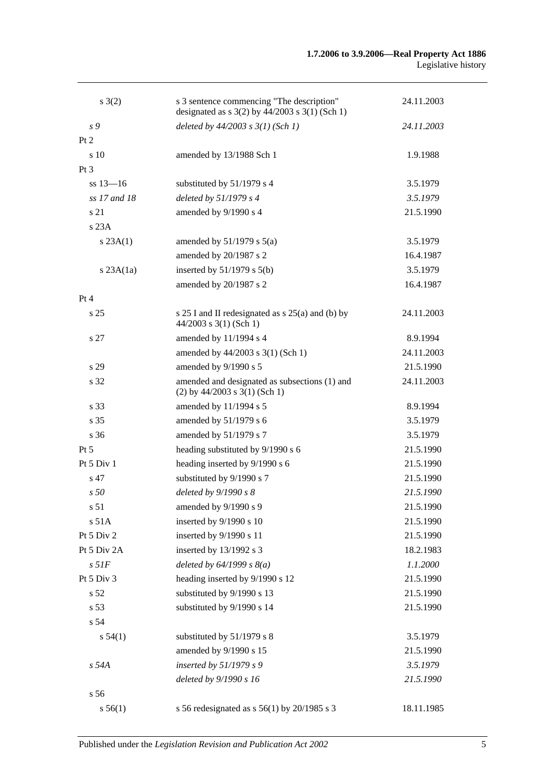| $s \; 3(2)$     | s 3 sentence commencing "The description"<br>designated as $s$ 3(2) by 44/2003 $s$ 3(1) (Sch 1) | 24.11.2003 |
|-----------------|-------------------------------------------------------------------------------------------------|------------|
| s 9             | deleted by $44/2003$ s $3(1)$ (Sch 1)                                                           | 24.11.2003 |
| Pt 2            |                                                                                                 |            |
| s 10            | amended by 13/1988 Sch 1                                                                        | 1.9.1988   |
| Pt <sub>3</sub> |                                                                                                 |            |
| $ss 13 - 16$    | substituted by 51/1979 s 4                                                                      | 3.5.1979   |
| ss 17 and 18    | deleted by $51/1979 s 4$                                                                        | 3.5.1979   |
| s 21            | amended by 9/1990 s 4                                                                           | 21.5.1990  |
| s 23A           |                                                                                                 |            |
| s 23A(1)        | amended by $51/1979$ s $5(a)$                                                                   | 3.5.1979   |
|                 | amended by 20/1987 s 2                                                                          | 16.4.1987  |
| $s$ 23A $(1a)$  | inserted by $51/1979$ s $5(b)$                                                                  | 3.5.1979   |
|                 | amended by 20/1987 s 2                                                                          | 16.4.1987  |
| Pt 4            |                                                                                                 |            |
| s <sub>25</sub> | s 25 I and II redesignated as s 25(a) and (b) by<br>$44/2003$ s 3(1) (Sch 1)                    | 24.11.2003 |
| s 27            | amended by 11/1994 s 4                                                                          | 8.9.1994   |
|                 | amended by 44/2003 s 3(1) (Sch 1)                                                               | 24.11.2003 |
| s 29            | amended by 9/1990 s 5                                                                           | 21.5.1990  |
| s 32            | amended and designated as subsections (1) and<br>$(2)$ by 44/2003 s 3(1) (Sch 1)                | 24.11.2003 |
| s 33            | amended by 11/1994 s 5                                                                          | 8.9.1994   |
| s 35            | amended by 51/1979 s 6                                                                          | 3.5.1979   |
| s 36            | amended by 51/1979 s 7                                                                          | 3.5.1979   |
| $Pt\,5$         | heading substituted by 9/1990 s 6                                                               | 21.5.1990  |
| Pt 5 Div 1      | heading inserted by 9/1990 s 6                                                                  | 21.5.1990  |
| s 47            | substituted by 9/1990 s 7                                                                       | 21.5.1990  |
| s50             | deleted by $9/1990 s 8$                                                                         | 21.5.1990  |
| s 51            | amended by 9/1990 s 9                                                                           | 21.5.1990  |
| s 51A           | inserted by 9/1990 s 10                                                                         | 21.5.1990  |
| Pt 5 Div 2      | inserted by 9/1990 s 11                                                                         | 21.5.1990  |
| Pt 5 Div 2A     | inserted by 13/1992 s 3                                                                         | 18.2.1983  |
| $s$ 51 $F$      | deleted by $64/1999 s 8(a)$                                                                     | 1.1.2000   |
| Pt 5 Div 3      | heading inserted by 9/1990 s 12                                                                 | 21.5.1990  |
| s 52            | substituted by 9/1990 s 13                                                                      | 21.5.1990  |
| s <sub>53</sub> | substituted by 9/1990 s 14                                                                      | 21.5.1990  |
| s 54            |                                                                                                 |            |
| s 54(1)         | substituted by 51/1979 s 8                                                                      | 3.5.1979   |
|                 | amended by 9/1990 s 15                                                                          | 21.5.1990  |
| s 54A           | inserted by $51/1979 s 9$                                                                       | 3.5.1979   |
|                 | deleted by 9/1990 s 16                                                                          | 21.5.1990  |
| s 56            |                                                                                                 |            |
| s 56(1)         | s 56 redesignated as s 56(1) by 20/1985 s 3                                                     | 18.11.1985 |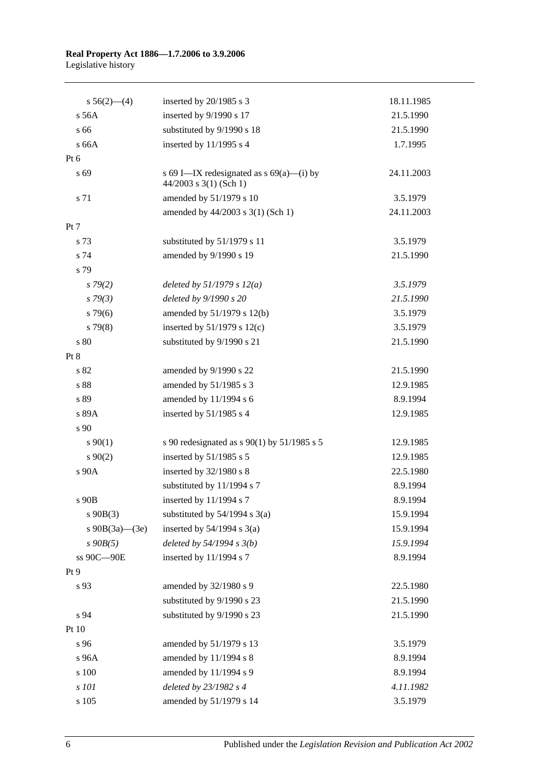| $s\;56(2)$ —(4)      | inserted by 20/1985 s 3                                                | 18.11.1985 |
|----------------------|------------------------------------------------------------------------|------------|
| s 56A                | inserted by 9/1990 s 17                                                | 21.5.1990  |
| s 66                 | substituted by 9/1990 s 18                                             | 21.5.1990  |
| s 66A                | inserted by $11/1995$ s 4                                              | 1.7.1995   |
| Pt 6                 |                                                                        |            |
| s 69                 | s 69 I—IX redesignated as $s$ 69(a)—(i) by<br>$44/2003$ s 3(1) (Sch 1) | 24.11.2003 |
| s 71                 | amended by 51/1979 s 10                                                | 3.5.1979   |
|                      | amended by 44/2003 s 3(1) (Sch 1)                                      | 24.11.2003 |
| Pt 7                 |                                                                        |            |
| s 73                 | substituted by 51/1979 s 11                                            | 3.5.1979   |
| s 74                 | amended by 9/1990 s 19                                                 | 21.5.1990  |
| s 79                 |                                                                        |            |
| $s\,79(2)$           | deleted by $51/1979 s 12(a)$                                           | 3.5.1979   |
| $s\,79(3)$           | deleted by 9/1990 s 20                                                 | 21.5.1990  |
| $s\,79(6)$           | amended by 51/1979 s 12(b)                                             | 3.5.1979   |
| $s\,79(8)$           | inserted by $51/1979$ s $12(c)$                                        | 3.5.1979   |
| s 80                 | substituted by 9/1990 s 21                                             | 21.5.1990  |
| Pt 8                 |                                                                        |            |
| s 82                 | amended by 9/1990 s 22                                                 | 21.5.1990  |
| s 88                 | amended by 51/1985 s 3                                                 | 12.9.1985  |
| s 89                 | amended by 11/1994 s 6                                                 | 8.9.1994   |
| s 89A                | inserted by 51/1985 s 4                                                | 12.9.1985  |
| s 90                 |                                                                        |            |
| $s\,90(1)$           | s 90 redesignated as s 90(1) by 51/1985 s 5                            | 12.9.1985  |
| $s \ 90(2)$          | inserted by $51/1985$ s 5                                              | 12.9.1985  |
| s 90A                | inserted by 32/1980 s 8                                                | 22.5.1980  |
|                      | substituted by 11/1994 s 7                                             | 8.9.1994   |
| s 90B                | inserted by 11/1994 s 7                                                | 8.9.1994   |
| $s\ 90B(3)$          | substituted by $54/1994$ s $3(a)$                                      | 15.9.1994  |
| s $90B(3a)$ — $(3e)$ | inserted by $54/1994$ s $3(a)$                                         | 15.9.1994  |
| $s\,90B(5)$          | deleted by $54/1994 s 3(b)$                                            | 15.9.1994  |
| ss 90C-90E           | inserted by 11/1994 s 7                                                | 8.9.1994   |
| Pt 9                 |                                                                        |            |
| s 93                 | amended by 32/1980 s 9                                                 | 22.5.1980  |
|                      | substituted by 9/1990 s 23                                             | 21.5.1990  |
| s 94                 | substituted by 9/1990 s 23                                             | 21.5.1990  |
| Pt 10                |                                                                        |            |
| s 96                 | amended by 51/1979 s 13                                                | 3.5.1979   |
| s 96A                | amended by 11/1994 s 8                                                 | 8.9.1994   |
| s 100                | amended by 11/1994 s 9                                                 | 8.9.1994   |
| s 101                | deleted by 23/1982 s 4                                                 | 4.11.1982  |
| s 105                | amended by 51/1979 s 14                                                | 3.5.1979   |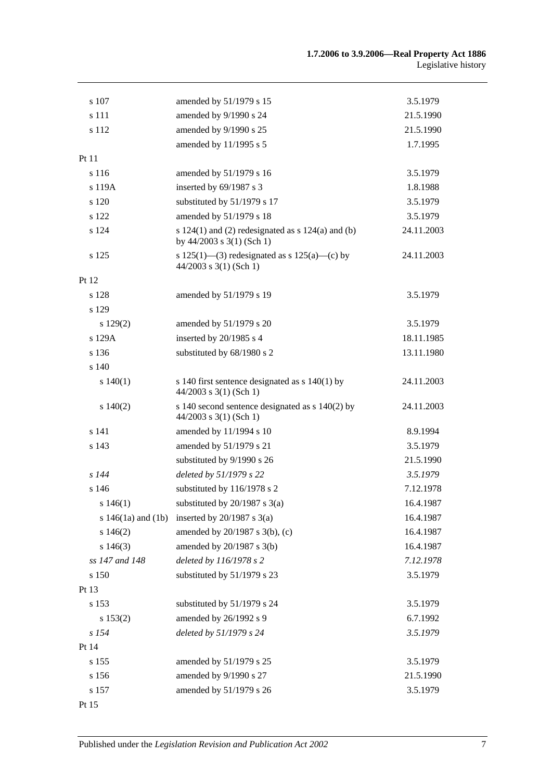| s 107          | amended by 51/1979 s 15                                                                | 3.5.1979   |
|----------------|----------------------------------------------------------------------------------------|------------|
| s 111          | amended by 9/1990 s 24                                                                 | 21.5.1990  |
| s 112          | amended by 9/1990 s 25                                                                 | 21.5.1990  |
|                | amended by 11/1995 s 5                                                                 | 1.7.1995   |
| Pt 11          |                                                                                        |            |
| s 116          | amended by 51/1979 s 16                                                                | 3.5.1979   |
| s 119A         | inserted by 69/1987 s 3                                                                | 1.8.1988   |
| s 120          | substituted by 51/1979 s 17                                                            | 3.5.1979   |
| s 122          | amended by 51/1979 s 18                                                                | 3.5.1979   |
| s 124          | s $124(1)$ and (2) redesignated as s $124(a)$ and (b)<br>by $44/2003$ s $3(1)$ (Sch 1) | 24.11.2003 |
| s 125          | s 125(1)—(3) redesignated as s 125(a)—(c) by<br>$44/2003$ s 3(1) (Sch 1)               | 24.11.2003 |
| Pt 12          |                                                                                        |            |
| s 128          | amended by 51/1979 s 19                                                                | 3.5.1979   |
| s 129          |                                                                                        |            |
| s 129(2)       | amended by 51/1979 s 20                                                                | 3.5.1979   |
| s 129A         | inserted by 20/1985 s 4                                                                | 18.11.1985 |
| s 136          | substituted by 68/1980 s 2                                                             | 13.11.1980 |
| s 140          |                                                                                        |            |
| s 140(1)       | s 140 first sentence designated as $s$ 140(1) by<br>$44/2003$ s 3(1) (Sch 1)           | 24.11.2003 |
| 140(2)         | s 140 second sentence designated as $s$ 140(2) by<br>$44/2003$ s 3(1) (Sch 1)          | 24.11.2003 |
| s 141          | amended by 11/1994 s 10                                                                | 8.9.1994   |
| s 143          | amended by 51/1979 s 21                                                                | 3.5.1979   |
|                | substituted by 9/1990 s 26                                                             | 21.5.1990  |
| $s$ 144        | deleted by 51/1979 s 22                                                                | 3.5.1979   |
| s 146          | substituted by 116/1978 s 2                                                            | 7.12.1978  |
| s $146(1)$     | substituted by $20/1987$ s $3(a)$                                                      | 16.4.1987  |
|                | s 146(1a) and (1b) inserted by $20/1987$ s 3(a)                                        | 16.4.1987  |
| s146(2)        | amended by 20/1987 s 3(b), (c)                                                         | 16.4.1987  |
| s 146(3)       | amended by $20/1987$ s $3(b)$                                                          | 16.4.1987  |
| ss 147 and 148 | deleted by 116/1978 s 2                                                                | 7.12.1978  |
| s 150          | substituted by 51/1979 s 23                                                            | 3.5.1979   |
| Pt 13          |                                                                                        |            |
| s 153          | substituted by 51/1979 s 24                                                            | 3.5.1979   |
| s 153(2)       | amended by 26/1992 s 9                                                                 | 6.7.1992   |
| $s$ 154        | deleted by 51/1979 s 24                                                                | 3.5.1979   |
| Pt 14          |                                                                                        |            |
| s 155          | amended by 51/1979 s 25                                                                | 3.5.1979   |
| s 156          | amended by 9/1990 s 27                                                                 | 21.5.1990  |
| s 157          | amended by 51/1979 s 26                                                                | 3.5.1979   |
| Pt 15          |                                                                                        |            |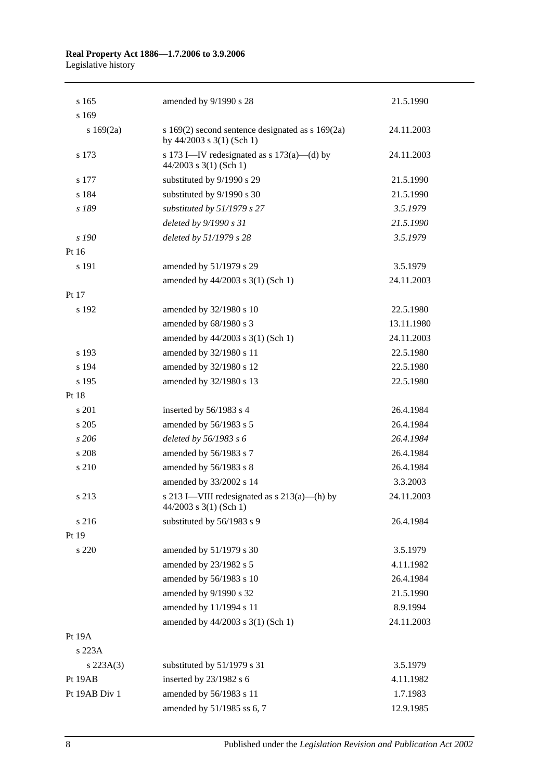| s 165         | amended by 9/1990 s 28                                                                | 21.5.1990  |
|---------------|---------------------------------------------------------------------------------------|------------|
| s 169         |                                                                                       |            |
| s 169(2a)     | s $169(2)$ second sentence designated as s $169(2a)$<br>by $44/2003$ s $3(1)$ (Sch 1) | 24.11.2003 |
| s 173         | s 173 I—IV redesignated as s $173(a)$ —(d) by<br>$44/2003$ s 3(1) (Sch 1)             | 24.11.2003 |
| s 177         | substituted by 9/1990 s 29                                                            | 21.5.1990  |
| s 184         | substituted by 9/1990 s 30                                                            | 21.5.1990  |
| s 189         | substituted by 51/1979 s 27                                                           | 3.5.1979   |
|               | deleted by 9/1990 s 31                                                                | 21.5.1990  |
| s 190         | deleted by 51/1979 s 28                                                               | 3.5.1979   |
| Pt 16         |                                                                                       |            |
| s 191         | amended by 51/1979 s 29                                                               | 3.5.1979   |
|               | amended by 44/2003 s 3(1) (Sch 1)                                                     | 24.11.2003 |
| Pt 17         |                                                                                       |            |
| s 192         | amended by 32/1980 s 10                                                               | 22.5.1980  |
|               | amended by 68/1980 s 3                                                                | 13.11.1980 |
|               | amended by 44/2003 s 3(1) (Sch 1)                                                     | 24.11.2003 |
| s 193         | amended by 32/1980 s 11                                                               | 22.5.1980  |
| s 194         | amended by 32/1980 s 12                                                               | 22.5.1980  |
| s 195         | amended by 32/1980 s 13                                                               | 22.5.1980  |
| Pt 18         |                                                                                       |            |
| s 201         | inserted by 56/1983 s 4                                                               | 26.4.1984  |
| s 205         | amended by 56/1983 s 5                                                                | 26.4.1984  |
| s206          | deleted by 56/1983 s 6                                                                | 26.4.1984  |
| s 208         | amended by 56/1983 s 7                                                                | 26.4.1984  |
| s 210         | amended by 56/1983 s 8                                                                | 26.4.1984  |
|               | amended by 33/2002 s 14                                                               | 3.3.2003   |
| s 213         | s 213 I—VIII redesignated as $s$ 213(a)—(h) by<br>$44/2003$ s 3(1) (Sch 1)            | 24.11.2003 |
| s 216         | substituted by 56/1983 s 9                                                            | 26.4.1984  |
| Pt 19         |                                                                                       |            |
| s 220         | amended by 51/1979 s 30                                                               | 3.5.1979   |
|               | amended by 23/1982 s 5                                                                | 4.11.1982  |
|               | amended by 56/1983 s 10                                                               | 26.4.1984  |
|               | amended by 9/1990 s 32                                                                | 21.5.1990  |
|               | amended by 11/1994 s 11                                                               | 8.9.1994   |
|               | amended by 44/2003 s 3(1) (Sch 1)                                                     | 24.11.2003 |
| Pt 19A        |                                                                                       |            |
| s 223A        |                                                                                       |            |
| $s\,223A(3)$  | substituted by 51/1979 s 31                                                           | 3.5.1979   |
| Pt 19AB       | inserted by 23/1982 s 6                                                               | 4.11.1982  |
| Pt 19AB Div 1 | amended by 56/1983 s 11                                                               | 1.7.1983   |
|               | amended by 51/1985 ss 6, 7                                                            | 12.9.1985  |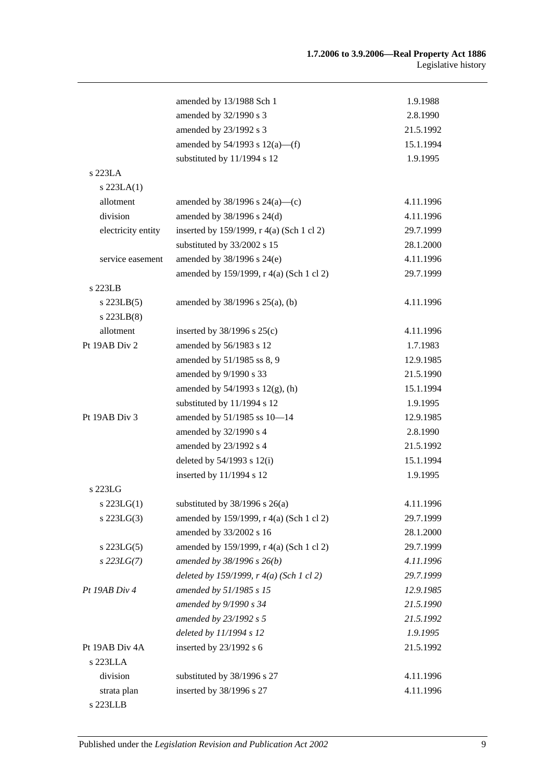|                    | amended by 13/1988 Sch 1                  | 1.9.1988  |
|--------------------|-------------------------------------------|-----------|
|                    | amended by 32/1990 s 3                    | 2.8.1990  |
|                    | amended by 23/1992 s 3                    | 21.5.1992 |
|                    | amended by $54/1993$ s $12(a)$ —(f)       | 15.1.1994 |
|                    | substituted by 11/1994 s 12               | 1.9.1995  |
| s 223LA            |                                           |           |
| $s$ 223LA $(1)$    |                                           |           |
| allotment          | amended by $38/1996$ s $24(a)$ —(c)       | 4.11.1996 |
| division           | amended by $38/1996$ s $24(d)$            | 4.11.1996 |
| electricity entity | inserted by 159/1999, r 4(a) (Sch 1 cl 2) | 29.7.1999 |
|                    | substituted by 33/2002 s 15               | 28.1.2000 |
| service easement   | amended by 38/1996 s 24(e)                | 4.11.1996 |
|                    | amended by 159/1999, r 4(a) (Sch 1 cl 2)  | 29.7.1999 |
| s 223LB            |                                           |           |
| $s$ 223LB $(5)$    | amended by $38/1996$ s $25(a)$ , (b)      | 4.11.1996 |
| $s$ 223LB $(8)$    |                                           |           |
| allotment          | inserted by $38/1996$ s $25(c)$           | 4.11.1996 |
| Pt 19AB Div 2      | amended by 56/1983 s 12                   | 1.7.1983  |
|                    | amended by 51/1985 ss 8, 9                | 12.9.1985 |
|                    | amended by 9/1990 s 33                    | 21.5.1990 |
|                    | amended by $54/1993$ s $12(g)$ , (h)      | 15.1.1994 |
|                    | substituted by 11/1994 s 12               | 1.9.1995  |
| Pt 19AB Div 3      | amended by 51/1985 ss 10-14               | 12.9.1985 |
|                    | amended by 32/1990 s 4                    | 2.8.1990  |
|                    | amended by 23/1992 s 4                    | 21.5.1992 |
|                    | deleted by $54/1993$ s $12(i)$            | 15.1.1994 |
|                    | inserted by 11/1994 s 12                  | 1.9.1995  |
| s 223LG            |                                           |           |
| s $223LG(1)$       | substituted by $38/1996$ s $26(a)$        | 4.11.1996 |
| $s$ 223LG $(3)$    | amended by 159/1999, r 4(a) (Sch 1 cl 2)  | 29.7.1999 |
|                    | amended by 33/2002 s 16                   | 28.1.2000 |
| $s$ 223LG $(5)$    | amended by 159/1999, r 4(a) (Sch 1 cl 2)  | 29.7.1999 |
| $s$ 223LG(7)       | amended by 38/1996 s 26(b)                | 4.11.1996 |
|                    | deleted by 159/1999, r 4(a) (Sch 1 cl 2)  | 29.7.1999 |
| Pt 19AB Div 4      | amended by 51/1985 s 15                   | 12.9.1985 |
|                    | amended by 9/1990 s 34                    | 21.5.1990 |
|                    | amended by 23/1992 s 5                    | 21.5.1992 |
|                    | deleted by 11/1994 s 12                   | 1.9.1995  |
| Pt 19AB Div 4A     | inserted by $23/1992$ s 6                 | 21.5.1992 |
| s 223LLA           |                                           |           |
| division           | substituted by 38/1996 s 27               | 4.11.1996 |
| strata plan        | inserted by 38/1996 s 27                  | 4.11.1996 |
| s 223LLB           |                                           |           |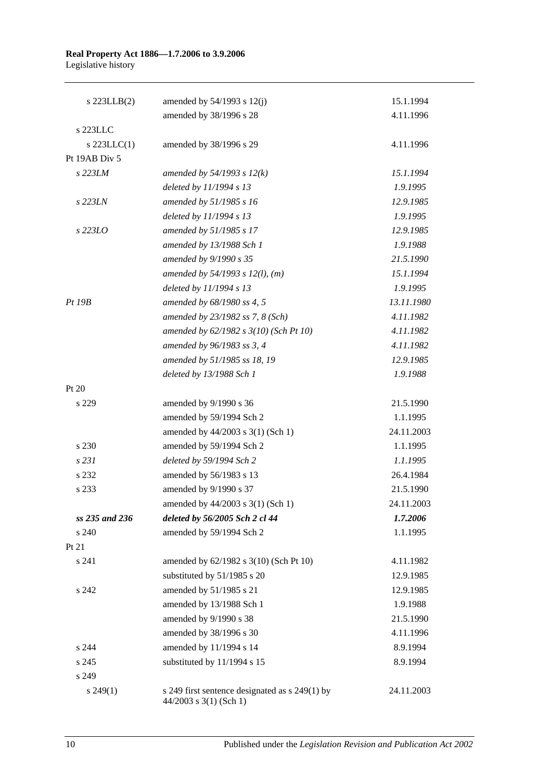| s 223LLB(2)    | amended by $54/1993$ s $12(j)$                                           | 15.1.1994  |
|----------------|--------------------------------------------------------------------------|------------|
|                | amended by 38/1996 s 28                                                  | 4.11.1996  |
| s 223LLC       |                                                                          |            |
| s $223LLC(1)$  | amended by 38/1996 s 29                                                  | 4.11.1996  |
| Pt 19AB Div 5  |                                                                          |            |
| s 223LM        | amended by $54/1993 s 12(k)$                                             | 15.1.1994  |
|                | deleted by 11/1994 s 13                                                  | 1.9.1995   |
| s 223LN        | amended by 51/1985 s 16                                                  | 12.9.1985  |
|                | deleted by 11/1994 s 13                                                  | 1.9.1995   |
| s 223LO        | amended by 51/1985 s 17                                                  | 12.9.1985  |
|                | amended by 13/1988 Sch 1                                                 | 1.9.1988   |
|                | amended by 9/1990 s 35                                                   | 21.5.1990  |
|                | amended by $54/1993$ s $12(l)$ , (m)                                     | 15.1.1994  |
|                | deleted by 11/1994 s 13                                                  | 1.9.1995   |
| Pt~19B         | amended by 68/1980 ss 4, 5                                               | 13.11.1980 |
|                | amended by 23/1982 ss 7, 8 (Sch)                                         | 4.11.1982  |
|                | amended by 62/1982 s 3(10) (Sch Pt 10)                                   | 4.11.1982  |
|                | amended by 96/1983 ss 3, 4                                               | 4.11.1982  |
|                | amended by 51/1985 ss 18, 19                                             | 12.9.1985  |
|                | deleted by 13/1988 Sch 1                                                 | 1.9.1988   |
| Pt 20          |                                                                          |            |
| s 229          | amended by 9/1990 s 36                                                   | 21.5.1990  |
|                | amended by 59/1994 Sch 2                                                 | 1.1.1995   |
|                | amended by 44/2003 s 3(1) (Sch 1)                                        | 24.11.2003 |
| s 230          | amended by 59/1994 Sch 2                                                 | 1.1.1995   |
| s 231          | deleted by 59/1994 Sch 2                                                 | 1.1.1995   |
| s 232          | amended by 56/1983 s 13                                                  | 26.4.1984  |
| s 233          | amended by 9/1990 s 37                                                   | 21.5.1990  |
|                | amended by 44/2003 s 3(1) (Sch 1)                                        | 24.11.2003 |
| ss 235 and 236 | deleted by 56/2005 Sch 2 cl 44                                           | 1.7.2006   |
| s 240          | amended by 59/1994 Sch 2                                                 | 1.1.1995   |
| Pt 21          |                                                                          |            |
| s 241          | amended by 62/1982 s 3(10) (Sch Pt 10)                                   | 4.11.1982  |
|                | substituted by 51/1985 s 20                                              | 12.9.1985  |
| s 242          | amended by 51/1985 s 21                                                  | 12.9.1985  |
|                | amended by 13/1988 Sch 1                                                 | 1.9.1988   |
|                | amended by 9/1990 s 38                                                   | 21.5.1990  |
|                | amended by 38/1996 s 30                                                  | 4.11.1996  |
| s 244          | amended by 11/1994 s 14                                                  | 8.9.1994   |
| s 245          | substituted by 11/1994 s 15                                              | 8.9.1994   |
| s 249          |                                                                          |            |
| $s\,249(1)$    | s 249 first sentence designated as s 249(1) by<br>44/2003 s 3(1) (Sch 1) | 24.11.2003 |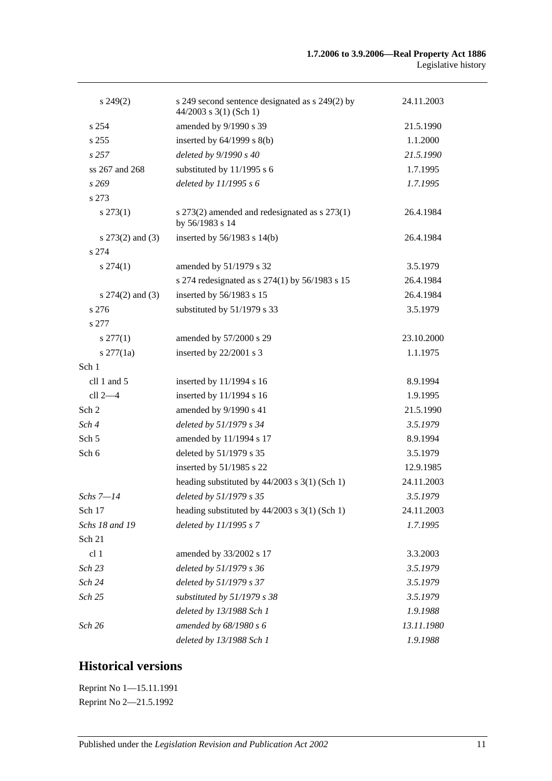| $s\,249(2)$          | s 249 second sentence designated as s 249(2) by<br>$44/2003$ s 3(1) (Sch 1) | 24.11.2003 |
|----------------------|-----------------------------------------------------------------------------|------------|
| s 254                | amended by 9/1990 s 39                                                      | 21.5.1990  |
| s 255                | inserted by $64/1999$ s $8(b)$                                              | 1.1.2000   |
| s257                 | deleted by 9/1990 s 40                                                      | 21.5.1990  |
| ss 267 and 268       | substituted by 11/1995 s 6                                                  | 1.7.1995   |
| s269                 | deleted by $11/1995 s 6$                                                    | 1.7.1995   |
| s 273                |                                                                             |            |
| $s\,273(1)$          | s 273(2) amended and redesignated as s 273(1)<br>by 56/1983 s 14            | 26.4.1984  |
| s $273(2)$ and $(3)$ | inserted by $56/1983$ s $14(b)$                                             | 26.4.1984  |
| s 274                |                                                                             |            |
| $s\,274(1)$          | amended by 51/1979 s 32                                                     | 3.5.1979   |
|                      | s 274 redesignated as s 274(1) by 56/1983 s 15                              | 26.4.1984  |
| s $274(2)$ and $(3)$ | inserted by 56/1983 s 15                                                    | 26.4.1984  |
| s 276                | substituted by 51/1979 s 33                                                 | 3.5.1979   |
| s 277                |                                                                             |            |
| $s\,277(1)$          | amended by 57/2000 s 29                                                     | 23.10.2000 |
| $s$ 277(1a)          | inserted by 22/2001 s 3                                                     | 1.1.1975   |
| Sch 1                |                                                                             |            |
| cll 1 and 5          | inserted by 11/1994 s 16                                                    | 8.9.1994   |
| cll $2-4$            | inserted by 11/1994 s 16                                                    | 1.9.1995   |
| Sch <sub>2</sub>     | amended by 9/1990 s 41                                                      | 21.5.1990  |
| Sch 4                | deleted by 51/1979 s 34                                                     | 3.5.1979   |
| Sch <sub>5</sub>     | amended by 11/1994 s 17                                                     | 8.9.1994   |
| Sch 6                | deleted by 51/1979 s 35                                                     | 3.5.1979   |
|                      | inserted by 51/1985 s 22                                                    | 12.9.1985  |
|                      | heading substituted by $44/2003$ s $3(1)$ (Sch 1)                           | 24.11.2003 |
| Schs 7—14            | deleted by 51/1979 s 35                                                     | 3.5.1979   |
| Sch 17               | heading substituted by 44/2003 s 3(1) (Sch 1)                               | 24.11.2003 |
| Schs 18 and 19       | deleted by 11/1995 s 7                                                      | 1.7.1995   |
| Sch 21               |                                                                             |            |
| cl <sub>1</sub>      | amended by 33/2002 s 17                                                     | 3.3.2003   |
| Sch 23               | deleted by 51/1979 s 36                                                     | 3.5.1979   |
| Sch 24               | deleted by 51/1979 s 37                                                     | 3.5.1979   |
| Sch 25               | substituted by 51/1979 s 38                                                 | 3.5.1979   |
|                      | deleted by 13/1988 Sch 1                                                    | 1.9.1988   |
| Sch 26               | amended by 68/1980 s 6                                                      | 13.11.1980 |
|                      | deleted by 13/1988 Sch 1                                                    | 1.9.1988   |

# **Historical versions**

Reprint No 1—15.11.1991 Reprint No 2—21.5.1992